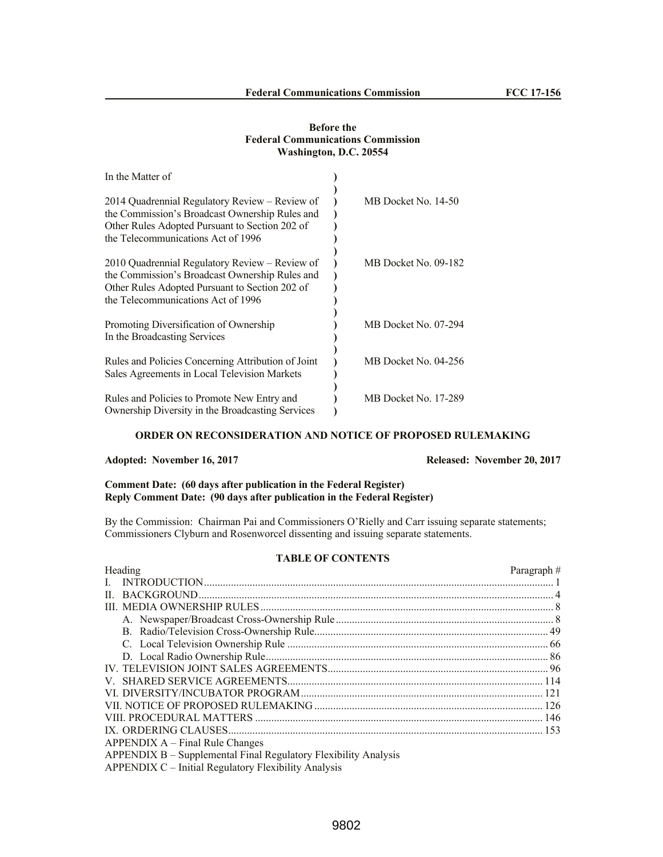## **Before the Federal Communications Commission Washington, D.C. 20554**

| In the Matter of                                                                                                                                                                         |                      |
|------------------------------------------------------------------------------------------------------------------------------------------------------------------------------------------|----------------------|
| 2014 Quadrennial Regulatory Review – Review of<br>the Commission's Broadcast Ownership Rules and<br>Other Rules Adopted Pursuant to Section 202 of<br>the Telecommunications Act of 1996 | MB Docket No. 14-50  |
| 2010 Quadrennial Regulatory Review – Review of<br>the Commission's Broadcast Ownership Rules and<br>Other Rules Adopted Pursuant to Section 202 of<br>the Telecommunications Act of 1996 | MB Docket No. 09-182 |
| Promoting Diversification of Ownership<br>In the Broadcasting Services                                                                                                                   | MB Docket No. 07-294 |
| Rules and Policies Concerning Attribution of Joint<br>Sales Agreements in Local Television Markets                                                                                       | MB Docket No. 04-256 |
| Rules and Policies to Promote New Entry and<br>Ownership Diversity in the Broadcasting Services                                                                                          | MB Docket No. 17-289 |

# **ORDER ON RECONSIDERATION AND NOTICE OF PROPOSED RULEMAKING**

# **Adopted: November 16, 2017 Released: November 20, 2017**

# **Comment Date: (60 days after publication in the Federal Register) Reply Comment Date: (90 days after publication in the Federal Register)**

By the Commission: Chairman Pai and Commissioners O'Rielly and Carr issuing separate statements; Commissioners Clyburn and Rosenworcel dissenting and issuing separate statements.

# **TABLE OF CONTENTS**

| Heading                                                         | Paragraph $#$ |
|-----------------------------------------------------------------|---------------|
|                                                                 |               |
|                                                                 |               |
|                                                                 |               |
|                                                                 |               |
|                                                                 |               |
|                                                                 |               |
|                                                                 |               |
|                                                                 |               |
|                                                                 |               |
|                                                                 |               |
|                                                                 |               |
|                                                                 |               |
|                                                                 |               |
| $APPENDIX A - Final Rule Changes$                               |               |
| APPENDIX B – Supplemental Final Regulatory Flexibility Analysis |               |
| APPENDIX C – Initial Regulatory Flexibility Analysis            |               |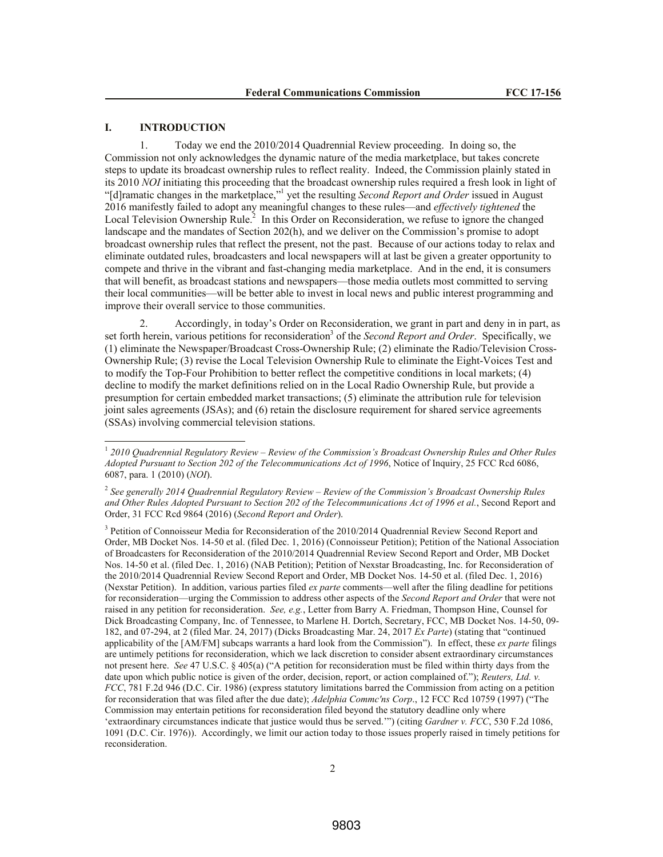## **I. INTRODUCTION**

l

1. Today we end the 2010/2014 Quadrennial Review proceeding. In doing so, the Commission not only acknowledges the dynamic nature of the media marketplace, but takes concrete steps to update its broadcast ownership rules to reflect reality. Indeed, the Commission plainly stated in its 2010 *NOI* initiating this proceeding that the broadcast ownership rules required a fresh look in light of "[d]ramatic changes in the marketplace,"<sup>1</sup> yet the resulting *Second Report and Order* issued in August 2016 manifestly failed to adopt any meaningful changes to these rules—and *effectively tightened* the Local Television Ownership Rule.<sup>2</sup> In this Order on Reconsideration, we refuse to ignore the changed landscape and the mandates of Section 202(h), and we deliver on the Commission's promise to adopt broadcast ownership rules that reflect the present, not the past. Because of our actions today to relax and eliminate outdated rules, broadcasters and local newspapers will at last be given a greater opportunity to compete and thrive in the vibrant and fast-changing media marketplace. And in the end, it is consumers that will benefit, as broadcast stations and newspapers—those media outlets most committed to serving their local communities—will be better able to invest in local news and public interest programming and improve their overall service to those communities.

2. Accordingly, in today's Order on Reconsideration, we grant in part and deny in in part, as set forth herein, various petitions for reconsideration<sup>3</sup> of the *Second Report and Order*. Specifically, we (1) eliminate the Newspaper/Broadcast Cross-Ownership Rule; (2) eliminate the Radio/Television Cross-Ownership Rule; (3) revise the Local Television Ownership Rule to eliminate the Eight-Voices Test and to modify the Top-Four Prohibition to better reflect the competitive conditions in local markets; (4) decline to modify the market definitions relied on in the Local Radio Ownership Rule, but provide a presumption for certain embedded market transactions; (5) eliminate the attribution rule for television joint sales agreements (JSAs); and (6) retain the disclosure requirement for shared service agreements (SSAs) involving commercial television stations.

<sup>3</sup> Petition of Connoisseur Media for Reconsideration of the 2010/2014 Quadrennial Review Second Report and Order, MB Docket Nos. 14-50 et al. (filed Dec. 1, 2016) (Connoisseur Petition); Petition of the National Association of Broadcasters for Reconsideration of the 2010/2014 Quadrennial Review Second Report and Order, MB Docket Nos. 14-50 et al. (filed Dec. 1, 2016) (NAB Petition); Petition of Nexstar Broadcasting, Inc. for Reconsideration of the 2010/2014 Quadrennial Review Second Report and Order, MB Docket Nos. 14-50 et al. (filed Dec. 1, 2016) (Nexstar Petition). In addition, various parties filed *ex parte* comments—well after the filing deadline for petitions for reconsideration—urging the Commission to address other aspects of the *Second Report and Order* that were not raised in any petition for reconsideration. *See, e.g.*, Letter from Barry A. Friedman, Thompson Hine, Counsel for Dick Broadcasting Company, Inc. of Tennessee, to Marlene H. Dortch, Secretary, FCC, MB Docket Nos. 14-50, 09- 182, and 07-294, at 2 (filed Mar. 24, 2017) (Dicks Broadcasting Mar. 24, 2017 *Ex Parte*) (stating that "continued applicability of the [AM/FM] subcaps warrants a hard look from the Commission"). In effect, these *ex parte* filings are untimely petitions for reconsideration, which we lack discretion to consider absent extraordinary circumstances not present here. *See* 47 U.S.C. § 405(a) ("A petition for reconsideration must be filed within thirty days from the date upon which public notice is given of the order, decision, report, or action complained of."); *Reuters, Ltd. v. FCC*, 781 F.2d 946 (D.C. Cir. 1986) (express statutory limitations barred the Commission from acting on a petition for reconsideration that was filed after the due date); *Adelphia Commc'ns Corp*., 12 FCC Rcd 10759 (1997) ("The Commission may entertain petitions for reconsideration filed beyond the statutory deadline only where 'extraordinary circumstances indicate that justice would thus be served.'") (citing *Gardner v. FCC*, 530 F.2d 1086, 1091 (D.C. Cir. 1976)). Accordingly, we limit our action today to those issues properly raised in timely petitions for reconsideration.

<sup>1</sup> *2010 Quadrennial Regulatory Review – Review of the Commission's Broadcast Ownership Rules and Other Rules Adopted Pursuant to Section 202 of the Telecommunications Act of 1996*, Notice of Inquiry, 25 FCC Rcd 6086, 6087, para. 1 (2010) (*NOI*).

<sup>2</sup> *See generally 2014 Quadrennial Regulatory Review – Review of the Commission's Broadcast Ownership Rules and Other Rules Adopted Pursuant to Section 202 of the Telecommunications Act of 1996 et al.*, Second Report and Order, 31 FCC Rcd 9864 (2016) (*Second Report and Order*).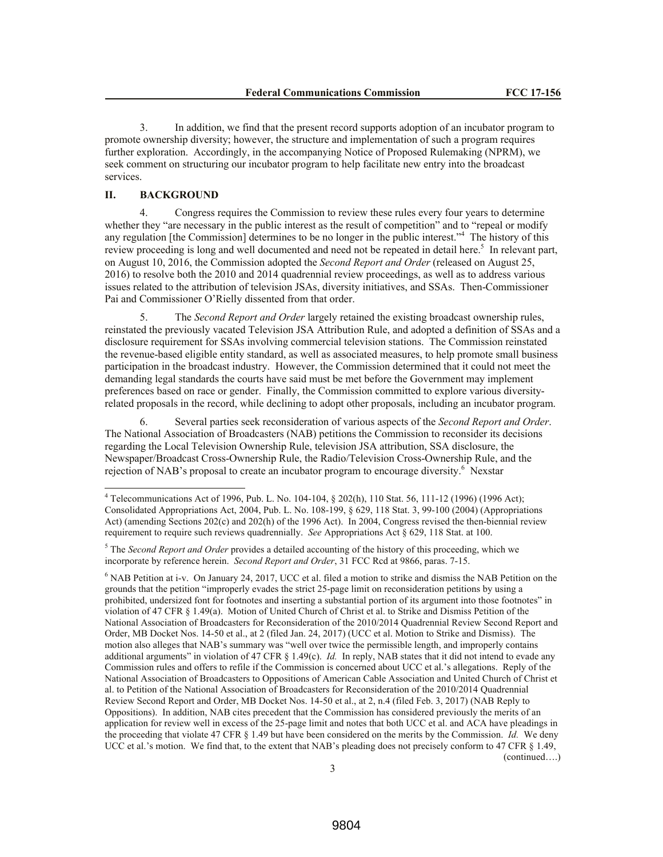3. In addition, we find that the present record supports adoption of an incubator program to promote ownership diversity; however, the structure and implementation of such a program requires further exploration. Accordingly, in the accompanying Notice of Proposed Rulemaking (NPRM), we seek comment on structuring our incubator program to help facilitate new entry into the broadcast services.

## **II. BACKGROUND**

l

4. Congress requires the Commission to review these rules every four years to determine whether they "are necessary in the public interest as the result of competition" and to "repeal or modify any regulation [the Commission] determines to be no longer in the public interest."<sup>4</sup> The history of this review proceeding is long and well documented and need not be repeated in detail here.<sup>5</sup> In relevant part, on August 10, 2016, the Commission adopted the *Second Report and Order* (released on August 25, 2016) to resolve both the 2010 and 2014 quadrennial review proceedings, as well as to address various issues related to the attribution of television JSAs, diversity initiatives, and SSAs. Then-Commissioner Pai and Commissioner O'Rielly dissented from that order.

5. The *Second Report and Order* largely retained the existing broadcast ownership rules, reinstated the previously vacated Television JSA Attribution Rule, and adopted a definition of SSAs and a disclosure requirement for SSAs involving commercial television stations. The Commission reinstated the revenue-based eligible entity standard, as well as associated measures, to help promote small business participation in the broadcast industry. However, the Commission determined that it could not meet the demanding legal standards the courts have said must be met before the Government may implement preferences based on race or gender. Finally, the Commission committed to explore various diversityrelated proposals in the record, while declining to adopt other proposals, including an incubator program.

6. Several parties seek reconsideration of various aspects of the *Second Report and Order*. The National Association of Broadcasters (NAB) petitions the Commission to reconsider its decisions regarding the Local Television Ownership Rule, television JSA attribution, SSA disclosure, the Newspaper/Broadcast Cross-Ownership Rule, the Radio/Television Cross-Ownership Rule, and the rejection of NAB's proposal to create an incubator program to encourage diversity.<sup>6</sup> Nexstar

<sup>4</sup> Telecommunications Act of 1996, Pub. L. No. 104-104, § 202(h), 110 Stat. 56, 111-12 (1996) (1996 Act); Consolidated Appropriations Act, 2004, Pub. L. No. 108-199, § 629, 118 Stat. 3, 99-100 (2004) (Appropriations Act) (amending Sections 202(c) and 202(h) of the 1996 Act). In 2004, Congress revised the then-biennial review requirement to require such reviews quadrennially. *See* Appropriations Act § 629, 118 Stat. at 100.

<sup>5</sup> The *Second Report and Order* provides a detailed accounting of the history of this proceeding, which we incorporate by reference herein. *Second Report and Order*, 31 FCC Rcd at 9866, paras. 7-15.

<sup>6</sup> NAB Petition at i-v. On January 24, 2017, UCC et al. filed a motion to strike and dismiss the NAB Petition on the grounds that the petition "improperly evades the strict 25-page limit on reconsideration petitions by using a prohibited, undersized font for footnotes and inserting a substantial portion of its argument into those footnotes" in violation of 47 CFR § 1.49(a). Motion of United Church of Christ et al. to Strike and Dismiss Petition of the National Association of Broadcasters for Reconsideration of the 2010/2014 Quadrennial Review Second Report and Order, MB Docket Nos. 14-50 et al., at 2 (filed Jan. 24, 2017) (UCC et al. Motion to Strike and Dismiss). The motion also alleges that NAB's summary was "well over twice the permissible length, and improperly contains additional arguments" in violation of 47 CFR § 1.49(c). *Id.* In reply, NAB states that it did not intend to evade any Commission rules and offers to refile if the Commission is concerned about UCC et al.'s allegations. Reply of the National Association of Broadcasters to Oppositions of American Cable Association and United Church of Christ et al. to Petition of the National Association of Broadcasters for Reconsideration of the 2010/2014 Quadrennial Review Second Report and Order, MB Docket Nos. 14-50 et al., at 2, n.4 (filed Feb. 3, 2017) (NAB Reply to Oppositions). In addition, NAB cites precedent that the Commission has considered previously the merits of an application for review well in excess of the 25-page limit and notes that both UCC et al. and ACA have pleadings in the proceeding that violate 47 CFR § 1.49 but have been considered on the merits by the Commission. *Id.* We deny UCC et al.'s motion. We find that, to the extent that NAB's pleading does not precisely conform to 47 CFR § 1.49, (continued….)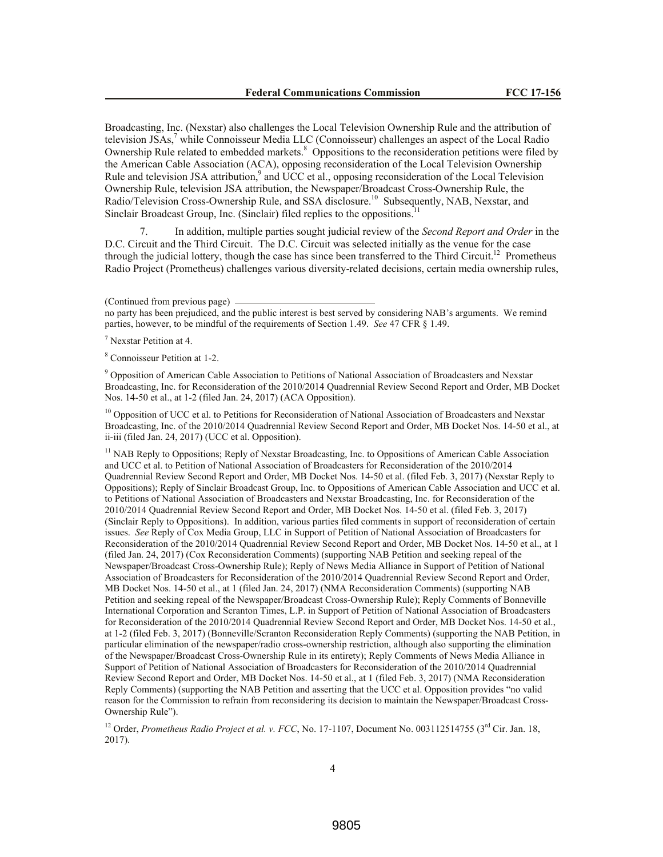Broadcasting, Inc. (Nexstar) also challenges the Local Television Ownership Rule and the attribution of television JSAs, <sup>7</sup> while Connoisseur Media LLC (Connoisseur) challenges an aspect of the Local Radio Ownership Rule related to embedded markets.<sup>8</sup> Oppositions to the reconsideration petitions were filed by the American Cable Association (ACA), opposing reconsideration of the Local Television Ownership Rule and television JSA attribution,<sup>9</sup> and UCC et al., opposing reconsideration of the Local Television Ownership Rule, television JSA attribution, the Newspaper/Broadcast Cross-Ownership Rule, the Radio/Television Cross-Ownership Rule, and SSA disclosure.<sup>10</sup> Subsequently, NAB, Nexstar, and Sinclair Broadcast Group, Inc. (Sinclair) filed replies to the oppositions.<sup>11</sup>

7. In addition, multiple parties sought judicial review of the *Second Report and Order* in the D.C. Circuit and the Third Circuit. The D.C. Circuit was selected initially as the venue for the case through the judicial lottery, though the case has since been transferred to the Third Circuit.<sup>12</sup> Prometheus Radio Project (Prometheus) challenges various diversity-related decisions, certain media ownership rules,

no party has been prejudiced, and the public interest is best served by considering NAB's arguments. We remind parties, however, to be mindful of the requirements of Section 1.49. *See* 47 CFR § 1.49.

 $<sup>7</sup>$  Nexstar Petition at 4.</sup>

<sup>8</sup> Connoisseur Petition at 1-2.

<sup>9</sup> Opposition of American Cable Association to Petitions of National Association of Broadcasters and Nexstar Broadcasting, Inc. for Reconsideration of the 2010/2014 Quadrennial Review Second Report and Order, MB Docket Nos. 14-50 et al., at 1-2 (filed Jan. 24, 2017) (ACA Opposition).

<sup>10</sup> Opposition of UCC et al. to Petitions for Reconsideration of National Association of Broadcasters and Nexstar Broadcasting, Inc. of the 2010/2014 Quadrennial Review Second Report and Order, MB Docket Nos. 14-50 et al., at ii-iii (filed Jan. 24, 2017) (UCC et al. Opposition).

<sup>11</sup> NAB Reply to Oppositions; Reply of Nexstar Broadcasting, Inc. to Oppositions of American Cable Association and UCC et al. to Petition of National Association of Broadcasters for Reconsideration of the 2010/2014 Quadrennial Review Second Report and Order, MB Docket Nos. 14-50 et al. (filed Feb. 3, 2017) (Nexstar Reply to Oppositions); Reply of Sinclair Broadcast Group, Inc. to Oppositions of American Cable Association and UCC et al. to Petitions of National Association of Broadcasters and Nexstar Broadcasting, Inc. for Reconsideration of the 2010/2014 Quadrennial Review Second Report and Order, MB Docket Nos. 14-50 et al. (filed Feb. 3, 2017) (Sinclair Reply to Oppositions). In addition, various parties filed comments in support of reconsideration of certain issues. *See* Reply of Cox Media Group, LLC in Support of Petition of National Association of Broadcasters for Reconsideration of the 2010/2014 Quadrennial Review Second Report and Order, MB Docket Nos. 14-50 et al., at 1 (filed Jan. 24, 2017) (Cox Reconsideration Comments) (supporting NAB Petition and seeking repeal of the Newspaper/Broadcast Cross-Ownership Rule); Reply of News Media Alliance in Support of Petition of National Association of Broadcasters for Reconsideration of the 2010/2014 Quadrennial Review Second Report and Order, MB Docket Nos. 14-50 et al., at 1 (filed Jan. 24, 2017) (NMA Reconsideration Comments) (supporting NAB Petition and seeking repeal of the Newspaper/Broadcast Cross-Ownership Rule); Reply Comments of Bonneville International Corporation and Scranton Times, L.P. in Support of Petition of National Association of Broadcasters for Reconsideration of the 2010/2014 Quadrennial Review Second Report and Order, MB Docket Nos. 14-50 et al., at 1-2 (filed Feb. 3, 2017) (Bonneville/Scranton Reconsideration Reply Comments) (supporting the NAB Petition, in particular elimination of the newspaper/radio cross-ownership restriction, although also supporting the elimination of the Newspaper/Broadcast Cross-Ownership Rule in its entirety); Reply Comments of News Media Alliance in Support of Petition of National Association of Broadcasters for Reconsideration of the 2010/2014 Quadrennial Review Second Report and Order, MB Docket Nos. 14-50 et al., at 1 (filed Feb. 3, 2017) (NMA Reconsideration Reply Comments) (supporting the NAB Petition and asserting that the UCC et al. Opposition provides "no valid reason for the Commission to refrain from reconsidering its decision to maintain the Newspaper/Broadcast Cross-Ownership Rule").

<sup>12</sup> Order, *Prometheus Radio Project et al. v. FCC*, No. 17-1107, Document No. 003112514755 ( $3<sup>rd</sup>$  Cir. Jan. 18, 2017).

<sup>(</sup>Continued from previous page)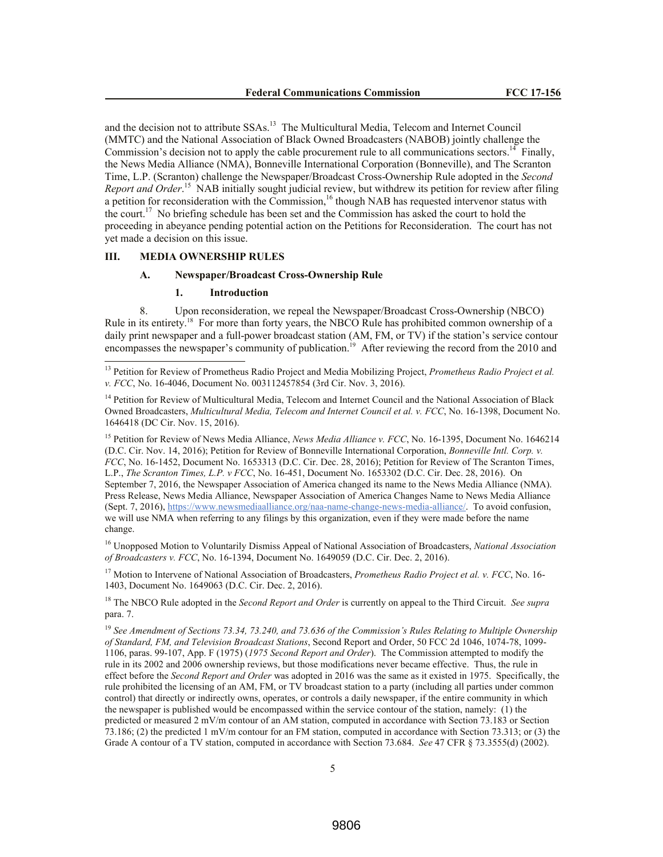and the decision not to attribute SSAs.<sup>13</sup> The Multicultural Media, Telecom and Internet Council (MMTC) and the National Association of Black Owned Broadcasters (NABOB) jointly challenge the Commission's decision not to apply the cable procurement rule to all communications sectors.<sup>14</sup> Finally, the News Media Alliance (NMA), Bonneville International Corporation (Bonneville), and The Scranton Time, L.P. (Scranton) challenge the Newspaper/Broadcast Cross-Ownership Rule adopted in the *Second*  Report and Order.<sup>15</sup> NAB initially sought judicial review, but withdrew its petition for review after filing a petition for reconsideration with the Commission,<sup>16</sup> though NAB has requested intervenor status with the court.<sup>17</sup> No briefing schedule has been set and the Commission has asked the court to hold the proceeding in abeyance pending potential action on the Petitions for Reconsideration. The court has not yet made a decision on this issue.

## **III. MEDIA OWNERSHIP RULES**

l

# **A. Newspaper/Broadcast Cross-Ownership Rule**

## **1. Introduction**

8. Upon reconsideration, we repeal the Newspaper/Broadcast Cross-Ownership (NBCO) Rule in its entirety.<sup>18</sup> For more than forty years, the NBCO Rule has prohibited common ownership of a daily print newspaper and a full-power broadcast station (AM, FM, or TV) if the station's service contour encompasses the newspaper's community of publication.<sup>19</sup> After reviewing the record from the 2010 and

<sup>15</sup> Petition for Review of News Media Alliance, *News Media Alliance v. FCC*, No. 16-1395, Document No. 1646214 (D.C. Cir. Nov. 14, 2016); Petition for Review of Bonneville International Corporation, *Bonneville Intl. Corp. v. FCC*, No. 16-1452, Document No. 1653313 (D.C. Cir. Dec. 28, 2016); Petition for Review of The Scranton Times, L.P., *The Scranton Times, L.P. v FCC*, No. 16-451, Document No. 1653302 (D.C. Cir. Dec. 28, 2016). On September 7, 2016, the Newspaper Association of America changed its name to the News Media Alliance (NMA). Press Release, News Media Alliance, Newspaper Association of America Changes Name to News Media Alliance (Sept. 7, 2016), https://www.newsmediaalliance.org/naa-name-change-news-media-alliance/. To avoid confusion, we will use NMA when referring to any filings by this organization, even if they were made before the name change.

<sup>16</sup> Unopposed Motion to Voluntarily Dismiss Appeal of National Association of Broadcasters, *National Association of Broadcasters v. FCC*, No. 16-1394, Document No. 1649059 (D.C. Cir. Dec. 2, 2016).

<sup>17</sup> Motion to Intervene of National Association of Broadcasters, *Prometheus Radio Project et al. v. FCC*, No. 16- 1403, Document No. 1649063 (D.C. Cir. Dec. 2, 2016).

<sup>18</sup> The NBCO Rule adopted in the *Second Report and Order* is currently on appeal to the Third Circuit. *See supra*  para. 7.

<sup>19</sup> *See Amendment of Sections 73.34, 73.240, and 73.636 of the Commission's Rules Relating to Multiple Ownership of Standard, FM, and Television Broadcast Stations*, Second Report and Order, 50 FCC 2d 1046, 1074-78, 1099- 1106, paras. 99-107, App. F (1975) (*1975 Second Report and Order*). The Commission attempted to modify the rule in its 2002 and 2006 ownership reviews, but those modifications never became effective. Thus, the rule in effect before the *Second Report and Order* was adopted in 2016 was the same as it existed in 1975. Specifically, the rule prohibited the licensing of an AM, FM, or TV broadcast station to a party (including all parties under common control) that directly or indirectly owns, operates, or controls a daily newspaper, if the entire community in which the newspaper is published would be encompassed within the service contour of the station, namely: (1) the predicted or measured 2 mV/m contour of an AM station, computed in accordance with Section 73.183 or Section 73.186; (2) the predicted 1 mV/m contour for an FM station, computed in accordance with Section 73.313; or (3) the Grade A contour of a TV station, computed in accordance with Section 73.684. *See* 47 CFR § 73.3555(d) (2002).

<sup>13</sup> Petition for Review of Prometheus Radio Project and Media Mobilizing Project, *Prometheus Radio Project et al. v. FCC*, No. 16-4046, Document No. 003112457854 (3rd Cir. Nov. 3, 2016).

<sup>&</sup>lt;sup>14</sup> Petition for Review of Multicultural Media, Telecom and Internet Council and the National Association of Black Owned Broadcasters, *Multicultural Media, Telecom and Internet Council et al. v. FCC*, No. 16-1398, Document No. 1646418 (DC Cir. Nov. 15, 2016).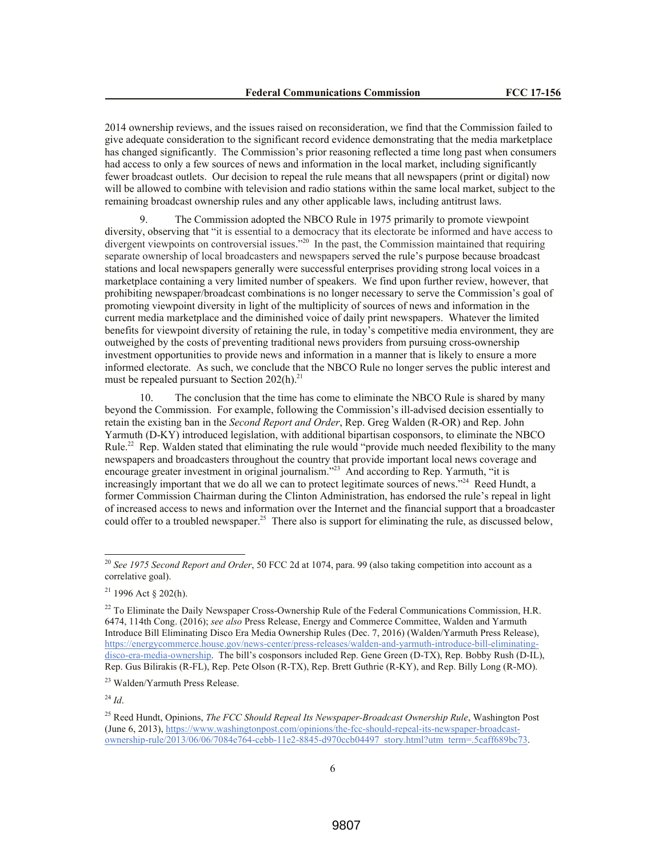2014 ownership reviews, and the issues raised on reconsideration, we find that the Commission failed to give adequate consideration to the significant record evidence demonstrating that the media marketplace has changed significantly. The Commission's prior reasoning reflected a time long past when consumers had access to only a few sources of news and information in the local market, including significantly fewer broadcast outlets. Our decision to repeal the rule means that all newspapers (print or digital) now will be allowed to combine with television and radio stations within the same local market, subject to the remaining broadcast ownership rules and any other applicable laws, including antitrust laws.

9. The Commission adopted the NBCO Rule in 1975 primarily to promote viewpoint diversity, observing that "it is essential to a democracy that its electorate be informed and have access to divergent viewpoints on controversial issues."<sup>20</sup> In the past, the Commission maintained that requiring separate ownership of local broadcasters and newspapers served the rule's purpose because broadcast stations and local newspapers generally were successful enterprises providing strong local voices in a marketplace containing a very limited number of speakers. We find upon further review, however, that prohibiting newspaper/broadcast combinations is no longer necessary to serve the Commission's goal of promoting viewpoint diversity in light of the multiplicity of sources of news and information in the current media marketplace and the diminished voice of daily print newspapers. Whatever the limited benefits for viewpoint diversity of retaining the rule, in today's competitive media environment, they are outweighed by the costs of preventing traditional news providers from pursuing cross-ownership investment opportunities to provide news and information in a manner that is likely to ensure a more informed electorate. As such, we conclude that the NBCO Rule no longer serves the public interest and must be repealed pursuant to Section  $202(h).$ <sup>21</sup>

10. The conclusion that the time has come to eliminate the NBCO Rule is shared by many beyond the Commission. For example, following the Commission's ill-advised decision essentially to retain the existing ban in the *Second Report and Order*, Rep. Greg Walden (R-OR) and Rep. John Yarmuth (D-KY) introduced legislation, with additional bipartisan cosponsors, to eliminate the NBCO Rule.<sup>22</sup> Rep. Walden stated that eliminating the rule would "provide much needed flexibility to the many newspapers and broadcasters throughout the country that provide important local news coverage and encourage greater investment in original journalism."<sup>23</sup> And according to Rep. Yarmuth, "it is increasingly important that we do all we can to protect legitimate sources of news."<sup>24</sup> Reed Hundt, a former Commission Chairman during the Clinton Administration, has endorsed the rule's repeal in light of increased access to news and information over the Internet and the financial support that a broadcaster could offer to a troubled newspaper.<sup>25</sup> There also is support for eliminating the rule, as discussed below,

<sup>24</sup> *Id*.

<sup>20</sup> *See 1975 Second Report and Order*, 50 FCC 2d at 1074, para. 99 (also taking competition into account as a correlative goal).

 $21$  1996 Act § 202(h).

<sup>&</sup>lt;sup>22</sup> To Eliminate the Daily Newspaper Cross-Ownership Rule of the Federal Communications Commission, H.R. 6474, 114th Cong. (2016); *see also* Press Release, Energy and Commerce Committee, Walden and Yarmuth Introduce Bill Eliminating Disco Era Media Ownership Rules (Dec. 7, 2016) (Walden/Yarmuth Press Release), https://energycommerce.house.gov/news-center/press-releases/walden-and-yarmuth-introduce-bill-eliminatingdisco-era-media-ownership. The bill's cosponsors included Rep. Gene Green (D-TX), Rep. Bobby Rush (D-IL), Rep. Gus Bilirakis (R-FL), Rep. Pete Olson (R-TX), Rep. Brett Guthrie (R-KY), and Rep. Billy Long (R-MO).

<sup>23</sup> Walden/Yarmuth Press Release.

<sup>&</sup>lt;sup>25</sup> Reed Hundt, Opinions, *The FCC Should Repeal Its Newspaper-Broadcast Ownership Rule*, Washington Post (June 6, 2013), https://www.washingtonpost.com/opinions/the-fcc-should-repeal-its-newspaper-broadcastownership-rule/2013/06/06/7084e764-cebb-11e2-8845-d970ccb04497\_story.html?utm\_term=.5caff689bc73.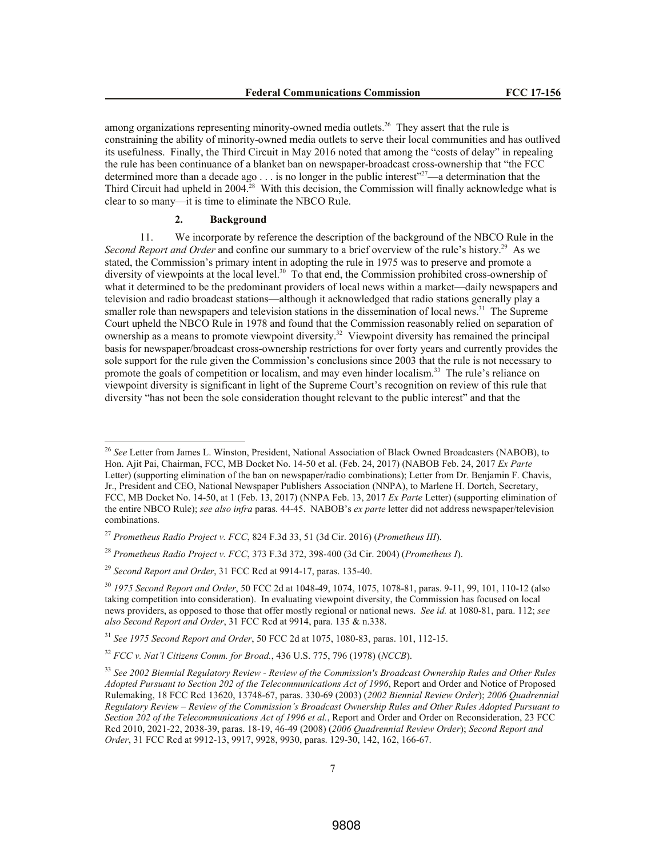among organizations representing minority-owned media outlets.<sup>26</sup> They assert that the rule is constraining the ability of minority-owned media outlets to serve their local communities and has outlived its usefulness. Finally, the Third Circuit in May 2016 noted that among the "costs of delay" in repealing the rule has been continuance of a blanket ban on newspaper-broadcast cross-ownership that "the FCC determined more than a decade ago  $\ldots$  is no longer in the public interest"<sup>27</sup>—a determination that the Third Circuit had upheld in 2004.<sup>28</sup> With this decision, the Commission will finally acknowledge what is clear to so many—it is time to eliminate the NBCO Rule.

## **2. Background**

l

11. We incorporate by reference the description of the background of the NBCO Rule in the Second Report and Order and confine our summary to a brief overview of the rule's history.<sup>29</sup> As we stated, the Commission's primary intent in adopting the rule in 1975 was to preserve and promote a diversity of viewpoints at the local level.<sup>30</sup> To that end, the Commission prohibited cross-ownership of what it determined to be the predominant providers of local news within a market—daily newspapers and television and radio broadcast stations—although it acknowledged that radio stations generally play a smaller role than newspapers and television stations in the dissemination of local news.<sup>31</sup> The Supreme Court upheld the NBCO Rule in 1978 and found that the Commission reasonably relied on separation of ownership as a means to promote viewpoint diversity.<sup>32</sup> Viewpoint diversity has remained the principal basis for newspaper/broadcast cross-ownership restrictions for over forty years and currently provides the sole support for the rule given the Commission's conclusions since 2003 that the rule is not necessary to promote the goals of competition or localism, and may even hinder localism.<sup>33</sup> The rule's reliance on viewpoint diversity is significant in light of the Supreme Court's recognition on review of this rule that diversity "has not been the sole consideration thought relevant to the public interest" and that the

<sup>26</sup> *See* Letter from James L. Winston, President, National Association of Black Owned Broadcasters (NABOB), to Hon. Ajit Pai, Chairman, FCC, MB Docket No. 14-50 et al. (Feb. 24, 2017) (NABOB Feb. 24, 2017 *Ex Parte* Letter) (supporting elimination of the ban on newspaper/radio combinations); Letter from Dr. Benjamin F. Chavis, Jr., President and CEO, National Newspaper Publishers Association (NNPA), to Marlene H. Dortch, Secretary, FCC, MB Docket No. 14-50, at 1 (Feb. 13, 2017) (NNPA Feb. 13, 2017 *Ex Parte* Letter) (supporting elimination of the entire NBCO Rule); *see also infra* paras. 44-45. NABOB's *ex parte* letter did not address newspaper/television combinations.

<sup>27</sup> *Prometheus Radio Project v. FCC*, 824 F.3d 33, 51 (3d Cir. 2016) (*Prometheus III*).

<sup>28</sup> *Prometheus Radio Project v. FCC*, 373 F.3d 372, 398-400 (3d Cir. 2004) (*Prometheus I*).

<sup>29</sup> *Second Report and Order*, 31 FCC Rcd at 9914-17, paras. 135-40.

<sup>30</sup> *1975 Second Report and Order*, 50 FCC 2d at 1048-49, 1074, 1075, 1078-81, paras. 9-11, 99, 101, 110-12 (also taking competition into consideration). In evaluating viewpoint diversity, the Commission has focused on local news providers, as opposed to those that offer mostly regional or national news. *See id.* at 1080-81, para. 112; *see also Second Report and Order*, 31 FCC Rcd at 9914, para. 135 & n.338.

<sup>31</sup> *See 1975 Second Report and Order*, 50 FCC 2d at 1075, 1080-83, paras. 101, 112-15.

<sup>32</sup> *FCC v. Nat'l Citizens Comm. for Broad.*, 436 U.S. 775, 796 (1978) (*NCCB*).

<sup>33</sup> *See 2002 Biennial Regulatory Review - Review of the Commission's Broadcast Ownership Rules and Other Rules Adopted Pursuant to Section 202 of the Telecommunications Act of 1996*, Report and Order and Notice of Proposed Rulemaking, 18 FCC Rcd 13620, 13748-67, paras. 330-69 (2003) (*2002 Biennial Review Order*); *2006 Quadrennial Regulatory Review – Review of the Commission's Broadcast Ownership Rules and Other Rules Adopted Pursuant to Section 202 of the Telecommunications Act of 1996 et al.*, Report and Order and Order on Reconsideration, 23 FCC Rcd 2010, 2021-22, 2038-39, paras. 18-19, 46-49 (2008) (*2006 Quadrennial Review Order*); *Second Report and Order*, 31 FCC Rcd at 9912-13, 9917, 9928, 9930, paras. 129-30, 142, 162, 166-67.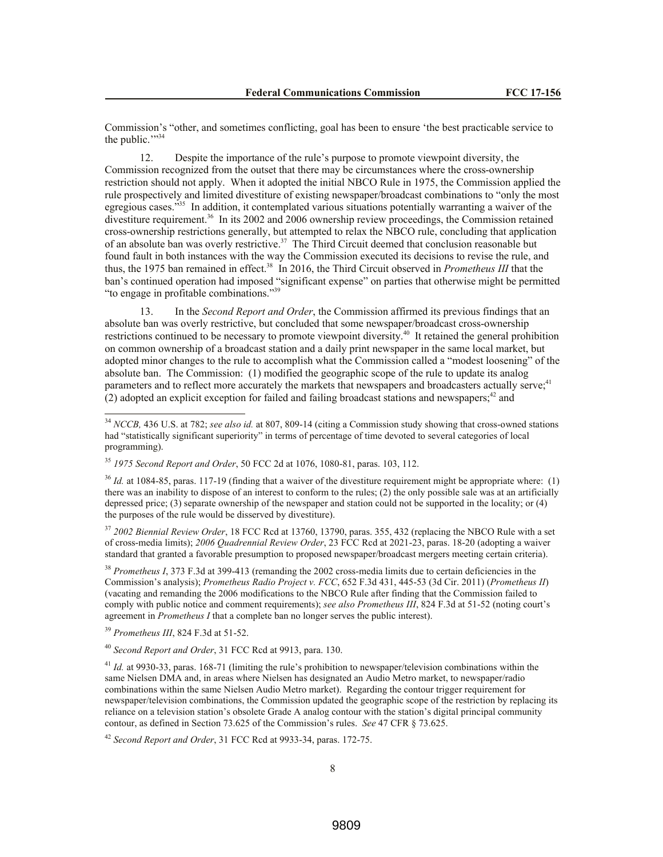Commission's "other, and sometimes conflicting, goal has been to ensure 'the best practicable service to the public.""34

12. Despite the importance of the rule's purpose to promote viewpoint diversity, the Commission recognized from the outset that there may be circumstances where the cross-ownership restriction should not apply. When it adopted the initial NBCO Rule in 1975, the Commission applied the rule prospectively and limited divestiture of existing newspaper/broadcast combinations to "only the most egregious cases."<sup>35</sup> In addition, it contemplated various situations potentially warranting a waiver of the divestiture requirement.<sup>36</sup> In its 2002 and 2006 ownership review proceedings, the Commission retained cross-ownership restrictions generally, but attempted to relax the NBCO rule, concluding that application of an absolute ban was overly restrictive.<sup>37</sup> The Third Circuit deemed that conclusion reasonable but found fault in both instances with the way the Commission executed its decisions to revise the rule, and thus, the 1975 ban remained in effect.<sup>38</sup> In 2016, the Third Circuit observed in *Prometheus III* that the ban's continued operation had imposed "significant expense" on parties that otherwise might be permitted "to engage in profitable combinations."<sup>39</sup>

13. In the *Second Report and Order*, the Commission affirmed its previous findings that an absolute ban was overly restrictive, but concluded that some newspaper/broadcast cross-ownership restrictions continued to be necessary to promote viewpoint diversity.<sup>40</sup> It retained the general prohibition on common ownership of a broadcast station and a daily print newspaper in the same local market, but adopted minor changes to the rule to accomplish what the Commission called a "modest loosening" of the absolute ban. The Commission: (1) modified the geographic scope of the rule to update its analog parameters and to reflect more accurately the markets that newspapers and broadcasters actually serve;<sup>41</sup>  $(2)$  adopted an explicit exception for failed and failing broadcast stations and newspapers;<sup>42</sup> and

<sup>37</sup> *2002 Biennial Review Order*, 18 FCC Rcd at 13760, 13790, paras. 355, 432 (replacing the NBCO Rule with a set of cross-media limits); *2006 Quadrennial Review Order*, 23 FCC Rcd at 2021-23, paras. 18-20 (adopting a waiver standard that granted a favorable presumption to proposed newspaper/broadcast mergers meeting certain criteria).

<sup>38</sup> *Prometheus I*, 373 F.3d at 399-413 (remanding the 2002 cross-media limits due to certain deficiencies in the Commission's analysis); *Prometheus Radio Project v. FCC*, 652 F.3d 431, 445-53 (3d Cir. 2011) (*Prometheus II*) (vacating and remanding the 2006 modifications to the NBCO Rule after finding that the Commission failed to comply with public notice and comment requirements); *see also Prometheus III*, 824 F.3d at 51-52 (noting court's agreement in *Prometheus I* that a complete ban no longer serves the public interest).

<sup>39</sup> *Prometheus III*, 824 F.3d at 51-52.

l

<sup>40</sup> *Second Report and Order*, 31 FCC Rcd at 9913, para. 130.

<sup>42</sup> *Second Report and Order*, 31 FCC Rcd at 9933-34, paras. 172-75.

<sup>34</sup> *NCCB,* 436 U.S. at 782; *see also id.* at 807, 809-14 (citing a Commission study showing that cross-owned stations had "statistically significant superiority" in terms of percentage of time devoted to several categories of local programming).

<sup>35</sup> *1975 Second Report and Order*, 50 FCC 2d at 1076, 1080-81, paras. 103, 112.

<sup>&</sup>lt;sup>36</sup> *Id.* at 1084-85, paras. 117-19 (finding that a waiver of the divestiture requirement might be appropriate where: (1) there was an inability to dispose of an interest to conform to the rules; (2) the only possible sale was at an artificially depressed price; (3) separate ownership of the newspaper and station could not be supported in the locality; or (4) the purposes of the rule would be disserved by divestiture).

<sup>&</sup>lt;sup>41</sup> *Id.* at 9930-33, paras. 168-71 (limiting the rule's prohibition to newspaper/television combinations within the same Nielsen DMA and, in areas where Nielsen has designated an Audio Metro market, to newspaper/radio combinations within the same Nielsen Audio Metro market). Regarding the contour trigger requirement for newspaper/television combinations, the Commission updated the geographic scope of the restriction by replacing its reliance on a television station's obsolete Grade A analog contour with the station's digital principal community contour, as defined in Section 73.625 of the Commission's rules. *See* 47 CFR § 73.625.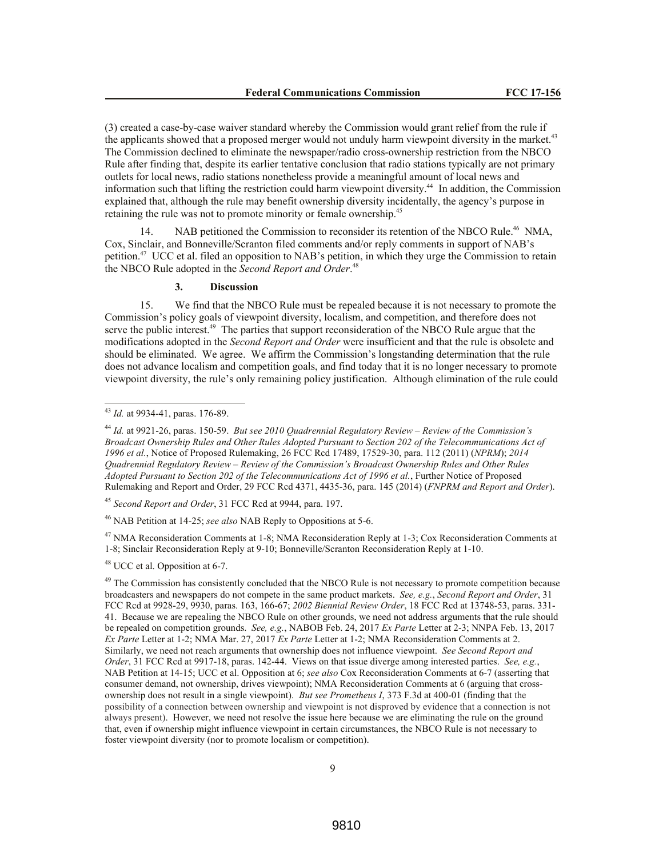(3) created a case-by-case waiver standard whereby the Commission would grant relief from the rule if the applicants showed that a proposed merger would not unduly harm viewpoint diversity in the market.<sup>43</sup> The Commission declined to eliminate the newspaper/radio cross-ownership restriction from the NBCO Rule after finding that, despite its earlier tentative conclusion that radio stations typically are not primary outlets for local news, radio stations nonetheless provide a meaningful amount of local news and information such that lifting the restriction could harm viewpoint diversity.<sup>44</sup> In addition, the Commission explained that, although the rule may benefit ownership diversity incidentally, the agency's purpose in retaining the rule was not to promote minority or female ownership.<sup>45</sup>

14. NAB petitioned the Commission to reconsider its retention of the NBCO Rule.<sup>46</sup> NMA, Cox, Sinclair, and Bonneville/Scranton filed comments and/or reply comments in support of NAB's petition.<sup>47</sup> UCC et al. filed an opposition to NAB's petition, in which they urge the Commission to retain the NBCO Rule adopted in the *Second Report and Order*. 48

## **3. Discussion**

15. We find that the NBCO Rule must be repealed because it is not necessary to promote the Commission's policy goals of viewpoint diversity, localism, and competition, and therefore does not serve the public interest.<sup>49</sup> The parties that support reconsideration of the NBCO Rule argue that the modifications adopted in the *Second Report and Order* were insufficient and that the rule is obsolete and should be eliminated. We agree. We affirm the Commission's longstanding determination that the rule does not advance localism and competition goals, and find today that it is no longer necessary to promote viewpoint diversity, the rule's only remaining policy justification. Although elimination of the rule could

l

<sup>45</sup> *Second Report and Order*, 31 FCC Rcd at 9944, para. 197.

<sup>46</sup> NAB Petition at 14-25; *see also* NAB Reply to Oppositions at 5-6.

<sup>47</sup> NMA Reconsideration Comments at 1-8; NMA Reconsideration Reply at 1-3; Cox Reconsideration Comments at 1-8; Sinclair Reconsideration Reply at 9-10; Bonneville/Scranton Reconsideration Reply at 1-10.

<sup>48</sup> UCC et al. Opposition at 6-7.

<sup>43</sup> *Id.* at 9934-41, paras. 176-89.

<sup>44</sup> *Id.* at 9921-26, paras. 150-59. *But see 2010 Quadrennial Regulatory Review – Review of the Commission's Broadcast Ownership Rules and Other Rules Adopted Pursuant to Section 202 of the Telecommunications Act of 1996 et al.*, Notice of Proposed Rulemaking, 26 FCC Rcd 17489, 17529-30, para. 112 (2011) (*NPRM*); *2014 Quadrennial Regulatory Review – Review of the Commission's Broadcast Ownership Rules and Other Rules Adopted Pursuant to Section 202 of the Telecommunications Act of 1996 et al.*, Further Notice of Proposed Rulemaking and Report and Order, 29 FCC Rcd 4371, 4435-36, para. 145 (2014) (*FNPRM and Report and Order*).

<sup>&</sup>lt;sup>49</sup> The Commission has consistently concluded that the NBCO Rule is not necessary to promote competition because broadcasters and newspapers do not compete in the same product markets. *See, e.g.*, *Second Report and Order*, 31 FCC Rcd at 9928-29, 9930, paras. 163, 166-67; *2002 Biennial Review Order*, 18 FCC Rcd at 13748-53, paras. 331- 41. Because we are repealing the NBCO Rule on other grounds, we need not address arguments that the rule should be repealed on competition grounds. *See, e.g.*, NABOB Feb. 24, 2017 *Ex Parte* Letter at 2-3; NNPA Feb. 13, 2017 *Ex Parte* Letter at 1-2; NMA Mar. 27, 2017 *Ex Parte* Letter at 1-2; NMA Reconsideration Comments at 2. Similarly, we need not reach arguments that ownership does not influence viewpoint. *See Second Report and Order*, 31 FCC Rcd at 9917-18, paras. 142-44. Views on that issue diverge among interested parties. *See, e.g.*, NAB Petition at 14-15; UCC et al. Opposition at 6; *see also* Cox Reconsideration Comments at 6-7 (asserting that consumer demand, not ownership, drives viewpoint); NMA Reconsideration Comments at 6 (arguing that crossownership does not result in a single viewpoint). *But see Prometheus I*, 373 F.3d at 400-01 (finding that the possibility of a connection between ownership and viewpoint is not disproved by evidence that a connection is not always present). However, we need not resolve the issue here because we are eliminating the rule on the ground that, even if ownership might influence viewpoint in certain circumstances, the NBCO Rule is not necessary to foster viewpoint diversity (nor to promote localism or competition).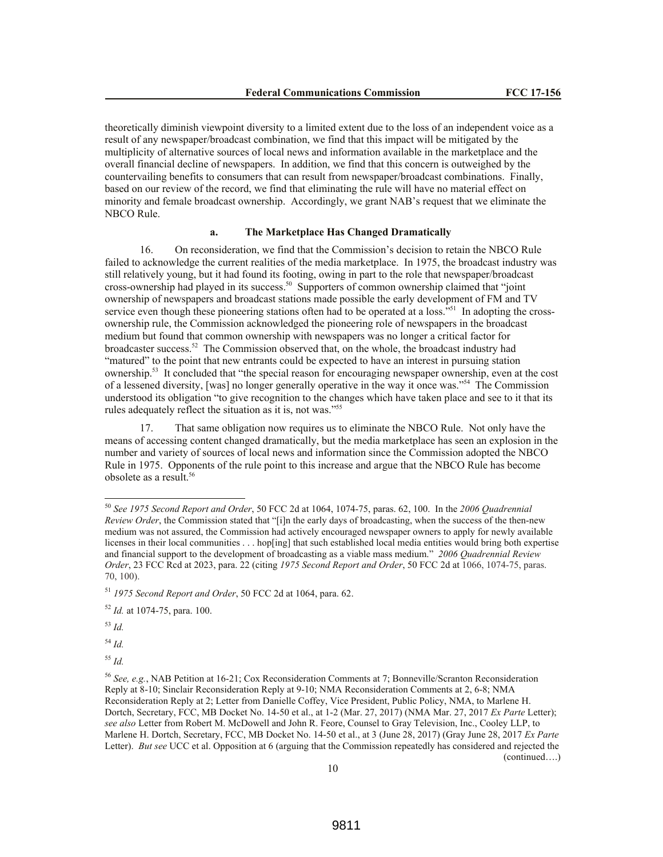theoretically diminish viewpoint diversity to a limited extent due to the loss of an independent voice as a result of any newspaper/broadcast combination, we find that this impact will be mitigated by the multiplicity of alternative sources of local news and information available in the marketplace and the overall financial decline of newspapers. In addition, we find that this concern is outweighed by the countervailing benefits to consumers that can result from newspaper/broadcast combinations. Finally, based on our review of the record, we find that eliminating the rule will have no material effect on minority and female broadcast ownership. Accordingly, we grant NAB's request that we eliminate the NBCO Rule.

## **a. The Marketplace Has Changed Dramatically**

16. On reconsideration, we find that the Commission's decision to retain the NBCO Rule failed to acknowledge the current realities of the media marketplace. In 1975, the broadcast industry was still relatively young, but it had found its footing, owing in part to the role that newspaper/broadcast cross-ownership had played in its success.<sup>50</sup> Supporters of common ownership claimed that "joint" ownership of newspapers and broadcast stations made possible the early development of FM and TV service even though these pioneering stations often had to be operated at a loss."<sup>51</sup> In adopting the crossownership rule, the Commission acknowledged the pioneering role of newspapers in the broadcast medium but found that common ownership with newspapers was no longer a critical factor for broadcaster success.<sup>52</sup> The Commission observed that, on the whole, the broadcast industry had "matured" to the point that new entrants could be expected to have an interest in pursuing station ownership.<sup>53</sup> It concluded that "the special reason for encouraging newspaper ownership, even at the cost of a lessened diversity, [was] no longer generally operative in the way it once was."<sup>54</sup> The Commission understood its obligation "to give recognition to the changes which have taken place and see to it that its rules adequately reflect the situation as it is, not was."<sup>55</sup>

17. That same obligation now requires us to eliminate the NBCO Rule. Not only have the means of accessing content changed dramatically, but the media marketplace has seen an explosion in the number and variety of sources of local news and information since the Commission adopted the NBCO Rule in 1975. Opponents of the rule point to this increase and argue that the NBCO Rule has become obsolete as a result.<sup>56</sup>

<sup>53</sup> *Id.*

l

<sup>54</sup> *Id.*

<sup>55</sup> *Id.*

<sup>50</sup> *See 1975 Second Report and Order*, 50 FCC 2d at 1064, 1074-75, paras. 62, 100. In the *2006 Quadrennial Review Order*, the Commission stated that "[i]n the early days of broadcasting, when the success of the then-new medium was not assured, the Commission had actively encouraged newspaper owners to apply for newly available licenses in their local communities . . . hop[ing] that such established local media entities would bring both expertise and financial support to the development of broadcasting as a viable mass medium." *2006 Quadrennial Review Order*, 23 FCC Rcd at 2023, para. 22 (citing *1975 Second Report and Order*, 50 FCC 2d at 1066, 1074-75, paras. 70, 100).

<sup>51</sup> *1975 Second Report and Order*, 50 FCC 2d at 1064, para. 62.

<sup>52</sup> *Id.* at 1074-75, para. 100.

<sup>56</sup> *See, e.g.*, NAB Petition at 16-21; Cox Reconsideration Comments at 7; Bonneville/Scranton Reconsideration Reply at 8-10; Sinclair Reconsideration Reply at 9-10; NMA Reconsideration Comments at 2, 6-8; NMA Reconsideration Reply at 2; Letter from Danielle Coffey, Vice President, Public Policy, NMA, to Marlene H. Dortch, Secretary, FCC, MB Docket No. 14-50 et al., at 1-2 (Mar. 27, 2017) (NMA Mar. 27, 2017 *Ex Parte* Letter); *see also* Letter from Robert M. McDowell and John R. Feore, Counsel to Gray Television, Inc., Cooley LLP, to Marlene H. Dortch, Secretary, FCC, MB Docket No. 14-50 et al., at 3 (June 28, 2017) (Gray June 28, 2017 *Ex Parte* Letter). *But see* UCC et al. Opposition at 6 (arguing that the Commission repeatedly has considered and rejected the (continued….)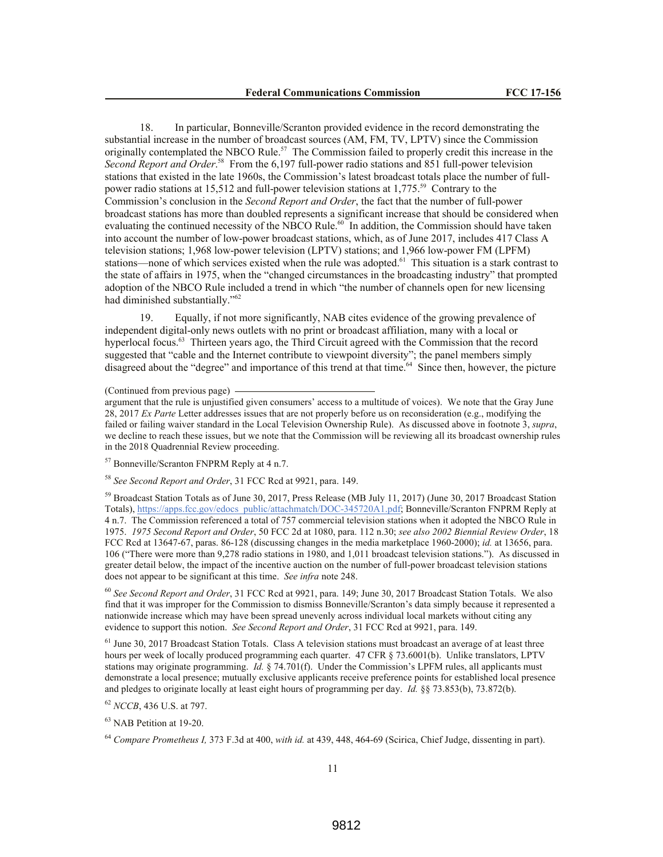18. In particular, Bonneville/Scranton provided evidence in the record demonstrating the substantial increase in the number of broadcast sources (AM, FM, TV, LPTV) since the Commission originally contemplated the NBCO Rule.<sup>57</sup> The Commission failed to properly credit this increase in the Second Report and Order.<sup>58</sup> From the 6,197 full-power radio stations and 851 full-power television stations that existed in the late 1960s, the Commission's latest broadcast totals place the number of fullpower radio stations at 15,512 and full-power television stations at 1,775.<sup>59</sup> Contrary to the Commission's conclusion in the *Second Report and Order*, the fact that the number of full-power broadcast stations has more than doubled represents a significant increase that should be considered when evaluating the continued necessity of the NBCO Rule.<sup>60</sup> In addition, the Commission should have taken into account the number of low-power broadcast stations, which, as of June 2017, includes 417 Class A television stations; 1,968 low-power television (LPTV) stations; and 1,966 low-power FM (LPFM) stations—none of which services existed when the rule was adopted.<sup>61</sup> This situation is a stark contrast to the state of affairs in 1975, when the "changed circumstances in the broadcasting industry" that prompted adoption of the NBCO Rule included a trend in which "the number of channels open for new licensing had diminished substantially."<sup>62</sup>

19. Equally, if not more significantly, NAB cites evidence of the growing prevalence of independent digital-only news outlets with no print or broadcast affiliation, many with a local or hyperlocal focus.<sup>63</sup> Thirteen years ago, the Third Circuit agreed with the Commission that the record suggested that "cable and the Internet contribute to viewpoint diversity"; the panel members simply disagreed about the "degree" and importance of this trend at that time.<sup>64</sup> Since then, however, the picture

(Continued from previous page)

argument that the rule is unjustified given consumers' access to a multitude of voices). We note that the Gray June 28, 2017 *Ex Parte* Letter addresses issues that are not properly before us on reconsideration (e.g., modifying the failed or failing waiver standard in the Local Television Ownership Rule). As discussed above in footnote 3, *supra*, we decline to reach these issues, but we note that the Commission will be reviewing all its broadcast ownership rules in the 2018 Quadrennial Review proceeding.

<sup>57</sup> Bonneville/Scranton FNPRM Reply at 4 n.7.

<sup>58</sup> *See Second Report and Order*, 31 FCC Rcd at 9921, para. 149.

<sup>59</sup> Broadcast Station Totals as of June 30, 2017, Press Release (MB July 11, 2017) (June 30, 2017 Broadcast Station Totals), https://apps.fcc.gov/edocs\_public/attachmatch/DOC-345720A1.pdf; Bonneville/Scranton FNPRM Reply at 4 n.7. The Commission referenced a total of 757 commercial television stations when it adopted the NBCO Rule in 1975. *1975 Second Report and Order*, 50 FCC 2d at 1080, para. 112 n.30; *see also 2002 Biennial Review Order*, 18 FCC Rcd at 13647-67, paras. 86-128 (discussing changes in the media marketplace 1960-2000); *id.* at 13656, para. 106 ("There were more than 9,278 radio stations in 1980, and 1,011 broadcast television stations."). As discussed in greater detail below, the impact of the incentive auction on the number of full-power broadcast television stations does not appear to be significant at this time. *See infra* note 248.

<sup>60</sup> *See Second Report and Order*, 31 FCC Rcd at 9921, para. 149; June 30, 2017 Broadcast Station Totals. We also find that it was improper for the Commission to dismiss Bonneville/Scranton's data simply because it represented a nationwide increase which may have been spread unevenly across individual local markets without citing any evidence to support this notion. *See Second Report and Order*, 31 FCC Rcd at 9921, para. 149.

 $<sup>61</sup>$  June 30, 2017 Broadcast Station Totals. Class A television stations must broadcast an average of at least three</sup> hours per week of locally produced programming each quarter. 47 CFR § 73.6001(b). Unlike translators, LPTV stations may originate programming. *Id.* § 74.701(f). Under the Commission's LPFM rules, all applicants must demonstrate a local presence; mutually exclusive applicants receive preference points for established local presence and pledges to originate locally at least eight hours of programming per day. *Id.* §§ 73.853(b), 73.872(b).

<sup>62</sup> *NCCB*, 436 U.S. at 797.

<sup>63</sup> NAB Petition at 19-20.

<sup>64</sup> *Compare Prometheus I,* 373 F.3d at 400, *with id.* at 439, 448, 464-69 (Scirica, Chief Judge, dissenting in part).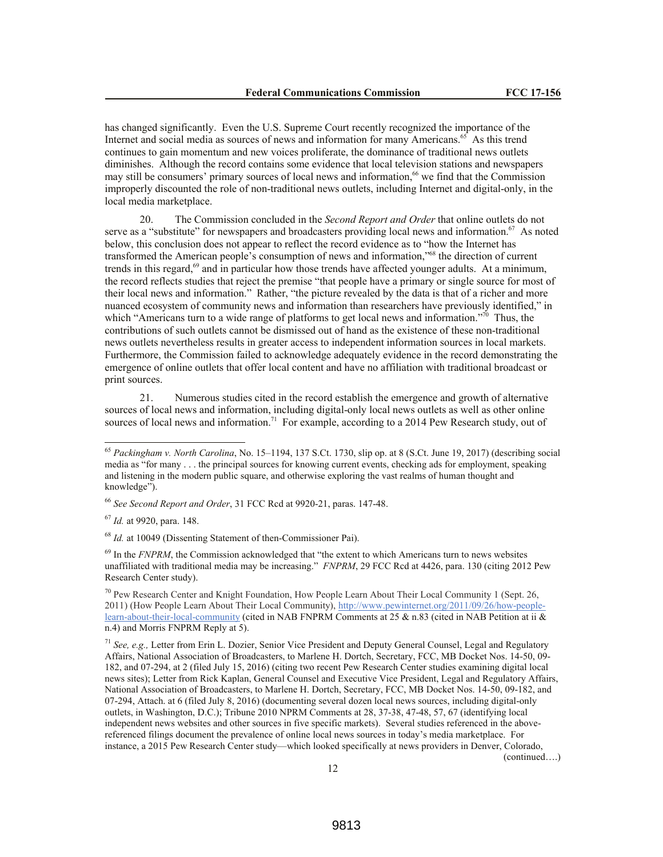has changed significantly. Even the U.S. Supreme Court recently recognized the importance of the Internet and social media as sources of news and information for many Americans.<sup>65</sup> As this trend continues to gain momentum and new voices proliferate, the dominance of traditional news outlets diminishes. Although the record contains some evidence that local television stations and newspapers may still be consumers' primary sources of local news and information,<sup>66</sup> we find that the Commission improperly discounted the role of non-traditional news outlets, including Internet and digital-only, in the local media marketplace.

20. The Commission concluded in the *Second Report and Order* that online outlets do not serve as a "substitute" for newspapers and broadcasters providing local news and information.<sup>67</sup> As noted below, this conclusion does not appear to reflect the record evidence as to "how the Internet has transformed the American people's consumption of news and information,"<sup>68</sup> the direction of current trends in this regard,<sup>69</sup> and in particular how those trends have affected younger adults. At a minimum, the record reflects studies that reject the premise "that people have a primary or single source for most of their local news and information." Rather, "the picture revealed by the data is that of a richer and more nuanced ecosystem of community news and information than researchers have previously identified," in which "Americans turn to a wide range of platforms to get local news and information."<sup>70</sup> Thus, the contributions of such outlets cannot be dismissed out of hand as the existence of these non-traditional news outlets nevertheless results in greater access to independent information sources in local markets. Furthermore, the Commission failed to acknowledge adequately evidence in the record demonstrating the emergence of online outlets that offer local content and have no affiliation with traditional broadcast or print sources.

21. Numerous studies cited in the record establish the emergence and growth of alternative sources of local news and information, including digital-only local news outlets as well as other online sources of local news and information.<sup>71</sup> For example, according to a 2014 Pew Research study, out of

l

<sup>69</sup> In the *FNPRM*, the Commission acknowledged that "the extent to which Americans turn to news websites unaffiliated with traditional media may be increasing." *FNPRM*, 29 FCC Rcd at 4426, para. 130 (citing 2012 Pew Research Center study).

<sup>70</sup> Pew Research Center and Knight Foundation, How People Learn About Their Local Community 1 (Sept. 26, 2011) (How People Learn About Their Local Community), http://www.pewinternet.org/2011/09/26/how-peoplelearn-about-their-local-community (cited in NAB FNPRM Comments at 25  $\&$  n.83 (cited in NAB Petition at ii  $\&$ n.4) and Morris FNPRM Reply at 5).

<sup>65</sup> *Packingham v. North Carolina*, No. 15–1194, 137 S.Ct. 1730, slip op. at 8 (S.Ct. June 19, 2017) (describing social media as "for many . . . the principal sources for knowing current events, checking ads for employment, speaking and listening in the modern public square, and otherwise exploring the vast realms of human thought and knowledge").

<sup>66</sup> *See Second Report and Order*, 31 FCC Rcd at 9920-21, paras. 147-48.

<sup>67</sup> *Id.* at 9920, para. 148.

<sup>68</sup> *Id.* at 10049 (Dissenting Statement of then-Commissioner Pai).

<sup>71</sup> *See, e.g.,* Letter from Erin L. Dozier, Senior Vice President and Deputy General Counsel, Legal and Regulatory Affairs, National Association of Broadcasters, to Marlene H. Dortch, Secretary, FCC, MB Docket Nos. 14-50, 09- 182, and 07-294, at 2 (filed July 15, 2016) (citing two recent Pew Research Center studies examining digital local news sites); Letter from Rick Kaplan, General Counsel and Executive Vice President, Legal and Regulatory Affairs, National Association of Broadcasters, to Marlene H. Dortch, Secretary, FCC, MB Docket Nos. 14-50, 09-182, and 07-294, Attach. at 6 (filed July 8, 2016) (documenting several dozen local news sources, including digital-only outlets, in Washington, D.C.); Tribune 2010 NPRM Comments at 28, 37-38, 47-48, 57, 67 (identifying local independent news websites and other sources in five specific markets). Several studies referenced in the abovereferenced filings document the prevalence of online local news sources in today's media marketplace. For instance, a 2015 Pew Research Center study—which looked specifically at news providers in Denver, Colorado, (continued….)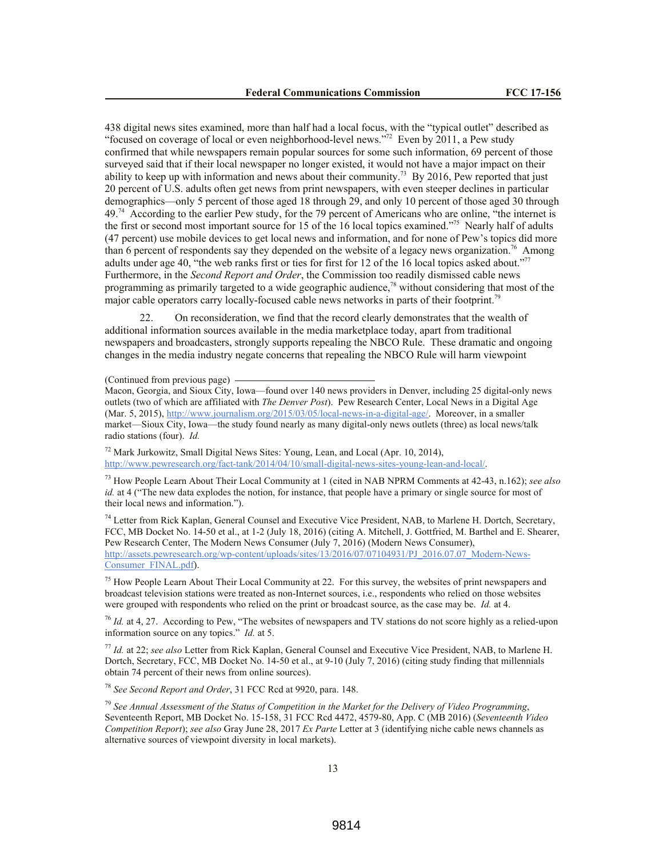438 digital news sites examined, more than half had a local focus, with the "typical outlet" described as "focused on coverage of local or even neighborhood-level news."<sup>72</sup> Even by 2011, a Pew study confirmed that while newspapers remain popular sources for some such information, 69 percent of those surveyed said that if their local newspaper no longer existed, it would not have a major impact on their ability to keep up with information and news about their community.<sup>73</sup> By 2016, Pew reported that just 20 percent of U.S. adults often get news from print newspapers, with even steeper declines in particular demographics—only 5 percent of those aged 18 through 29, and only 10 percent of those aged 30 through 49.<sup>74</sup> According to the earlier Pew study, for the 79 percent of Americans who are online, "the internet is the first or second most important source for 15 of the 16 local topics examined."<sup>75</sup> Nearly half of adults (47 percent) use mobile devices to get local news and information, and for none of Pew's topics did more than 6 percent of respondents say they depended on the website of a legacy news organization.<sup>76</sup> Among adults under age 40, "the web ranks first or ties for first for 12 of the 16 local topics asked about."<sup>77</sup> Furthermore, in the *Second Report and Order*, the Commission too readily dismissed cable news programming as primarily targeted to a wide geographic audience,<sup>78</sup> without considering that most of the major cable operators carry locally-focused cable news networks in parts of their footprint.<sup>79</sup>

22. On reconsideration, we find that the record clearly demonstrates that the wealth of additional information sources available in the media marketplace today, apart from traditional newspapers and broadcasters, strongly supports repealing the NBCO Rule. These dramatic and ongoing changes in the media industry negate concerns that repealing the NBCO Rule will harm viewpoint

(Continued from previous page)

<sup>72</sup> Mark Jurkowitz, Small Digital News Sites: Young, Lean, and Local (Apr. 10, 2014), http://www.pewresearch.org/fact-tank/2014/04/10/small-digital-news-sites-young-lean-and-local/.

<sup>73</sup> How People Learn About Their Local Community at 1 (cited in NAB NPRM Comments at 42-43, n.162); *see also id.* at 4 ("The new data explodes the notion, for instance, that people have a primary or single source for most of their local news and information.").

<sup>74</sup> Letter from Rick Kaplan, General Counsel and Executive Vice President, NAB, to Marlene H. Dortch, Secretary, FCC, MB Docket No. 14-50 et al., at 1-2 (July 18, 2016) (citing A. Mitchell, J. Gottfried, M. Barthel and E. Shearer, Pew Research Center, The Modern News Consumer (July 7, 2016) (Modern News Consumer), http://assets.pewresearch.org/wp-content/uploads/sites/13/2016/07/07104931/PJ\_2016.07.07\_Modern-News-Consumer\_FINAL.pdf).

<sup>75</sup> How People Learn About Their Local Community at 22. For this survey, the websites of print newspapers and broadcast television stations were treated as non-Internet sources, i.e., respondents who relied on those websites were grouped with respondents who relied on the print or broadcast source, as the case may be. *Id.* at 4.

<sup>76</sup> *Id.* at 4, 27. According to Pew, "The websites of newspapers and TV stations do not score highly as a relied-upon information source on any topics." *Id.* at 5.

<sup>77</sup> *Id.* at 22; *see also* Letter from Rick Kaplan, General Counsel and Executive Vice President, NAB, to Marlene H. Dortch, Secretary, FCC, MB Docket No. 14-50 et al., at 9-10 (July 7, 2016) (citing study finding that millennials obtain 74 percent of their news from online sources).

<sup>78</sup> *See Second Report and Order*, 31 FCC Rcd at 9920, para. 148.

<sup>79</sup> *See Annual Assessment of the Status of Competition in the Market for the Delivery of Video Programming*, Seventeenth Report, MB Docket No. 15-158, 31 FCC Rcd 4472, 4579-80, App. C (MB 2016) (*Seventeenth Video Competition Report*); *see also* Gray June 28, 2017 *Ex Parte* Letter at 3 (identifying niche cable news channels as alternative sources of viewpoint diversity in local markets).

Macon, Georgia, and Sioux City, Iowa—found over 140 news providers in Denver, including 25 digital-only news outlets (two of which are affiliated with *The Denver Post*). Pew Research Center, Local News in a Digital Age (Mar. 5, 2015), http://www.journalism.org/2015/03/05/local-news-in-a-digital-age/. Moreover, in a smaller market—Sioux City, Iowa—the study found nearly as many digital-only news outlets (three) as local news/talk radio stations (four). *Id.*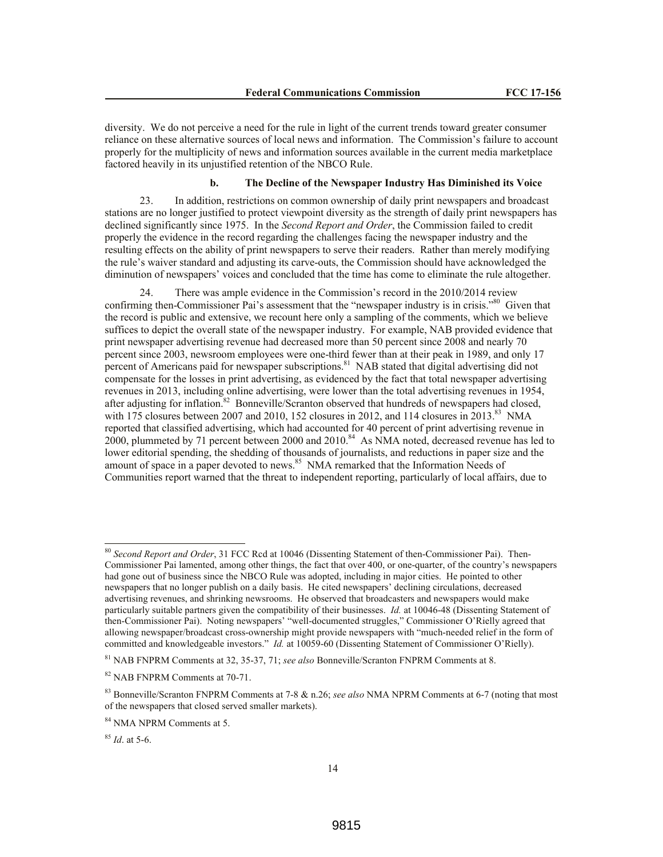diversity. We do not perceive a need for the rule in light of the current trends toward greater consumer reliance on these alternative sources of local news and information. The Commission's failure to account properly for the multiplicity of news and information sources available in the current media marketplace factored heavily in its unjustified retention of the NBCO Rule.

#### **b. The Decline of the Newspaper Industry Has Diminished its Voice**

23. In addition, restrictions on common ownership of daily print newspapers and broadcast stations are no longer justified to protect viewpoint diversity as the strength of daily print newspapers has declined significantly since 1975. In the *Second Report and Order*, the Commission failed to credit properly the evidence in the record regarding the challenges facing the newspaper industry and the resulting effects on the ability of print newspapers to serve their readers. Rather than merely modifying the rule's waiver standard and adjusting its carve-outs, the Commission should have acknowledged the diminution of newspapers' voices and concluded that the time has come to eliminate the rule altogether.

24. There was ample evidence in the Commission's record in the 2010/2014 review confirming then-Commissioner Pai's assessment that the "newspaper industry is in crisis."<sup>80</sup> Given that the record is public and extensive, we recount here only a sampling of the comments, which we believe suffices to depict the overall state of the newspaper industry. For example, NAB provided evidence that print newspaper advertising revenue had decreased more than 50 percent since 2008 and nearly 70 percent since 2003, newsroom employees were one-third fewer than at their peak in 1989, and only 17 percent of Americans paid for newspaper subscriptions.<sup>81</sup> NAB stated that digital advertising did not compensate for the losses in print advertising, as evidenced by the fact that total newspaper advertising revenues in 2013, including online advertising, were lower than the total advertising revenues in 1954, after adjusting for inflation.<sup>82</sup> Bonneville/Scranton observed that hundreds of newspapers had closed, with 175 closures between 2007 and 2010, 152 closures in 2012, and 114 closures in  $2013$ .<sup>83</sup> NMA reported that classified advertising, which had accounted for 40 percent of print advertising revenue in 2000, plummeted by 71 percent between 2000 and 2010.<sup>84</sup> As NMA noted, decreased revenue has led to lower editorial spending, the shedding of thousands of journalists, and reductions in paper size and the amount of space in a paper devoted to news.<sup>85</sup> NMA remarked that the Information Needs of Communities report warned that the threat to independent reporting, particularly of local affairs, due to

 $\overline{a}$ 

<sup>80</sup> *Second Report and Order*, 31 FCC Rcd at 10046 (Dissenting Statement of then-Commissioner Pai). Then-Commissioner Pai lamented, among other things, the fact that over 400, or one-quarter, of the country's newspapers had gone out of business since the NBCO Rule was adopted, including in major cities. He pointed to other newspapers that no longer publish on a daily basis. He cited newspapers' declining circulations, decreased advertising revenues, and shrinking newsrooms. He observed that broadcasters and newspapers would make particularly suitable partners given the compatibility of their businesses. *Id.* at 10046-48 (Dissenting Statement of then-Commissioner Pai). Noting newspapers' "well-documented struggles," Commissioner O'Rielly agreed that allowing newspaper/broadcast cross-ownership might provide newspapers with "much-needed relief in the form of committed and knowledgeable investors." *Id.* at 10059-60 (Dissenting Statement of Commissioner O'Rielly).

<sup>81</sup> NAB FNPRM Comments at 32, 35-37, 71; *see also* Bonneville/Scranton FNPRM Comments at 8.

<sup>82</sup> NAB FNPRM Comments at 70-71.

<sup>83</sup> Bonneville/Scranton FNPRM Comments at 7-8 & n.26; *see also* NMA NPRM Comments at 6-7 (noting that most of the newspapers that closed served smaller markets).

<sup>84</sup> NMA NPRM Comments at 5.

<sup>85</sup> *Id*. at 5-6.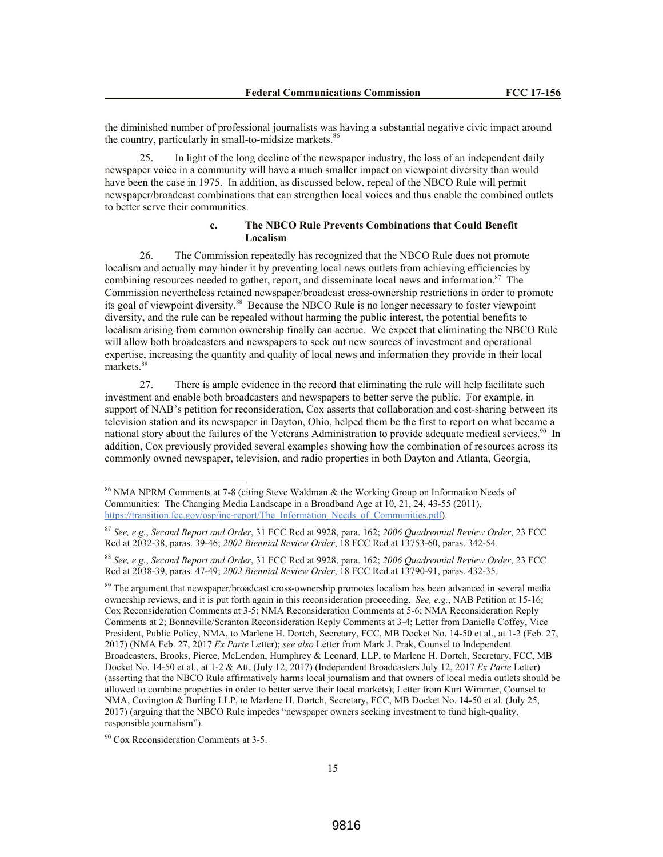the diminished number of professional journalists was having a substantial negative civic impact around the country, particularly in small-to-midsize markets.<sup>86</sup>

25. In light of the long decline of the newspaper industry, the loss of an independent daily newspaper voice in a community will have a much smaller impact on viewpoint diversity than would have been the case in 1975. In addition, as discussed below, repeal of the NBCO Rule will permit newspaper/broadcast combinations that can strengthen local voices and thus enable the combined outlets to better serve their communities.

## **c. The NBCO Rule Prevents Combinations that Could Benefit Localism**

26. The Commission repeatedly has recognized that the NBCO Rule does not promote localism and actually may hinder it by preventing local news outlets from achieving efficiencies by combining resources needed to gather, report, and disseminate local news and information.<sup>87</sup> The Commission nevertheless retained newspaper/broadcast cross-ownership restrictions in order to promote its goal of viewpoint diversity.<sup>88</sup> Because the NBCO Rule is no longer necessary to foster viewpoint diversity, and the rule can be repealed without harming the public interest, the potential benefits to localism arising from common ownership finally can accrue. We expect that eliminating the NBCO Rule will allow both broadcasters and newspapers to seek out new sources of investment and operational expertise, increasing the quantity and quality of local news and information they provide in their local markets<sup>89</sup>

27. There is ample evidence in the record that eliminating the rule will help facilitate such investment and enable both broadcasters and newspapers to better serve the public. For example, in support of NAB's petition for reconsideration, Cox asserts that collaboration and cost-sharing between its television station and its newspaper in Dayton, Ohio, helped them be the first to report on what became a national story about the failures of the Veterans Administration to provide adequate medical services.<sup>90</sup> In addition, Cox previously provided several examples showing how the combination of resources across its commonly owned newspaper, television, and radio properties in both Dayton and Atlanta, Georgia,

<sup>89</sup> The argument that newspaper/broadcast cross-ownership promotes localism has been advanced in several media ownership reviews, and it is put forth again in this reconsideration proceeding. *See, e.g.*, NAB Petition at 15-16; Cox Reconsideration Comments at 3-5; NMA Reconsideration Comments at 5-6; NMA Reconsideration Reply Comments at 2; Bonneville/Scranton Reconsideration Reply Comments at 3-4; Letter from Danielle Coffey, Vice President, Public Policy, NMA, to Marlene H. Dortch, Secretary, FCC, MB Docket No. 14-50 et al., at 1-2 (Feb. 27, 2017) (NMA Feb. 27, 2017 *Ex Parte* Letter); *see also* Letter from Mark J. Prak, Counsel to Independent Broadcasters, Brooks, Pierce, McLendon, Humphrey & Leonard, LLP, to Marlene H. Dortch, Secretary, FCC, MB Docket No. 14-50 et al., at 1-2 & Att. (July 12, 2017) (Independent Broadcasters July 12, 2017 *Ex Parte* Letter) (asserting that the NBCO Rule affirmatively harms local journalism and that owners of local media outlets should be allowed to combine properties in order to better serve their local markets); Letter from Kurt Wimmer, Counsel to NMA, Covington & Burling LLP, to Marlene H. Dortch, Secretary, FCC, MB Docket No. 14-50 et al. (July 25, 2017) (arguing that the NBCO Rule impedes "newspaper owners seeking investment to fund high-quality, responsible journalism").

<sup>90</sup> Cox Reconsideration Comments at 3-5.

 $\overline{a}$ 

<sup>&</sup>lt;sup>86</sup> NMA NPRM Comments at 7-8 (citing Steve Waldman & the Working Group on Information Needs of Communities: The Changing Media Landscape in a Broadband Age at 10, 21, 24, 43-55 (2011), https://transition.fcc.gov/osp/inc-report/The\_Information\_Needs\_of\_Communities.pdf).

<sup>87</sup> *See, e.g.*, *Second Report and Order*, 31 FCC Rcd at 9928, para. 162; *2006 Quadrennial Review Order*, 23 FCC Rcd at 2032-38, paras. 39-46; *2002 Biennial Review Order*, 18 FCC Rcd at 13753-60, paras. 342-54.

<sup>88</sup> *See, e.g.*, *Second Report and Order*, 31 FCC Rcd at 9928, para. 162; *2006 Quadrennial Review Order*, 23 FCC Rcd at 2038-39, paras. 47-49; *2002 Biennial Review Order*, 18 FCC Rcd at 13790-91, paras. 432-35.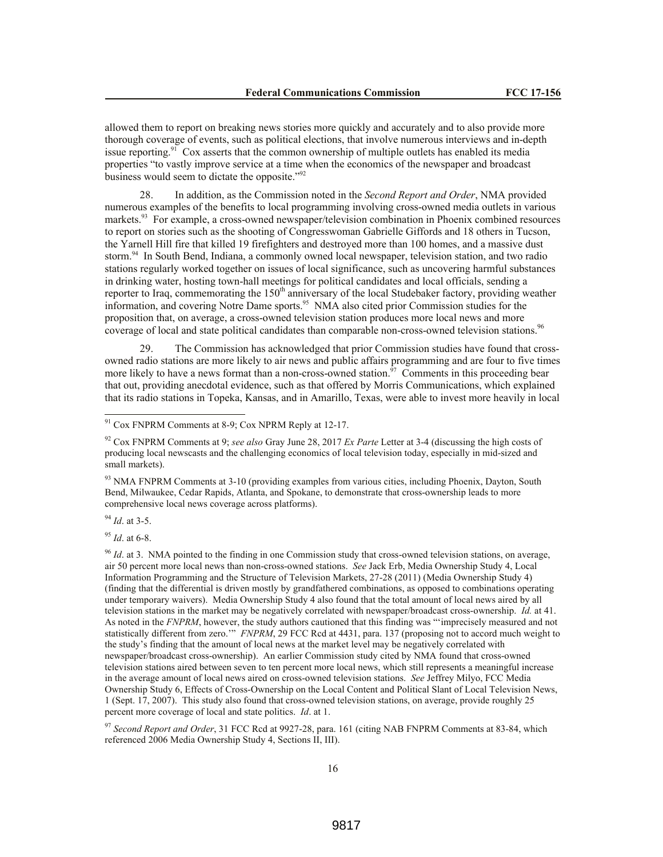allowed them to report on breaking news stories more quickly and accurately and to also provide more thorough coverage of events, such as political elections, that involve numerous interviews and in-depth issue reporting.<sup>91</sup> Cox asserts that the common ownership of multiple outlets has enabled its media properties "to vastly improve service at a time when the economics of the newspaper and broadcast business would seem to dictate the opposite."<sup>92</sup>

28. In addition, as the Commission noted in the *Second Report and Order*, NMA provided numerous examples of the benefits to local programming involving cross-owned media outlets in various markets.<sup>93</sup> For example, a cross-owned newspaper/television combination in Phoenix combined resources to report on stories such as the shooting of Congresswoman Gabrielle Giffords and 18 others in Tucson, the Yarnell Hill fire that killed 19 firefighters and destroyed more than 100 homes, and a massive dust storm.<sup>94</sup> In South Bend, Indiana, a commonly owned local newspaper, television station, and two radio stations regularly worked together on issues of local significance, such as uncovering harmful substances in drinking water, hosting town-hall meetings for political candidates and local officials, sending a reporter to Iraq, commemorating the 150<sup>th</sup> anniversary of the local Studebaker factory, providing weather information, and covering Notre Dame sports.<sup>95</sup> NMA also cited prior Commission studies for the proposition that, on average, a cross-owned television station produces more local news and more coverage of local and state political candidates than comparable non-cross-owned television stations.<sup>96</sup>

29. The Commission has acknowledged that prior Commission studies have found that crossowned radio stations are more likely to air news and public affairs programming and are four to five times more likely to have a news format than a non-cross-owned station.<sup>97</sup> Comments in this proceeding bear that out, providing anecdotal evidence, such as that offered by Morris Communications, which explained that its radio stations in Topeka, Kansas, and in Amarillo, Texas, were able to invest more heavily in local

<sup>93</sup> NMA FNPRM Comments at 3-10 (providing examples from various cities, including Phoenix, Dayton, South Bend, Milwaukee, Cedar Rapids, Atlanta, and Spokane, to demonstrate that cross-ownership leads to more comprehensive local news coverage across platforms).

<sup>94</sup> *Id*. at 3-5.

 $\overline{a}$ 

<sup>95</sup> *Id*. at 6-8.

<sup>96</sup> *Id*. at 3. NMA pointed to the finding in one Commission study that cross-owned television stations, on average, air 50 percent more local news than non-cross-owned stations. *See* Jack Erb, Media Ownership Study 4, Local Information Programming and the Structure of Television Markets, 27-28 (2011) (Media Ownership Study 4) (finding that the differential is driven mostly by grandfathered combinations, as opposed to combinations operating under temporary waivers). Media Ownership Study 4 also found that the total amount of local news aired by all television stations in the market may be negatively correlated with newspaper/broadcast cross-ownership. *Id.* at 41. As noted in the *FNPRM*, however, the study authors cautioned that this finding was "'imprecisely measured and not statistically different from zero.'" *FNPRM*, 29 FCC Rcd at 4431, para. 137 (proposing not to accord much weight to the study's finding that the amount of local news at the market level may be negatively correlated with newspaper/broadcast cross-ownership). An earlier Commission study cited by NMA found that cross-owned television stations aired between seven to ten percent more local news, which still represents a meaningful increase in the average amount of local news aired on cross-owned television stations. *See* Jeffrey Milyo, FCC Media Ownership Study 6, Effects of Cross-Ownership on the Local Content and Political Slant of Local Television News, 1 (Sept. 17, 2007). This study also found that cross-owned television stations, on average, provide roughly 25 percent more coverage of local and state politics. *Id*. at 1.

<sup>97</sup> *Second Report and Order*, 31 FCC Rcd at 9927-28, para. 161 (citing NAB FNPRM Comments at 83-84, which referenced 2006 Media Ownership Study 4, Sections II, III).

 $91$  Cox FNPRM Comments at 8-9; Cox NPRM Reply at 12-17.

<sup>92</sup> Cox FNPRM Comments at 9; *see also* Gray June 28, 2017 *Ex Parte* Letter at 3-4 (discussing the high costs of producing local newscasts and the challenging economics of local television today, especially in mid-sized and small markets).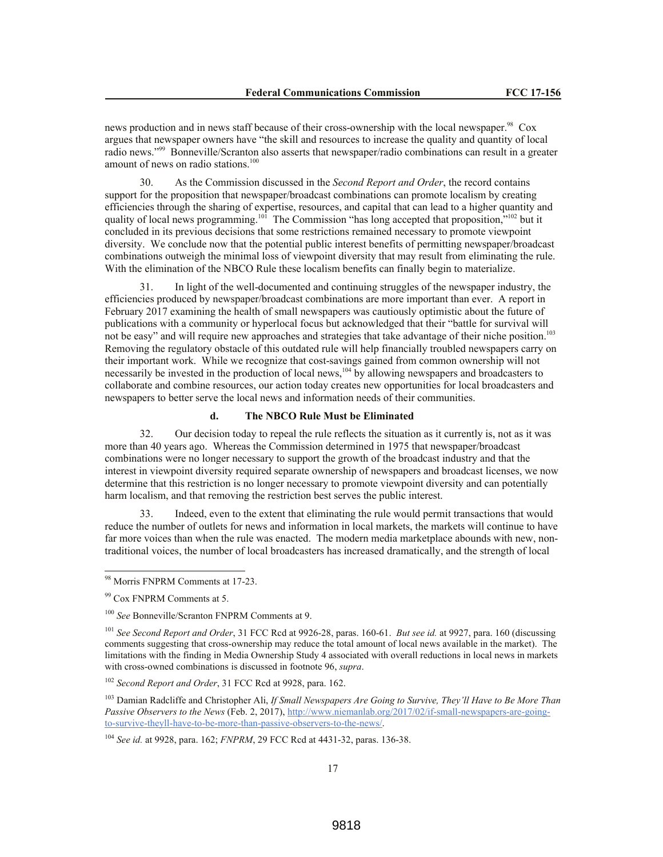news production and in news staff because of their cross-ownership with the local newspaper.<sup>98</sup> Cox argues that newspaper owners have "the skill and resources to increase the quality and quantity of local radio news."<sup>99</sup> Bonneville/Scranton also asserts that newspaper/radio combinations can result in a greater amount of news on radio stations. $100$ 

30. As the Commission discussed in the *Second Report and Order*, the record contains support for the proposition that newspaper/broadcast combinations can promote localism by creating efficiencies through the sharing of expertise, resources, and capital that can lead to a higher quantity and quality of local news programming.<sup>101</sup> The Commission "has long accepted that proposition,"<sup>102</sup> but it concluded in its previous decisions that some restrictions remained necessary to promote viewpoint diversity. We conclude now that the potential public interest benefits of permitting newspaper/broadcast combinations outweigh the minimal loss of viewpoint diversity that may result from eliminating the rule. With the elimination of the NBCO Rule these localism benefits can finally begin to materialize.

31. In light of the well-documented and continuing struggles of the newspaper industry, the efficiencies produced by newspaper/broadcast combinations are more important than ever. A report in February 2017 examining the health of small newspapers was cautiously optimistic about the future of publications with a community or hyperlocal focus but acknowledged that their "battle for survival will not be easy" and will require new approaches and strategies that take advantage of their niche position.<sup>103</sup> Removing the regulatory obstacle of this outdated rule will help financially troubled newspapers carry on their important work. While we recognize that cost-savings gained from common ownership will not necessarily be invested in the production of local news,<sup>104</sup> by allowing newspapers and broadcasters to collaborate and combine resources, our action today creates new opportunities for local broadcasters and newspapers to better serve the local news and information needs of their communities.

## **d. The NBCO Rule Must be Eliminated**

32. Our decision today to repeal the rule reflects the situation as it currently is, not as it was more than 40 years ago. Whereas the Commission determined in 1975 that newspaper/broadcast combinations were no longer necessary to support the growth of the broadcast industry and that the interest in viewpoint diversity required separate ownership of newspapers and broadcast licenses, we now determine that this restriction is no longer necessary to promote viewpoint diversity and can potentially harm localism, and that removing the restriction best serves the public interest.

33. Indeed, even to the extent that eliminating the rule would permit transactions that would reduce the number of outlets for news and information in local markets, the markets will continue to have far more voices than when the rule was enacted. The modern media marketplace abounds with new, nontraditional voices, the number of local broadcasters has increased dramatically, and the strength of local

<sup>98</sup> Morris FNPRM Comments at 17-23.

<sup>99</sup> Cox FNPRM Comments at 5.

<sup>100</sup> *See* Bonneville/Scranton FNPRM Comments at 9.

<sup>101</sup> *See Second Report and Order*, 31 FCC Rcd at 9926-28, paras. 160-61. *But see id.* at 9927, para. 160 (discussing comments suggesting that cross-ownership may reduce the total amount of local news available in the market). The limitations with the finding in Media Ownership Study 4 associated with overall reductions in local news in markets with cross-owned combinations is discussed in footnote 96, *supra*.

<sup>102</sup> *Second Report and Order*, 31 FCC Rcd at 9928, para. 162.

<sup>103</sup> Damian Radcliffe and Christopher Ali, *If Small Newspapers Are Going to Survive, They'll Have to Be More Than Passive Observers to the News* (Feb. 2, 2017), http://www.niemanlab.org/2017/02/if-small-newspapers-are-goingto-survive-theyll-have-to-be-more-than-passive-observers-to-the-news/.

<sup>104</sup> *See id.* at 9928, para. 162; *FNPRM*, 29 FCC Rcd at 4431-32, paras. 136-38.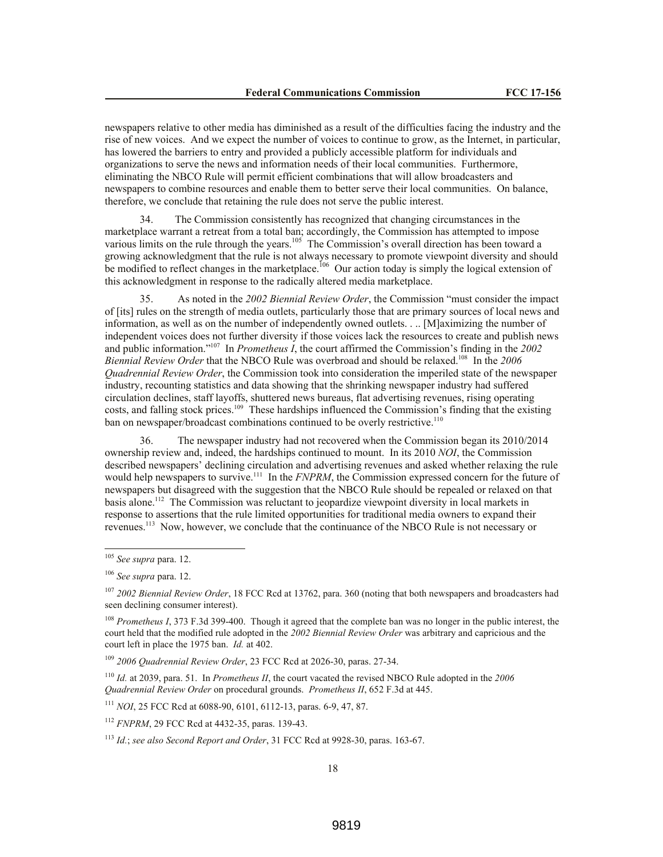newspapers relative to other media has diminished as a result of the difficulties facing the industry and the rise of new voices. And we expect the number of voices to continue to grow, as the Internet, in particular, has lowered the barriers to entry and provided a publicly accessible platform for individuals and organizations to serve the news and information needs of their local communities. Furthermore, eliminating the NBCO Rule will permit efficient combinations that will allow broadcasters and newspapers to combine resources and enable them to better serve their local communities. On balance, therefore, we conclude that retaining the rule does not serve the public interest.

34. The Commission consistently has recognized that changing circumstances in the marketplace warrant a retreat from a total ban; accordingly, the Commission has attempted to impose various limits on the rule through the years.<sup>105</sup> The Commission's overall direction has been toward a growing acknowledgment that the rule is not always necessary to promote viewpoint diversity and should be modified to reflect changes in the marketplace.<sup>106</sup> Our action today is simply the logical extension of this acknowledgment in response to the radically altered media marketplace.

35. As noted in the *2002 Biennial Review Order*, the Commission "must consider the impact of [its] rules on the strength of media outlets, particularly those that are primary sources of local news and information, as well as on the number of independently owned outlets. . .. [M]aximizing the number of independent voices does not further diversity if those voices lack the resources to create and publish news and public information."<sup>107</sup> In *Prometheus I*, the court affirmed the Commission's finding in the *2002*  Biennial Review Order that the NBCO Rule was overbroad and should be relaxed.<sup>108</sup> In the 2006 *Quadrennial Review Order*, the Commission took into consideration the imperiled state of the newspaper industry, recounting statistics and data showing that the shrinking newspaper industry had suffered circulation declines, staff layoffs, shuttered news bureaus, flat advertising revenues, rising operating costs, and falling stock prices.<sup>109</sup> These hardships influenced the Commission's finding that the existing ban on newspaper/broadcast combinations continued to be overly restrictive.<sup>110</sup>

36. The newspaper industry had not recovered when the Commission began its 2010/2014 ownership review and, indeed, the hardships continued to mount. In its 2010 *NOI*, the Commission described newspapers' declining circulation and advertising revenues and asked whether relaxing the rule would help newspapers to survive.<sup>111</sup> In the *FNPRM*, the Commission expressed concern for the future of newspapers but disagreed with the suggestion that the NBCO Rule should be repealed or relaxed on that basis alone.<sup>112</sup> The Commission was reluctant to jeopardize viewpoint diversity in local markets in response to assertions that the rule limited opportunities for traditional media owners to expand their revenues.<sup>113</sup> Now, however, we conclude that the continuance of the NBCO Rule is not necessary or

l

<sup>109</sup> *2006 Quadrennial Review Order*, 23 FCC Rcd at 2026-30, paras. 27-34.

<sup>105</sup> *See supra* para. 12.

<sup>106</sup> *See supra* para. 12.

<sup>107</sup> *2002 Biennial Review Order*, 18 FCC Rcd at 13762, para. 360 (noting that both newspapers and broadcasters had seen declining consumer interest).

<sup>108</sup> *Prometheus I*, 373 F.3d 399-400. Though it agreed that the complete ban was no longer in the public interest, the court held that the modified rule adopted in the *2002 Biennial Review Order* was arbitrary and capricious and the court left in place the 1975 ban. *Id.* at 402.

<sup>110</sup> *Id.* at 2039, para. 51. In *Prometheus II*, the court vacated the revised NBCO Rule adopted in the *2006 Quadrennial Review Order* on procedural grounds. *Prometheus II*, 652 F.3d at 445.

<sup>111</sup> *NOI*, 25 FCC Rcd at 6088-90, 6101, 6112-13, paras. 6-9, 47, 87.

<sup>112</sup> *FNPRM*, 29 FCC Rcd at 4432-35, paras. 139-43.

<sup>113</sup> *Id.*; *see also Second Report and Order*, 31 FCC Rcd at 9928-30, paras. 163-67.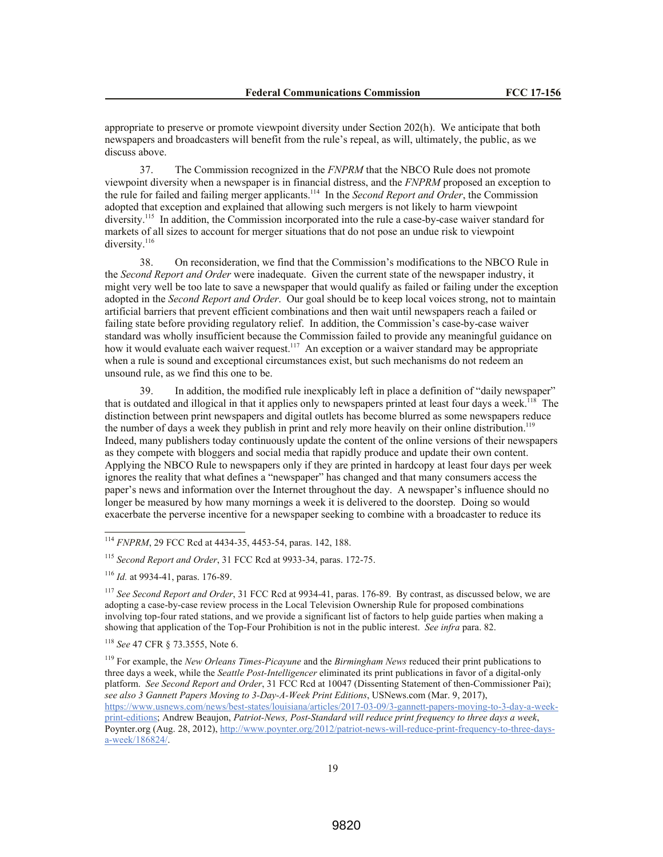appropriate to preserve or promote viewpoint diversity under Section 202(h). We anticipate that both newspapers and broadcasters will benefit from the rule's repeal, as will, ultimately, the public, as we discuss above.

37. The Commission recognized in the *FNPRM* that the NBCO Rule does not promote viewpoint diversity when a newspaper is in financial distress, and the *FNPRM* proposed an exception to the rule for failed and failing merger applicants.<sup>114</sup> In the *Second Report and Order*, the Commission adopted that exception and explained that allowing such mergers is not likely to harm viewpoint diversity.<sup>115</sup> In addition, the Commission incorporated into the rule a case-by-case waiver standard for markets of all sizes to account for merger situations that do not pose an undue risk to viewpoint diversity.<sup>116</sup>

38. On reconsideration, we find that the Commission's modifications to the NBCO Rule in the *Second Report and Order* were inadequate. Given the current state of the newspaper industry, it might very well be too late to save a newspaper that would qualify as failed or failing under the exception adopted in the *Second Report and Order*. Our goal should be to keep local voices strong, not to maintain artificial barriers that prevent efficient combinations and then wait until newspapers reach a failed or failing state before providing regulatory relief. In addition, the Commission's case-by-case waiver standard was wholly insufficient because the Commission failed to provide any meaningful guidance on how it would evaluate each waiver request.<sup>117</sup> An exception or a waiver standard may be appropriate when a rule is sound and exceptional circumstances exist, but such mechanisms do not redeem an unsound rule, as we find this one to be.

39. In addition, the modified rule inexplicably left in place a definition of "daily newspaper" that is outdated and illogical in that it applies only to newspapers printed at least four days a week.<sup>118</sup> The distinction between print newspapers and digital outlets has become blurred as some newspapers reduce the number of days a week they publish in print and rely more heavily on their online distribution.<sup>119</sup> Indeed, many publishers today continuously update the content of the online versions of their newspapers as they compete with bloggers and social media that rapidly produce and update their own content. Applying the NBCO Rule to newspapers only if they are printed in hardcopy at least four days per week ignores the reality that what defines a "newspaper" has changed and that many consumers access the paper's news and information over the Internet throughout the day.A newspaper's influence should no longer be measured by how many mornings a week it is delivered to the doorstep. Doing so would exacerbate the perverse incentive for a newspaper seeking to combine with a broadcaster to reduce its

<sup>114</sup> *FNPRM*, 29 FCC Rcd at 4434-35, 4453-54, paras. 142, 188.

<sup>115</sup> *Second Report and Order*, 31 FCC Rcd at 9933-34, paras. 172-75.

<sup>116</sup> *Id.* at 9934-41, paras. 176-89.

<sup>117</sup> *See Second Report and Order*, 31 FCC Rcd at 9934-41, paras. 176-89. By contrast, as discussed below, we are adopting a case-by-case review process in the Local Television Ownership Rule for proposed combinations involving top-four rated stations, and we provide a significant list of factors to help guide parties when making a showing that application of the Top-Four Prohibition is not in the public interest. *See infra* para. 82.

<sup>118</sup> *See* 47 CFR § 73.3555, Note 6.

<sup>119</sup> For example, the *New Orleans Times-Picayune* and the *Birmingham News* reduced their print publications to three days a week, while the *Seattle Post-Intelligencer* eliminated its print publications in favor of a digital-only platform. *See Second Report and Order*, 31 FCC Rcd at 10047 (Dissenting Statement of then-Commissioner Pai); *see also 3 Gannett Papers Moving to 3-Day-A-Week Print Editions*, USNews.com (Mar. 9, 2017), https://www.usnews.com/news/best-states/louisiana/articles/2017-03-09/3-gannett-papers-moving-to-3-day-a-weekprint-editions; Andrew Beaujon, *Patriot-News, Post-Standard will reduce print frequency to three days a week*, Poynter.org (Aug. 28, 2012), http://www.poynter.org/2012/patriot-news-will-reduce-print-frequency-to-three-daysa-week/186824/.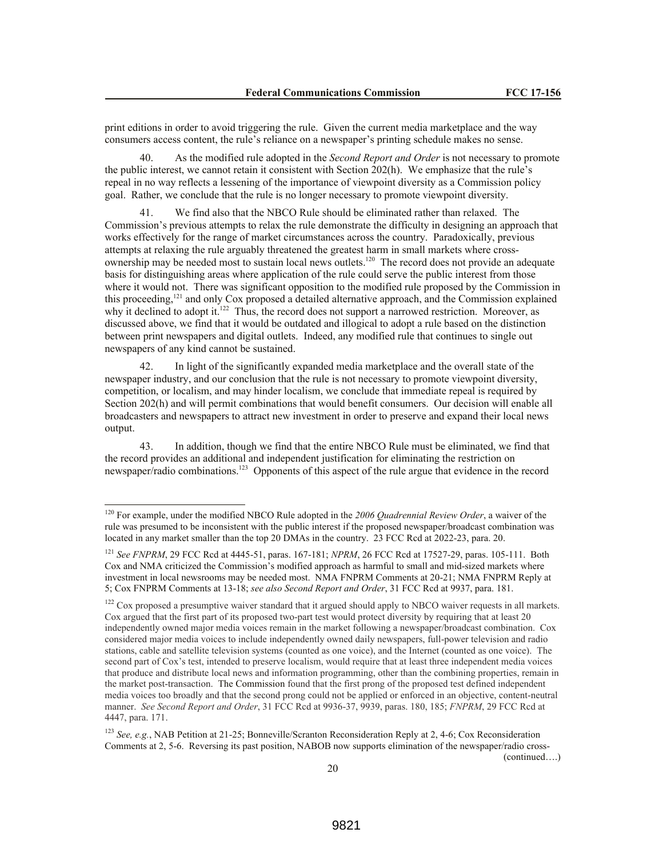print editions in order to avoid triggering the rule. Given the current media marketplace and the way consumers access content, the rule's reliance on a newspaper's printing schedule makes no sense.

40. As the modified rule adopted in the *Second Report and Order* is not necessary to promote the public interest, we cannot retain it consistent with Section 202(h). We emphasize that the rule's repeal in no way reflects a lessening of the importance of viewpoint diversity as a Commission policy goal. Rather, we conclude that the rule is no longer necessary to promote viewpoint diversity.

41. We find also that the NBCO Rule should be eliminated rather than relaxed. The Commission's previous attempts to relax the rule demonstrate the difficulty in designing an approach that works effectively for the range of market circumstances across the country. Paradoxically, previous attempts at relaxing the rule arguably threatened the greatest harm in small markets where crossownership may be needed most to sustain local news outlets.<sup>120</sup> The record does not provide an adequate basis for distinguishing areas where application of the rule could serve the public interest from those where it would not. There was significant opposition to the modified rule proposed by the Commission in this proceeding,<sup>121</sup> and only Cox proposed a detailed alternative approach, and the Commission explained why it declined to adopt it.<sup>122</sup> Thus, the record does not support a narrowed restriction. Moreover, as discussed above, we find that it would be outdated and illogical to adopt a rule based on the distinction between print newspapers and digital outlets. Indeed, any modified rule that continues to single out newspapers of any kind cannot be sustained.

42. In light of the significantly expanded media marketplace and the overall state of the newspaper industry, and our conclusion that the rule is not necessary to promote viewpoint diversity, competition, or localism, and may hinder localism, we conclude that immediate repeal is required by Section 202(h) and will permit combinations that would benefit consumers. Our decision will enable all broadcasters and newspapers to attract new investment in order to preserve and expand their local news output.

43. In addition, though we find that the entire NBCO Rule must be eliminated, we find that the record provides an additional and independent justification for eliminating the restriction on newspaper/radio combinations.<sup>123</sup> Opponents of this aspect of the rule argue that evidence in the record

 $\overline{a}$ 

(continued….)

<sup>120</sup> For example, under the modified NBCO Rule adopted in the *2006 Quadrennial Review Order*, a waiver of the rule was presumed to be inconsistent with the public interest if the proposed newspaper/broadcast combination was located in any market smaller than the top 20 DMAs in the country. 23 FCC Rcd at 2022-23, para. 20.

<sup>121</sup> *See FNPRM*, 29 FCC Rcd at 4445-51, paras. 167-181; *NPRM*, 26 FCC Rcd at 17527-29, paras. 105-111. Both Cox and NMA criticized the Commission's modified approach as harmful to small and mid-sized markets where investment in local newsrooms may be needed most. NMA FNPRM Comments at 20-21; NMA FNPRM Reply at 5; Cox FNPRM Comments at 13-18; *see also Second Report and Order*, 31 FCC Rcd at 9937, para. 181.

 $122$  Cox proposed a presumptive waiver standard that it argued should apply to NBCO waiver requests in all markets. Cox argued that the first part of its proposed two-part test would protect diversity by requiring that at least 20 independently owned major media voices remain in the market following a newspaper/broadcast combination. Cox considered major media voices to include independently owned daily newspapers, full-power television and radio stations, cable and satellite television systems (counted as one voice), and the Internet (counted as one voice). The second part of Cox's test, intended to preserve localism, would require that at least three independent media voices that produce and distribute local news and information programming, other than the combining properties, remain in the market post-transaction. The Commission found that the first prong of the proposed test defined independent media voices too broadly and that the second prong could not be applied or enforced in an objective, content-neutral manner. *See Second Report and Order*, 31 FCC Rcd at 9936-37, 9939, paras. 180, 185; *FNPRM*, 29 FCC Rcd at 4447, para. 171.

<sup>123</sup> *See, e.g.*, NAB Petition at 21-25; Bonneville/Scranton Reconsideration Reply at 2, 4-6; Cox Reconsideration Comments at 2, 5-6. Reversing its past position, NABOB now supports elimination of the newspaper/radio cross-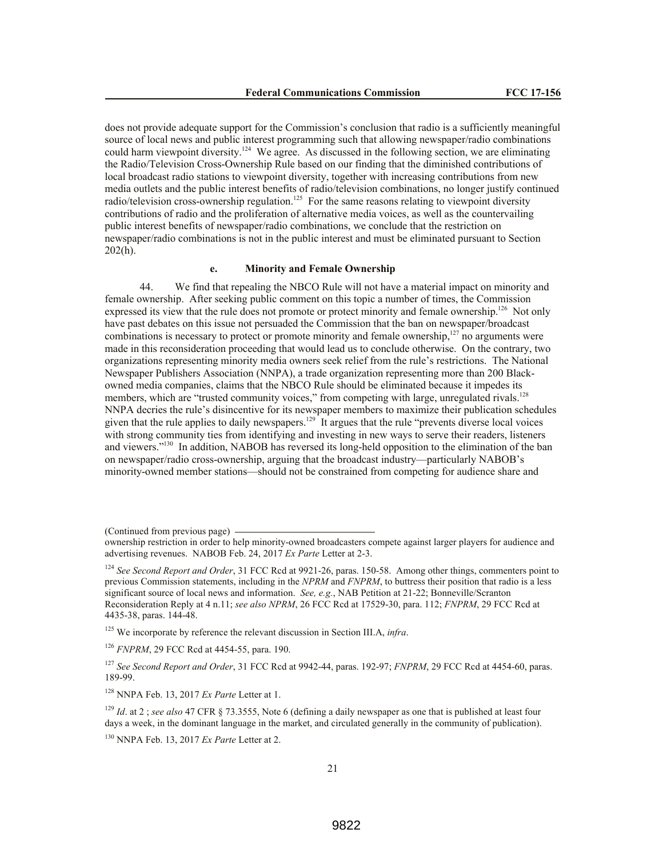does not provide adequate support for the Commission's conclusion that radio is a sufficiently meaningful source of local news and public interest programming such that allowing newspaper/radio combinations could harm viewpoint diversity.<sup>124</sup> We agree. As discussed in the following section, we are eliminating the Radio/Television Cross-Ownership Rule based on our finding that the diminished contributions of local broadcast radio stations to viewpoint diversity, together with increasing contributions from new media outlets and the public interest benefits of radio/television combinations, no longer justify continued radio/television cross-ownership regulation.<sup>125</sup> For the same reasons relating to viewpoint diversity contributions of radio and the proliferation of alternative media voices, as well as the countervailing public interest benefits of newspaper/radio combinations, we conclude that the restriction on newspaper/radio combinations is not in the public interest and must be eliminated pursuant to Section  $202(h)$ .

## **e. Minority and Female Ownership**

44. We find that repealing the NBCO Rule will not have a material impact on minority and female ownership. After seeking public comment on this topic a number of times, the Commission expressed its view that the rule does not promote or protect minority and female ownership.<sup>126</sup> Not only have past debates on this issue not persuaded the Commission that the ban on newspaper/broadcast combinations is necessary to protect or promote minority and female ownership,<sup>127</sup> no arguments were made in this reconsideration proceeding that would lead us to conclude otherwise. On the contrary, two organizations representing minority media owners seek relief from the rule's restrictions. The National Newspaper Publishers Association (NNPA), a trade organization representing more than 200 Blackowned media companies, claims that the NBCO Rule should be eliminated because it impedes its members, which are "trusted community voices," from competing with large, unregulated rivals.<sup>128</sup> NNPA decries the rule's disincentive for its newspaper members to maximize their publication schedules given that the rule applies to daily newspapers.<sup>129</sup> It argues that the rule "prevents diverse local voices" with strong community ties from identifying and investing in new ways to serve their readers, listeners and viewers."<sup>130</sup> In addition, NABOB has reversed its long-held opposition to the elimination of the ban on newspaper/radio cross-ownership, arguing that the broadcast industry—particularly NABOB's minority-owned member stations—should not be constrained from competing for audience share and

(Continued from previous page)

<sup>125</sup> We incorporate by reference the relevant discussion in Section III.A, *infra*.

<sup>126</sup> *FNPRM*, 29 FCC Rcd at 4454-55, para. 190.

<sup>128</sup> NNPA Feb. 13, 2017 *Ex Parte* Letter at 1.

<sup>129</sup> *Id*. at 2 ; *see also* 47 CFR § 73.3555, Note 6 (defining a daily newspaper as one that is published at least four days a week, in the dominant language in the market, and circulated generally in the community of publication).

<sup>130</sup> NNPA Feb. 13, 2017 *Ex Parte* Letter at 2.

ownership restriction in order to help minority-owned broadcasters compete against larger players for audience and advertising revenues. NABOB Feb. 24, 2017 *Ex Parte* Letter at 2-3.

<sup>124</sup> *See Second Report and Order*, 31 FCC Rcd at 9921-26, paras. 150-58. Among other things, commenters point to previous Commission statements, including in the *NPRM* and *FNPRM*, to buttress their position that radio is a less significant source of local news and information. *See, e.g.*, NAB Petition at 21-22; Bonneville/Scranton Reconsideration Reply at 4 n.11; *see also NPRM*, 26 FCC Rcd at 17529-30, para. 112; *FNPRM*, 29 FCC Rcd at 4435-38, paras. 144-48.

<sup>127</sup> *See Second Report and Order*, 31 FCC Rcd at 9942-44, paras. 192-97; *FNPRM*, 29 FCC Rcd at 4454-60, paras. 189-99.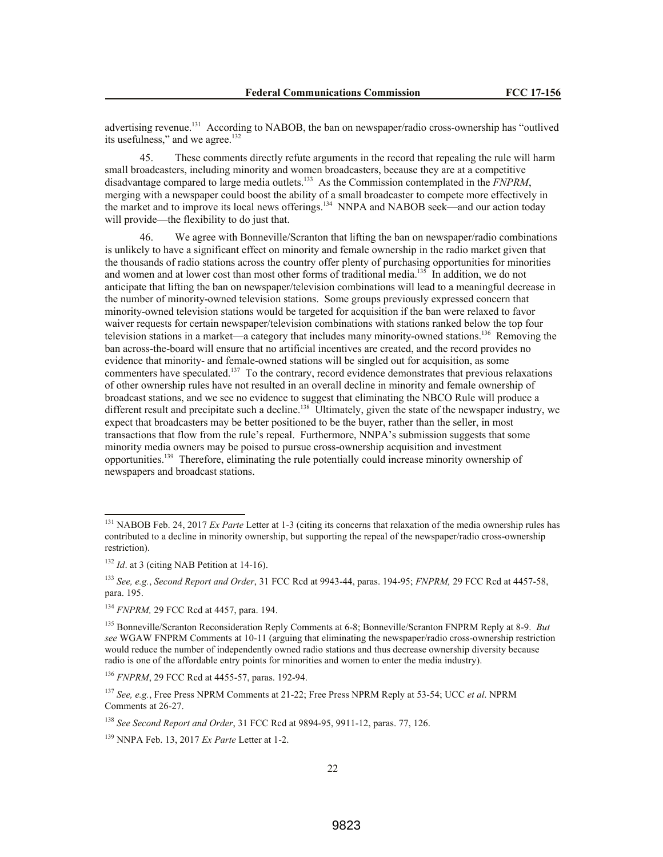advertising revenue.<sup>131</sup> According to NABOB, the ban on newspaper/radio cross-ownership has "outlived" its usefulness," and we agree.<sup>132</sup>

45. These comments directly refute arguments in the record that repealing the rule will harm small broadcasters, including minority and women broadcasters, because they are at a competitive disadvantage compared to large media outlets.<sup>133</sup> As the Commission contemplated in the *FNPRM*, merging with a newspaper could boost the ability of a small broadcaster to compete more effectively in the market and to improve its local news offerings.<sup>134</sup> NNPA and NABOB seek—and our action today will provide—the flexibility to do just that.

46. We agree with Bonneville/Scranton that lifting the ban on newspaper/radio combinations is unlikely to have a significant effect on minority and female ownership in the radio market given that the thousands of radio stations across the country offer plenty of purchasing opportunities for minorities and women and at lower cost than most other forms of traditional media.<sup>135</sup> In addition, we do not anticipate that lifting the ban on newspaper/television combinations will lead to a meaningful decrease in the number of minority-owned television stations. Some groups previously expressed concern that minority-owned television stations would be targeted for acquisition if the ban were relaxed to favor waiver requests for certain newspaper/television combinations with stations ranked below the top four television stations in a market—a category that includes many minority-owned stations.<sup>136</sup> Removing the ban across-the-board will ensure that no artificial incentives are created, and the record provides no evidence that minority- and female-owned stations will be singled out for acquisition, as some commenters have speculated.<sup>137</sup> To the contrary, record evidence demonstrates that previous relaxations of other ownership rules have not resulted in an overall decline in minority and female ownership of broadcast stations, and we see no evidence to suggest that eliminating the NBCO Rule will produce a different result and precipitate such a decline.<sup>138</sup> Ultimately, given the state of the newspaper industry, we expect that broadcasters may be better positioned to be the buyer, rather than the seller, in most transactions that flow from the rule's repeal. Furthermore, NNPA's submission suggests that some minority media owners may be poised to pursue cross-ownership acquisition and investment opportunities.<sup>139</sup> Therefore, eliminating the rule potentially could increase minority ownership of newspapers and broadcast stations.

<sup>&</sup>lt;sup>131</sup> NABOB Feb. 24, 2017 *Ex Parte* Letter at 1-3 (citing its concerns that relaxation of the media ownership rules has contributed to a decline in minority ownership, but supporting the repeal of the newspaper/radio cross-ownership restriction).

<sup>&</sup>lt;sup>132</sup> *Id.* at 3 (citing NAB Petition at 14-16).

<sup>133</sup> *See, e.g.*, *Second Report and Order*, 31 FCC Rcd at 9943-44, paras. 194-95; *FNPRM,* 29 FCC Rcd at 4457-58, para. 195.

<sup>134</sup> *FNPRM,* 29 FCC Rcd at 4457, para. 194.

<sup>135</sup> Bonneville/Scranton Reconsideration Reply Comments at 6-8; Bonneville/Scranton FNPRM Reply at 8-9. *But see* WGAW FNPRM Comments at 10-11 (arguing that eliminating the newspaper/radio cross-ownership restriction would reduce the number of independently owned radio stations and thus decrease ownership diversity because radio is one of the affordable entry points for minorities and women to enter the media industry).

<sup>136</sup> *FNPRM*, 29 FCC Rcd at 4455-57, paras. 192-94.

<sup>137</sup> *See, e.g.*, Free Press NPRM Comments at 21-22; Free Press NPRM Reply at 53-54; UCC *et al*. NPRM Comments at 26-27.

<sup>138</sup> *See Second Report and Order*, 31 FCC Rcd at 9894-95, 9911-12, paras. 77, 126.

<sup>139</sup> NNPA Feb. 13, 2017 *Ex Parte* Letter at 1-2.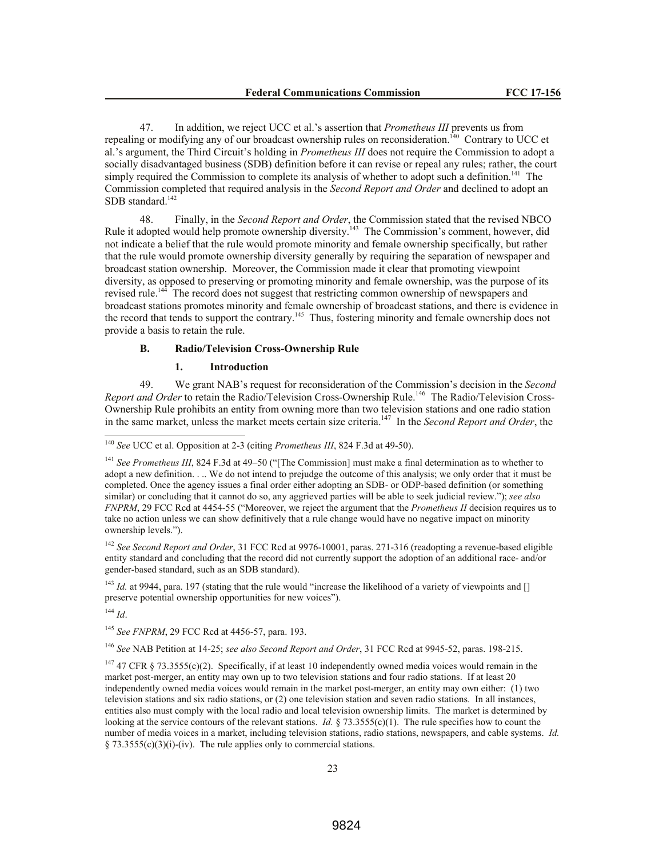47. In addition, we reject UCC et al.'s assertion that *Prometheus III* prevents us from repealing or modifying any of our broadcast ownership rules on reconsideration.<sup>140</sup> Contrary to UCC et al.'s argument, the Third Circuit's holding in *Prometheus III* does not require the Commission to adopt a socially disadvantaged business (SDB) definition before it can revise or repeal any rules; rather, the court simply required the Commission to complete its analysis of whether to adopt such a definition.<sup>141</sup> The Commission completed that required analysis in the *Second Report and Order* and declined to adopt an SDB standard.<sup>142</sup>

48. Finally, in the *Second Report and Order*, the Commission stated that the revised NBCO Rule it adopted would help promote ownership diversity.<sup>143</sup> The Commission's comment, however, did not indicate a belief that the rule would promote minority and female ownership specifically, but rather that the rule would promote ownership diversity generally by requiring the separation of newspaper and broadcast station ownership. Moreover, the Commission made it clear that promoting viewpoint diversity, as opposed to preserving or promoting minority and female ownership, was the purpose of its revised rule.<sup>144</sup> The record does not suggest that restricting common ownership of newspapers and broadcast stations promotes minority and female ownership of broadcast stations, and there is evidence in the record that tends to support the contrary.<sup>145</sup> Thus, fostering minority and female ownership does not provide a basis to retain the rule.

### **B. Radio/Television Cross-Ownership Rule**

## **1. Introduction**

49. We grant NAB's request for reconsideration of the Commission's decision in the *Second* Report and Order to retain the Radio/Television Cross-Ownership Rule.<sup>146</sup> The Radio/Television Cross-Ownership Rule prohibits an entity from owning more than two television stations and one radio station in the same market, unless the market meets certain size criteria.<sup>147</sup> In the *Second Report and Order*, the

<sup>142</sup> See Second Report and Order, 31 FCC Rcd at 9976-10001, paras. 271-316 (readopting a revenue-based eligible entity standard and concluding that the record did not currently support the adoption of an additional race- and/or gender-based standard, such as an SDB standard).

<sup>143</sup> *Id.* at 9944, para. 197 (stating that the rule would "increase the likelihood of a variety of viewpoints and [] preserve potential ownership opportunities for new voices").

<sup>144</sup> *Id*.

 $\overline{a}$ 

<sup>145</sup> *See FNPRM*, 29 FCC Rcd at 4456-57, para. 193.

<sup>146</sup> *See* NAB Petition at 14-25; *see also Second Report and Order*, 31 FCC Rcd at 9945-52, paras. 198-215.

<sup>140</sup> *See* UCC et al. Opposition at 2-3 (citing *Prometheus III*, 824 F.3d at 49-50).

<sup>141</sup> *See Prometheus III*, 824 F.3d at 49–50 ("[The Commission] must make a final determination as to whether to adopt a new definition. . .. We do not intend to prejudge the outcome of this analysis; we only order that it must be completed. Once the agency issues a final order either adopting an SDB- or ODP-based definition (or something similar) or concluding that it cannot do so, any aggrieved parties will be able to seek judicial review."); *see also FNPRM*, 29 FCC Rcd at 4454-55 ("Moreover, we reject the argument that the *Prometheus II* decision requires us to take no action unless we can show definitively that a rule change would have no negative impact on minority ownership levels.").

<sup>&</sup>lt;sup>147</sup> 47 CFR § 73.3555(c)(2). Specifically, if at least 10 independently owned media voices would remain in the market post-merger, an entity may own up to two television stations and four radio stations. If at least 20 independently owned media voices would remain in the market post-merger, an entity may own either: (1) two television stations and six radio stations, or (2) one television station and seven radio stations. In all instances, entities also must comply with the local radio and local television ownership limits. The market is determined by looking at the service contours of the relevant stations. *Id.* § 73.3555(c)(1). The rule specifies how to count the number of media voices in a market, including television stations, radio stations, newspapers, and cable systems. *Id.*   $§ 73.3555(c)(3)(i)-(iv)$ . The rule applies only to commercial stations.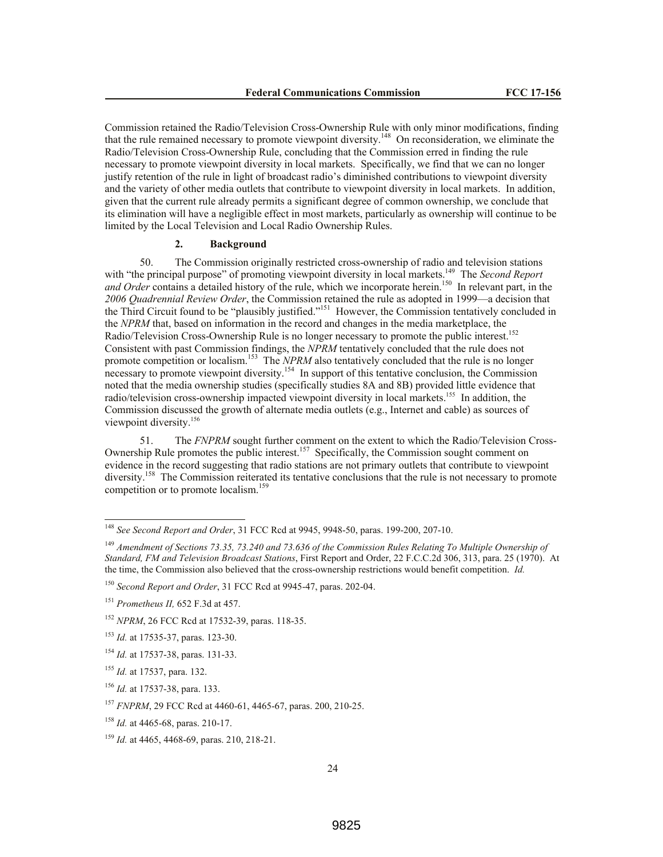Commission retained the Radio/Television Cross-Ownership Rule with only minor modifications, finding that the rule remained necessary to promote viewpoint diversity.<sup>148</sup> On reconsideration, we eliminate the Radio/Television Cross-Ownership Rule, concluding that the Commission erred in finding the rule necessary to promote viewpoint diversity in local markets. Specifically, we find that we can no longer justify retention of the rule in light of broadcast radio's diminished contributions to viewpoint diversity and the variety of other media outlets that contribute to viewpoint diversity in local markets. In addition, given that the current rule already permits a significant degree of common ownership, we conclude that its elimination will have a negligible effect in most markets, particularly as ownership will continue to be limited by the Local Television and Local Radio Ownership Rules.

### **2. Background**

50. The Commission originally restricted cross-ownership of radio and television stations with "the principal purpose" of promoting viewpoint diversity in local markets.<sup>149</sup> The *Second Report* and Order contains a detailed history of the rule, which we incorporate herein.<sup>150</sup> In relevant part, in the *2006 Quadrennial Review Order*, the Commission retained the rule as adopted in 1999—a decision that the Third Circuit found to be "plausibly justified."<sup>151</sup> However, the Commission tentatively concluded in the *NPRM* that, based on information in the record and changes in the media marketplace, the Radio/Television Cross-Ownership Rule is no longer necessary to promote the public interest.<sup>152</sup> Consistent with past Commission findings, the *NPRM* tentatively concluded that the rule does not promote competition or localism.<sup>153</sup> The *NPRM* also tentatively concluded that the rule is no longer necessary to promote viewpoint diversity.<sup>154</sup> In support of this tentative conclusion, the Commission noted that the media ownership studies (specifically studies 8A and 8B) provided little evidence that radio/television cross-ownership impacted viewpoint diversity in local markets.<sup>155</sup> In addition, the Commission discussed the growth of alternate media outlets (e.g., Internet and cable) as sources of viewpoint diversity.<sup>156</sup>

51. The *FNPRM* sought further comment on the extent to which the Radio/Television Cross-Ownership Rule promotes the public interest.<sup>157</sup> Specifically, the Commission sought comment on evidence in the record suggesting that radio stations are not primary outlets that contribute to viewpoint diversity.<sup>158</sup> The Commission reiterated its tentative conclusions that the rule is not necessary to promote competition or to promote localism.<sup>159</sup>

<sup>150</sup> *Second Report and Order*, 31 FCC Rcd at 9945-47, paras. 202-04.

 $\overline{a}$ 

<sup>148</sup> *See Second Report and Order*, 31 FCC Rcd at 9945, 9948-50, paras. 199-200, 207-10.

<sup>149</sup> *Amendment of Sections 73.35, 73.240 and 73.636 of the Commission Rules Relating To Multiple Ownership of Standard, FM and Television Broadcast Stations*, First Report and Order, 22 F.C.C.2d 306, 313, para. 25 (1970). At the time, the Commission also believed that the cross-ownership restrictions would benefit competition. *Id.*

<sup>151</sup> *Prometheus II,* 652 F.3d at 457.

<sup>152</sup> *NPRM*, 26 FCC Rcd at 17532-39, paras. 118-35.

<sup>153</sup> *Id.* at 17535-37, paras. 123-30.

<sup>154</sup> *Id.* at 17537-38, paras. 131-33.

<sup>155</sup> *Id.* at 17537, para. 132.

<sup>156</sup> *Id.* at 17537-38, para. 133.

<sup>157</sup> *FNPRM*, 29 FCC Rcd at 4460-61, 4465-67, paras. 200, 210-25.

<sup>158</sup> *Id.* at 4465-68, paras. 210-17.

<sup>159</sup> *Id.* at 4465, 4468-69, paras. 210, 218-21.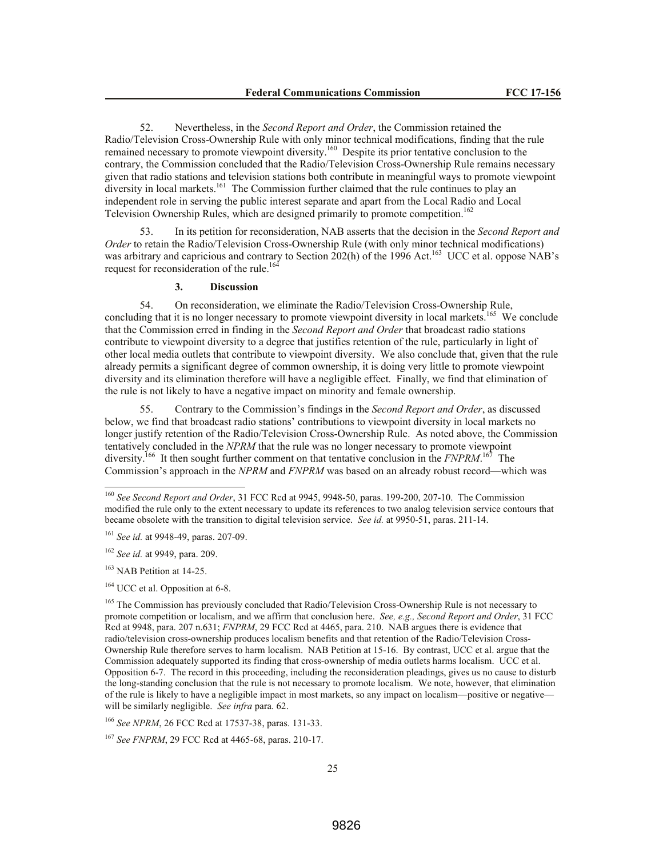52. Nevertheless, in the *Second Report and Order*, the Commission retained the Radio/Television Cross-Ownership Rule with only minor technical modifications, finding that the rule remained necessary to promote viewpoint diversity.<sup>160</sup> Despite its prior tentative conclusion to the contrary, the Commission concluded that the Radio/Television Cross-Ownership Rule remains necessary given that radio stations and television stations both contribute in meaningful ways to promote viewpoint diversity in local markets.<sup>161</sup> The Commission further claimed that the rule continues to play an independent role in serving the public interest separate and apart from the Local Radio and Local Television Ownership Rules, which are designed primarily to promote competition.<sup>162</sup>

53. In its petition for reconsideration, NAB asserts that the decision in the *Second Report and Order* to retain the Radio/Television Cross-Ownership Rule (with only minor technical modifications) was arbitrary and capricious and contrary to Section 202(h) of the 1996 Act.<sup>163</sup> UCC et al. oppose NAB's request for reconsideration of the rule.<sup>164</sup>

## **3. Discussion**

54. On reconsideration, we eliminate the Radio/Television Cross-Ownership Rule, concluding that it is no longer necessary to promote viewpoint diversity in local markets.<sup>165</sup> We conclude that the Commission erred in finding in the *Second Report and Order* that broadcast radio stations contribute to viewpoint diversity to a degree that justifies retention of the rule, particularly in light of other local media outlets that contribute to viewpoint diversity. We also conclude that, given that the rule already permits a significant degree of common ownership, it is doing very little to promote viewpoint diversity and its elimination therefore will have a negligible effect. Finally, we find that elimination of the rule is not likely to have a negative impact on minority and female ownership.

55. Contrary to the Commission's findings in the *Second Report and Order*, as discussed below, we find that broadcast radio stations' contributions to viewpoint diversity in local markets no longer justify retention of the Radio/Television Cross-Ownership Rule. As noted above, the Commission tentatively concluded in the *NPRM* that the rule was no longer necessary to promote viewpoint diversity.<sup>166</sup> It then sought further comment on that tentative conclusion in the *FNPRM*.<sup>167</sup> The Commission's approach in the *NPRM* and *FNPRM* was based on an already robust record—which was

<sup>163</sup> NAB Petition at 14-25.

 $\overline{a}$ 

<sup>166</sup> *See NPRM*, 26 FCC Rcd at 17537-38, paras. 131-33.

<sup>167</sup> *See FNPRM*, 29 FCC Rcd at 4465-68, paras. 210-17.

<sup>160</sup> *See Second Report and Order*, 31 FCC Rcd at 9945, 9948-50, paras. 199-200, 207-10. The Commission modified the rule only to the extent necessary to update its references to two analog television service contours that became obsolete with the transition to digital television service. *See id.* at 9950-51, paras. 211-14.

<sup>161</sup> *See id.* at 9948-49, paras. 207-09.

<sup>162</sup> *See id.* at 9949, para. 209.

<sup>&</sup>lt;sup>164</sup> UCC et al. Opposition at 6-8.

<sup>&</sup>lt;sup>165</sup> The Commission has previously concluded that Radio/Television Cross-Ownership Rule is not necessary to promote competition or localism, and we affirm that conclusion here. *See, e.g., Second Report and Order*, 31 FCC Rcd at 9948, para. 207 n.631; *FNPRM*, 29 FCC Rcd at 4465, para. 210. NAB argues there is evidence that radio/television cross-ownership produces localism benefits and that retention of the Radio/Television Cross-Ownership Rule therefore serves to harm localism. NAB Petition at 15-16. By contrast, UCC et al. argue that the Commission adequately supported its finding that cross-ownership of media outlets harms localism. UCC et al. Opposition 6-7. The record in this proceeding, including the reconsideration pleadings, gives us no cause to disturb the long-standing conclusion that the rule is not necessary to promote localism. We note, however, that elimination of the rule is likely to have a negligible impact in most markets, so any impact on localism—positive or negative will be similarly negligible. *See infra* para. 62.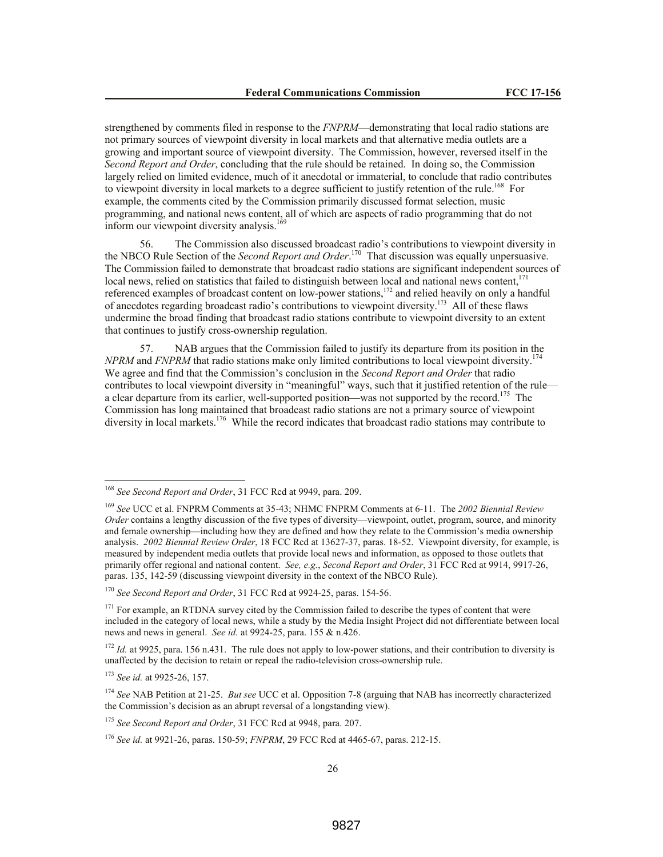strengthened by comments filed in response to the *FNPRM*—demonstrating that local radio stations are not primary sources of viewpoint diversity in local markets and that alternative media outlets are a growing and important source of viewpoint diversity. The Commission, however, reversed itself in the *Second Report and Order*, concluding that the rule should be retained. In doing so, the Commission largely relied on limited evidence, much of it anecdotal or immaterial, to conclude that radio contributes to viewpoint diversity in local markets to a degree sufficient to justify retention of the rule.<sup>168</sup> For example, the comments cited by the Commission primarily discussed format selection, music programming, and national news content, all of which are aspects of radio programming that do not inform our viewpoint diversity analysis.<sup>169</sup>

56. The Commission also discussed broadcast radio's contributions to viewpoint diversity in the NBCO Rule Section of the *Second Report and Order*. 170 That discussion was equally unpersuasive. The Commission failed to demonstrate that broadcast radio stations are significant independent sources of local news, relied on statistics that failed to distinguish between local and national news content,<sup>171</sup> referenced examples of broadcast content on low-power stations,<sup>172</sup> and relied heavily on only a handful of anecdotes regarding broadcast radio's contributions to viewpoint diversity.<sup>173</sup> All of these flaws undermine the broad finding that broadcast radio stations contribute to viewpoint diversity to an extent that continues to justify cross-ownership regulation.

57. NAB argues that the Commission failed to justify its departure from its position in the *NPRM* and *FNPRM* that radio stations make only limited contributions to local viewpoint diversity.<sup>174</sup> We agree and find that the Commission's conclusion in the *Second Report and Order* that radio contributes to local viewpoint diversity in "meaningful" ways, such that it justified retention of the rule a clear departure from its earlier, well-supported position—was not supported by the record.<sup>175</sup> The Commission has long maintained that broadcast radio stations are not a primary source of viewpoint diversity in local markets.<sup>176</sup> While the record indicates that broadcast radio stations may contribute to

<sup>168</sup> *See Second Report and Order*, 31 FCC Rcd at 9949, para. 209.

<sup>169</sup> *See* UCC et al. FNPRM Comments at 35-43; NHMC FNPRM Comments at 6-11. The *2002 Biennial Review Order* contains a lengthy discussion of the five types of diversity—viewpoint, outlet, program, source, and minority and female ownership—including how they are defined and how they relate to the Commission's media ownership analysis. *2002 Biennial Review Order*, 18 FCC Rcd at 13627-37, paras. 18-52. Viewpoint diversity, for example, is measured by independent media outlets that provide local news and information, as opposed to those outlets that primarily offer regional and national content. *See, e.g.*, *Second Report and Order*, 31 FCC Rcd at 9914, 9917-26, paras. 135, 142-59 (discussing viewpoint diversity in the context of the NBCO Rule).

<sup>170</sup> *See Second Report and Order*, 31 FCC Rcd at 9924-25, paras. 154-56.

 $171$  For example, an RTDNA survey cited by the Commission failed to describe the types of content that were included in the category of local news, while a study by the Media Insight Project did not differentiate between local news and news in general. *See id.* at 9924-25, para. 155 & n.426.

<sup>&</sup>lt;sup>172</sup> *Id.* at 9925, para. 156 n.431. The rule does not apply to low-power stations, and their contribution to diversity is unaffected by the decision to retain or repeal the radio-television cross-ownership rule.

<sup>173</sup> *See id.* at 9925-26, 157.

<sup>174</sup> *See* NAB Petition at 21-25. *But see* UCC et al. Opposition 7-8 (arguing that NAB has incorrectly characterized the Commission's decision as an abrupt reversal of a longstanding view).

<sup>175</sup> *See Second Report and Order*, 31 FCC Rcd at 9948, para. 207.

<sup>176</sup> *See id.* at 9921-26, paras. 150-59; *FNPRM*, 29 FCC Rcd at 4465-67, paras. 212-15.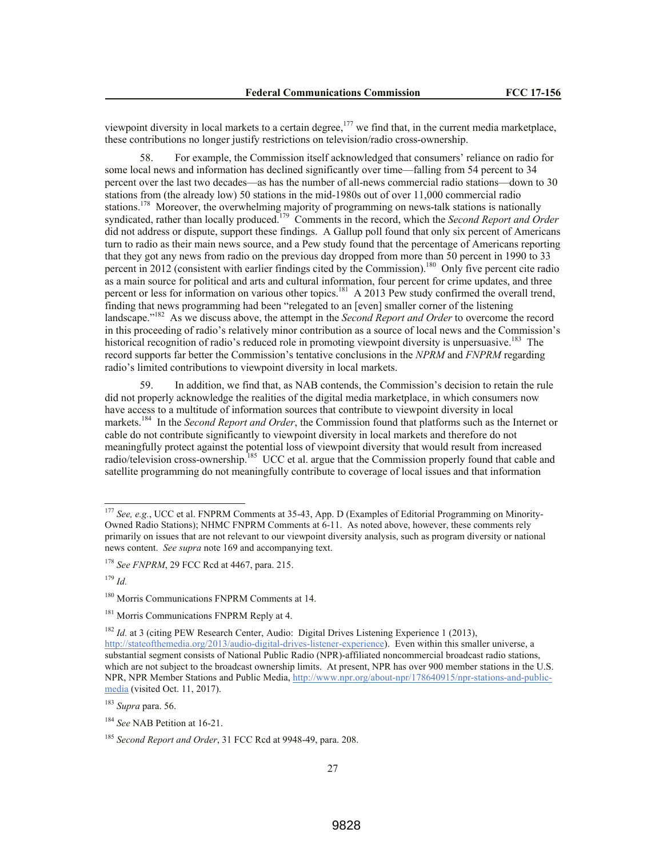viewpoint diversity in local markets to a certain degree,<sup>177</sup> we find that, in the current media marketplace, these contributions no longer justify restrictions on television/radio cross-ownership.

58. For example, the Commission itself acknowledged that consumers' reliance on radio for some local news and information has declined significantly over time—falling from 54 percent to 34 percent over the last two decades—as has the number of all-news commercial radio stations—down to 30 stations from (the already low) 50 stations in the mid-1980s out of over 11,000 commercial radio stations.<sup>178</sup> Moreover, the overwhelming majority of programming on news-talk stations is nationally syndicated, rather than locally produced.<sup>179</sup> Comments in the record, which the *Second Report and Order* did not address or dispute, support these findings. A Gallup poll found that only six percent of Americans turn to radio as their main news source, and a Pew study found that the percentage of Americans reporting that they got any news from radio on the previous day dropped from more than 50 percent in 1990 to 33 percent in 2012 (consistent with earlier findings cited by the Commission).<sup>180</sup> Only five percent cite radio as a main source for political and arts and cultural information, four percent for crime updates, and three percent or less for information on various other topics.<sup>181</sup> A 2013 Pew study confirmed the overall trend, finding that news programming had been "relegated to an [even] smaller corner of the listening landscape."<sup>182</sup> As we discuss above, the attempt in the *Second Report and Order* to overcome the record in this proceeding of radio's relatively minor contribution as a source of local news and the Commission's historical recognition of radio's reduced role in promoting viewpoint diversity is unpersuasive.<sup>183</sup> The record supports far better the Commission's tentative conclusions in the *NPRM* and *FNPRM* regarding radio's limited contributions to viewpoint diversity in local markets.

In addition, we find that, as NAB contends, the Commission's decision to retain the rule did not properly acknowledge the realities of the digital media marketplace, in which consumers now have access to a multitude of information sources that contribute to viewpoint diversity in local markets.<sup>184</sup> In the *Second Report and Order*, the Commission found that platforms such as the Internet or cable do not contribute significantly to viewpoint diversity in local markets and therefore do not meaningfully protect against the potential loss of viewpoint diversity that would result from increased radio/television cross-ownership.<sup>185</sup> UCC et al. argue that the Commission properly found that cable and satellite programming do not meaningfully contribute to coverage of local issues and that information

l

<sup>182</sup> *Id.* at 3 (citing PEW Research Center, Audio: Digital Drives Listening Experience 1 (2013), http://stateofthemedia.org/2013/audio-digital-drives-listener-experience). Even within this smaller universe, a substantial segment consists of National Public Radio (NPR)-affiliated noncommercial broadcast radio stations, which are not subject to the broadcast ownership limits. At present, NPR has over 900 member stations in the U.S. NPR, NPR Member Stations and Public Media, http://www.npr.org/about-npr/178640915/npr-stations-and-publicmedia (visited Oct. 11, 2017).

<sup>177</sup> *See, e.g.*, UCC et al. FNPRM Comments at 35-43, App. D (Examples of Editorial Programming on Minority-Owned Radio Stations); NHMC FNPRM Comments at 6-11. As noted above, however, these comments rely primarily on issues that are not relevant to our viewpoint diversity analysis, such as program diversity or national news content. *See supra* note 169 and accompanying text.

<sup>178</sup> *See FNPRM*, 29 FCC Rcd at 4467, para. 215.

<sup>179</sup> *Id.*

<sup>180</sup> Morris Communications FNPRM Comments at 14.

<sup>&</sup>lt;sup>181</sup> Morris Communications FNPRM Reply at 4.

<sup>183</sup> *Supra* para. 56.

<sup>184</sup> *See* NAB Petition at 16-21.

<sup>185</sup> *Second Report and Order*, 31 FCC Rcd at 9948-49, para. 208.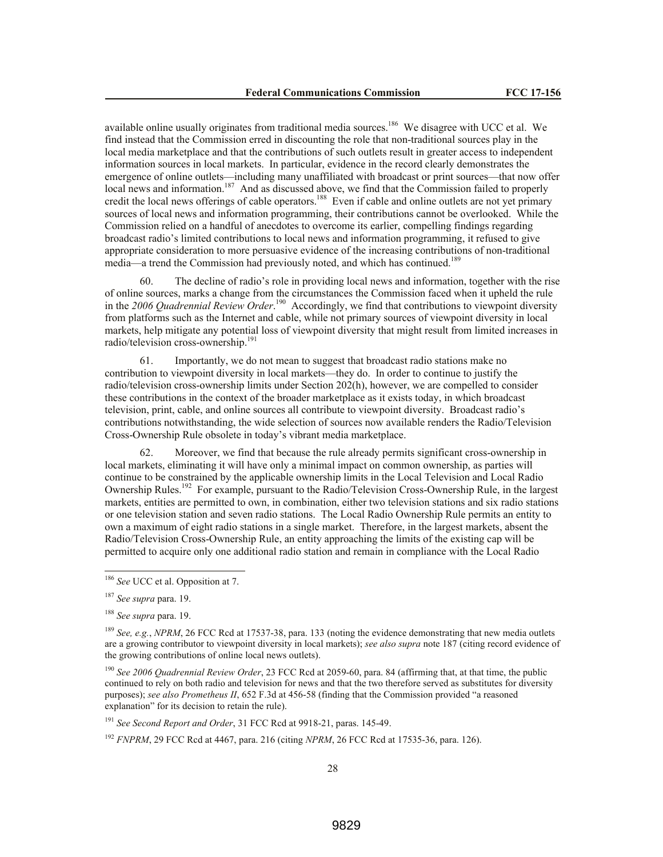available online usually originates from traditional media sources.<sup>186</sup> We disagree with UCC et al. We find instead that the Commission erred in discounting the role that non-traditional sources play in the local media marketplace and that the contributions of such outlets result in greater access to independent information sources in local markets. In particular, evidence in the record clearly demonstrates the emergence of online outlets—including many unaffiliated with broadcast or print sources—that now offer local news and information.<sup>187</sup> And as discussed above, we find that the Commission failed to properly credit the local news offerings of cable operators.<sup>188</sup> Even if cable and online outlets are not yet primary sources of local news and information programming, their contributions cannot be overlooked. While the Commission relied on a handful of anecdotes to overcome its earlier, compelling findings regarding broadcast radio's limited contributions to local news and information programming, it refused to give appropriate consideration to more persuasive evidence of the increasing contributions of non-traditional media—a trend the Commission had previously noted, and which has continued.<sup>189</sup>

60. The decline of radio's role in providing local news and information, together with the rise of online sources, marks a change from the circumstances the Commission faced when it upheld the rule in the 2006 Quadrennial Review Order.<sup>190</sup> Accordingly, we find that contributions to viewpoint diversity from platforms such as the Internet and cable, while not primary sources of viewpoint diversity in local markets, help mitigate any potential loss of viewpoint diversity that might result from limited increases in radio/television cross-ownership.<sup>191</sup>

61. Importantly, we do not mean to suggest that broadcast radio stations make no contribution to viewpoint diversity in local markets—they do. In order to continue to justify the radio/television cross-ownership limits under Section 202(h), however, we are compelled to consider these contributions in the context of the broader marketplace as it exists today, in which broadcast television, print, cable, and online sources all contribute to viewpoint diversity. Broadcast radio's contributions notwithstanding, the wide selection of sources now available renders the Radio/Television Cross-Ownership Rule obsolete in today's vibrant media marketplace.

62. Moreover, we find that because the rule already permits significant cross-ownership in local markets, eliminating it will have only a minimal impact on common ownership, as parties will continue to be constrained by the applicable ownership limits in the Local Television and Local Radio Ownership Rules.<sup>192</sup> For example, pursuant to the Radio/Television Cross-Ownership Rule, in the largest markets, entities are permitted to own, in combination, either two television stations and six radio stations or one television station and seven radio stations. The Local Radio Ownership Rule permits an entity to own a maximum of eight radio stations in a single market. Therefore, in the largest markets, absent the Radio/Television Cross-Ownership Rule, an entity approaching the limits of the existing cap will be permitted to acquire only one additional radio station and remain in compliance with the Local Radio

<sup>186</sup> *See* UCC et al. Opposition at 7.

<sup>187</sup> *See supra* para. 19.

<sup>188</sup> *See supra* para. 19.

<sup>&</sup>lt;sup>189</sup> *See, e.g., NPRM*, 26 FCC Rcd at 17537-38, para. 133 (noting the evidence demonstrating that new media outlets are a growing contributor to viewpoint diversity in local markets); *see also supra* note 187 (citing record evidence of the growing contributions of online local news outlets).

<sup>190</sup> *See 2006 Quadrennial Review Order*, 23 FCC Rcd at 2059-60, para. 84 (affirming that, at that time, the public continued to rely on both radio and television for news and that the two therefore served as substitutes for diversity purposes); *see also Prometheus II*, 652 F.3d at 456-58 (finding that the Commission provided "a reasoned explanation" for its decision to retain the rule).

<sup>191</sup> *See Second Report and Order*, 31 FCC Rcd at 9918-21, paras. 145-49.

<sup>192</sup> *FNPRM*, 29 FCC Rcd at 4467, para. 216 (citing *NPRM*, 26 FCC Rcd at 17535-36, para. 126).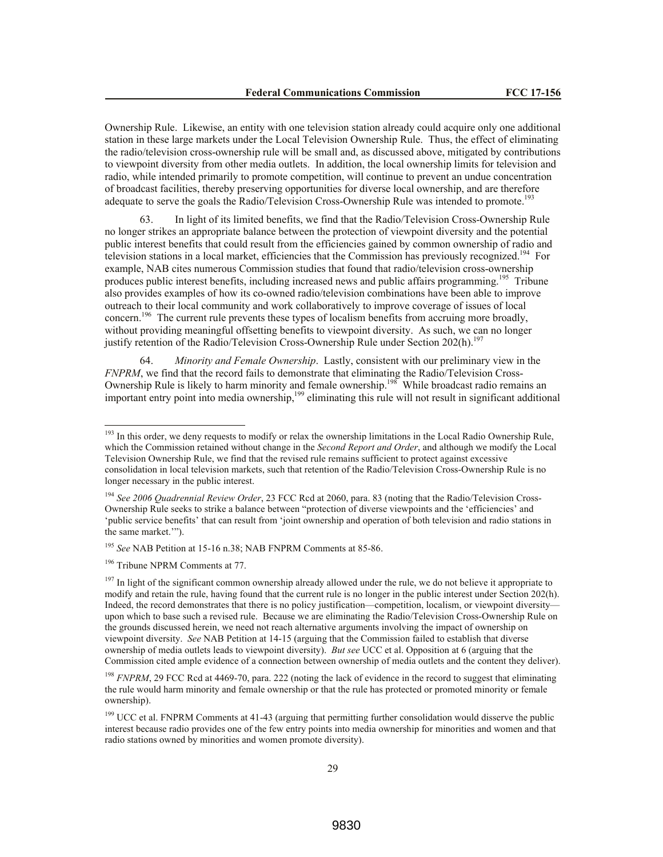Ownership Rule. Likewise, an entity with one television station already could acquire only one additional station in these large markets under the Local Television Ownership Rule. Thus, the effect of eliminating the radio/television cross-ownership rule will be small and, as discussed above, mitigated by contributions to viewpoint diversity from other media outlets. In addition, the local ownership limits for television and radio, while intended primarily to promote competition, will continue to prevent an undue concentration of broadcast facilities, thereby preserving opportunities for diverse local ownership, and are therefore adequate to serve the goals the Radio/Television Cross-Ownership Rule was intended to promote.<sup>193</sup>

63. In light of its limited benefits, we find that the Radio/Television Cross-Ownership Rule no longer strikes an appropriate balance between the protection of viewpoint diversity and the potential public interest benefits that could result from the efficiencies gained by common ownership of radio and television stations in a local market, efficiencies that the Commission has previously recognized.<sup>194</sup> For example, NAB cites numerous Commission studies that found that radio/television cross-ownership produces public interest benefits, including increased news and public affairs programming.<sup>195</sup> Tribune also provides examples of how its co-owned radio/television combinations have been able to improve outreach to their local community and work collaboratively to improve coverage of issues of local concern.<sup>196</sup> The current rule prevents these types of localism benefits from accruing more broadly, without providing meaningful offsetting benefits to viewpoint diversity. As such, we can no longer justify retention of the Radio/Television Cross-Ownership Rule under Section 202(h).<sup>19</sup>

64. *Minority and Female Ownership*. Lastly, consistent with our preliminary view in the *FNPRM*, we find that the record fails to demonstrate that eliminating the Radio/Television Cross-Ownership Rule is likely to harm minority and female ownership.<sup>198</sup> While broadcast radio remains an important entry point into media ownership,<sup>199</sup> eliminating this rule will not result in significant additional

<sup>195</sup> *See* NAB Petition at 15-16 n.38; NAB FNPRM Comments at 85-86.

<sup>196</sup> Tribune NPRM Comments at 77.

<sup>&</sup>lt;sup>193</sup> In this order, we deny requests to modify or relax the ownership limitations in the Local Radio Ownership Rule, which the Commission retained without change in the *Second Report and Order*, and although we modify the Local Television Ownership Rule, we find that the revised rule remains sufficient to protect against excessive consolidation in local television markets, such that retention of the Radio/Television Cross-Ownership Rule is no longer necessary in the public interest.

<sup>194</sup> *See 2006 Quadrennial Review Order*, 23 FCC Rcd at 2060, para. 83 (noting that the Radio/Television Cross-Ownership Rule seeks to strike a balance between "protection of diverse viewpoints and the 'efficiencies' and 'public service benefits' that can result from 'joint ownership and operation of both television and radio stations in the same market.'").

 $197$  In light of the significant common ownership already allowed under the rule, we do not believe it appropriate to modify and retain the rule, having found that the current rule is no longer in the public interest under Section 202(h). Indeed, the record demonstrates that there is no policy justification—competition, localism, or viewpoint diversity upon which to base such a revised rule. Because we are eliminating the Radio/Television Cross-Ownership Rule on the grounds discussed herein, we need not reach alternative arguments involving the impact of ownership on viewpoint diversity. *See* NAB Petition at 14-15 (arguing that the Commission failed to establish that diverse ownership of media outlets leads to viewpoint diversity). *But see* UCC et al. Opposition at 6 (arguing that the Commission cited ample evidence of a connection between ownership of media outlets and the content they deliver).

<sup>&</sup>lt;sup>198</sup> FNPRM, 29 FCC Rcd at 4469-70, para. 222 (noting the lack of evidence in the record to suggest that eliminating the rule would harm minority and female ownership or that the rule has protected or promoted minority or female ownership).

<sup>&</sup>lt;sup>199</sup> UCC et al. FNPRM Comments at 41-43 (arguing that permitting further consolidation would disserve the public interest because radio provides one of the few entry points into media ownership for minorities and women and that radio stations owned by minorities and women promote diversity).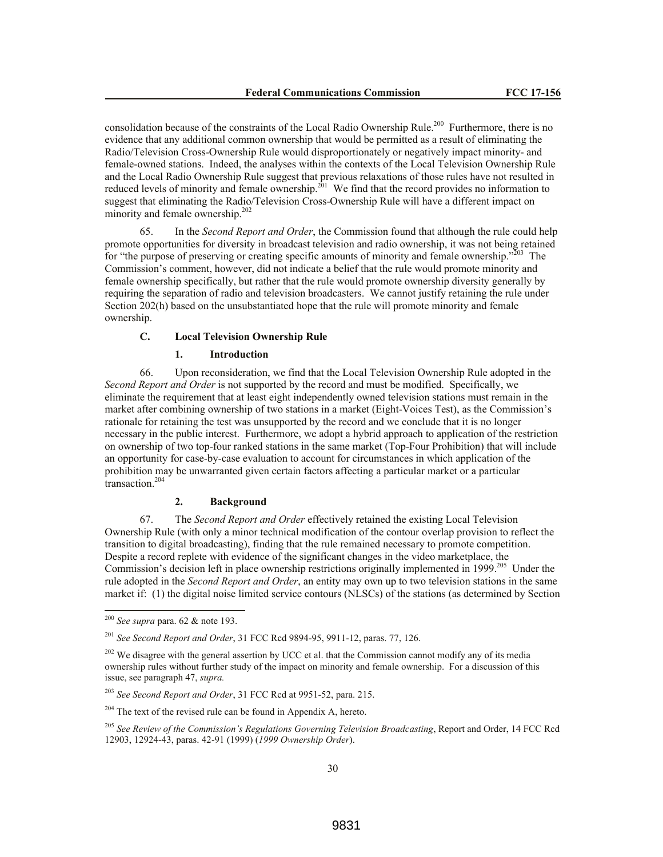consolidation because of the constraints of the Local Radio Ownership Rule.<sup>200</sup> Furthermore, there is no evidence that any additional common ownership that would be permitted as a result of eliminating the Radio/Television Cross-Ownership Rule would disproportionately or negatively impact minority- and female-owned stations. Indeed, the analyses within the contexts of the Local Television Ownership Rule and the Local Radio Ownership Rule suggest that previous relaxations of those rules have not resulted in reduced levels of minority and female ownership.<sup>201</sup> We find that the record provides no information to suggest that eliminating the Radio/Television Cross-Ownership Rule will have a different impact on minority and female ownership.<sup>202</sup>

65. In the *Second Report and Order*, the Commission found that although the rule could help promote opportunities for diversity in broadcast television and radio ownership, it was not being retained for "the purpose of preserving or creating specific amounts of minority and female ownership."<sup> $203$ </sup> The Commission's comment, however, did not indicate a belief that the rule would promote minority and female ownership specifically, but rather that the rule would promote ownership diversity generally by requiring the separation of radio and television broadcasters. We cannot justify retaining the rule under Section 202(h) based on the unsubstantiated hope that the rule will promote minority and female ownership.

# **C. Local Television Ownership Rule**

### **1. Introduction**

66. Upon reconsideration, we find that the Local Television Ownership Rule adopted in the *Second Report and Order* is not supported by the record and must be modified. Specifically, we eliminate the requirement that at least eight independently owned television stations must remain in the market after combining ownership of two stations in a market (Eight-Voices Test), as the Commission's rationale for retaining the test was unsupported by the record and we conclude that it is no longer necessary in the public interest. Furthermore, we adopt a hybrid approach to application of the restriction on ownership of two top-four ranked stations in the same market (Top-Four Prohibition) that will include an opportunity for case-by-case evaluation to account for circumstances in which application of the prohibition may be unwarranted given certain factors affecting a particular market or a particular transaction. 204

### **2. Background**

67. The *Second Report and Order* effectively retained the existing Local Television Ownership Rule (with only a minor technical modification of the contour overlap provision to reflect the transition to digital broadcasting), finding that the rule remained necessary to promote competition. Despite a record replete with evidence of the significant changes in the video marketplace, the Commission's decision left in place ownership restrictions originally implemented in 1999.<sup>205</sup> Under the rule adopted in the *Second Report and Order*, an entity may own up to two television stations in the same market if: (1) the digital noise limited service contours (NLSCs) of the stations (as determined by Section

 $\overline{a}$ 

<sup>200</sup> *See supra* para. 62 & note 193.

<sup>201</sup> *See Second Report and Order*, 31 FCC Rcd 9894-95, 9911-12, paras. 77, 126.

 $202$  We disagree with the general assertion by UCC et al. that the Commission cannot modify any of its media ownership rules without further study of the impact on minority and female ownership. For a discussion of this issue, see paragraph 47, *supra.*

<sup>203</sup> *See Second Report and Order*, 31 FCC Rcd at 9951-52, para. 215.

 $204$  The text of the revised rule can be found in Appendix A, hereto.

<sup>205</sup> *See Review of the Commission's Regulations Governing Television Broadcasting*, Report and Order, 14 FCC Rcd 12903, 12924-43, paras. 42-91 (1999) (*1999 Ownership Order*).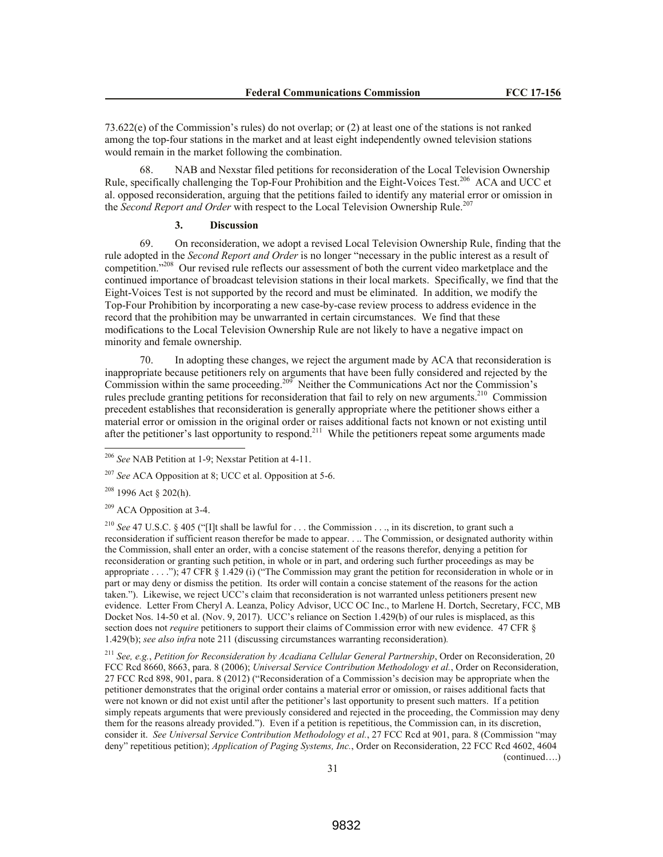73.622(e) of the Commission's rules) do not overlap; or (2) at least one of the stations is not ranked among the top-four stations in the market and at least eight independently owned television stations would remain in the market following the combination.

68. NAB and Nexstar filed petitions for reconsideration of the Local Television Ownership Rule, specifically challenging the Top-Four Prohibition and the Eight-Voices Test.<sup>206</sup> ACA and UCC et al. opposed reconsideration, arguing that the petitions failed to identify any material error or omission in the *Second Report and Order* with respect to the Local Television Ownership Rule.<sup>207</sup>

### **3. Discussion**

69. On reconsideration, we adopt a revised Local Television Ownership Rule, finding that the rule adopted in the *Second Report and Order* is no longer "necessary in the public interest as a result of competition."<sup>208</sup> Our revised rule reflects our assessment of both the current video marketplace and the continued importance of broadcast television stations in their local markets. Specifically, we find that the Eight-Voices Test is not supported by the record and must be eliminated. In addition, we modify the Top-Four Prohibition by incorporating a new case-by-case review process to address evidence in the record that the prohibition may be unwarranted in certain circumstances. We find that these modifications to the Local Television Ownership Rule are not likely to have a negative impact on minority and female ownership.

70. In adopting these changes, we reject the argument made by ACA that reconsideration is inappropriate because petitioners rely on arguments that have been fully considered and rejected by the Commission within the same proceeding.<sup>209</sup> Neither the Communications Act nor the Commission's rules preclude granting petitions for reconsideration that fail to rely on new arguments.<sup>210</sup> Commission precedent establishes that reconsideration is generally appropriate where the petitioner shows either a material error or omission in the original order or raises additional facts not known or not existing until after the petitioner's last opportunity to respond.<sup>211</sup> While the petitioners repeat some arguments made

<sup>208</sup> 1996 Act § 202(h).

 $\overline{a}$ 

<sup>209</sup> ACA Opposition at 3-4.

<sup>210</sup> *See* 47 U.S.C. § 405 ("[I]t shall be lawful for . . . the Commission . . ., in its discretion, to grant such a reconsideration if sufficient reason therefor be made to appear. . .. The Commission, or designated authority within the Commission, shall enter an order, with a concise statement of the reasons therefor, denying a petition for reconsideration or granting such petition, in whole or in part, and ordering such further proceedings as may be appropriate . . . ."); 47 CFR § 1.429 (i) ("The Commission may grant the petition for reconsideration in whole or in part or may deny or dismiss the petition. Its order will contain a concise statement of the reasons for the action taken."). Likewise, we reject UCC's claim that reconsideration is not warranted unless petitioners present new evidence. Letter From Cheryl A. Leanza, Policy Advisor, UCC OC Inc., to Marlene H. Dortch, Secretary, FCC, MB Docket Nos. 14-50 et al. (Nov. 9, 2017). UCC's reliance on Section 1.429(b) of our rules is misplaced, as this section does not *require* petitioners to support their claims of Commission error with new evidence. 47 CFR § 1.429(b); *see also infra* note 211 (discussing circumstances warranting reconsideration)*.*

<sup>211</sup> *See, e.g.*, *Petition for Reconsideration by Acadiana Cellular General Partnership*, Order on Reconsideration, 20 FCC Rcd 8660, 8663, para. 8 (2006); *Universal Service Contribution Methodology et al.*, Order on Reconsideration, 27 FCC Rcd 898, 901, para. 8 (2012) ("Reconsideration of a Commission's decision may be appropriate when the petitioner demonstrates that the original order contains a material error or omission, or raises additional facts that were not known or did not exist until after the petitioner's last opportunity to present such matters. If a petition simply repeats arguments that were previously considered and rejected in the proceeding, the Commission may deny them for the reasons already provided."). Even if a petition is repetitious, the Commission can, in its discretion, consider it. *See Universal Service Contribution Methodology et al.*, 27 FCC Rcd at 901, para. 8 (Commission "may deny" repetitious petition); *Application of Paging Systems, Inc.*, Order on Reconsideration, 22 FCC Rcd 4602, 4604 (continued….)

<sup>206</sup> *See* NAB Petition at 1-9; Nexstar Petition at 4-11.

<sup>207</sup> *See* ACA Opposition at 8; UCC et al. Opposition at 5-6.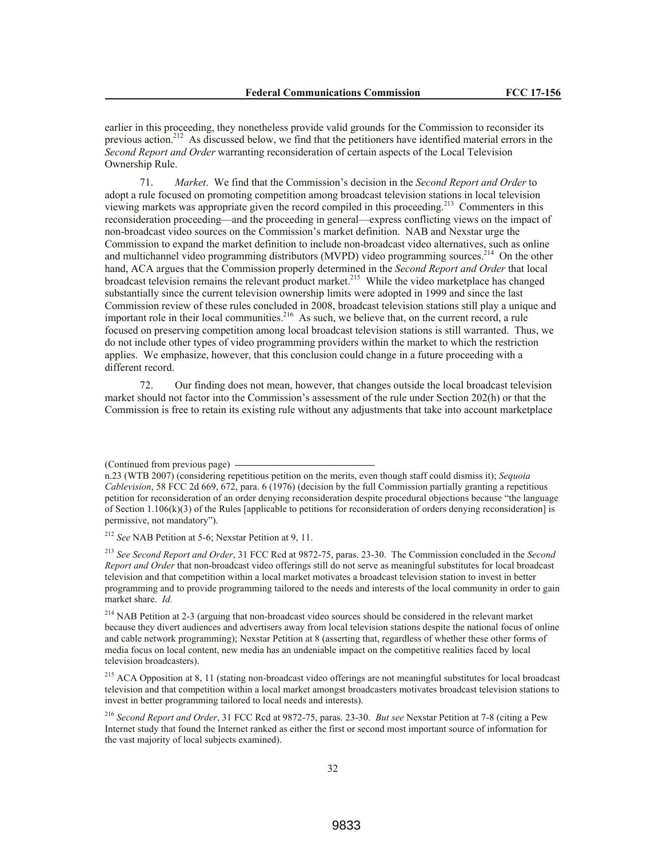earlier in this proceeding, they nonetheless provide valid grounds for the Commission to reconsider its previous action.<sup>212</sup> As discussed below, we find that the petitioners have identified material errors in the *Second Report and Order* warranting reconsideration of certain aspects of the Local Television Ownership Rule.

71. *Market*. We find that the Commission's decision in the *Second Report and Order* to adopt a rule focused on promoting competition among broadcast television stations in local television viewing markets was appropriate given the record compiled in this proceeding.<sup>213</sup> Commenters in this reconsideration proceeding—and the proceeding in general—express conflicting views on the impact of non-broadcast video sources on the Commission's market definition. NAB and Nexstar urge the Commission to expand the market definition to include non-broadcast video alternatives, such as online and multichannel video programming distributors (MVPD) video programming sources.<sup>214</sup> On the other hand, ACA argues that the Commission properly determined in the *Second Report and Order* that local broadcast television remains the relevant product market.<sup>215</sup> While the video marketplace has changed substantially since the current television ownership limits were adopted in 1999 and since the last Commission review of these rules concluded in 2008, broadcast television stations still play a unique and important role in their local communities.<sup>216</sup> As such, we believe that, on the current record, a rule focused on preserving competition among local broadcast television stations is still warranted. Thus, we do not include other types of video programming providers within the market to which the restriction applies. We emphasize, however, that this conclusion could change in a future proceeding with a different record.

72. Our finding does not mean, however, that changes outside the local broadcast television market should not factor into the Commission's assessment of the rule under Section 202(h) or that the Commission is free to retain its existing rule without any adjustments that take into account marketplace

<sup>212</sup> *See* NAB Petition at 5-6; Nexstar Petition at 9, 11.

<sup>213</sup> *See Second Report and Order*, 31 FCC Rcd at 9872-75, paras. 23-30. The Commission concluded in the *Second Report and Order* that non-broadcast video offerings still do not serve as meaningful substitutes for local broadcast television and that competition within a local market motivates a broadcast television station to invest in better programming and to provide programming tailored to the needs and interests of the local community in order to gain market share. *Id.*

<sup>214</sup> NAB Petition at 2-3 (arguing that non-broadcast video sources should be considered in the relevant market because they divert audiences and advertisers away from local television stations despite the national focus of online and cable network programming); Nexstar Petition at 8 (asserting that, regardless of whether these other forms of media focus on local content, new media has an undeniable impact on the competitive realities faced by local television broadcasters).

<sup>215</sup> ACA Opposition at 8, 11 (stating non-broadcast video offerings are not meaningful substitutes for local broadcast television and that competition within a local market amongst broadcasters motivates broadcast television stations to invest in better programming tailored to local needs and interests).

<sup>216</sup> *Second Report and Order*, 31 FCC Rcd at 9872-75, paras. 23-30. *But see* Nexstar Petition at 7-8 (citing a Pew Internet study that found the Internet ranked as either the first or second most important source of information for the vast majority of local subjects examined).

<sup>(</sup>Continued from previous page)

n.23 (WTB 2007) (considering repetitious petition on the merits, even though staff could dismiss it); *Sequoia Cablevision*, 58 FCC 2d 669, 672, para. 6 (1976) (decision by the full Commission partially granting a repetitious petition for reconsideration of an order denying reconsideration despite procedural objections because "the language of Section 1.106(k)(3) of the Rules [applicable to petitions for reconsideration of orders denying reconsideration] is permissive, not mandatory").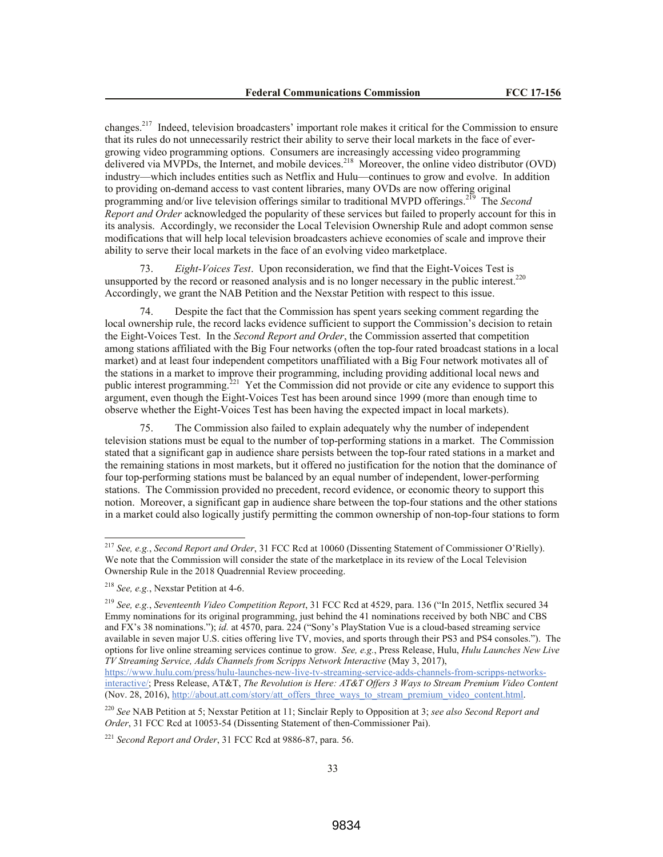changes.<sup>217</sup> Indeed, television broadcasters' important role makes it critical for the Commission to ensure that its rules do not unnecessarily restrict their ability to serve their local markets in the face of evergrowing video programming options. Consumers are increasingly accessing video programming delivered via MVPDs, the Internet, and mobile devices.<sup>218</sup> Moreover, the online video distributor (OVD) industry—which includes entities such as Netflix and Hulu—continues to grow and evolve. In addition to providing on-demand access to vast content libraries, many OVDs are now offering original programming and/or live television offerings similar to traditional MVPD offerings. 219 The *Second Report and Order* acknowledged the popularity of these services but failed to properly account for this in its analysis. Accordingly, we reconsider the Local Television Ownership Rule and adopt common sense modifications that will help local television broadcasters achieve economies of scale and improve their ability to serve their local markets in the face of an evolving video marketplace.

73. *Eight-Voices Test*. Upon reconsideration, we find that the Eight-Voices Test is unsupported by the record or reasoned analysis and is no longer necessary in the public interest.<sup>220</sup> Accordingly, we grant the NAB Petition and the Nexstar Petition with respect to this issue.

74. Despite the fact that the Commission has spent years seeking comment regarding the local ownership rule, the record lacks evidence sufficient to support the Commission's decision to retain the Eight-Voices Test. In the *Second Report and Order*, the Commission asserted that competition among stations affiliated with the Big Four networks (often the top-four rated broadcast stations in a local market) and at least four independent competitors unaffiliated with a Big Four network motivates all of the stations in a market to improve their programming, including providing additional local news and public interest programming.<sup>221</sup> Yet the Commission did not provide or cite any evidence to support this argument, even though the Eight-Voices Test has been around since 1999 (more than enough time to observe whether the Eight-Voices Test has been having the expected impact in local markets).

75. The Commission also failed to explain adequately why the number of independent television stations must be equal to the number of top-performing stations in a market. The Commission stated that a significant gap in audience share persists between the top-four rated stations in a market and the remaining stations in most markets, but it offered no justification for the notion that the dominance of four top-performing stations must be balanced by an equal number of independent, lower-performing stations. The Commission provided no precedent, record evidence, or economic theory to support this notion. Moreover, a significant gap in audience share between the top-four stations and the other stations in a market could also logically justify permitting the common ownership of non-top-four stations to form

 $\overline{a}$ 

<sup>217</sup> *See, e.g.*, *Second Report and Order*, 31 FCC Rcd at 10060 (Dissenting Statement of Commissioner O'Rielly). We note that the Commission will consider the state of the marketplace in its review of the Local Television Ownership Rule in the 2018 Quadrennial Review proceeding.

<sup>218</sup> *See, e.g.*, Nexstar Petition at 4-6.

<sup>219</sup> *See, e.g.*, *Seventeenth Video Competition Report*, 31 FCC Rcd at 4529, para. 136 ("In 2015, Netflix secured 34 Emmy nominations for its original programming, just behind the 41 nominations received by both NBC and CBS and FX's 38 nominations."); *id.* at 4570, para. 224 ("Sony's PlayStation Vue is a cloud-based streaming service available in seven major U.S. cities offering live TV, movies, and sports through their PS3 and PS4 consoles."). The options for live online streaming services continue to grow. *See, e.g.*, Press Release, Hulu, *Hulu Launches New Live TV Streaming Service, Adds Channels from Scripps Network Interactive* (May 3, 2017),

https://www.hulu.com/press/hulu-launches-new-live-tv-streaming-service-adds-channels-from-scripps-networksinteractive/; Press Release, AT&T, *The Revolution is Here: AT&T Offers 3 Ways to Stream Premium Video Content* (Nov. 28, 2016), http://about.att.com/story/att\_offers\_three\_ways\_to\_stream\_premium\_video\_content.html.

<sup>220</sup> *See* NAB Petition at 5; Nexstar Petition at 11; Sinclair Reply to Opposition at 3; *see also Second Report and Order*, 31 FCC Rcd at 10053-54 (Dissenting Statement of then-Commissioner Pai).

<sup>221</sup> *Second Report and Order*, 31 FCC Rcd at 9886-87, para. 56.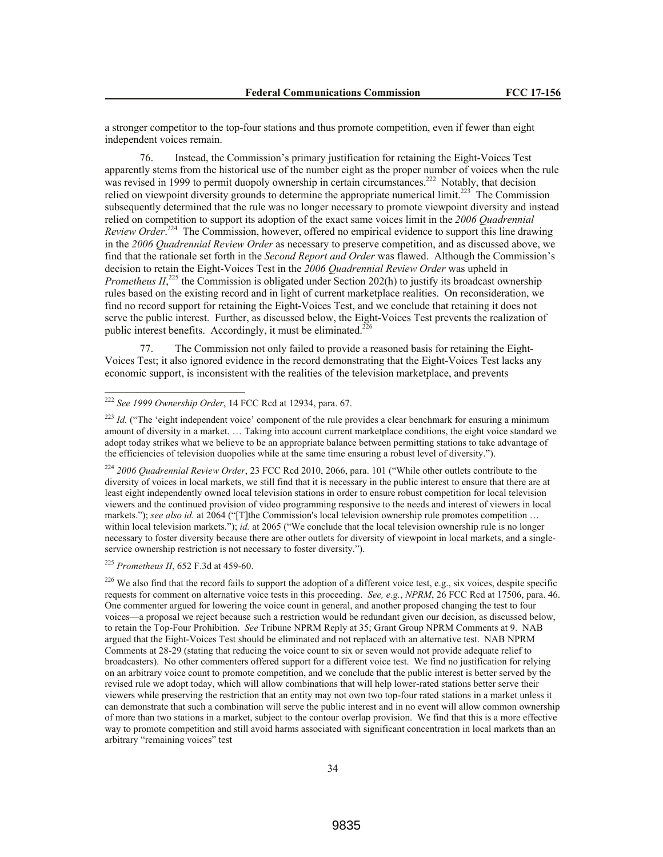a stronger competitor to the top-four stations and thus promote competition, even if fewer than eight independent voices remain.

76. Instead, the Commission's primary justification for retaining the Eight-Voices Test apparently stems from the historical use of the number eight as the proper number of voices when the rule  $\frac{1}{2}$  was revised in 1999 to permit duopoly ownership in certain circumstances.<sup>222</sup> Notably, that decision relied on viewpoint diversity grounds to determine the appropriate numerical limit.<sup>223</sup> The Commission subsequently determined that the rule was no longer necessary to promote viewpoint diversity and instead relied on competition to support its adoption of the exact same voices limit in the *2006 Quadrennial*  Review Order.<sup>224</sup> The Commission, however, offered no empirical evidence to support this line drawing in the *2006 Quadrennial Review Order* as necessary to preserve competition, and as discussed above, we find that the rationale set forth in the *Second Report and Order* was flawed.Although the Commission's decision to retain the Eight-Voices Test in the *2006 Quadrennial Review Order* was upheld in *Prometheus II*,<sup>225</sup> the Commission is obligated under Section 202(h) to justify its broadcast ownership rules based on the existing record and in light of current marketplace realities. On reconsideration, we find no record support for retaining the Eight-Voices Test, and we conclude that retaining it does not serve the public interest. Further, as discussed below, the Eight-Voices Test prevents the realization of public interest benefits. Accordingly, it must be eliminated.<sup>226</sup>

77. The Commission not only failed to provide a reasoned basis for retaining the Eight-Voices Test; it also ignored evidence in the record demonstrating that the Eight-Voices Test lacks any economic support, is inconsistent with the realities of the television marketplace, and prevents

<sup>224</sup> *2006 Quadrennial Review Order*, 23 FCC Rcd 2010, 2066, para. 101 ("While other outlets contribute to the diversity of voices in local markets, we still find that it is necessary in the public interest to ensure that there are at least eight independently owned local television stations in order to ensure robust competition for local television viewers and the continued provision of video programming responsive to the needs and interest of viewers in local markets."); see also id. at 2064 ("[T]the Commission's local television ownership rule promotes competition ... within local television markets."); *id.* at 2065 ("We conclude that the local television ownership rule is no longer necessary to foster diversity because there are other outlets for diversity of viewpoint in local markets, and a singleservice ownership restriction is not necessary to foster diversity.").

<sup>225</sup> *Prometheus II*, 652 F.3d at 459-60.

 $\overline{a}$ 

<sup>226</sup> We also find that the record fails to support the adoption of a different voice test, e.g., six voices, despite specific requests for comment on alternative voice tests in this proceeding. *See, e.g.*, *NPRM*, 26 FCC Rcd at 17506, para. 46. One commenter argued for lowering the voice count in general, and another proposed changing the test to four voices—a proposal we reject because such a restriction would be redundant given our decision, as discussed below, to retain the Top-Four Prohibition. *See* Tribune NPRM Reply at 35; Grant Group NPRM Comments at 9. NAB argued that the Eight-Voices Test should be eliminated and not replaced with an alternative test. NAB NPRM Comments at 28-29 (stating that reducing the voice count to six or seven would not provide adequate relief to broadcasters). No other commenters offered support for a different voice test. We find no justification for relying on an arbitrary voice count to promote competition, and we conclude that the public interest is better served by the revised rule we adopt today, which will allow combinations that will help lower-rated stations better serve their viewers while preserving the restriction that an entity may not own two top-four rated stations in a market unless it can demonstrate that such a combination will serve the public interest and in no event will allow common ownership of more than two stations in a market, subject to the contour overlap provision. We find that this is a more effective way to promote competition and still avoid harms associated with significant concentration in local markets than an arbitrary "remaining voices" test

<sup>222</sup> *See 1999 Ownership Order*, 14 FCC Rcd at 12934, para. 67.

<sup>&</sup>lt;sup>223</sup> *Id.* ("The 'eight independent voice' component of the rule provides a clear benchmark for ensuring a minimum amount of diversity in a market. … Taking into account current marketplace conditions, the eight voice standard we adopt today strikes what we believe to be an appropriate balance between permitting stations to take advantage of the efficiencies of television duopolies while at the same time ensuring a robust level of diversity.").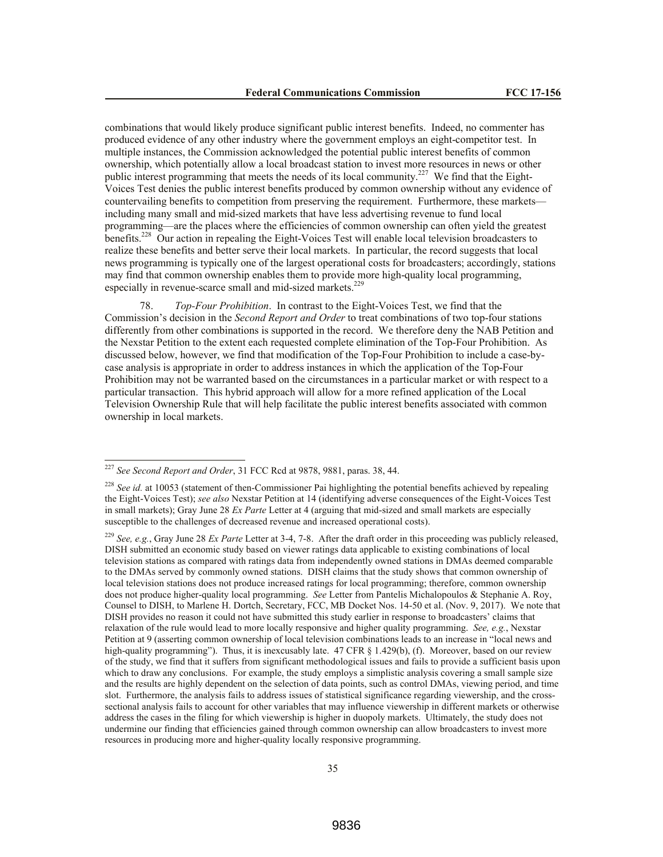combinations that would likely produce significant public interest benefits. Indeed, no commenter has produced evidence of any other industry where the government employs an eight-competitor test. In multiple instances, the Commission acknowledged the potential public interest benefits of common ownership, which potentially allow a local broadcast station to invest more resources in news or other public interest programming that meets the needs of its local community.<sup>227</sup> We find that the Eight-Voices Test denies the public interest benefits produced by common ownership without any evidence of countervailing benefits to competition from preserving the requirement. Furthermore, these markets including many small and mid-sized markets that have less advertising revenue to fund local programming—are the places where the efficiencies of common ownership can often yield the greatest benefits.<sup>228</sup> Our action in repealing the Eight-Voices Test will enable local television broadcasters to realize these benefits and better serve their local markets. In particular, the record suggests that local news programming is typically one of the largest operational costs for broadcasters; accordingly, stations may find that common ownership enables them to provide more high-quality local programming, especially in revenue-scarce small and mid-sized markets.<sup>229</sup>

78. *Top-Four Prohibition*. In contrast to the Eight-Voices Test, we find that the Commission's decision in the *Second Report and Order* to treat combinations of two top-four stations differently from other combinations is supported in the record. We therefore deny the NAB Petition and the Nexstar Petition to the extent each requested complete elimination of the Top-Four Prohibition. As discussed below, however, we find that modification of the Top-Four Prohibition to include a case-bycase analysis is appropriate in order to address instances in which the application of the Top-Four Prohibition may not be warranted based on the circumstances in a particular market or with respect to a particular transaction. This hybrid approach will allow for a more refined application of the Local Television Ownership Rule that will help facilitate the public interest benefits associated with common ownership in local markets.

 $\overline{a}$ 

<sup>227</sup> *See Second Report and Order*, 31 FCC Rcd at 9878, 9881, paras. 38, 44.

<sup>&</sup>lt;sup>228</sup> See id. at 10053 (statement of then-Commissioner Pai highlighting the potential benefits achieved by repealing the Eight-Voices Test); *see also* Nexstar Petition at 14 (identifying adverse consequences of the Eight-Voices Test in small markets); Gray June 28 *Ex Parte* Letter at 4 (arguing that mid-sized and small markets are especially susceptible to the challenges of decreased revenue and increased operational costs).

<sup>229</sup> *See, e.g.*, Gray June 28 *Ex Parte* Letter at 3-4, 7-8. After the draft order in this proceeding was publicly released, DISH submitted an economic study based on viewer ratings data applicable to existing combinations of local television stations as compared with ratings data from independently owned stations in DMAs deemed comparable to the DMAs served by commonly owned stations. DISH claims that the study shows that common ownership of local television stations does not produce increased ratings for local programming; therefore, common ownership does not produce higher-quality local programming. *See* Letter from Pantelis Michalopoulos & Stephanie A. Roy, Counsel to DISH, to Marlene H. Dortch, Secretary, FCC, MB Docket Nos. 14-50 et al. (Nov. 9, 2017). We note that DISH provides no reason it could not have submitted this study earlier in response to broadcasters' claims that relaxation of the rule would lead to more locally responsive and higher quality programming. *See, e.g.*, Nexstar Petition at 9 (asserting common ownership of local television combinations leads to an increase in "local news and high-quality programming"). Thus, it is inexcusably late. 47 CFR § 1.429(b), (f). Moreover, based on our review of the study, we find that it suffers from significant methodological issues and fails to provide a sufficient basis upon which to draw any conclusions. For example, the study employs a simplistic analysis covering a small sample size and the results are highly dependent on the selection of data points, such as control DMAs, viewing period, and time slot. Furthermore, the analysis fails to address issues of statistical significance regarding viewership, and the crosssectional analysis fails to account for other variables that may influence viewership in different markets or otherwise address the cases in the filing for which viewership is higher in duopoly markets. Ultimately, the study does not undermine our finding that efficiencies gained through common ownership can allow broadcasters to invest more resources in producing more and higher-quality locally responsive programming.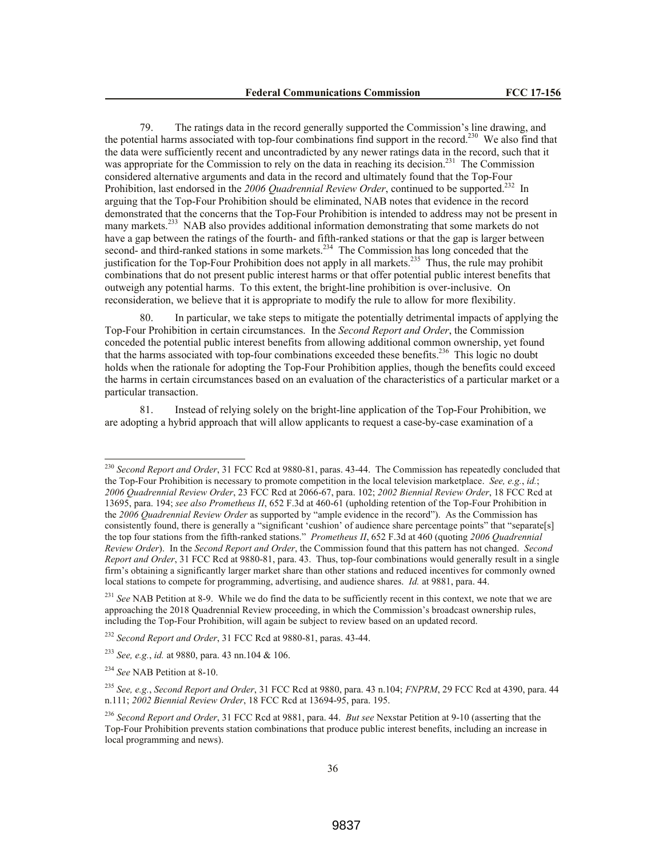79. The ratings data in the record generally supported the Commission's line drawing, and the potential harms associated with top-four combinations find support in the record.<sup>230</sup> We also find that the data were sufficiently recent and uncontradicted by any newer ratings data in the record, such that it was appropriate for the Commission to rely on the data in reaching its decision.<sup>231</sup> The Commission considered alternative arguments and data in the record and ultimately found that the Top-Four Prohibition, last endorsed in the 2006 Quadrennial Review Order, continued to be supported.<sup>232</sup> In arguing that the Top-Four Prohibition should be eliminated, NAB notes that evidence in the record demonstrated that the concerns that the Top-Four Prohibition is intended to address may not be present in many markets.<sup>233</sup> NAB also provides additional information demonstrating that some markets do not have a gap between the ratings of the fourth- and fifth-ranked stations or that the gap is larger between second- and third-ranked stations in some markets.<sup>234</sup> The Commission has long conceded that the justification for the Top-Four Prohibition does not apply in all markets.<sup>235</sup> Thus, the rule may prohibit combinations that do not present public interest harms or that offer potential public interest benefits that outweigh any potential harms. To this extent, the bright-line prohibition is over-inclusive. On reconsideration, we believe that it is appropriate to modify the rule to allow for more flexibility.

In particular, we take steps to mitigate the potentially detrimental impacts of applying the Top-Four Prohibition in certain circumstances. In the *Second Report and Order*, the Commission conceded the potential public interest benefits from allowing additional common ownership, yet found that the harms associated with top-four combinations exceeded these benefits.<sup>236</sup> This logic no doubt holds when the rationale for adopting the Top-Four Prohibition applies, though the benefits could exceed the harms in certain circumstances based on an evaluation of the characteristics of a particular market or a particular transaction.

81. Instead of relying solely on the bright-line application of the Top-Four Prohibition, we are adopting a hybrid approach that will allow applicants to request a case-by-case examination of a

<sup>230</sup> *Second Report and Order*, 31 FCC Rcd at 9880-81, paras. 43-44. The Commission has repeatedly concluded that the Top-Four Prohibition is necessary to promote competition in the local television marketplace. *See, e.g.*, *id.*; *2006 Quadrennial Review Order*, 23 FCC Rcd at 2066-67, para. 102; *2002 Biennial Review Order*, 18 FCC Rcd at 13695, para. 194; *see also Prometheus II*, 652 F.3d at 460-61 (upholding retention of the Top-Four Prohibition in the *2006 Quadrennial Review Order* as supported by "ample evidence in the record"). As the Commission has consistently found, there is generally a "significant 'cushion' of audience share percentage points" that "separate[s] the top four stations from the fifth-ranked stations." *Prometheus II*, 652 F.3d at 460 (quoting *2006 Quadrennial Review Order*). In the *Second Report and Order*, the Commission found that this pattern has not changed. *Second Report and Order*, 31 FCC Rcd at 9880-81, para. 43. Thus, top-four combinations would generally result in a single firm's obtaining a significantly larger market share than other stations and reduced incentives for commonly owned local stations to compete for programming, advertising, and audience shares. *Id.* at 9881, para. 44.

<sup>&</sup>lt;sup>231</sup> *See* NAB Petition at 8-9. While we do find the data to be sufficiently recent in this context, we note that we are approaching the 2018 Quadrennial Review proceeding, in which the Commission's broadcast ownership rules, including the Top-Four Prohibition, will again be subject to review based on an updated record.

<sup>232</sup> *Second Report and Order*, 31 FCC Rcd at 9880-81, paras. 43-44.

<sup>233</sup> *See, e.g.*, *id.* at 9880, para. 43 nn.104 & 106.

<sup>234</sup> *See* NAB Petition at 8-10.

<sup>235</sup> *See, e.g.*, *Second Report and Order*, 31 FCC Rcd at 9880, para. 43 n.104; *FNPRM*, 29 FCC Rcd at 4390, para. 44 n.111; *2002 Biennial Review Order*, 18 FCC Rcd at 13694-95, para. 195.

<sup>236</sup> *Second Report and Order*, 31 FCC Rcd at 9881, para. 44. *But see* Nexstar Petition at 9-10 (asserting that the Top-Four Prohibition prevents station combinations that produce public interest benefits, including an increase in local programming and news).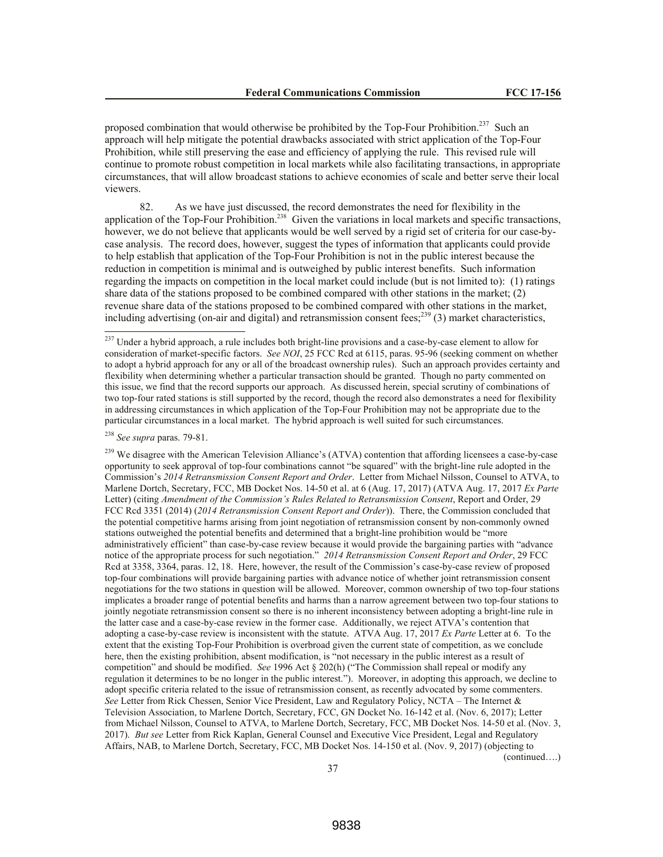proposed combination that would otherwise be prohibited by the Top-Four Prohibition.<sup>237</sup> Such an approach will help mitigate the potential drawbacks associated with strict application of the Top-Four Prohibition, while still preserving the ease and efficiency of applying the rule. This revised rule will continue to promote robust competition in local markets while also facilitating transactions, in appropriate circumstances, that will allow broadcast stations to achieve economies of scale and better serve their local viewers.

82. As we have just discussed, the record demonstrates the need for flexibility in the application of the Top-Four Prohibition.<sup>238</sup> Given the variations in local markets and specific transactions, however, we do not believe that applicants would be well served by a rigid set of criteria for our case-bycase analysis. The record does, however, suggest the types of information that applicants could provide to help establish that application of the Top-Four Prohibition is not in the public interest because the reduction in competition is minimal and is outweighed by public interest benefits. Such information regarding the impacts on competition in the local market could include (but is not limited to): (1) ratings share data of the stations proposed to be combined compared with other stations in the market; (2) revenue share data of the stations proposed to be combined compared with other stations in the market, including advertising (on-air and digital) and retransmission consent fees;<sup>239</sup> (3) market characteristics,

<sup>238</sup> *See supra* paras. 79-81.

 $\overline{a}$ 

<sup>239</sup> We disagree with the American Television Alliance's (ATVA) contention that affording licensees a case-by-case opportunity to seek approval of top-four combinations cannot "be squared" with the bright-line rule adopted in the Commission's *2014 Retransmission Consent Report and Order*. Letter from Michael Nilsson, Counsel to ATVA, to Marlene Dortch, Secretary, FCC, MB Docket Nos. 14-50 et al. at 6 (Aug. 17, 2017) (ATVA Aug. 17, 2017 *Ex Parte*  Letter) (citing *Amendment of the Commission's Rules Related to Retransmission Consent*, Report and Order, 29 FCC Rcd 3351 (2014) (*2014 Retransmission Consent Report and Order*)). There, the Commission concluded that the potential competitive harms arising from joint negotiation of retransmission consent by non-commonly owned stations outweighed the potential benefits and determined that a bright-line prohibition would be "more administratively efficient" than case-by-case review because it would provide the bargaining parties with "advance notice of the appropriate process for such negotiation." *2014 Retransmission Consent Report and Order*, 29 FCC Rcd at 3358, 3364, paras. 12, 18. Here, however, the result of the Commission's case-by-case review of proposed top-four combinations will provide bargaining parties with advance notice of whether joint retransmission consent negotiations for the two stations in question will be allowed. Moreover, common ownership of two top-four stations implicates a broader range of potential benefits and harms than a narrow agreement between two top-four stations to jointly negotiate retransmission consent so there is no inherent inconsistency between adopting a bright-line rule in the latter case and a case-by-case review in the former case. Additionally, we reject ATVA's contention that adopting a case-by-case review is inconsistent with the statute. ATVA Aug. 17, 2017 *Ex Parte* Letter at 6. To the extent that the existing Top-Four Prohibition is overbroad given the current state of competition, as we conclude here, then the existing prohibition, absent modification, is "not necessary in the public interest as a result of competition" and should be modified. *See* 1996 Act § 202(h) ("The Commission shall repeal or modify any regulation it determines to be no longer in the public interest."). Moreover, in adopting this approach, we decline to adopt specific criteria related to the issue of retransmission consent, as recently advocated by some commenters. *See* Letter from Rick Chessen, Senior Vice President, Law and Regulatory Policy, NCTA – The Internet & Television Association, to Marlene Dortch, Secretary, FCC, GN Docket No. 16-142 et al. (Nov. 6, 2017); Letter from Michael Nilsson, Counsel to ATVA, to Marlene Dortch, Secretary, FCC, MB Docket Nos. 14-50 et al. (Nov. 3, 2017). *But see* Letter from Rick Kaplan, General Counsel and Executive Vice President, Legal and Regulatory Affairs, NAB, to Marlene Dortch, Secretary, FCC, MB Docket Nos. 14-150 et al. (Nov. 9, 2017) (objecting to

(continued….)

<sup>&</sup>lt;sup>237</sup> Under a hybrid approach, a rule includes both bright-line provisions and a case-by-case element to allow for consideration of market-specific factors. *See NOI*, 25 FCC Rcd at 6115, paras. 95-96 (seeking comment on whether to adopt a hybrid approach for any or all of the broadcast ownership rules). Such an approach provides certainty and flexibility when determining whether a particular transaction should be granted. Though no party commented on this issue, we find that the record supports our approach. As discussed herein, special scrutiny of combinations of two top-four rated stations is still supported by the record, though the record also demonstrates a need for flexibility in addressing circumstances in which application of the Top-Four Prohibition may not be appropriate due to the particular circumstances in a local market. The hybrid approach is well suited for such circumstances.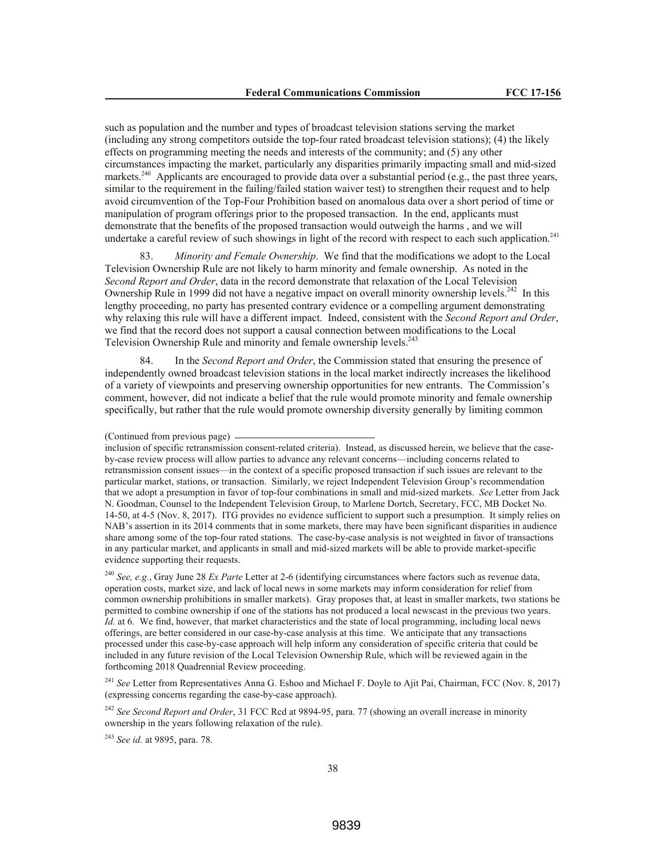such as population and the number and types of broadcast television stations serving the market (including any strong competitors outside the top-four rated broadcast television stations); (4) the likely effects on programming meeting the needs and interests of the community; and (5) any other circumstances impacting the market, particularly any disparities primarily impacting small and mid-sized markets.<sup>240</sup> Applicants are encouraged to provide data over a substantial period (e.g., the past three years, similar to the requirement in the failing/failed station waiver test) to strengthen their request and to help avoid circumvention of the Top-Four Prohibition based on anomalous data over a short period of time or manipulation of program offerings prior to the proposed transaction. In the end, applicants must demonstrate that the benefits of the proposed transaction would outweigh the harms , and we will undertake a careful review of such showings in light of the record with respect to each such application.<sup>241</sup>

83. *Minority and Female Ownership*.We find that the modifications we adopt to the Local Television Ownership Rule are not likely to harm minority and female ownership. As noted in the *Second Report and Order*, data in the record demonstrate that relaxation of the Local Television Ownership Rule in 1999 did not have a negative impact on overall minority ownership levels.<sup>242</sup> In this lengthy proceeding, no party has presented contrary evidence or a compelling argument demonstrating why relaxing this rule will have a different impact. Indeed, consistent with the *Second Report and Order*, we find that the record does not support a causal connection between modifications to the Local Television Ownership Rule and minority and female ownership levels.<sup>243</sup>

84. In the *Second Report and Order*, the Commission stated that ensuring the presence of independently owned broadcast television stations in the local market indirectly increases the likelihood of a variety of viewpoints and preserving ownership opportunities for new entrants. The Commission's comment, however, did not indicate a belief that the rule would promote minority and female ownership specifically, but rather that the rule would promote ownership diversity generally by limiting common

inclusion of specific retransmission consent-related criteria). Instead, as discussed herein, we believe that the caseby-case review process will allow parties to advance any relevant concerns—including concerns related to retransmission consent issues—in the context of a specific proposed transaction if such issues are relevant to the particular market, stations, or transaction. Similarly, we reject Independent Television Group's recommendation that we adopt a presumption in favor of top-four combinations in small and mid-sized markets. *See* Letter from Jack N. Goodman, Counsel to the Independent Television Group, to Marlene Dortch, Secretary, FCC, MB Docket No. 14-50, at 4-5 (Nov. 8, 2017). ITG provides no evidence sufficient to support such a presumption. It simply relies on NAB's assertion in its 2014 comments that in some markets, there may have been significant disparities in audience share among some of the top-four rated stations. The case-by-case analysis is not weighted in favor of transactions in any particular market, and applicants in small and mid-sized markets will be able to provide market-specific evidence supporting their requests.

<sup>240</sup> *See, e.g.*, Gray June 28 *Ex Parte* Letter at 2-6 (identifying circumstances where factors such as revenue data, operation costs, market size, and lack of local news in some markets may inform consideration for relief from common ownership prohibitions in smaller markets). Gray proposes that, at least in smaller markets, two stations be permitted to combine ownership if one of the stations has not produced a local newscast in the previous two years. *Id.* at 6. We find, however, that market characteristics and the state of local programming, including local news offerings, are better considered in our case-by-case analysis at this time. We anticipate that any transactions processed under this case-by-case approach will help inform any consideration of specific criteria that could be included in any future revision of the Local Television Ownership Rule, which will be reviewed again in the forthcoming 2018 Quadrennial Review proceeding.

<sup>241</sup> See Letter from Representatives Anna G. Eshoo and Michael F. Doyle to Ajit Pai, Chairman, FCC (Nov. 8, 2017) (expressing concerns regarding the case-by-case approach).

<sup>242</sup> See Second Report and Order, 31 FCC Rcd at 9894-95, para. 77 (showing an overall increase in minority ownership in the years following relaxation of the rule).

<sup>243</sup> *See id.* at 9895, para. 78.

<sup>(</sup>Continued from previous page)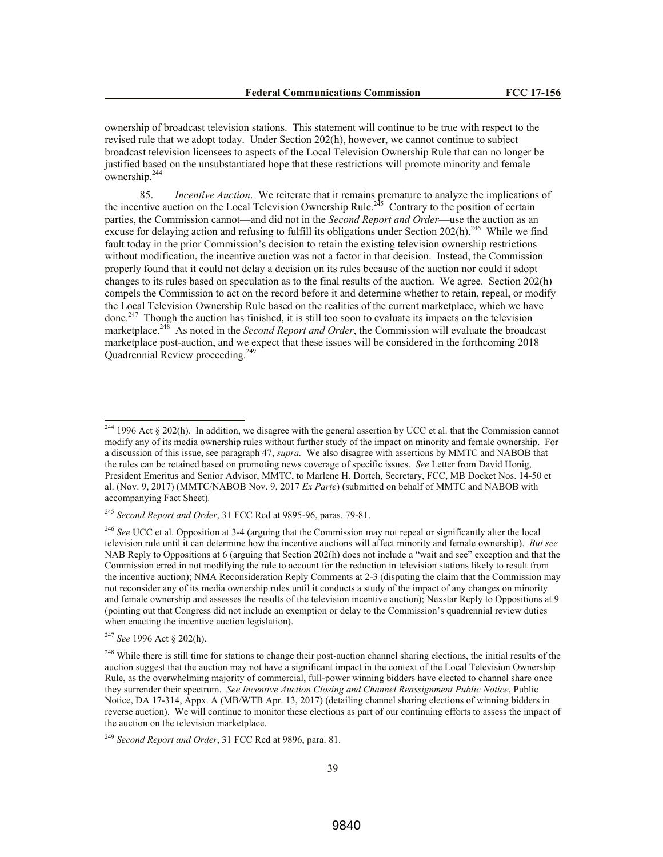ownership of broadcast television stations. This statement will continue to be true with respect to the revised rule that we adopt today. Under Section 202(h), however, we cannot continue to subject broadcast television licensees to aspects of the Local Television Ownership Rule that can no longer be justified based on the unsubstantiated hope that these restrictions will promote minority and female  $\text{ownership.}^{244}$ 

85. *Incentive Auction*. We reiterate that it remains premature to analyze the implications of the incentive auction on the Local Television Ownership Rule.<sup>245</sup> Contrary to the position of certain parties, the Commission cannot—and did not in the *Second Report and Order*—use the auction as an excuse for delaying action and refusing to fulfill its obligations under Section  $202(h)$ .<sup>246</sup> While we find fault today in the prior Commission's decision to retain the existing television ownership restrictions without modification, the incentive auction was not a factor in that decision. Instead, the Commission properly found that it could not delay a decision on its rules because of the auction nor could it adopt changes to its rules based on speculation as to the final results of the auction. We agree. Section 202(h) compels the Commission to act on the record before it and determine whether to retain, repeal, or modify the Local Television Ownership Rule based on the realities of the current marketplace, which we have done.<sup>247</sup> Though the auction has finished, it is still too soon to evaluate its impacts on the television marketplace.<sup>248</sup> As noted in the *Second Report and Order*, the Commission will evaluate the broadcast marketplace post-auction, and we expect that these issues will be considered in the forthcoming 2018 Quadrennial Review proceeding. 249

<sup>&</sup>lt;sup>244</sup> 1996 Act § 202(h). In addition, we disagree with the general assertion by UCC et al. that the Commission cannot modify any of its media ownership rules without further study of the impact on minority and female ownership. For a discussion of this issue, see paragraph 47, *supra.* We also disagree with assertions by MMTC and NABOB that the rules can be retained based on promoting news coverage of specific issues. *See* Letter from David Honig, President Emeritus and Senior Advisor, MMTC, to Marlene H. Dortch, Secretary, FCC, MB Docket Nos. 14-50 et al. (Nov. 9, 2017) (MMTC/NABOB Nov. 9, 2017 *Ex Parte*) (submitted on behalf of MMTC and NABOB with accompanying Fact Sheet)*.*

<sup>245</sup> *Second Report and Order*, 31 FCC Rcd at 9895-96, paras. 79-81.

<sup>246</sup> *See* UCC et al. Opposition at 3-4 (arguing that the Commission may not repeal or significantly alter the local television rule until it can determine how the incentive auctions will affect minority and female ownership). *But see* NAB Reply to Oppositions at 6 (arguing that Section 202(h) does not include a "wait and see" exception and that the Commission erred in not modifying the rule to account for the reduction in television stations likely to result from the incentive auction); NMA Reconsideration Reply Comments at 2-3 (disputing the claim that the Commission may not reconsider any of its media ownership rules until it conducts a study of the impact of any changes on minority and female ownership and assesses the results of the television incentive auction); Nexstar Reply to Oppositions at 9 (pointing out that Congress did not include an exemption or delay to the Commission's quadrennial review duties when enacting the incentive auction legislation).

<sup>247</sup> *See* 1996 Act § 202(h).

<sup>&</sup>lt;sup>248</sup> While there is still time for stations to change their post-auction channel sharing elections, the initial results of the auction suggest that the auction may not have a significant impact in the context of the Local Television Ownership Rule, as the overwhelming majority of commercial, full-power winning bidders have elected to channel share once they surrender their spectrum. *See Incentive Auction Closing and Channel Reassignment Public Notice*, Public Notice, DA 17-314, Appx. A (MB/WTB Apr. 13, 2017) (detailing channel sharing elections of winning bidders in reverse auction). We will continue to monitor these elections as part of our continuing efforts to assess the impact of the auction on the television marketplace.

<sup>249</sup> *Second Report and Order*, 31 FCC Rcd at 9896, para. 81.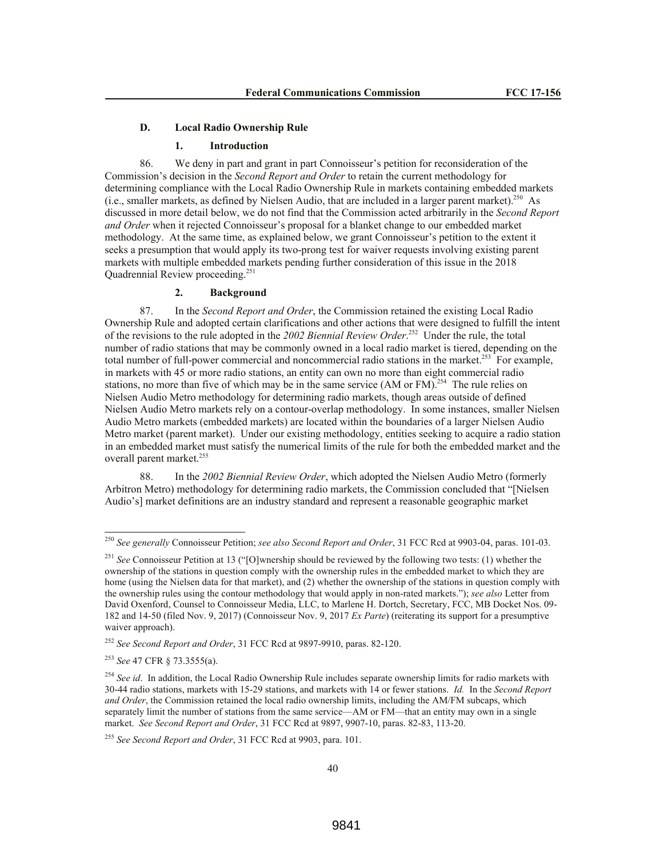#### **D. Local Radio Ownership Rule**

#### **1. Introduction**

86. We deny in part and grant in part Connoisseur's petition for reconsideration of the Commission's decision in the *Second Report and Order* to retain the current methodology for determining compliance with the Local Radio Ownership Rule in markets containing embedded markets (i.e., smaller markets, as defined by Nielsen Audio, that are included in a larger parent market). $^{250}$  As discussed in more detail below, we do not find that the Commission acted arbitrarily in the *Second Report and Order* when it rejected Connoisseur's proposal for a blanket change to our embedded market methodology. At the same time, as explained below, we grant Connoisseur's petition to the extent it seeks a presumption that would apply its two-prong test for waiver requests involving existing parent markets with multiple embedded markets pending further consideration of this issue in the 2018 Quadrennial Review proceeding.<sup>251</sup>

# **2. Background**

87. In the *Second Report and Order*, the Commission retained the existing Local Radio Ownership Rule and adopted certain clarifications and other actions that were designed to fulfill the intent of the revisions to the rule adopted in the *2002 Biennial Review Order*. 252 Under the rule, the total number of radio stations that may be commonly owned in a local radio market is tiered, depending on the total number of full-power commercial and noncommercial radio stations in the market.<sup>253</sup> For example, in markets with 45 or more radio stations, an entity can own no more than eight commercial radio stations, no more than five of which may be in the same service (AM or FM).<sup>254</sup> The rule relies on Nielsen Audio Metro methodology for determining radio markets, though areas outside of defined Nielsen Audio Metro markets rely on a contour-overlap methodology. In some instances, smaller Nielsen Audio Metro markets (embedded markets) are located within the boundaries of a larger Nielsen Audio Metro market (parent market). Under our existing methodology, entities seeking to acquire a radio station in an embedded market must satisfy the numerical limits of the rule for both the embedded market and the overall parent market.<sup>255</sup>

88. In the *2002 Biennial Review Order*, which adopted the Nielsen Audio Metro (formerly Arbitron Metro) methodology for determining radio markets, the Commission concluded that "[Nielsen Audio's] market definitions are an industry standard and represent a reasonable geographic market

<sup>250</sup> *See generally* Connoisseur Petition; *see also Second Report and Order*, 31 FCC Rcd at 9903-04, paras. 101-03.

<sup>251</sup> *See* Connoisseur Petition at 13 ("[O]wnership should be reviewed by the following two tests: (1) whether the ownership of the stations in question comply with the ownership rules in the embedded market to which they are home (using the Nielsen data for that market), and (2) whether the ownership of the stations in question comply with the ownership rules using the contour methodology that would apply in non-rated markets."); *see also* Letter from David Oxenford, Counsel to Connoisseur Media, LLC, to Marlene H. Dortch, Secretary, FCC, MB Docket Nos. 09- 182 and 14-50 (filed Nov. 9, 2017) (Connoisseur Nov. 9, 2017 *Ex Parte*) (reiterating its support for a presumptive waiver approach).

<sup>252</sup> *See Second Report and Order*, 31 FCC Rcd at 9897-9910, paras. 82-120.

<sup>253</sup> *See* 47 CFR § 73.3555(a).

<sup>&</sup>lt;sup>254</sup> See id. In addition, the Local Radio Ownership Rule includes separate ownership limits for radio markets with 30-44 radio stations, markets with 15-29 stations, and markets with 14 or fewer stations. *Id.* In the *Second Report and Order*, the Commission retained the local radio ownership limits, including the AM/FM subcaps, which separately limit the number of stations from the same service—AM or FM—that an entity may own in a single market. *See Second Report and Order*, 31 FCC Rcd at 9897, 9907-10, paras. 82-83, 113-20.

<sup>255</sup> *See Second Report and Order*, 31 FCC Rcd at 9903, para. 101.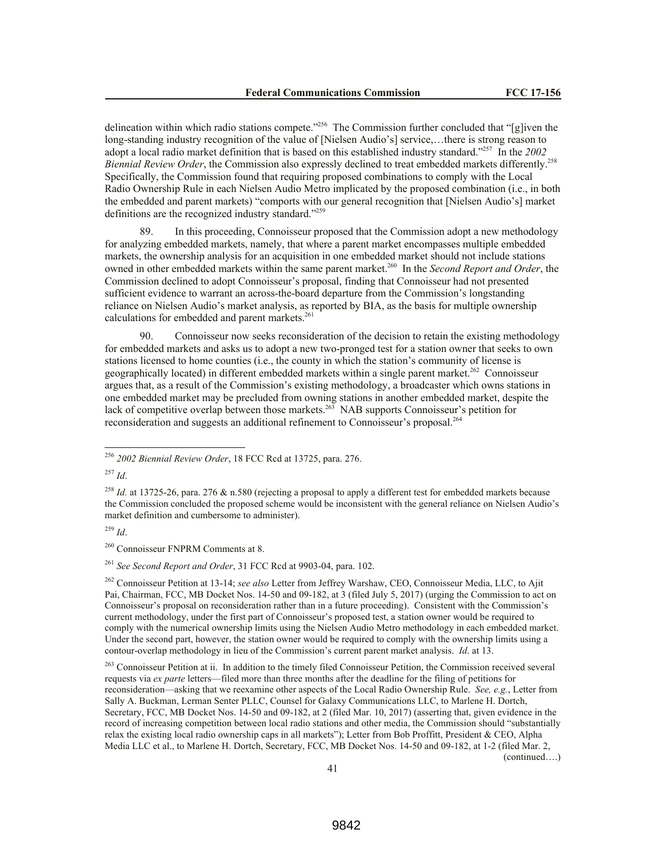delineation within which radio stations compete.<sup>2256</sup> The Commission further concluded that "[g]iven the long-standing industry recognition of the value of [Nielsen Audio's] service,…there is strong reason to adopt a local radio market definition that is based on this established industry standard."<sup>257</sup> In the *2002 Biennial Review Order*, the Commission also expressly declined to treat embedded markets differently.<sup>258</sup> Specifically, the Commission found that requiring proposed combinations to comply with the Local Radio Ownership Rule in each Nielsen Audio Metro implicated by the proposed combination (i.e., in both the embedded and parent markets) "comports with our general recognition that [Nielsen Audio's] market definitions are the recognized industry standard."<sup>259</sup>

89. In this proceeding, Connoisseur proposed that the Commission adopt a new methodology for analyzing embedded markets, namely, that where a parent market encompasses multiple embedded markets, the ownership analysis for an acquisition in one embedded market should not include stations owned in other embedded markets within the same parent market.<sup>260</sup> In the *Second Report and Order*, the Commission declined to adopt Connoisseur's proposal, finding that Connoisseur had not presented sufficient evidence to warrant an across-the-board departure from the Commission's longstanding reliance on Nielsen Audio's market analysis, as reported by BIA, as the basis for multiple ownership calculations for embedded and parent markets.<sup>261</sup>

90. Connoisseur now seeks reconsideration of the decision to retain the existing methodology for embedded markets and asks us to adopt a new two-pronged test for a station owner that seeks to own stations licensed to home counties (i.e., the county in which the station's community of license is geographically located) in different embedded markets within a single parent market.<sup>262</sup> Connoisseur argues that, as a result of the Commission's existing methodology, a broadcaster which owns stations in one embedded market may be precluded from owning stations in another embedded market, despite the lack of competitive overlap between those markets.<sup>263</sup> NAB supports Connoisseur's petition for reconsideration and suggests an additional refinement to Connoisseur's proposal.<sup>264</sup>

<sup>257</sup> *Id*.

 $\overline{a}$ 

<sup>258</sup> *Id.* at 13725-26, para. 276 & n.580 (rejecting a proposal to apply a different test for embedded markets because the Commission concluded the proposed scheme would be inconsistent with the general reliance on Nielsen Audio's market definition and cumbersome to administer).

<sup>259</sup> *Id*.

<sup>260</sup> Connoisseur FNPRM Comments at 8.

<sup>261</sup> *See Second Report and Order*, 31 FCC Rcd at 9903-04, para. 102.

<sup>262</sup> Connoisseur Petition at 13-14; *see also* Letter from Jeffrey Warshaw, CEO, Connoisseur Media, LLC, to Ajit Pai, Chairman, FCC, MB Docket Nos. 14-50 and 09-182, at 3 (filed July 5, 2017) (urging the Commission to act on Connoisseur's proposal on reconsideration rather than in a future proceeding). Consistent with the Commission's current methodology, under the first part of Connoisseur's proposed test, a station owner would be required to comply with the numerical ownership limits using the Nielsen Audio Metro methodology in each embedded market. Under the second part, however, the station owner would be required to comply with the ownership limits using a contour-overlap methodology in lieu of the Commission's current parent market analysis. *Id*. at 13.

(continued….)

<sup>256</sup> *2002 Biennial Review Order*, 18 FCC Rcd at 13725, para. 276.

<sup>&</sup>lt;sup>263</sup> Connoisseur Petition at ii. In addition to the timely filed Connoisseur Petition, the Commission received several requests via *ex parte* letters—filed more than three months after the deadline for the filing of petitions for reconsideration—asking that we reexamine other aspects of the Local Radio Ownership Rule. *See, e.g.*, Letter from Sally A. Buckman, Lerman Senter PLLC, Counsel for Galaxy Communications LLC, to Marlene H. Dortch, Secretary, FCC, MB Docket Nos. 14-50 and 09-182, at 2 (filed Mar. 10, 2017) (asserting that, given evidence in the record of increasing competition between local radio stations and other media, the Commission should "substantially relax the existing local radio ownership caps in all markets"); Letter from Bob Proffitt, President & CEO, Alpha Media LLC et al., to Marlene H. Dortch, Secretary, FCC, MB Docket Nos. 14-50 and 09-182, at 1-2 (filed Mar. 2,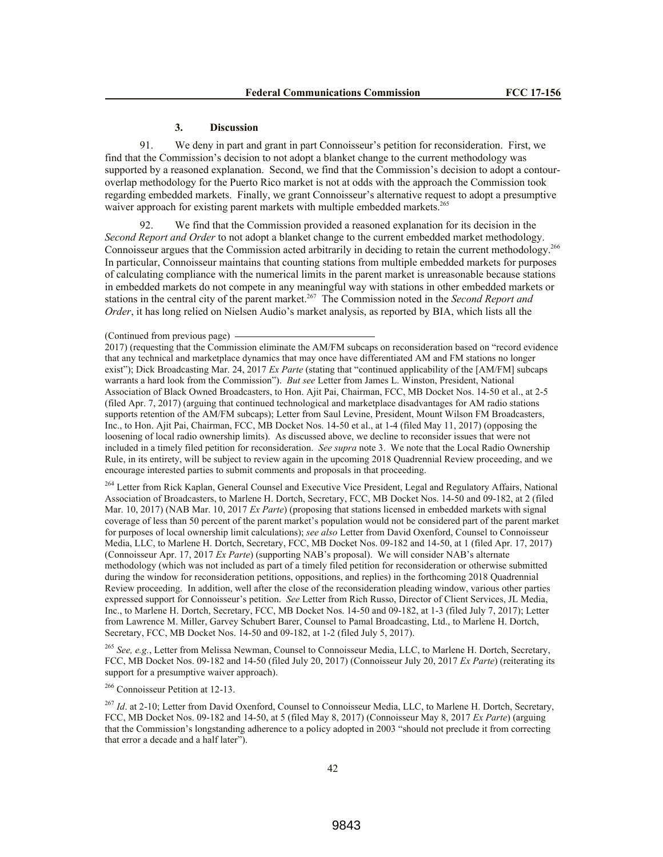## **3. Discussion**

91. We deny in part and grant in part Connoisseur's petition for reconsideration. First, we find that the Commission's decision to not adopt a blanket change to the current methodology was supported by a reasoned explanation. Second, we find that the Commission's decision to adopt a contouroverlap methodology for the Puerto Rico market is not at odds with the approach the Commission took regarding embedded markets. Finally, we grant Connoisseur's alternative request to adopt a presumptive waiver approach for existing parent markets with multiple embedded markets.<sup>265</sup>

92. We find that the Commission provided a reasoned explanation for its decision in the *Second Report and Order* to not adopt a blanket change to the current embedded market methodology. Connoisseur argues that the Commission acted arbitrarily in deciding to retain the current methodology.<sup>266</sup> In particular, Connoisseur maintains that counting stations from multiple embedded markets for purposes of calculating compliance with the numerical limits in the parent market is unreasonable because stations in embedded markets do not compete in any meaningful way with stations in other embedded markets or stations in the central city of the parent market.<sup>267</sup> The Commission noted in the *Second Report and Order*, it has long relied on Nielsen Audio's market analysis, as reported by BIA, which lists all the

<sup>264</sup> Letter from Rick Kaplan, General Counsel and Executive Vice President, Legal and Regulatory Affairs, National Association of Broadcasters, to Marlene H. Dortch, Secretary, FCC, MB Docket Nos. 14-50 and 09-182, at 2 (filed Mar. 10, 2017) (NAB Mar. 10, 2017 *Ex Parte*) (proposing that stations licensed in embedded markets with signal coverage of less than 50 percent of the parent market's population would not be considered part of the parent market for purposes of local ownership limit calculations); *see also* Letter from David Oxenford, Counsel to Connoisseur Media, LLC, to Marlene H. Dortch, Secretary, FCC, MB Docket Nos. 09-182 and 14-50, at 1 (filed Apr. 17, 2017) (Connoisseur Apr. 17, 2017 *Ex Parte*) (supporting NAB's proposal). We will consider NAB's alternate methodology (which was not included as part of a timely filed petition for reconsideration or otherwise submitted during the window for reconsideration petitions, oppositions, and replies) in the forthcoming 2018 Quadrennial Review proceeding. In addition, well after the close of the reconsideration pleading window, various other parties expressed support for Connoisseur's petition. *See* Letter from Rich Russo, Director of Client Services, JL Media, Inc., to Marlene H. Dortch, Secretary, FCC, MB Docket Nos. 14-50 and 09-182, at 1-3 (filed July 7, 2017); Letter from Lawrence M. Miller, Garvey Schubert Barer, Counsel to Pamal Broadcasting, Ltd., to Marlene H. Dortch, Secretary, FCC, MB Docket Nos. 14-50 and 09-182, at 1-2 (filed July 5, 2017).

<sup>265</sup> *See, e.g.*, Letter from Melissa Newman, Counsel to Connoisseur Media, LLC, to Marlene H. Dortch, Secretary, FCC, MB Docket Nos. 09-182 and 14-50 (filed July 20, 2017) (Connoisseur July 20, 2017 *Ex Parte*) (reiterating its support for a presumptive waiver approach).

<sup>266</sup> Connoisseur Petition at 12-13.

<sup>267</sup> *Id.* at 2-10; Letter from David Oxenford, Counsel to Connoisseur Media, LLC, to Marlene H. Dortch, Secretary, FCC, MB Docket Nos. 09-182 and 14-50, at 5 (filed May 8, 2017) (Connoisseur May 8, 2017 *Ex Parte*) (arguing that the Commission's longstanding adherence to a policy adopted in 2003 "should not preclude it from correcting that error a decade and a half later").

<sup>(</sup>Continued from previous page)

<sup>2017) (</sup>requesting that the Commission eliminate the AM/FM subcaps on reconsideration based on "record evidence that any technical and marketplace dynamics that may once have differentiated AM and FM stations no longer exist"); Dick Broadcasting Mar. 24, 2017 *Ex Parte* (stating that "continued applicability of the [AM/FM] subcaps warrants a hard look from the Commission"). *But see* Letter from James L. Winston, President, National Association of Black Owned Broadcasters, to Hon. Ajit Pai, Chairman, FCC, MB Docket Nos. 14-50 et al., at 2-5 (filed Apr. 7, 2017) (arguing that continued technological and marketplace disadvantages for AM radio stations supports retention of the AM/FM subcaps); Letter from Saul Levine, President, Mount Wilson FM Broadcasters, Inc., to Hon. Ajit Pai, Chairman, FCC, MB Docket Nos. 14-50 et al., at 1-4 (filed May 11, 2017) (opposing the loosening of local radio ownership limits). As discussed above, we decline to reconsider issues that were not included in a timely filed petition for reconsideration. *See supra* note 3. We note that the Local Radio Ownership Rule, in its entirety, will be subject to review again in the upcoming 2018 Quadrennial Review proceeding, and we encourage interested parties to submit comments and proposals in that proceeding.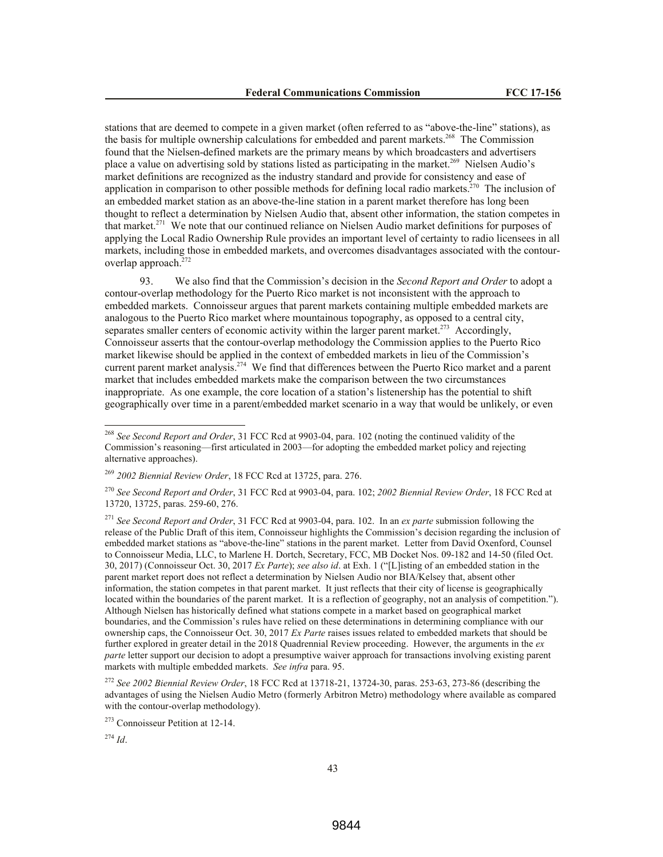stations that are deemed to compete in a given market (often referred to as "above-the-line" stations), as the basis for multiple ownership calculations for embedded and parent markets.<sup>268</sup> The Commission found that the Nielsen-defined markets are the primary means by which broadcasters and advertisers place a value on advertising sold by stations listed as participating in the market.<sup>269</sup> Nielsen Audio's market definitions are recognized as the industry standard and provide for consistency and ease of application in comparison to other possible methods for defining local radio markets.<sup>270</sup> The inclusion of an embedded market station as an above-the-line station in a parent market therefore has long been thought to reflect a determination by Nielsen Audio that, absent other information, the station competes in that market.<sup>271</sup> We note that our continued reliance on Nielsen Audio market definitions for purposes of applying the Local Radio Ownership Rule provides an important level of certainty to radio licensees in all markets, including those in embedded markets, and overcomes disadvantages associated with the contouroverlap approach.<sup>272</sup>

93. We also find that the Commission's decision in the *Second Report and Order* to adopt a contour-overlap methodology for the Puerto Rico market is not inconsistent with the approach to embedded markets. Connoisseur argues that parent markets containing multiple embedded markets are analogous to the Puerto Rico market where mountainous topography, as opposed to a central city, separates smaller centers of economic activity within the larger parent market.<sup>273</sup> Accordingly, Connoisseur asserts that the contour-overlap methodology the Commission applies to the Puerto Rico market likewise should be applied in the context of embedded markets in lieu of the Commission's current parent market analysis.<sup>274</sup> We find that differences between the Puerto Rico market and a parent market that includes embedded markets make the comparison between the two circumstances inappropriate. As one example, the core location of a station's listenership has the potential to shift geographically over time in a parent/embedded market scenario in a way that would be unlikely, or even

<sup>274</sup> *Id*.

<sup>268</sup> *See Second Report and Order*, 31 FCC Rcd at 9903-04, para. 102 (noting the continued validity of the Commission's reasoning—first articulated in 2003—for adopting the embedded market policy and rejecting alternative approaches).

<sup>269</sup> *2002 Biennial Review Order*, 18 FCC Rcd at 13725, para. 276.

<sup>270</sup> *See Second Report and Order*, 31 FCC Rcd at 9903-04, para. 102; *2002 Biennial Review Order*, 18 FCC Rcd at 13720, 13725, paras. 259-60, 276.

<sup>271</sup> *See Second Report and Order*, 31 FCC Rcd at 9903-04, para. 102. In an *ex parte* submission following the release of the Public Draft of this item, Connoisseur highlights the Commission's decision regarding the inclusion of embedded market stations as "above-the-line" stations in the parent market. Letter from David Oxenford, Counsel to Connoisseur Media, LLC, to Marlene H. Dortch, Secretary, FCC, MB Docket Nos. 09-182 and 14-50 (filed Oct. 30, 2017) (Connoisseur Oct. 30, 2017 *Ex Parte*); *see also id*. at Exh. 1 ("[L]isting of an embedded station in the parent market report does not reflect a determination by Nielsen Audio nor BIA/Kelsey that, absent other information, the station competes in that parent market. It just reflects that their city of license is geographically located within the boundaries of the parent market. It is a reflection of geography, not an analysis of competition."). Although Nielsen has historically defined what stations compete in a market based on geographical market boundaries, and the Commission's rules have relied on these determinations in determining compliance with our ownership caps, the Connoisseur Oct. 30, 2017 *Ex Parte* raises issues related to embedded markets that should be further explored in greater detail in the 2018 Quadrennial Review proceeding. However, the arguments in the *ex parte* letter support our decision to adopt a presumptive waiver approach for transactions involving existing parent markets with multiple embedded markets. *See infra* para. 95.

<sup>272</sup> *See 2002 Biennial Review Order*, 18 FCC Rcd at 13718-21, 13724-30, paras. 253-63, 273-86 (describing the advantages of using the Nielsen Audio Metro (formerly Arbitron Metro) methodology where available as compared with the contour-overlap methodology).

<sup>273</sup> Connoisseur Petition at 12-14.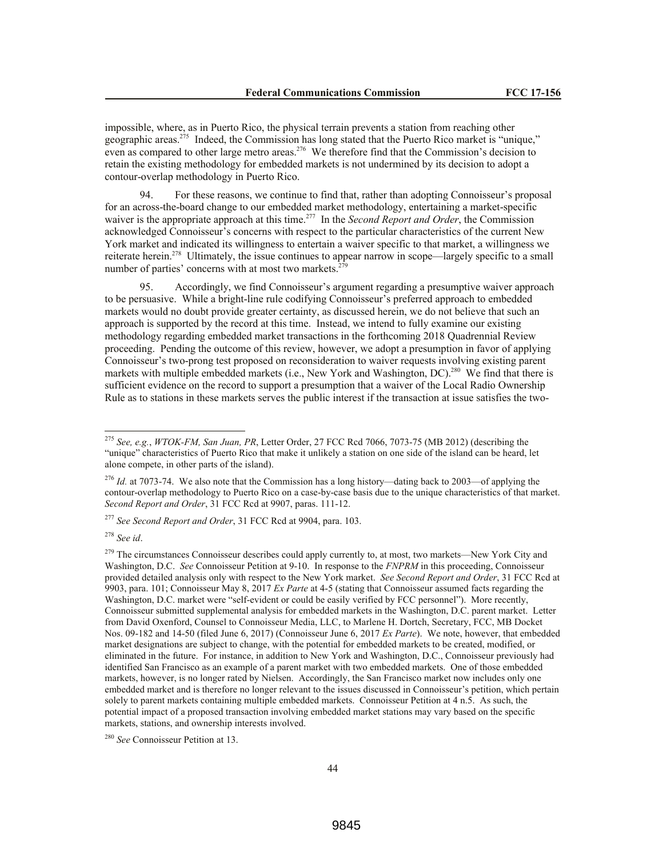impossible, where, as in Puerto Rico, the physical terrain prevents a station from reaching other geographic areas.<sup>275</sup> Indeed, the Commission has long stated that the Puerto Rico market is "unique," even as compared to other large metro areas.<sup>276</sup> We therefore find that the Commission's decision to retain the existing methodology for embedded markets is not undermined by its decision to adopt a contour-overlap methodology in Puerto Rico.

94. For these reasons, we continue to find that, rather than adopting Connoisseur's proposal for an across-the-board change to our embedded market methodology, entertaining a market-specific waiver is the appropriate approach at this time.<sup>277</sup> In the *Second Report and Order*, the Commission acknowledged Connoisseur's concerns with respect to the particular characteristics of the current New York market and indicated its willingness to entertain a waiver specific to that market, a willingness we reiterate herein.<sup>278</sup> Ultimately, the issue continues to appear narrow in scope—largely specific to a small number of parties' concerns with at most two markets.<sup>279</sup>

95. Accordingly, we find Connoisseur's argument regarding a presumptive waiver approach to be persuasive. While a bright-line rule codifying Connoisseur's preferred approach to embedded markets would no doubt provide greater certainty, as discussed herein, we do not believe that such an approach is supported by the record at this time. Instead, we intend to fully examine our existing methodology regarding embedded market transactions in the forthcoming 2018 Quadrennial Review proceeding. Pending the outcome of this review, however, we adopt a presumption in favor of applying Connoisseur's two-prong test proposed on reconsideration to waiver requests involving existing parent markets with multiple embedded markets (i.e., New York and Washington, DC).<sup>280</sup> We find that there is sufficient evidence on the record to support a presumption that a waiver of the Local Radio Ownership Rule as to stations in these markets serves the public interest if the transaction at issue satisfies the two-

<sup>278</sup> *See id*.

 $\overline{a}$ 

<sup>279</sup> The circumstances Connoisseur describes could apply currently to, at most, two markets—New York City and Washington, D.C. *See* Connoisseur Petition at 9-10. In response to the *FNPRM* in this proceeding, Connoisseur provided detailed analysis only with respect to the New York market. *See Second Report and Order*, 31 FCC Rcd at 9903, para. 101; Connoisseur May 8, 2017 *Ex Parte* at 4-5 (stating that Connoisseur assumed facts regarding the Washington, D.C. market were "self-evident or could be easily verified by FCC personnel"). More recently, Connoisseur submitted supplemental analysis for embedded markets in the Washington, D.C. parent market. Letter from David Oxenford, Counsel to Connoisseur Media, LLC, to Marlene H. Dortch, Secretary, FCC, MB Docket Nos. 09-182 and 14-50 (filed June 6, 2017) (Connoisseur June 6, 2017 *Ex Parte*). We note, however, that embedded market designations are subject to change, with the potential for embedded markets to be created, modified, or eliminated in the future. For instance, in addition to New York and Washington, D.C., Connoisseur previously had identified San Francisco as an example of a parent market with two embedded markets. One of those embedded markets, however, is no longer rated by Nielsen. Accordingly, the San Francisco market now includes only one embedded market and is therefore no longer relevant to the issues discussed in Connoisseur's petition, which pertain solely to parent markets containing multiple embedded markets. Connoisseur Petition at 4 n.5. As such, the potential impact of a proposed transaction involving embedded market stations may vary based on the specific markets, stations, and ownership interests involved.

<sup>280</sup> *See* Connoisseur Petition at 13.

<sup>275</sup> *See, e.g.*, *WTOK-FM, San Juan, PR*, Letter Order, 27 FCC Rcd 7066, 7073-75 (MB 2012) (describing the "unique" characteristics of Puerto Rico that make it unlikely a station on one side of the island can be heard, let alone compete, in other parts of the island).

<sup>&</sup>lt;sup>276</sup> *Id.* at 7073-74. We also note that the Commission has a long history—dating back to 2003—of applying the contour-overlap methodology to Puerto Rico on a case-by-case basis due to the unique characteristics of that market. *Second Report and Order*, 31 FCC Rcd at 9907, paras. 111-12.

<sup>277</sup> *See Second Report and Order*, 31 FCC Rcd at 9904, para. 103.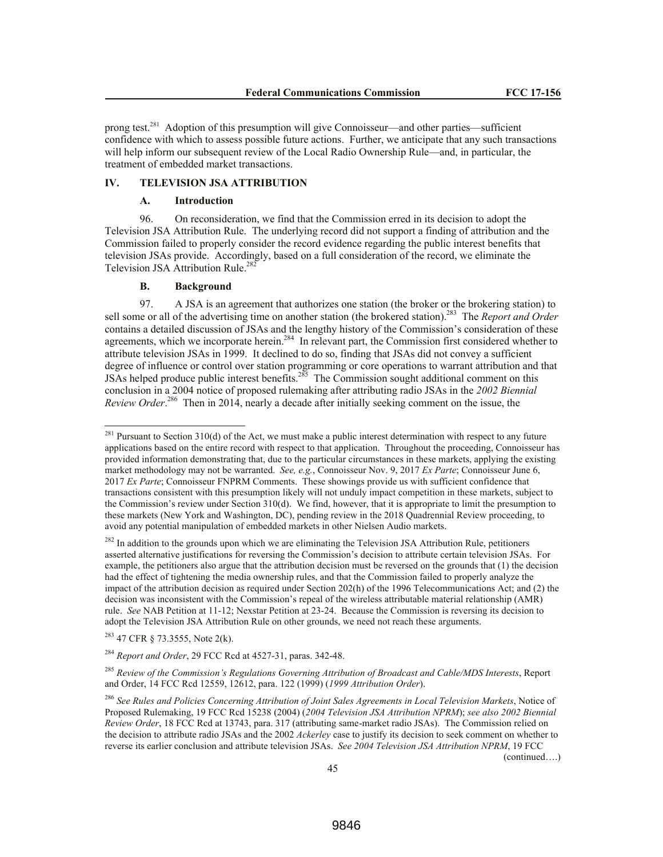prong test.<sup>281</sup> Adoption of this presumption will give Connoisseur—and other parties—sufficient confidence with which to assess possible future actions. Further, we anticipate that any such transactions will help inform our subsequent review of the Local Radio Ownership Rule—and, in particular, the treatment of embedded market transactions.

### **IV. TELEVISION JSA ATTRIBUTION**

## **A. Introduction**

96. On reconsideration, we find that the Commission erred in its decision to adopt the Television JSA Attribution Rule. The underlying record did not support a finding of attribution and the Commission failed to properly consider the record evidence regarding the public interest benefits that television JSAs provide. Accordingly, based on a full consideration of the record, we eliminate the Television JSA Attribution Rule.<sup>282</sup>

## **B. Background**

97. A JSA is an agreement that authorizes one station (the broker or the brokering station) to sell some or all of the advertising time on another station (the brokered station).<sup>283</sup> The *Report and Order* contains a detailed discussion of JSAs and the lengthy history of the Commission's consideration of these agreements, which we incorporate herein.<sup>284</sup> In relevant part, the Commission first considered whether to attribute television JSAs in 1999. It declined to do so, finding that JSAs did not convey a sufficient degree of influence or control over station programming or core operations to warrant attribution and that JSAs helped produce public interest benefits.<sup>285</sup> The Commission sought additional comment on this conclusion in a 2004 notice of proposed rulemaking after attributing radio JSAs in the *2002 Biennial*  Review Order.<sup>286</sup> Then in 2014, nearly a decade after initially seeking comment on the issue, the

<sup>283</sup> 47 CFR § 73.3555, Note 2(k).

l

<sup>284</sup> *Report and Order*, 29 FCC Rcd at 4527-31, paras. 342-48.

<sup>285</sup> *Review of the Commission's Regulations Governing Attribution of Broadcast and Cable/MDS Interests*, Report and Order, 14 FCC Rcd 12559, 12612, para. 122 (1999) (*1999 Attribution Order*).

(continued….)

 $^{281}$  Pursuant to Section 310(d) of the Act, we must make a public interest determination with respect to any future applications based on the entire record with respect to that application. Throughout the proceeding, Connoisseur has provided information demonstrating that, due to the particular circumstances in these markets, applying the existing market methodology may not be warranted. *See, e.g.*, Connoisseur Nov. 9, 2017 *Ex Parte*; Connoisseur June 6, 2017 *Ex Parte*; Connoisseur FNPRM Comments. These showings provide us with sufficient confidence that transactions consistent with this presumption likely will not unduly impact competition in these markets, subject to the Commission's review under Section 310(d). We find, however, that it is appropriate to limit the presumption to these markets (New York and Washington, DC), pending review in the 2018 Quadrennial Review proceeding, to avoid any potential manipulation of embedded markets in other Nielsen Audio markets.

 $282$  In addition to the grounds upon which we are eliminating the Television JSA Attribution Rule, petitioners asserted alternative justifications for reversing the Commission's decision to attribute certain television JSAs. For example, the petitioners also argue that the attribution decision must be reversed on the grounds that (1) the decision had the effect of tightening the media ownership rules, and that the Commission failed to properly analyze the impact of the attribution decision as required under Section 202(h) of the 1996 Telecommunications Act; and (2) the decision was inconsistent with the Commission's repeal of the wireless attributable material relationship (AMR) rule. *See* NAB Petition at 11-12; Nexstar Petition at 23-24. Because the Commission is reversing its decision to adopt the Television JSA Attribution Rule on other grounds, we need not reach these arguments.

<sup>286</sup> *See Rules and Policies Concerning Attribution of Joint Sales Agreements in Local Television Markets*, Notice of Proposed Rulemaking, 19 FCC Rcd 15238 (2004) (*2004 Television JSA Attribution NPRM*); *see also 2002 Biennial Review Order*, 18 FCC Rcd at 13743, para. 317 (attributing same-market radio JSAs). The Commission relied on the decision to attribute radio JSAs and the 2002 *Ackerley* case to justify its decision to seek comment on whether to reverse its earlier conclusion and attribute television JSAs. *See 2004 Television JSA Attribution NPRM*, 19 FCC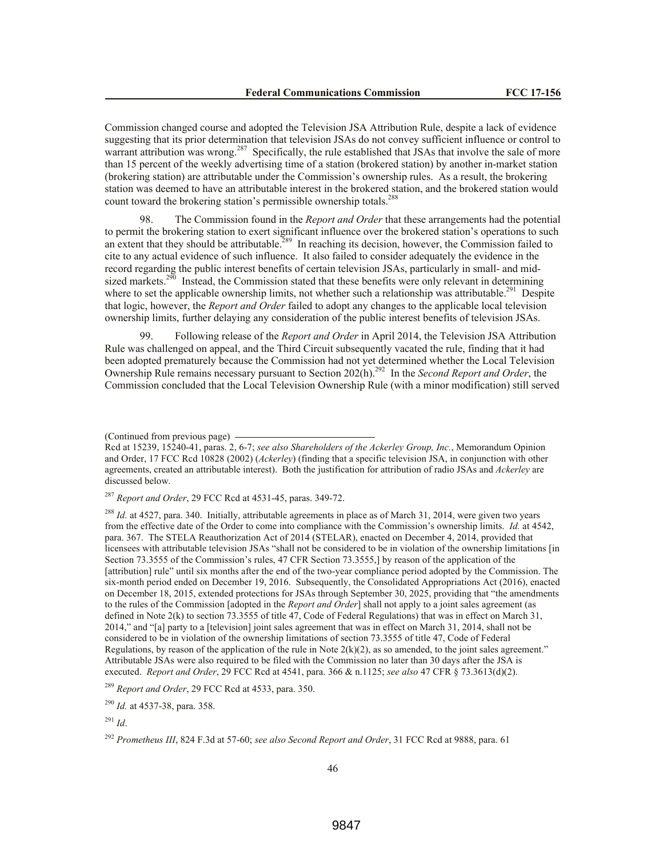Commission changed course and adopted the Television JSA Attribution Rule, despite a lack of evidence suggesting that its prior determination that television JSAs do not convey sufficient influence or control to warrant attribution was wrong.<sup>287</sup> Specifically, the rule established that JSAs that involve the sale of more than 15 percent of the weekly advertising time of a station (brokered station) by another in-market station (brokering station) are attributable under the Commission's ownership rules. As a result, the brokering station was deemed to have an attributable interest in the brokered station, and the brokered station would count toward the brokering station's permissible ownership totals.<sup>288</sup>

98. The Commission found in the *Report and Order* that these arrangements had the potential to permit the brokering station to exert significant influence over the brokered station's operations to such an extent that they should be attributable.<sup>289</sup> In reaching its decision, however, the Commission failed to cite to any actual evidence of such influence. It also failed to consider adequately the evidence in the record regarding the public interest benefits of certain television JSAs, particularly in small- and midsized markets.<sup>290</sup> Instead, the Commission stated that these benefits were only relevant in determining where to set the applicable ownership limits, not whether such a relationship was attributable.<sup>291</sup> Despite that logic, however, the *Report and Order* failed to adopt any changes to the applicable local television ownership limits, further delaying any consideration of the public interest benefits of television JSAs.

99. Following release of the *Report and Order* in April 2014, the Television JSA Attribution Rule was challenged on appeal, and the Third Circuit subsequently vacated the rule, finding that it had been adopted prematurely because the Commission had not yet determined whether the Local Television Ownership Rule remains necessary pursuant to Section 202(h).<sup>292</sup> In the *Second Report and Order*, the Commission concluded that the Local Television Ownership Rule (with a minor modification) still served

<sup>287</sup> *Report and Order*, 29 FCC Rcd at 4531-45, paras. 349-72.

<sup>288</sup> *Id.* at 4527, para. 340. Initially, attributable agreements in place as of March 31, 2014, were given two years from the effective date of the Order to come into compliance with the Commission's ownership limits. *Id.* at 4542, para. 367. The STELA Reauthorization Act of 2014 (STELAR), enacted on December 4, 2014, provided that licensees with attributable television JSAs "shall not be considered to be in violation of the ownership limitations [in Section 73.3555 of the Commission's rules, 47 CFR Section 73.3555,] by reason of the application of the [attribution] rule" until six months after the end of the two-year compliance period adopted by the Commission. The six-month period ended on December 19, 2016. Subsequently, the Consolidated Appropriations Act (2016), enacted on December 18, 2015, extended protections for JSAs through September 30, 2025, providing that "the amendments to the rules of the Commission [adopted in the *Report and Order*] shall not apply to a joint sales agreement (as defined in Note 2(k) to section 73.3555 of title 47, Code of Federal Regulations) that was in effect on March 31, 2014," and "[a] party to a [television] joint sales agreement that was in effect on March 31, 2014, shall not be considered to be in violation of the ownership limitations of section 73.3555 of title 47, Code of Federal Regulations, by reason of the application of the rule in Note  $2(k)(2)$ , as so amended, to the joint sales agreement." Attributable JSAs were also required to be filed with the Commission no later than 30 days after the JSA is executed. *Report and Order*, 29 FCC Rcd at 4541, para. 366 & n.1125; *see also* 47 CFR § 73.3613(d)(2).

<sup>(</sup>Continued from previous page)

Rcd at 15239, 15240-41, paras. 2, 6-7; *see also Shareholders of the Ackerley Group, Inc.*, Memorandum Opinion and Order, 17 FCC Rcd 10828 (2002) (*Ackerley*) (finding that a specific television JSA, in conjunction with other agreements, created an attributable interest). Both the justification for attribution of radio JSAs and *Ackerley* are discussed below.

<sup>289</sup> *Report and Order*, 29 FCC Rcd at 4533, para. 350.

<sup>290</sup> *Id.* at 4537-38, para. 358.

<sup>291</sup> *Id*.

<sup>292</sup> *Prometheus III*, 824 F.3d at 57-60; *see also Second Report and Order*, 31 FCC Rcd at 9888, para. 61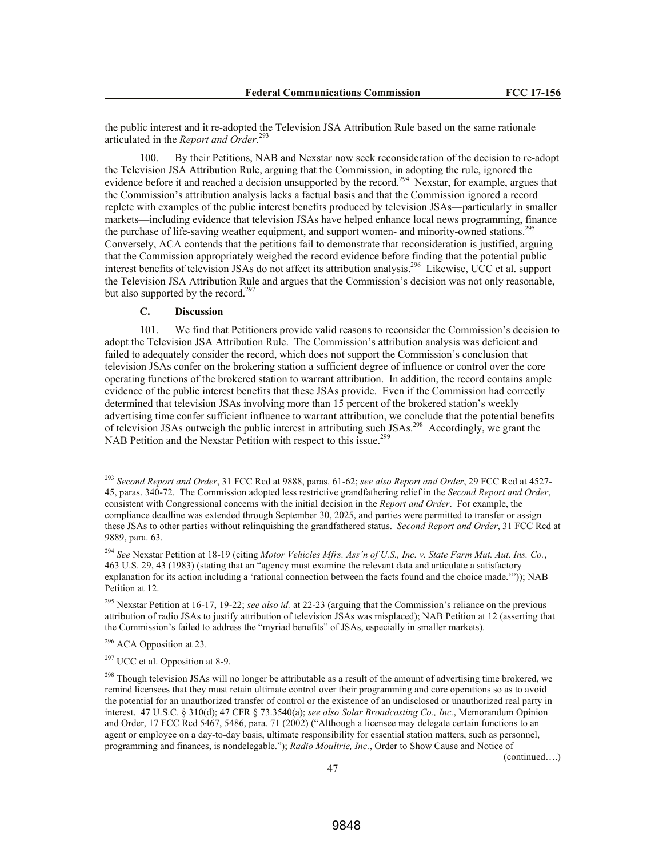the public interest and it re-adopted the Television JSA Attribution Rule based on the same rationale articulated in the *Report and Order*. 293

100. By their Petitions, NAB and Nexstar now seek reconsideration of the decision to re-adopt the Television JSA Attribution Rule, arguing that the Commission, in adopting the rule, ignored the evidence before it and reached a decision unsupported by the record.<sup>294</sup> Nexstar, for example, argues that the Commission's attribution analysis lacks a factual basis and that the Commission ignored a record replete with examples of the public interest benefits produced by television JSAs—particularly in smaller markets—including evidence that television JSAs have helped enhance local news programming, finance the purchase of life-saving weather equipment, and support women- and minority-owned stations.<sup>295</sup> Conversely, ACA contends that the petitions fail to demonstrate that reconsideration is justified, arguing that the Commission appropriately weighed the record evidence before finding that the potential public interest benefits of television JSAs do not affect its attribution analysis.<sup>296</sup> Likewise, UCC et al. support the Television JSA Attribution Rule and argues that the Commission's decision was not only reasonable, but also supported by the record. $297$ 

# **C. Discussion**

101. We find that Petitioners provide valid reasons to reconsider the Commission's decision to adopt the Television JSA Attribution Rule. The Commission's attribution analysis was deficient and failed to adequately consider the record, which does not support the Commission's conclusion that television JSAs confer on the brokering station a sufficient degree of influence or control over the core operating functions of the brokered station to warrant attribution. In addition, the record contains ample evidence of the public interest benefits that these JSAs provide. Even if the Commission had correctly determined that television JSAs involving more than 15 percent of the brokered station's weekly advertising time confer sufficient influence to warrant attribution, we conclude that the potential benefits of television JSAs outweigh the public interest in attributing such JSAs.<sup>298</sup> Accordingly, we grant the NAB Petition and the Nexstar Petition with respect to this issue.<sup>299</sup>

l

(continued….)

<sup>293</sup> *Second Report and Order*, 31 FCC Rcd at 9888, paras. 61-62; *see also Report and Order*, 29 FCC Rcd at 4527- 45, paras. 340-72. The Commission adopted less restrictive grandfathering relief in the *Second Report and Order*, consistent with Congressional concerns with the initial decision in the *Report and Order*. For example, the compliance deadline was extended through September 30, 2025, and parties were permitted to transfer or assign these JSAs to other parties without relinquishing the grandfathered status. *Second Report and Order*, 31 FCC Rcd at 9889, para. 63.

<sup>294</sup> *See* Nexstar Petition at 18-19 (citing *Motor Vehicles Mfrs. Ass'n of U.S., Inc. v. State Farm Mut. Aut. Ins. Co.*, 463 U.S. 29, 43 (1983) (stating that an "agency must examine the relevant data and articulate a satisfactory explanation for its action including a 'rational connection between the facts found and the choice made.'")); NAB Petition at 12.

<sup>295</sup> Nexstar Petition at 16-17, 19-22; *see also id.* at 22-23 (arguing that the Commission's reliance on the previous attribution of radio JSAs to justify attribution of television JSAs was misplaced); NAB Petition at 12 (asserting that the Commission's failed to address the "myriad benefits" of JSAs, especially in smaller markets).

 $296$  ACA Opposition at 23.

 $297$  UCC et al. Opposition at 8-9.

<sup>&</sup>lt;sup>298</sup> Though television JSAs will no longer be attributable as a result of the amount of advertising time brokered, we remind licensees that they must retain ultimate control over their programming and core operations so as to avoid the potential for an unauthorized transfer of control or the existence of an undisclosed or unauthorized real party in interest. 47 U.S.C. § 310(d); 47 CFR § 73.3540(a); *see also Solar Broadcasting Co., Inc.*, Memorandum Opinion and Order, 17 FCC Rcd 5467, 5486, para. 71 (2002) ("Although a licensee may delegate certain functions to an agent or employee on a day-to-day basis, ultimate responsibility for essential station matters, such as personnel, programming and finances, is nondelegable."); *Radio Moultrie, Inc.*, Order to Show Cause and Notice of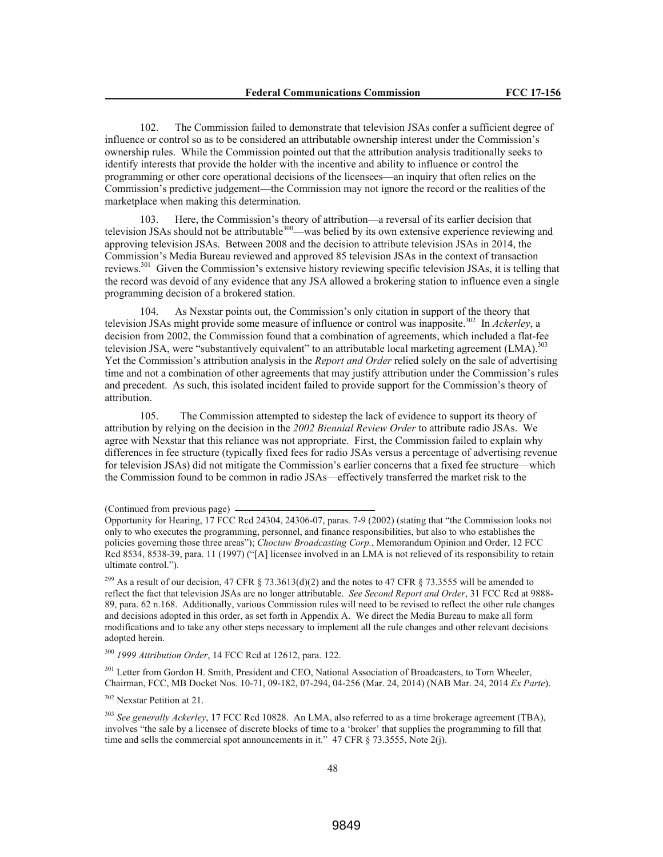102. The Commission failed to demonstrate that television JSAs confer a sufficient degree of influence or control so as to be considered an attributable ownership interest under the Commission's ownership rules. While the Commission pointed out that the attribution analysis traditionally seeks to identify interests that provide the holder with the incentive and ability to influence or control the programming or other core operational decisions of the licensees—an inquiry that often relies on the Commission's predictive judgement—the Commission may not ignore the record or the realities of the marketplace when making this determination.

103. Here, the Commission's theory of attribution—a reversal of its earlier decision that television JSAs should not be attributable<sup>300</sup>—was belied by its own extensive experience reviewing and approving television JSAs. Between 2008 and the decision to attribute television JSAs in 2014, the Commission's Media Bureau reviewed and approved 85 television JSAs in the context of transaction reviews.<sup>301</sup> Given the Commission's extensive history reviewing specific television JSAs, it is telling that the record was devoid of any evidence that any JSA allowed a brokering station to influence even a single programming decision of a brokered station.

104. As Nexstar points out, the Commission's only citation in support of the theory that television JSAs might provide some measure of influence or control was inapposite.<sup>302</sup> In *Ackerley*, a decision from 2002, the Commission found that a combination of agreements, which included a flat-fee television JSA, were "substantively equivalent" to an attributable local marketing agreement (LMA).<sup>303</sup> Yet the Commission's attribution analysis in the *Report and Order* relied solely on the sale of advertising time and not a combination of other agreements that may justify attribution under the Commission's rules and precedent. As such, this isolated incident failed to provide support for the Commission's theory of attribution.

105. The Commission attempted to sidestep the lack of evidence to support its theory of attribution by relying on the decision in the *2002 Biennial Review Order* to attribute radio JSAs. We agree with Nexstar that this reliance was not appropriate. First, the Commission failed to explain why differences in fee structure (typically fixed fees for radio JSAs versus a percentage of advertising revenue for television JSAs) did not mitigate the Commission's earlier concerns that a fixed fee structure—which the Commission found to be common in radio JSAs—effectively transferred the market risk to the

<sup>299</sup> As a result of our decision, 47 CFR § 73.3613(d)(2) and the notes to 47 CFR § 73.3555 will be amended to reflect the fact that television JSAs are no longer attributable. *See Second Report and Order*, 31 FCC Rcd at 9888- 89, para. 62 n.168. Additionally, various Commission rules will need to be revised to reflect the other rule changes and decisions adopted in this order, as set forth in Appendix A. We direct the Media Bureau to make all form modifications and to take any other steps necessary to implement all the rule changes and other relevant decisions adopted herein.

<sup>300</sup> *1999 Attribution Order*, 14 FCC Rcd at 12612, para. 122.

<sup>301</sup> Letter from Gordon H. Smith, President and CEO, National Association of Broadcasters, to Tom Wheeler, Chairman, FCC, MB Docket Nos. 10-71, 09-182, 07-294, 04-256 (Mar. 24, 2014) (NAB Mar. 24, 2014 *Ex Parte*).

<sup>302</sup> Nexstar Petition at 21.

<sup>303</sup> *See generally Ackerley*, 17 FCC Rcd 10828. An LMA, also referred to as a time brokerage agreement (TBA), involves "the sale by a licensee of discrete blocks of time to a 'broker' that supplies the programming to fill that time and sells the commercial spot announcements in it." 47 CFR § 73.3555, Note 2(j).

<sup>(</sup>Continued from previous page)

Opportunity for Hearing, 17 FCC Rcd 24304, 24306-07, paras. 7-9 (2002) (stating that "the Commission looks not only to who executes the programming, personnel, and finance responsibilities, but also to who establishes the policies governing those three areas"); *Choctaw Broadcasting Corp.*, Memorandum Opinion and Order, 12 FCC Rcd 8534, 8538-39, para. 11 (1997) ("[A] licensee involved in an LMA is not relieved of its responsibility to retain ultimate control.").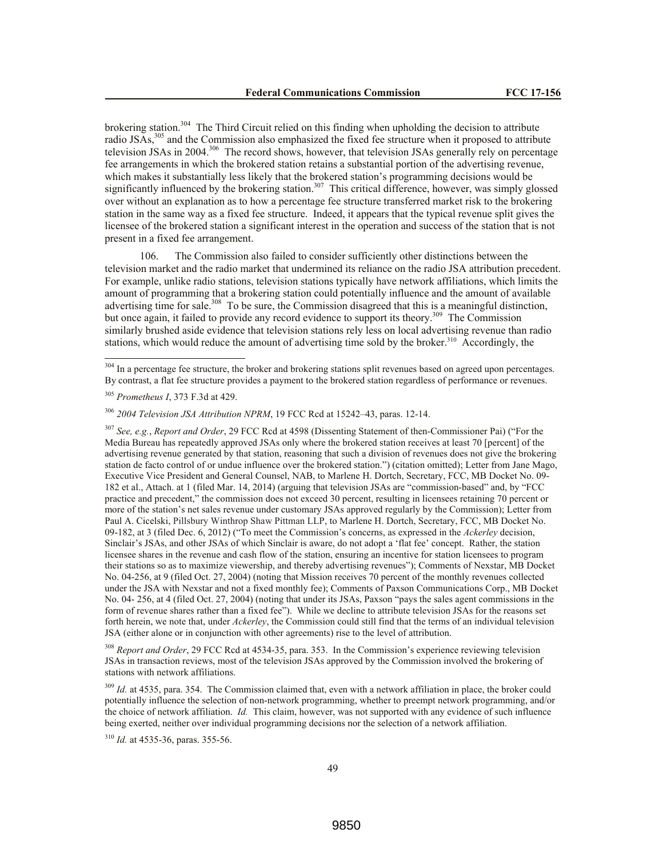brokering station.<sup>304</sup> The Third Circuit relied on this finding when upholding the decision to attribute radio JSAs,<sup>305</sup> and the Commission also emphasized the fixed fee structure when it proposed to attribute television JSAs in 2004.<sup>306</sup> The record shows, however, that television JSAs generally rely on percentage fee arrangements in which the brokered station retains a substantial portion of the advertising revenue, which makes it substantially less likely that the brokered station's programming decisions would be significantly influenced by the brokering station.<sup>307</sup> This critical difference, however, was simply glossed over without an explanation as to how a percentage fee structure transferred market risk to the brokering station in the same way as a fixed fee structure. Indeed, it appears that the typical revenue split gives the licensee of the brokered station a significant interest in the operation and success of the station that is not present in a fixed fee arrangement.

106. The Commission also failed to consider sufficiently other distinctions between the television market and the radio market that undermined its reliance on the radio JSA attribution precedent. For example, unlike radio stations, television stations typically have network affiliations, which limits the amount of programming that a brokering station could potentially influence and the amount of available advertising time for sale.<sup>308</sup> To be sure, the Commission disagreed that this is a meaningful distinction, but once again, it failed to provide any record evidence to support its theory.<sup>309</sup> The Commission similarly brushed aside evidence that television stations rely less on local advertising revenue than radio stations, which would reduce the amount of advertising time sold by the broker.<sup>310</sup> Accordingly, the

 $\overline{a}$ 

<sup>307</sup> *See, e.g.*, *Report and Order*, 29 FCC Rcd at 4598 (Dissenting Statement of then-Commissioner Pai) ("For the Media Bureau has repeatedly approved JSAs only where the brokered station receives at least 70 [percent] of the advertising revenue generated by that station, reasoning that such a division of revenues does not give the brokering station de facto control of or undue influence over the brokered station.") (citation omitted); Letter from Jane Mago, Executive Vice President and General Counsel, NAB, to Marlene H. Dortch, Secretary, FCC, MB Docket No. 09- 182 et al., Attach. at 1 (filed Mar. 14, 2014) (arguing that television JSAs are "commission-based" and, by "FCC practice and precedent," the commission does not exceed 30 percent, resulting in licensees retaining 70 percent or more of the station's net sales revenue under customary JSAs approved regularly by the Commission); Letter from Paul A. Cicelski, Pillsbury Winthrop Shaw Pittman LLP, to Marlene H. Dortch, Secretary, FCC, MB Docket No. 09-182, at 3 (filed Dec. 6, 2012) ("To meet the Commission's concerns, as expressed in the *Ackerley* decision, Sinclair's JSAs, and other JSAs of which Sinclair is aware, do not adopt a 'flat fee' concept. Rather, the station licensee shares in the revenue and cash flow of the station, ensuring an incentive for station licensees to program their stations so as to maximize viewership, and thereby advertising revenues"); Comments of Nexstar, MB Docket No. 04-256, at 9 (filed Oct. 27, 2004) (noting that Mission receives 70 percent of the monthly revenues collected under the JSA with Nexstar and not a fixed monthly fee); Comments of Paxson Communications Corp., MB Docket No. 04- 256, at 4 (filed Oct. 27, 2004) (noting that under its JSAs, Paxson "pays the sales agent commissions in the form of revenue shares rather than a fixed fee"). While we decline to attribute television JSAs for the reasons set forth herein, we note that, under *Ackerley*, the Commission could still find that the terms of an individual television JSA (either alone or in conjunction with other agreements) rise to the level of attribution.

<sup>308</sup> *Report and Order*, 29 FCC Rcd at 4534-35, para. 353. In the Commission's experience reviewing television JSAs in transaction reviews, most of the television JSAs approved by the Commission involved the brokering of stations with network affiliations.

<sup>309</sup> *Id.* at 4535, para. 354. The Commission claimed that, even with a network affiliation in place, the broker could potentially influence the selection of non-network programming, whether to preempt network programming, and/or the choice of network affiliation. *Id.* This claim, however, was not supported with any evidence of such influence being exerted, neither over individual programming decisions nor the selection of a network affiliation.

<sup>310</sup> *Id.* at 4535-36, paras. 355-56.

<sup>&</sup>lt;sup>304</sup> In a percentage fee structure, the broker and brokering stations split revenues based on agreed upon percentages. By contrast, a flat fee structure provides a payment to the brokered station regardless of performance or revenues.

<sup>305</sup> *Prometheus I*, 373 F.3d at 429.

<sup>306</sup> *2004 Television JSA Attribution NPRM*, 19 FCC Rcd at 15242–43, paras. 12-14.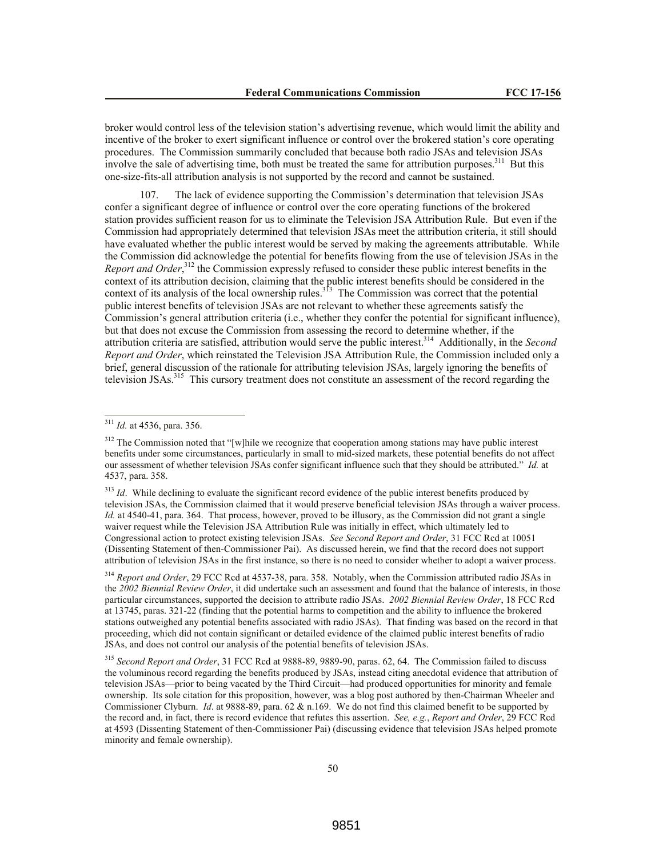broker would control less of the television station's advertising revenue, which would limit the ability and incentive of the broker to exert significant influence or control over the brokered station's core operating procedures. The Commission summarily concluded that because both radio JSAs and television JSAs involve the sale of advertising time, both must be treated the same for attribution purposes.<sup>311</sup> But this one-size-fits-all attribution analysis is not supported by the record and cannot be sustained.

107. The lack of evidence supporting the Commission's determination that television JSAs confer a significant degree of influence or control over the core operating functions of the brokered station provides sufficient reason for us to eliminate the Television JSA Attribution Rule. But even if the Commission had appropriately determined that television JSAs meet the attribution criteria, it still should have evaluated whether the public interest would be served by making the agreements attributable. While the Commission did acknowledge the potential for benefits flowing from the use of television JSAs in the Report and Order,<sup>312</sup> the Commission expressly refused to consider these public interest benefits in the context of its attribution decision, claiming that the public interest benefits should be considered in the context of its analysis of the local ownership rules.<sup>313</sup> The Commission was correct that the potential public interest benefits of television JSAs are not relevant to whether these agreements satisfy the Commission's general attribution criteria (i.e., whether they confer the potential for significant influence), but that does not excuse the Commission from assessing the record to determine whether, if the attribution criteria are satisfied, attribution would serve the public interest.<sup>314</sup> Additionally, in the *Second Report and Order*, which reinstated the Television JSA Attribution Rule, the Commission included only a brief, general discussion of the rationale for attributing television JSAs, largely ignoring the benefits of television JSAs.<sup>315</sup> This cursory treatment does not constitute an assessment of the record regarding the

<sup>311</sup> *Id.* at 4536, para. 356.

<sup>&</sup>lt;sup>312</sup> The Commission noted that "[w]hile we recognize that cooperation among stations may have public interest benefits under some circumstances, particularly in small to mid-sized markets, these potential benefits do not affect our assessment of whether television JSAs confer significant influence such that they should be attributed." *Id.* at 4537, para. 358.

<sup>&</sup>lt;sup>313</sup> *Id*. While declining to evaluate the significant record evidence of the public interest benefits produced by television JSAs, the Commission claimed that it would preserve beneficial television JSAs through a waiver process. *Id.* at 4540-41, para. 364. That process, however, proved to be illusory, as the Commission did not grant a single waiver request while the Television JSA Attribution Rule was initially in effect, which ultimately led to Congressional action to protect existing television JSAs. *See Second Report and Order*, 31 FCC Rcd at 10051 (Dissenting Statement of then-Commissioner Pai). As discussed herein, we find that the record does not support attribution of television JSAs in the first instance, so there is no need to consider whether to adopt a waiver process.

<sup>&</sup>lt;sup>314</sup> *Report and Order*, 29 FCC Rcd at 4537-38, para. 358. Notably, when the Commission attributed radio JSAs in the *2002 Biennial Review Order*, it did undertake such an assessment and found that the balance of interests, in those particular circumstances, supported the decision to attribute radio JSAs. *2002 Biennial Review Order*, 18 FCC Rcd at 13745, paras. 321-22 (finding that the potential harms to competition and the ability to influence the brokered stations outweighed any potential benefits associated with radio JSAs). That finding was based on the record in that proceeding, which did not contain significant or detailed evidence of the claimed public interest benefits of radio JSAs, and does not control our analysis of the potential benefits of television JSAs.

<sup>315</sup> *Second Report and Order*, 31 FCC Rcd at 9888-89, 9889-90, paras. 62, 64. The Commission failed to discuss the voluminous record regarding the benefits produced by JSAs, instead citing anecdotal evidence that attribution of television JSAs—prior to being vacated by the Third Circuit—had produced opportunities for minority and female ownership. Its sole citation for this proposition, however, was a blog post authored by then-Chairman Wheeler and Commissioner Clyburn. *Id*. at 9888-89, para. 62 & n.169. We do not find this claimed benefit to be supported by the record and, in fact, there is record evidence that refutes this assertion. *See, e.g.*, *Report and Order*, 29 FCC Rcd at 4593 (Dissenting Statement of then-Commissioner Pai) (discussing evidence that television JSAs helped promote minority and female ownership).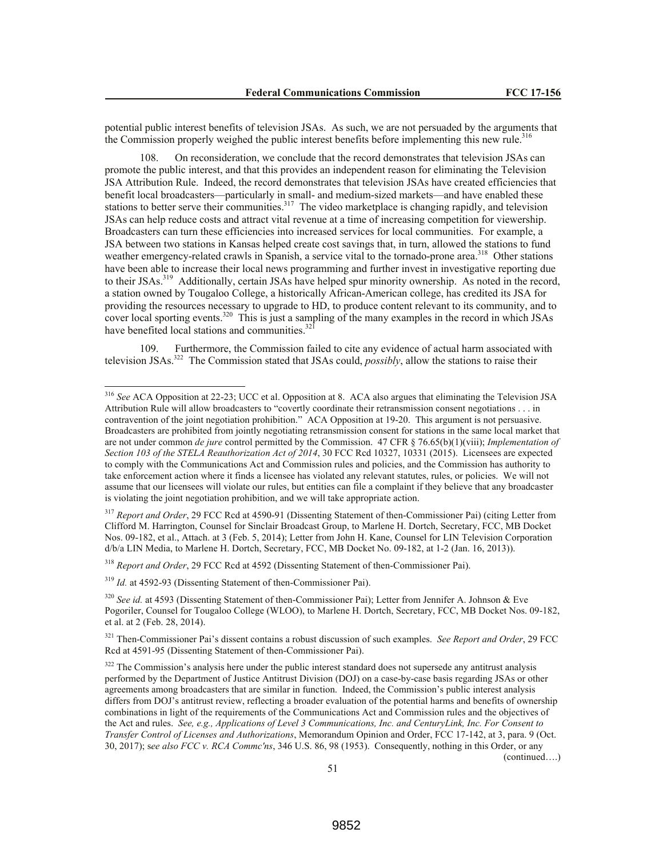potential public interest benefits of television JSAs. As such, we are not persuaded by the arguments that the Commission properly weighed the public interest benefits before implementing this new rule.<sup>316</sup>

108. On reconsideration, we conclude that the record demonstrates that television JSAs can promote the public interest, and that this provides an independent reason for eliminating the Television JSA Attribution Rule. Indeed, the record demonstrates that television JSAs have created efficiencies that benefit local broadcasters—particularly in small- and medium-sized markets—and have enabled these stations to better serve their communities.<sup>317</sup> The video marketplace is changing rapidly, and television JSAs can help reduce costs and attract vital revenue at a time of increasing competition for viewership. Broadcasters can turn these efficiencies into increased services for local communities. For example, a JSA between two stations in Kansas helped create cost savings that, in turn, allowed the stations to fund weather emergency-related crawls in Spanish, a service vital to the tornado-prone area.<sup>318</sup> Other stations have been able to increase their local news programming and further invest in investigative reporting due to their JSAs.<sup>319</sup> Additionally, certain JSAs have helped spur minority ownership. As noted in the record, a station owned by Tougaloo College, a historically African-American college, has credited its JSA for providing the resources necessary to upgrade to HD, to produce content relevant to its community, and to cover local sporting events.<sup>320</sup> This is just a sampling of the many examples in the record in which JSAs have benefited local stations and communities. $32$ <sup>1</sup>

109. Furthermore, the Commission failed to cite any evidence of actual harm associated with television JSAs.<sup>322</sup> The Commission stated that JSAs could, *possibly*, allow the stations to raise their

<sup>318</sup> *Report and Order*, 29 FCC Rcd at 4592 (Dissenting Statement of then-Commissioner Pai).

<sup>319</sup> *Id.* at 4592-93 (Dissenting Statement of then-Commissioner Pai).

l

(continued….)

<sup>316</sup> *See* ACA Opposition at 22-23; UCC et al. Opposition at 8. ACA also argues that eliminating the Television JSA Attribution Rule will allow broadcasters to "covertly coordinate their retransmission consent negotiations . . . in contravention of the joint negotiation prohibition." ACA Opposition at 19-20. This argument is not persuasive. Broadcasters are prohibited from jointly negotiating retransmission consent for stations in the same local market that are not under common *de jure* control permitted by the Commission. 47 CFR § 76.65(b)(1)(viii); *Implementation of Section 103 of the STELA Reauthorization Act of 2014*, 30 FCC Rcd 10327, 10331 (2015). Licensees are expected to comply with the Communications Act and Commission rules and policies, and the Commission has authority to take enforcement action where it finds a licensee has violated any relevant statutes, rules, or policies. We will not assume that our licensees will violate our rules, but entities can file a complaint if they believe that any broadcaster is violating the joint negotiation prohibition, and we will take appropriate action.

<sup>&</sup>lt;sup>317</sup> *Report and Order*, 29 FCC Rcd at 4590-91 (Dissenting Statement of then-Commissioner Pai) (citing Letter from Clifford M. Harrington, Counsel for Sinclair Broadcast Group, to Marlene H. Dortch, Secretary, FCC, MB Docket Nos. 09-182, et al., Attach. at 3 (Feb. 5, 2014); Letter from John H. Kane, Counsel for LIN Television Corporation d/b/a LIN Media, to Marlene H. Dortch, Secretary, FCC, MB Docket No. 09-182, at 1-2 (Jan. 16, 2013)).

<sup>&</sup>lt;sup>320</sup> *See id.* at 4593 (Dissenting Statement of then-Commissioner Pai); Letter from Jennifer A. Johnson & Eve Pogoriler, Counsel for Tougaloo College (WLOO), to Marlene H. Dortch, Secretary, FCC, MB Docket Nos. 09-182, et al. at 2 (Feb. 28, 2014).

<sup>&</sup>lt;sup>321</sup> Then-Commissioner Pai's dissent contains a robust discussion of such examples. *See Report and Order*, 29 FCC Rcd at 4591-95 (Dissenting Statement of then-Commissioner Pai).

<sup>&</sup>lt;sup>322</sup> The Commission's analysis here under the public interest standard does not supersede any antitrust analysis performed by the Department of Justice Antitrust Division (DOJ) on a case-by-case basis regarding JSAs or other agreements among broadcasters that are similar in function. Indeed, the Commission's public interest analysis differs from DOJ's antitrust review, reflecting a broader evaluation of the potential harms and benefits of ownership combinations in light of the requirements of the Communications Act and Commission rules and the objectives of the Act and rules. *See, e.g., Applications of Level 3 Communications, Inc. and CenturyLink, Inc. For Consent to Transfer Control of Licenses and Authorizations*, Memorandum Opinion and Order, FCC 17-142, at 3, para. 9 (Oct. 30, 2017); s*ee also FCC v. RCA Commc'ns*, 346 U.S. 86, 98 (1953). Consequently, nothing in this Order, or any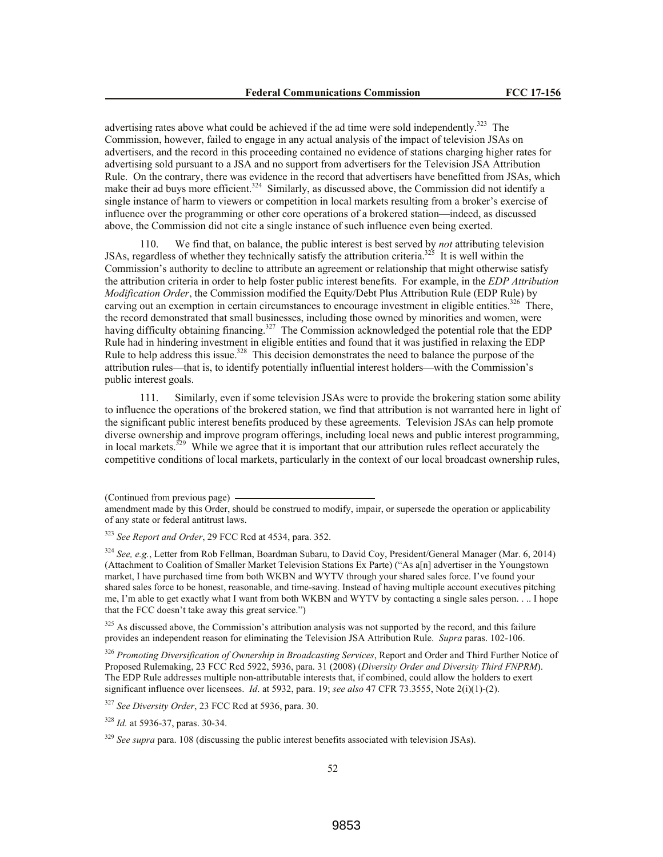advertising rates above what could be achieved if the ad time were sold independently.<sup>323</sup> The Commission, however, failed to engage in any actual analysis of the impact of television JSAs on advertisers, and the record in this proceeding contained no evidence of stations charging higher rates for advertising sold pursuant to a JSA and no support from advertisers for the Television JSA Attribution Rule. On the contrary, there was evidence in the record that advertisers have benefitted from JSAs, which make their ad buys more efficient.<sup>324</sup> Similarly, as discussed above, the Commission did not identify a single instance of harm to viewers or competition in local markets resulting from a broker's exercise of influence over the programming or other core operations of a brokered station—indeed, as discussed above, the Commission did not cite a single instance of such influence even being exerted.

110. We find that, on balance, the public interest is best served by *not* attributing television JSAs, regardless of whether they technically satisfy the attribution criteria.<sup>325</sup> It is well within the Commission's authority to decline to attribute an agreement or relationship that might otherwise satisfy the attribution criteria in order to help foster public interest benefits. For example, in the *EDP Attribution Modification Order*, the Commission modified the Equity/Debt Plus Attribution Rule (EDP Rule) by carving out an exemption in certain circumstances to encourage investment in eligible entities.<sup>326</sup> There, the record demonstrated that small businesses, including those owned by minorities and women, were having difficulty obtaining financing.<sup>327</sup> The Commission acknowledged the potential role that the EDP Rule had in hindering investment in eligible entities and found that it was justified in relaxing the EDP Rule to help address this issue.<sup>328</sup> This decision demonstrates the need to balance the purpose of the attribution rules—that is, to identify potentially influential interest holders—with the Commission's public interest goals.

111. Similarly, even if some television JSAs were to provide the brokering station some ability to influence the operations of the brokered station, we find that attribution is not warranted here in light of the significant public interest benefits produced by these agreements. Television JSAs can help promote diverse ownership and improve program offerings, including local news and public interest programming, in local markets.<sup>329</sup> While we agree that it is important that our attribution rules reflect accurately the competitive conditions of local markets, particularly in the context of our local broadcast ownership rules,

<sup>325</sup> As discussed above, the Commission's attribution analysis was not supported by the record, and this failure provides an independent reason for eliminating the Television JSA Attribution Rule. *Supra* paras. 102-106.

<sup>326</sup> *Promoting Diversification of Ownership in Broadcasting Services*, Report and Order and Third Further Notice of Proposed Rulemaking, 23 FCC Rcd 5922, 5936, para. 31 (2008) (*Diversity Order and Diversity Third FNPRM*). The EDP Rule addresses multiple non-attributable interests that, if combined, could allow the holders to exert significant influence over licensees. *Id*. at 5932, para. 19; *see also* 47 CFR 73.3555, Note 2(i)(1)-(2).

<sup>327</sup> *See Diversity Order*, 23 FCC Rcd at 5936, para. 30.

<sup>328</sup> *Id.* at 5936-37, paras. 30-34.

<sup>329</sup> See supra para. 108 (discussing the public interest benefits associated with television JSAs).

<sup>(</sup>Continued from previous page)

amendment made by this Order, should be construed to modify, impair, or supersede the operation or applicability of any state or federal antitrust laws.

<sup>323</sup> *See Report and Order*, 29 FCC Rcd at 4534, para. 352.

<sup>&</sup>lt;sup>324</sup> *See, e.g.*, Letter from Rob Fellman, Boardman Subaru, to David Coy, President/General Manager (Mar. 6, 2014) (Attachment to Coalition of Smaller Market Television Stations Ex Parte) ("As a[n] advertiser in the Youngstown market, I have purchased time from both WKBN and WYTV through your shared sales force. I've found your shared sales force to be honest, reasonable, and time-saving. Instead of having multiple account executives pitching me, I'm able to get exactly what I want from both WKBN and WYTV by contacting a single sales person. . .. I hope that the FCC doesn't take away this great service.")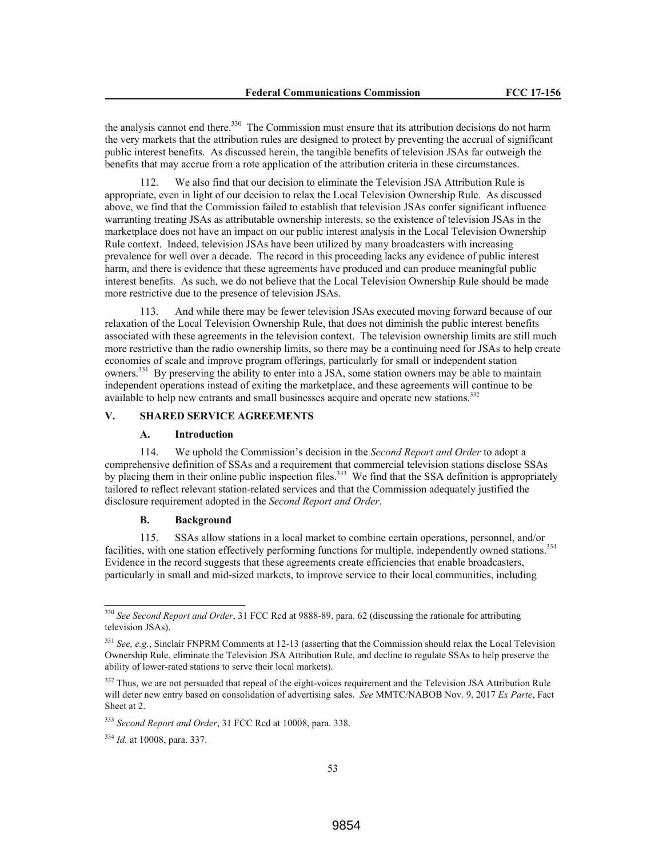the analysis cannot end there.<sup>330</sup> The Commission must ensure that its attribution decisions do not harm the very markets that the attribution rules are designed to protect by preventing the accrual of significant public interest benefits. As discussed herein, the tangible benefits of television JSAs far outweigh the benefits that may accrue from a rote application of the attribution criteria in these circumstances.

112. We also find that our decision to eliminate the Television JSA Attribution Rule is appropriate, even in light of our decision to relax the Local Television Ownership Rule. As discussed above, we find that the Commission failed to establish that television JSAs confer significant influence warranting treating JSAs as attributable ownership interests, so the existence of television JSAs in the marketplace does not have an impact on our public interest analysis in the Local Television Ownership Rule context. Indeed, television JSAs have been utilized by many broadcasters with increasing prevalence for well over a decade. The record in this proceeding lacks any evidence of public interest harm, and there is evidence that these agreements have produced and can produce meaningful public interest benefits. As such, we do not believe that the Local Television Ownership Rule should be made more restrictive due to the presence of television JSAs.

113. And while there may be fewer television JSAs executed moving forward because of our relaxation of the Local Television Ownership Rule, that does not diminish the public interest benefits associated with these agreements in the television context. The television ownership limits are still much more restrictive than the radio ownership limits, so there may be a continuing need for JSAs to help create economies of scale and improve program offerings, particularly for small or independent station owners.<sup>331</sup> By preserving the ability to enter into a JSA, some station owners may be able to maintain independent operations instead of exiting the marketplace, and these agreements will continue to be available to help new entrants and small businesses acquire and operate new stations.<sup>332</sup>

# **V. SHARED SERVICE AGREEMENTS**

#### **A. Introduction**

114. We uphold the Commission's decision in the *Second Report and Order* to adopt a comprehensive definition of SSAs and a requirement that commercial television stations disclose SSAs by placing them in their online public inspection files.<sup>333</sup> We find that the SSA definition is appropriately tailored to reflect relevant station-related services and that the Commission adequately justified the disclosure requirement adopted in the *Second Report and Order*.

## **B. Background**

115. SSAs allow stations in a local market to combine certain operations, personnel, and/or facilities, with one station effectively performing functions for multiple, independently owned stations.<sup>334</sup> Evidence in the record suggests that these agreements create efficiencies that enable broadcasters, particularly in small and mid-sized markets, to improve service to their local communities, including

<sup>330</sup> *See Second Report and Order*, 31 FCC Rcd at 9888-89, para. 62 (discussing the rationale for attributing television JSAs).

<sup>&</sup>lt;sup>331</sup> See, e.g., Sinclair FNPRM Comments at 12-13 (asserting that the Commission should relax the Local Television Ownership Rule, eliminate the Television JSA Attribution Rule, and decline to regulate SSAs to help preserve the ability of lower-rated stations to serve their local markets).

<sup>&</sup>lt;sup>332</sup> Thus, we are not persuaded that repeal of the eight-voices requirement and the Television JSA Attribution Rule will deter new entry based on consolidation of advertising sales. *See* MMTC/NABOB Nov. 9, 2017 *Ex Parte*, Fact Sheet at 2.

<sup>333</sup> *Second Report and Order*, 31 FCC Rcd at 10008, para. 338.

<sup>334</sup> *Id.* at 10008, para. 337.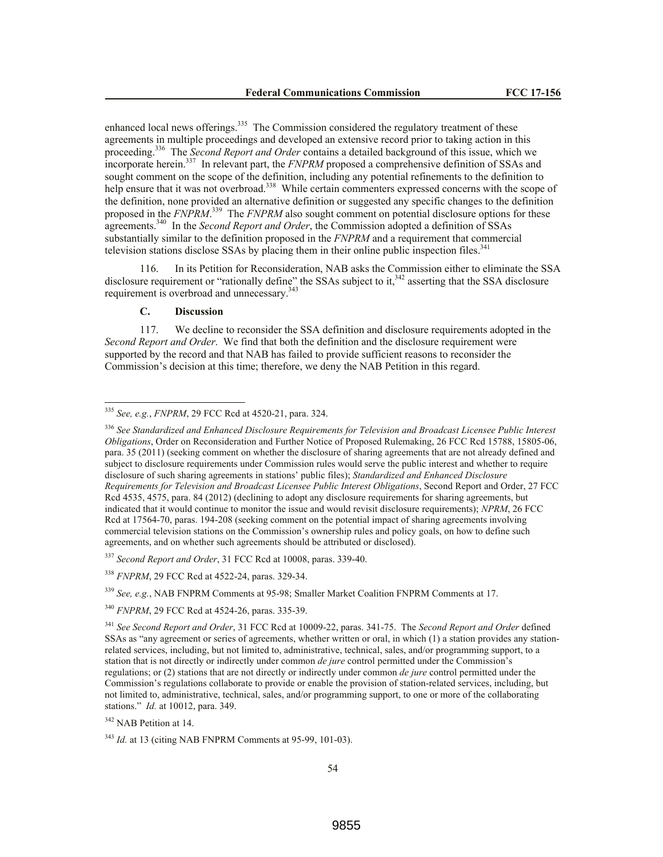enhanced local news offerings.<sup>335</sup> The Commission considered the regulatory treatment of these agreements in multiple proceedings and developed an extensive record prior to taking action in this proceeding.<sup>336</sup> The *Second Report and Order* contains a detailed background of this issue, which we incorporate herein.<sup>337</sup> In relevant part, the *FNPRM* proposed a comprehensive definition of SSAs and sought comment on the scope of the definition, including any potential refinements to the definition to help ensure that it was not overbroad.<sup>338</sup> While certain commenters expressed concerns with the scope of the definition, none provided an alternative definition or suggested any specific changes to the definition proposed in the *FNPRM*.<sup>339</sup> The *FNPRM* also sought comment on potential disclosure options for these agreements.<sup>340</sup> In the *Second Report and Order*, the Commission adopted a definition of SSAs substantially similar to the definition proposed in the *FNPRM* and a requirement that commercial television stations disclose SSAs by placing them in their online public inspection files. $341$ 

116. In its Petition for Reconsideration, NAB asks the Commission either to eliminate the SSA disclosure requirement or "rationally define" the SSAs subject to it,  $342$  asserting that the SSA disclosure requirement is overbroad and unnecessary.<sup>343</sup>

# **C. Discussion**

 $\overline{a}$ 

117. We decline to reconsider the SSA definition and disclosure requirements adopted in the *Second Report and Order*. We find that both the definition and the disclosure requirement were supported by the record and that NAB has failed to provide sufficient reasons to reconsider the Commission's decision at this time; therefore, we deny the NAB Petition in this regard.

<sup>337</sup> *Second Report and Order*, 31 FCC Rcd at 10008, paras. 339-40.

<sup>339</sup> *See, e.g.*, NAB FNPRM Comments at 95-98; Smaller Market Coalition FNPRM Comments at 17.

<sup>335</sup> *See, e.g.*, *FNPRM*, 29 FCC Rcd at 4520-21, para. 324.

<sup>336</sup> *See Standardized and Enhanced Disclosure Requirements for Television and Broadcast Licensee Public Interest Obligations*, Order on Reconsideration and Further Notice of Proposed Rulemaking, 26 FCC Rcd 15788, 15805-06, para. 35 (2011) (seeking comment on whether the disclosure of sharing agreements that are not already defined and subject to disclosure requirements under Commission rules would serve the public interest and whether to require disclosure of such sharing agreements in stations' public files); *Standardized and Enhanced Disclosure Requirements for Television and Broadcast Licensee Public Interest Obligations*, Second Report and Order, 27 FCC Rcd 4535, 4575, para. 84 (2012) (declining to adopt any disclosure requirements for sharing agreements, but indicated that it would continue to monitor the issue and would revisit disclosure requirements); *NPRM*, 26 FCC Rcd at 17564-70, paras. 194-208 (seeking comment on the potential impact of sharing agreements involving commercial television stations on the Commission's ownership rules and policy goals, on how to define such agreements, and on whether such agreements should be attributed or disclosed).

<sup>338</sup> *FNPRM*, 29 FCC Rcd at 4522-24, paras. 329-34.

<sup>340</sup> *FNPRM*, 29 FCC Rcd at 4524-26, paras. 335-39.

<sup>341</sup> *See Second Report and Order*, 31 FCC Rcd at 10009-22, paras. 341-75. The *Second Report and Order* defined SSAs as "any agreement or series of agreements, whether written or oral, in which (1) a station provides any stationrelated services, including, but not limited to, administrative, technical, sales, and/or programming support, to a station that is not directly or indirectly under common *de jure* control permitted under the Commission's regulations; or (2) stations that are not directly or indirectly under common *de jure* control permitted under the Commission's regulations collaborate to provide or enable the provision of station-related services, including, but not limited to, administrative, technical, sales, and/or programming support, to one or more of the collaborating stations." *Id.* at 10012, para. 349.

<sup>&</sup>lt;sup>342</sup> NAB Petition at 14.

<sup>343</sup> *Id.* at 13 (citing NAB FNPRM Comments at 95-99, 101-03).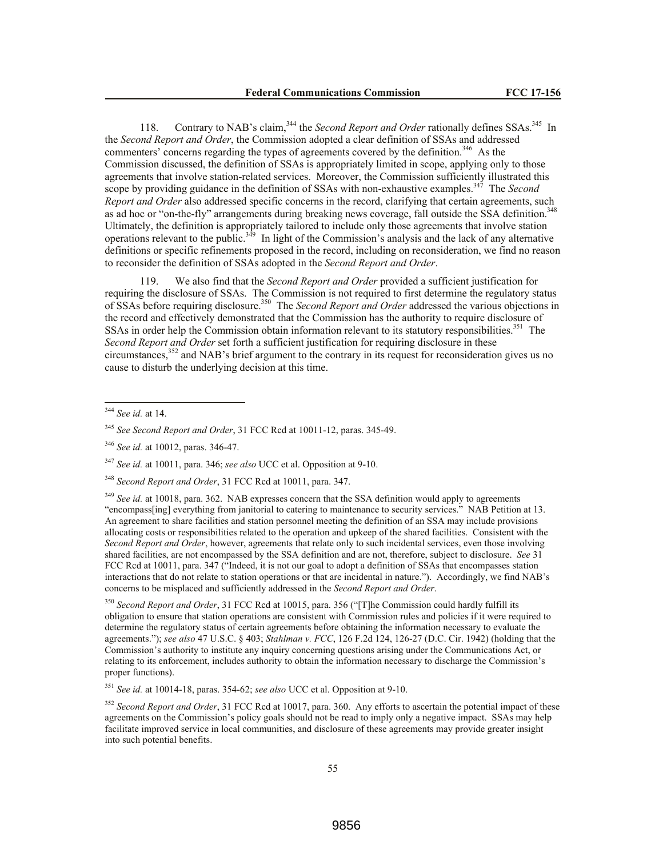118. Contrary to NAB's claim,<sup>344</sup> the *Second Report and Order* rationally defines SSAs.<sup>345</sup> In the *Second Report and Order*, the Commission adopted a clear definition of SSAs and addressed commenters' concerns regarding the types of agreements covered by the definition.<sup>346</sup> As the Commission discussed, the definition of SSAs is appropriately limited in scope, applying only to those agreements that involve station-related services. Moreover, the Commission sufficiently illustrated this scope by providing guidance in the definition of SSAs with non-exhaustive examples.<sup>347</sup> The *Second Report and Order* also addressed specific concerns in the record, clarifying that certain agreements, such as ad hoc or "on-the-fly" arrangements during breaking news coverage, fall outside the SSA definition.<sup>348</sup> Ultimately, the definition is appropriately tailored to include only those agreements that involve station operations relevant to the public.<sup> $3\overline{49}$ </sup> In light of the Commission's analysis and the lack of any alternative definitions or specific refinements proposed in the record, including on reconsideration, we find no reason to reconsider the definition of SSAs adopted in the *Second Report and Order*.

119. We also find that the *Second Report and Order* provided a sufficient justification for requiring the disclosure of SSAs. The Commission is not required to first determine the regulatory status of SSAs before requiring disclosure.<sup>350</sup> The *Second Report and Order* addressed the various objections in the record and effectively demonstrated that the Commission has the authority to require disclosure of SSAs in order help the Commission obtain information relevant to its statutory responsibilities.<sup>351</sup> The *Second Report and Order* set forth a sufficient justification for requiring disclosure in these circumstances,<sup>352</sup> and NAB's brief argument to the contrary in its request for reconsideration gives us no cause to disturb the underlying decision at this time.

 $\overline{a}$ 

<sup>347</sup> *See id.* at 10011, para. 346; *see also* UCC et al. Opposition at 9-10.

<sup>349</sup> *See id.* at 10018, para. 362. NAB expresses concern that the SSA definition would apply to agreements "encompass[ing] everything from janitorial to catering to maintenance to security services." NAB Petition at 13. An agreement to share facilities and station personnel meeting the definition of an SSA may include provisions allocating costs or responsibilities related to the operation and upkeep of the shared facilities. Consistent with the *Second Report and Order*, however, agreements that relate only to such incidental services, even those involving shared facilities, are not encompassed by the SSA definition and are not, therefore, subject to disclosure. *See* 31 FCC Rcd at 10011, para. 347 ("Indeed, it is not our goal to adopt a definition of SSAs that encompasses station interactions that do not relate to station operations or that are incidental in nature."). Accordingly, we find NAB's concerns to be misplaced and sufficiently addressed in the *Second Report and Order*.

<sup>350</sup> *Second Report and Order*, 31 FCC Rcd at 10015, para. 356 ("[T]he Commission could hardly fulfill its obligation to ensure that station operations are consistent with Commission rules and policies if it were required to determine the regulatory status of certain agreements before obtaining the information necessary to evaluate the agreements."); *see also* 47 U.S.C. § 403; *Stahlman v. FCC*, 126 F.2d 124, 126-27 (D.C. Cir. 1942) (holding that the Commission's authority to institute any inquiry concerning questions arising under the Communications Act, or relating to its enforcement, includes authority to obtain the information necessary to discharge the Commission's proper functions).

<sup>351</sup> *See id.* at 10014-18, paras. 354-62; *see also* UCC et al. Opposition at 9-10.

<sup>352</sup> *Second Report and Order*, 31 FCC Rcd at 10017, para. 360. Any efforts to ascertain the potential impact of these agreements on the Commission's policy goals should not be read to imply only a negative impact. SSAs may help facilitate improved service in local communities, and disclosure of these agreements may provide greater insight into such potential benefits.

<sup>344</sup> *See id.* at 14.

<sup>345</sup> *See Second Report and Order*, 31 FCC Rcd at 10011-12, paras. 345-49.

<sup>346</sup> *See id.* at 10012, paras. 346-47.

<sup>348</sup> *Second Report and Order*, 31 FCC Rcd at 10011, para. 347.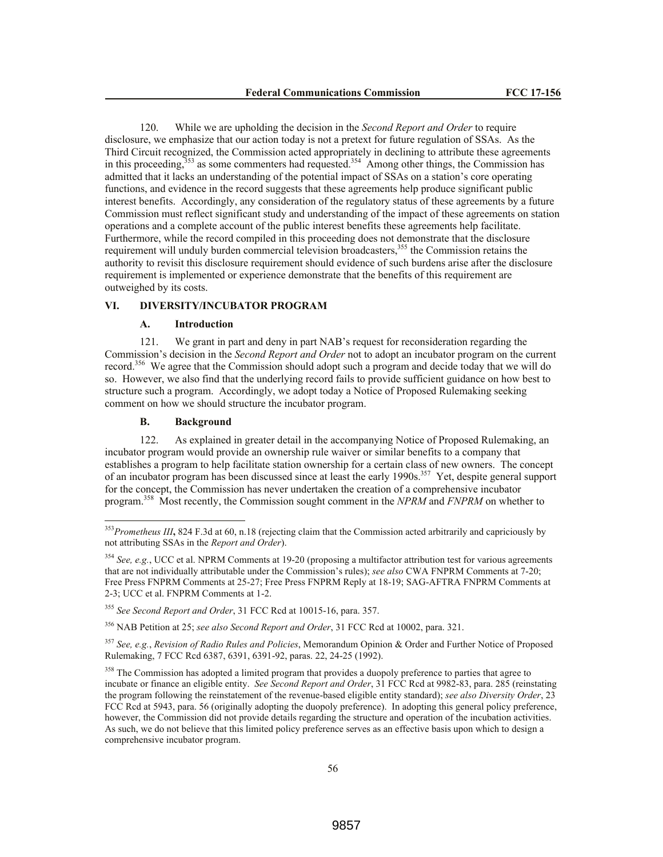120. While we are upholding the decision in the *Second Report and Order* to require disclosure, we emphasize that our action today is not a pretext for future regulation of SSAs. As the Third Circuit recognized, the Commission acted appropriately in declining to attribute these agreements in this proceeding,  $353$  as some commenters had requested.  $354$  Among other things, the Commission has admitted that it lacks an understanding of the potential impact of SSAs on a station's core operating functions, and evidence in the record suggests that these agreements help produce significant public interest benefits. Accordingly, any consideration of the regulatory status of these agreements by a future Commission must reflect significant study and understanding of the impact of these agreements on station operations and a complete account of the public interest benefits these agreements help facilitate. Furthermore, while the record compiled in this proceeding does not demonstrate that the disclosure requirement will unduly burden commercial television broadcasters,<sup>355</sup> the Commission retains the authority to revisit this disclosure requirement should evidence of such burdens arise after the disclosure requirement is implemented or experience demonstrate that the benefits of this requirement are outweighed by its costs.

#### **VI. DIVERSITY/INCUBATOR PROGRAM**

## **A. Introduction**

121. We grant in part and deny in part NAB's request for reconsideration regarding the Commission's decision in the *Second Report and Order* not to adopt an incubator program on the current record.<sup>356</sup> We agree that the Commission should adopt such a program and decide today that we will do so. However, we also find that the underlying record fails to provide sufficient guidance on how best to structure such a program. Accordingly, we adopt today a Notice of Proposed Rulemaking seeking comment on how we should structure the incubator program.

## **B. Background**

 $\overline{a}$ 

122. As explained in greater detail in the accompanying Notice of Proposed Rulemaking, an incubator program would provide an ownership rule waiver or similar benefits to a company that establishes a program to help facilitate station ownership for a certain class of new owners. The concept of an incubator program has been discussed since at least the early 1990s.<sup>357</sup> Yet, despite general support for the concept, the Commission has never undertaken the creation of a comprehensive incubator program.<sup>358</sup> Most recently, the Commission sought comment in the *NPRM* and *FNPRM* on whether to

<sup>356</sup> NAB Petition at 25; *see also Second Report and Order*, 31 FCC Rcd at 10002, para. 321.

<sup>357</sup> *See, e.g.*, *Revision of Radio Rules and Policies*, Memorandum Opinion & Order and Further Notice of Proposed Rulemaking, 7 FCC Rcd 6387, 6391, 6391-92, paras. 22, 24-25 (1992).

<sup>358</sup> The Commission has adopted a limited program that provides a duopoly preference to parties that agree to incubate or finance an eligible entity. *See Second Report and Order*, 31 FCC Rcd at 9982-83, para. 285 (reinstating the program following the reinstatement of the revenue-based eligible entity standard); *see also Diversity Order*, 23 FCC Rcd at 5943, para. 56 (originally adopting the duopoly preference). In adopting this general policy preference, however, the Commission did not provide details regarding the structure and operation of the incubation activities. As such, we do not believe that this limited policy preference serves as an effective basis upon which to design a comprehensive incubator program.

<sup>353</sup>*Prometheus III***,** 824 F.3d at 60, n.18 (rejecting claim that the Commission acted arbitrarily and capriciously by not attributing SSAs in the *Report and Order*).

<sup>&</sup>lt;sup>354</sup> See, e.g., UCC et al. NPRM Comments at 19-20 (proposing a multifactor attribution test for various agreements that are not individually attributable under the Commission's rules); *see also* CWA FNPRM Comments at 7-20; Free Press FNPRM Comments at 25-27; Free Press FNPRM Reply at 18-19; SAG-AFTRA FNPRM Comments at 2-3; UCC et al. FNPRM Comments at 1-2.

<sup>355</sup> *See Second Report and Order*, 31 FCC Rcd at 10015-16, para. 357.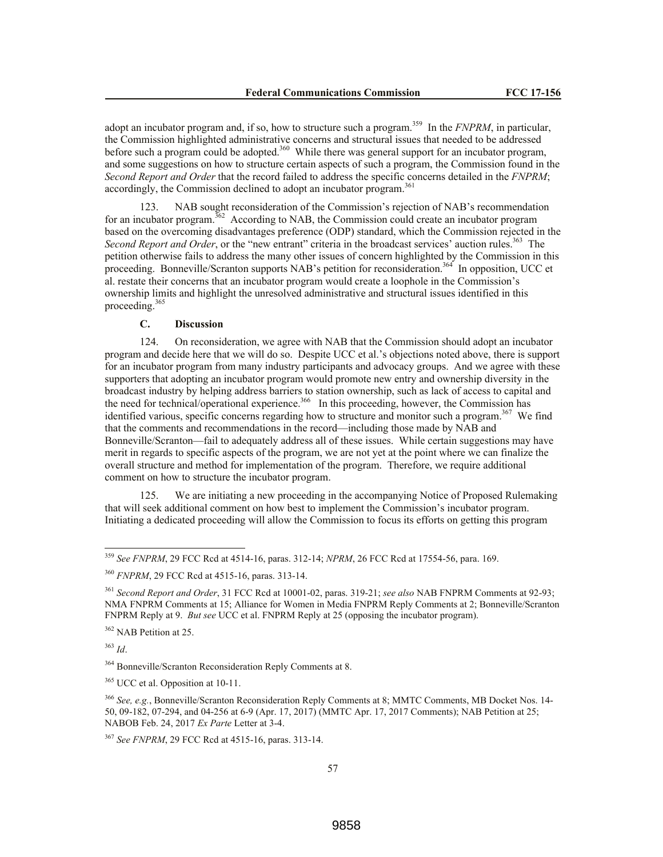adopt an incubator program and, if so, how to structure such a program.<sup>359</sup> In the *FNPRM*, in particular, the Commission highlighted administrative concerns and structural issues that needed to be addressed before such a program could be adopted.<sup>360</sup> While there was general support for an incubator program, and some suggestions on how to structure certain aspects of such a program, the Commission found in the *Second Report and Order* that the record failed to address the specific concerns detailed in the *FNPRM*; accordingly, the Commission declined to adopt an incubator program.<sup>361</sup>

123. NAB sought reconsideration of the Commission's rejection of NAB's recommendation for an incubator program.<sup>362</sup> According to NAB, the Commission could create an incubator program based on the overcoming disadvantages preference (ODP) standard, which the Commission rejected in the Second Report and Order, or the "new entrant" criteria in the broadcast services' auction rules.<sup>363</sup> The petition otherwise fails to address the many other issues of concern highlighted by the Commission in this proceeding. Bonneville/Scranton supports NAB's petition for reconsideration.<sup>364</sup> In opposition, UCC et al. restate their concerns that an incubator program would create a loophole in the Commission's ownership limits and highlight the unresolved administrative and structural issues identified in this proceeding.<sup>365</sup>

## **C. Discussion**

124. On reconsideration, we agree with NAB that the Commission should adopt an incubator program and decide here that we will do so. Despite UCC et al.'s objections noted above, there is support for an incubator program from many industry participants and advocacy groups. And we agree with these supporters that adopting an incubator program would promote new entry and ownership diversity in the broadcast industry by helping address barriers to station ownership, such as lack of access to capital and the need for technical/operational experience.<sup>366</sup> In this proceeding, however, the Commission has identified various, specific concerns regarding how to structure and monitor such a program.<sup>367</sup> We find that the comments and recommendations in the record—including those made by NAB and Bonneville/Scranton—fail to adequately address all of these issues. While certain suggestions may have merit in regards to specific aspects of the program, we are not yet at the point where we can finalize the overall structure and method for implementation of the program. Therefore, we require additional comment on how to structure the incubator program.

125. We are initiating a new proceeding in the accompanying Notice of Proposed Rulemaking that will seek additional comment on how best to implement the Commission's incubator program. Initiating a dedicated proceeding will allow the Commission to focus its efforts on getting this program

<sup>363</sup> *Id*.

 $\overline{a}$ 

<sup>359</sup> *See FNPRM*, 29 FCC Rcd at 4514-16, paras. 312-14; *NPRM*, 26 FCC Rcd at 17554-56, para. 169.

<sup>360</sup> *FNPRM*, 29 FCC Rcd at 4515-16, paras. 313-14.

<sup>361</sup> *Second Report and Order*, 31 FCC Rcd at 10001-02, paras. 319-21; *see also* NAB FNPRM Comments at 92-93; NMA FNPRM Comments at 15; Alliance for Women in Media FNPRM Reply Comments at 2; Bonneville/Scranton FNPRM Reply at 9. *But see* UCC et al. FNPRM Reply at 25 (opposing the incubator program).

<sup>&</sup>lt;sup>362</sup> NAB Petition at 25.

<sup>&</sup>lt;sup>364</sup> Bonneville/Scranton Reconsideration Reply Comments at 8.

<sup>&</sup>lt;sup>365</sup> UCC et al. Opposition at 10-11.

<sup>366</sup> *See, e.g.*, Bonneville/Scranton Reconsideration Reply Comments at 8; MMTC Comments, MB Docket Nos. 14- 50, 09-182, 07-294, and 04-256 at 6-9 (Apr. 17, 2017) (MMTC Apr. 17, 2017 Comments); NAB Petition at 25; NABOB Feb. 24, 2017 *Ex Parte* Letter at 3-4.

<sup>367</sup> *See FNPRM*, 29 FCC Rcd at 4515-16, paras. 313-14.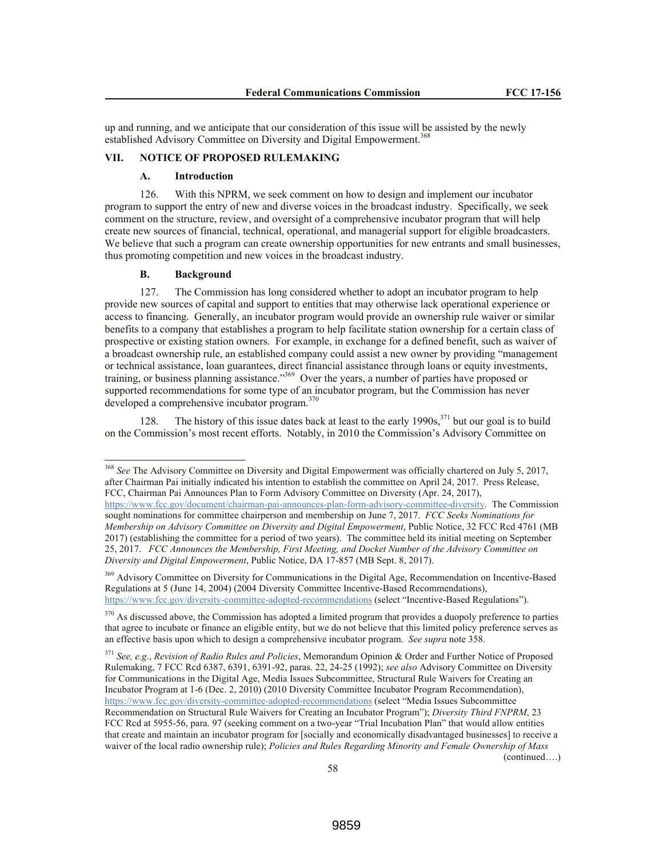up and running, and we anticipate that our consideration of this issue will be assisted by the newly established Advisory Committee on Diversity and Digital Empowerment.<sup>368</sup>

# **VII. NOTICE OF PROPOSED RULEMAKING**

# **A. Introduction**

126. With this NPRM, we seek comment on how to design and implement our incubator program to support the entry of new and diverse voices in the broadcast industry. Specifically, we seek comment on the structure, review, and oversight of a comprehensive incubator program that will help create new sources of financial, technical, operational, and managerial support for eligible broadcasters. We believe that such a program can create ownership opportunities for new entrants and small businesses, thus promoting competition and new voices in the broadcast industry.

# **B. Background**

 $\overline{a}$ 

127. The Commission has long considered whether to adopt an incubator program to help provide new sources of capital and support to entities that may otherwise lack operational experience or access to financing. Generally, an incubator program would provide an ownership rule waiver or similar benefits to a company that establishes a program to help facilitate station ownership for a certain class of prospective or existing station owners. For example, in exchange for a defined benefit, such as waiver of a broadcast ownership rule, an established company could assist a new owner by providing "management or technical assistance, loan guarantees, direct financial assistance through loans or equity investments, training, or business planning assistance."<sup>369</sup> Over the years, a number of parties have proposed or supported recommendations for some type of an incubator program, but the Commission has never developed a comprehensive incubator program.<sup>370</sup>

128. The history of this issue dates back at least to the early 1990s,<sup>371</sup> but our goal is to build on the Commission's most recent efforts. Notably, in 2010 the Commission's Advisory Committee on

<sup>369</sup> Advisory Committee on Diversity for Communications in the Digital Age, Recommendation on Incentive-Based Regulations at 5 (June 14, 2004) (2004 Diversity Committee Incentive-Based Recommendations), https://www.fcc.gov/diversity-committee-adopted-recommendations (select "Incentive-Based Regulations").

<sup>370</sup> As discussed above, the Commission has adopted a limited program that provides a duopoly preference to parties that agree to incubate or finance an eligible entity, but we do not believe that this limited policy preference serves as an effective basis upon which to design a comprehensive incubator program. *See supra* note 358.

<sup>371</sup> *See, e.g.*, *Revision of Radio Rules and Policies*, Memorandum Opinion & Order and Further Notice of Proposed Rulemaking, 7 FCC Rcd 6387, 6391, 6391-92, paras. 22, 24-25 (1992); *see also* Advisory Committee on Diversity for Communications in the Digital Age, Media Issues Subcommittee, Structural Rule Waivers for Creating an Incubator Program at 1-6 (Dec. 2, 2010) (2010 Diversity Committee Incubator Program Recommendation), https://www.fcc.gov/diversity-committee-adopted-recommendations (select "Media Issues Subcommittee

Recommendation on Structural Rule Waivers for Creating an Incubator Program"); *Diversity Third FNPRM*, 23 FCC Rcd at 5955-56, para. 97 (seeking comment on a two-year "Trial Incubation Plan" that would allow entities that create and maintain an incubator program for [socially and economically disadvantaged businesses] to receive a waiver of the local radio ownership rule); *Policies and Rules Regarding Minority and Female Ownership of Mass*  (continued….)

<sup>368</sup> *See* The Advisory Committee on Diversity and Digital Empowerment was officially chartered on July 5, 2017, after Chairman Pai initially indicated his intention to establish the committee on April 24, 2017. Press Release, FCC, Chairman Pai Announces Plan to Form Advisory Committee on Diversity (Apr. 24, 2017), https://www.fcc.gov/document/chairman-pai-announces-plan-form-advisory-committee-diversity. The Commission sought nominations for committee chairperson and membership on June 7, 2017. *FCC Seeks Nominations for Membership on Advisory Committee on Diversity and Digital Empowerment*, Public Notice, 32 FCC Rcd 4761 (MB 2017) (establishing the committee for a period of two years). The committee held its initial meeting on September 25, 2017. *FCC Announces the Membership, First Meeting, and Docket Number of the Advisory Committee on Diversity and Digital Empowerment*, Public Notice, DA 17-857 (MB Sept. 8, 2017).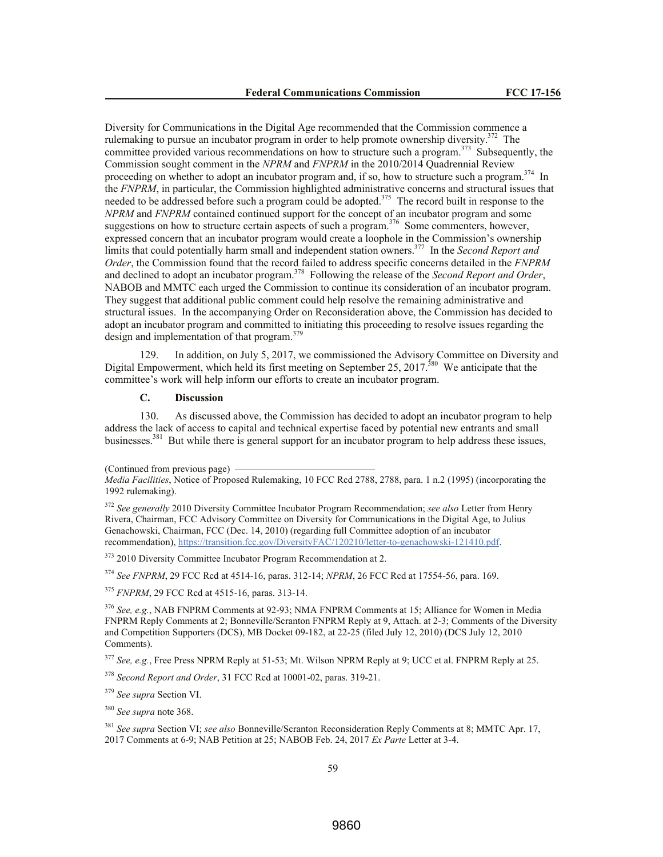Diversity for Communications in the Digital Age recommended that the Commission commence a rulemaking to pursue an incubator program in order to help promote ownership diversity.<sup>372</sup> The committee provided various recommendations on how to structure such a program.<sup>373</sup> Subsequently, the Commission sought comment in the *NPRM* and *FNPRM* in the 2010/2014 Quadrennial Review proceeding on whether to adopt an incubator program and, if so, how to structure such a program.<sup>374</sup> In the *FNPRM*, in particular, the Commission highlighted administrative concerns and structural issues that needed to be addressed before such a program could be adopted.<sup>375</sup> The record built in response to the *NPRM* and *FNPRM* contained continued support for the concept of an incubator program and some suggestions on how to structure certain aspects of such a program.<sup>376</sup> Some commenters, however, expressed concern that an incubator program would create a loophole in the Commission's ownership limits that could potentially harm small and independent station owners.<sup>377</sup> In the *Second Report and Order*, the Commission found that the record failed to address specific concerns detailed in the *FNPRM* and declined to adopt an incubator program. 378 Following the release of the *Second Report and Order*, NABOB and MMTC each urged the Commission to continue its consideration of an incubator program. They suggest that additional public comment could help resolve the remaining administrative and structural issues. In the accompanying Order on Reconsideration above, the Commission has decided to adopt an incubator program and committed to initiating this proceeding to resolve issues regarding the design and implementation of that program.<sup>379</sup>

129. In addition, on July 5, 2017, we commissioned the Advisory Committee on Diversity and Digital Empowerment, which held its first meeting on September 25, 2017.<sup>380</sup> We anticipate that the committee's work will help inform our efforts to create an incubator program.

# **C. Discussion**

130. As discussed above, the Commission has decided to adopt an incubator program to help address the lack of access to capital and technical expertise faced by potential new entrants and small businesses.<sup>381</sup> But while there is general support for an incubator program to help address these issues,

<sup>373</sup> 2010 Diversity Committee Incubator Program Recommendation at 2.

<sup>374</sup> *See FNPRM*, 29 FCC Rcd at 4514-16, paras. 312-14; *NPRM*, 26 FCC Rcd at 17554-56, para. 169.

<sup>375</sup> *FNPRM*, 29 FCC Rcd at 4515-16, paras. 313-14.

<sup>376</sup> *See, e.g.*, NAB FNPRM Comments at 92-93; NMA FNPRM Comments at 15; Alliance for Women in Media FNPRM Reply Comments at 2; Bonneville/Scranton FNPRM Reply at 9, Attach. at 2-3; Comments of the Diversity and Competition Supporters (DCS), MB Docket 09-182, at 22-25 (filed July 12, 2010) (DCS July 12, 2010 Comments).

<sup>377</sup> *See, e.g.*, Free Press NPRM Reply at 51-53; Mt. Wilson NPRM Reply at 9; UCC et al. FNPRM Reply at 25.

<sup>378</sup> *Second Report and Order*, 31 FCC Rcd at 10001-02, paras. 319-21.

<sup>379</sup> *See supra* Section VI.

<sup>380</sup> *See supra* note 368.

<sup>381</sup> *See supra* Section VI; *see also* Bonneville/Scranton Reconsideration Reply Comments at 8; MMTC Apr. 17, 2017 Comments at 6-9; NAB Petition at 25; NABOB Feb. 24, 2017 *Ex Parte* Letter at 3-4.

<sup>(</sup>Continued from previous page)

*Media Facilities*, Notice of Proposed Rulemaking, 10 FCC Rcd 2788, 2788, para. 1 n.2 (1995) (incorporating the 1992 rulemaking).

<sup>372</sup> *See generally* 2010 Diversity Committee Incubator Program Recommendation; *see also* Letter from Henry Rivera, Chairman, FCC Advisory Committee on Diversity for Communications in the Digital Age, to Julius Genachowski, Chairman, FCC (Dec. 14, 2010) (regarding full Committee adoption of an incubator recommendation), https://transition.fcc.gov/DiversityFAC/120210/letter-to-genachowski-121410.pdf.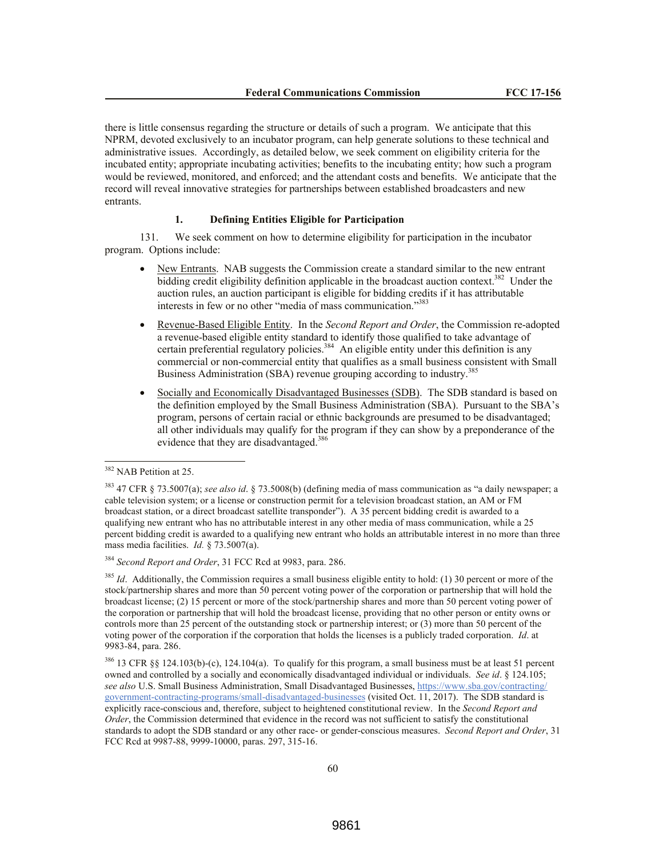there is little consensus regarding the structure or details of such a program. We anticipate that this NPRM, devoted exclusively to an incubator program, can help generate solutions to these technical and administrative issues. Accordingly, as detailed below, we seek comment on eligibility criteria for the incubated entity; appropriate incubating activities; benefits to the incubating entity; how such a program would be reviewed, monitored, and enforced; and the attendant costs and benefits. We anticipate that the record will reveal innovative strategies for partnerships between established broadcasters and new entrants.

## **1. Defining Entities Eligible for Participation**

131. We seek comment on how to determine eligibility for participation in the incubator program. Options include:

- New Entrants. NAB suggests the Commission create a standard similar to the new entrant bidding credit eligibility definition applicable in the broadcast auction context.<sup>382</sup> Under the auction rules, an auction participant is eligible for bidding credits if it has attributable interests in few or no other "media of mass communication."<sup>383</sup>
- Revenue-Based Eligible Entity. In the *Second Report and Order*, the Commission re-adopted a revenue-based eligible entity standard to identify those qualified to take advantage of certain preferential regulatory policies.<sup>384</sup> An eligible entity under this definition is any commercial or non-commercial entity that qualifies as a small business consistent with Small Business Administration (SBA) revenue grouping according to industry.<sup>385</sup>
- Socially and Economically Disadvantaged Businesses (SDB). The SDB standard is based on the definition employed by the Small Business Administration (SBA). Pursuant to the SBA's program, persons of certain racial or ethnic backgrounds are presumed to be disadvantaged; all other individuals may qualify for the program if they can show by a preponderance of the evidence that they are disadvantaged.<sup>386</sup>

<sup>&</sup>lt;sup>382</sup> NAB Petition at 25.

<sup>383</sup> 47 CFR § 73.5007(a); *see also id*. § 73.5008(b) (defining media of mass communication as "a daily newspaper; a cable television system; or a license or construction permit for a television broadcast station, an AM or FM broadcast station, or a direct broadcast satellite transponder"). A 35 percent bidding credit is awarded to a qualifying new entrant who has no attributable interest in any other media of mass communication, while a 25 percent bidding credit is awarded to a qualifying new entrant who holds an attributable interest in no more than three mass media facilities. *Id.* § 73.5007(a).

<sup>384</sup> *Second Report and Order*, 31 FCC Rcd at 9983, para. 286.

<sup>&</sup>lt;sup>385</sup> *Id*. Additionally, the Commission requires a small business eligible entity to hold: (1) 30 percent or more of the stock/partnership shares and more than 50 percent voting power of the corporation or partnership that will hold the broadcast license; (2) 15 percent or more of the stock/partnership shares and more than 50 percent voting power of the corporation or partnership that will hold the broadcast license, providing that no other person or entity owns or controls more than 25 percent of the outstanding stock or partnership interest; or (3) more than 50 percent of the voting power of the corporation if the corporation that holds the licenses is a publicly traded corporation. *Id*. at 9983-84, para. 286.

 $386$  13 CFR §§ 124.103(b)-(c), 124.104(a). To qualify for this program, a small business must be at least 51 percent owned and controlled by a socially and economically disadvantaged individual or individuals. *See id*. § 124.105; *see also* U.S. Small Business Administration, Small Disadvantaged Businesses, https://www.sba.gov/contracting/ government-contracting-programs/small-disadvantaged-businesses (visited Oct. 11, 2017). The SDB standard is explicitly race-conscious and, therefore, subject to heightened constitutional review. In the *Second Report and Order*, the Commission determined that evidence in the record was not sufficient to satisfy the constitutional standards to adopt the SDB standard or any other race- or gender-conscious measures. *Second Report and Order*, 31 FCC Rcd at 9987-88, 9999-10000, paras. 297, 315-16.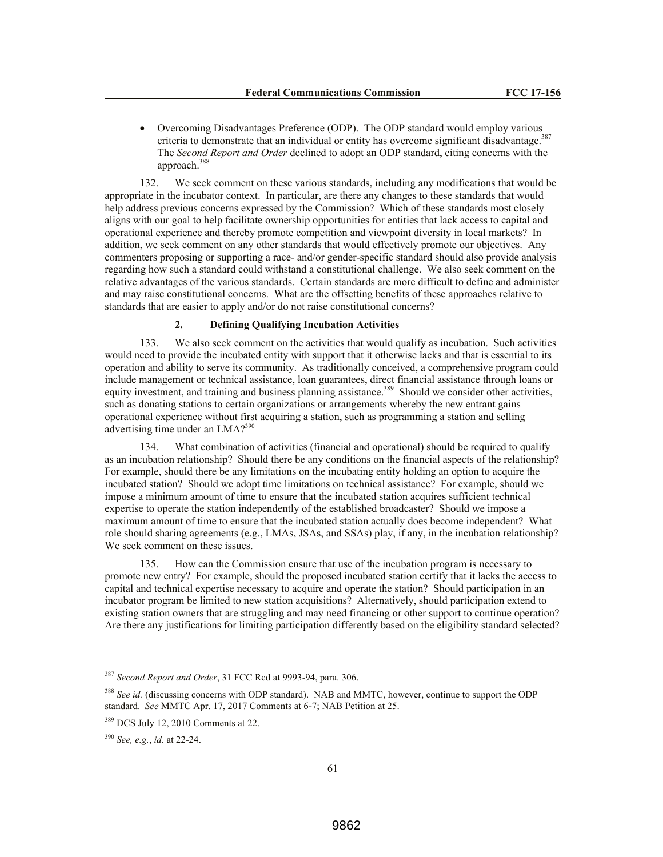Overcoming Disadvantages Preference (ODP). The ODP standard would employ various criteria to demonstrate that an individual or entity has overcome significant disadvantage.<sup>387</sup> The *Second Report and Order* declined to adopt an ODP standard, citing concerns with the approach.<sup>388</sup>

132. We seek comment on these various standards, including any modifications that would be appropriate in the incubator context. In particular, are there any changes to these standards that would help address previous concerns expressed by the Commission? Which of these standards most closely aligns with our goal to help facilitate ownership opportunities for entities that lack access to capital and operational experience and thereby promote competition and viewpoint diversity in local markets? In addition, we seek comment on any other standards that would effectively promote our objectives. Any commenters proposing or supporting a race- and/or gender-specific standard should also provide analysis regarding how such a standard could withstand a constitutional challenge. We also seek comment on the relative advantages of the various standards. Certain standards are more difficult to define and administer and may raise constitutional concerns. What are the offsetting benefits of these approaches relative to standards that are easier to apply and/or do not raise constitutional concerns?

## **2. Defining Qualifying Incubation Activities**

133. We also seek comment on the activities that would qualify as incubation. Such activities would need to provide the incubated entity with support that it otherwise lacks and that is essential to its operation and ability to serve its community. As traditionally conceived, a comprehensive program could include management or technical assistance, loan guarantees, direct financial assistance through loans or equity investment, and training and business planning assistance.<sup>389</sup> Should we consider other activities, such as donating stations to certain organizations or arrangements whereby the new entrant gains operational experience without first acquiring a station, such as programming a station and selling advertising time under an LMA?<sup>390</sup>

134. What combination of activities (financial and operational) should be required to qualify as an incubation relationship? Should there be any conditions on the financial aspects of the relationship? For example, should there be any limitations on the incubating entity holding an option to acquire the incubated station? Should we adopt time limitations on technical assistance? For example, should we impose a minimum amount of time to ensure that the incubated station acquires sufficient technical expertise to operate the station independently of the established broadcaster? Should we impose a maximum amount of time to ensure that the incubated station actually does become independent? What role should sharing agreements (e.g., LMAs, JSAs, and SSAs) play, if any, in the incubation relationship? We seek comment on these issues.

135. How can the Commission ensure that use of the incubation program is necessary to promote new entry? For example, should the proposed incubated station certify that it lacks the access to capital and technical expertise necessary to acquire and operate the station? Should participation in an incubator program be limited to new station acquisitions? Alternatively, should participation extend to existing station owners that are struggling and may need financing or other support to continue operation? Are there any justifications for limiting participation differently based on the eligibility standard selected?

 $\overline{a}$ 

<sup>387</sup> *Second Report and Order*, 31 FCC Rcd at 9993-94, para. 306.

<sup>388</sup> *See id.* (discussing concerns with ODP standard).NAB and MMTC, however, continue to support the ODP standard. *See* MMTC Apr. 17, 2017 Comments at 6-7; NAB Petition at 25.

<sup>389</sup> DCS July 12, 2010 Comments at 22.

<sup>390</sup> *See, e.g.*, *id.* at 22-24.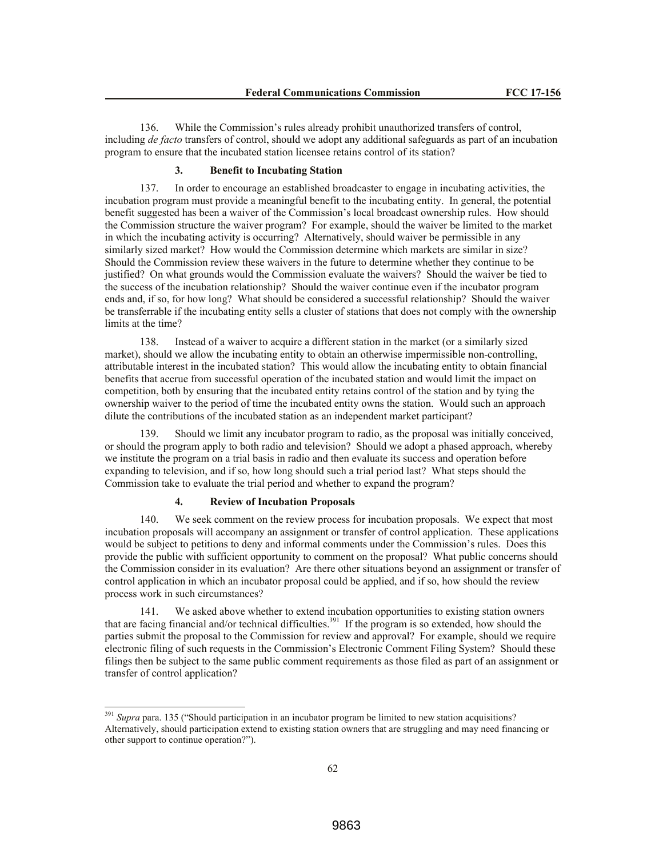136. While the Commission's rules already prohibit unauthorized transfers of control, including *de facto* transfers of control, should we adopt any additional safeguards as part of an incubation program to ensure that the incubated station licensee retains control of its station?

#### **3. Benefit to Incubating Station**

137. In order to encourage an established broadcaster to engage in incubating activities, the incubation program must provide a meaningful benefit to the incubating entity. In general, the potential benefit suggested has been a waiver of the Commission's local broadcast ownership rules. How should the Commission structure the waiver program? For example, should the waiver be limited to the market in which the incubating activity is occurring? Alternatively, should waiver be permissible in any similarly sized market? How would the Commission determine which markets are similar in size? Should the Commission review these waivers in the future to determine whether they continue to be justified? On what grounds would the Commission evaluate the waivers? Should the waiver be tied to the success of the incubation relationship? Should the waiver continue even if the incubator program ends and, if so, for how long? What should be considered a successful relationship? Should the waiver be transferrable if the incubating entity sells a cluster of stations that does not comply with the ownership limits at the time?

138. Instead of a waiver to acquire a different station in the market (or a similarly sized market), should we allow the incubating entity to obtain an otherwise impermissible non-controlling, attributable interest in the incubated station? This would allow the incubating entity to obtain financial benefits that accrue from successful operation of the incubated station and would limit the impact on competition, both by ensuring that the incubated entity retains control of the station and by tying the ownership waiver to the period of time the incubated entity owns the station. Would such an approach dilute the contributions of the incubated station as an independent market participant?

139. Should we limit any incubator program to radio, as the proposal was initially conceived, or should the program apply to both radio and television? Should we adopt a phased approach, whereby we institute the program on a trial basis in radio and then evaluate its success and operation before expanding to television, and if so, how long should such a trial period last? What steps should the Commission take to evaluate the trial period and whether to expand the program?

#### **4. Review of Incubation Proposals**

 $\overline{a}$ 

140. We seek comment on the review process for incubation proposals. We expect that most incubation proposals will accompany an assignment or transfer of control application. These applications would be subject to petitions to deny and informal comments under the Commission's rules. Does this provide the public with sufficient opportunity to comment on the proposal? What public concerns should the Commission consider in its evaluation? Are there other situations beyond an assignment or transfer of control application in which an incubator proposal could be applied, and if so, how should the review process work in such circumstances?

141. We asked above whether to extend incubation opportunities to existing station owners that are facing financial and/or technical difficulties.<sup>391</sup> If the program is so extended, how should the parties submit the proposal to the Commission for review and approval? For example, should we require electronic filing of such requests in the Commission's Electronic Comment Filing System? Should these filings then be subject to the same public comment requirements as those filed as part of an assignment or transfer of control application?

<sup>391</sup> *Supra* para. 135 ("Should participation in an incubator program be limited to new station acquisitions? Alternatively, should participation extend to existing station owners that are struggling and may need financing or other support to continue operation?").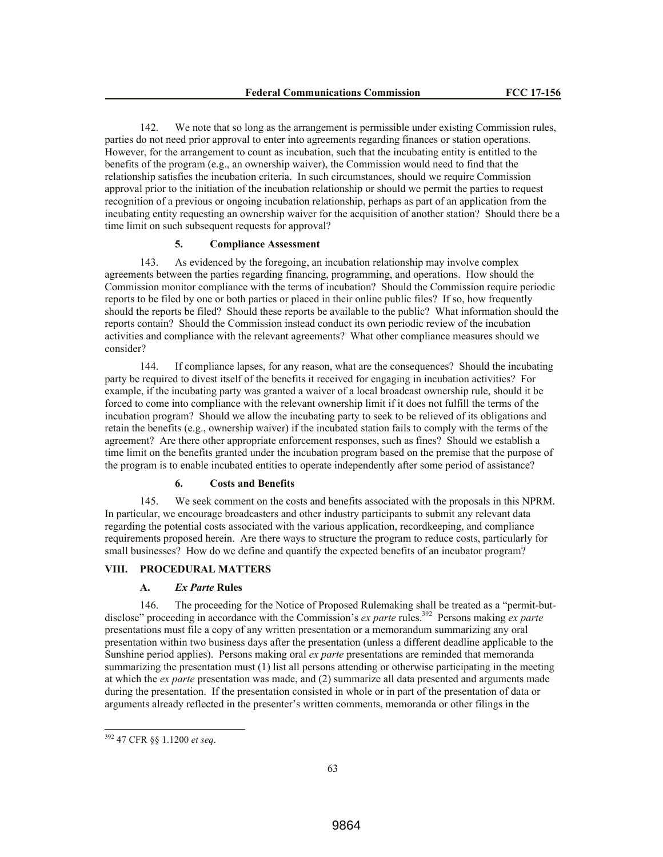142. We note that so long as the arrangement is permissible under existing Commission rules, parties do not need prior approval to enter into agreements regarding finances or station operations. However, for the arrangement to count as incubation, such that the incubating entity is entitled to the benefits of the program (e.g., an ownership waiver), the Commission would need to find that the relationship satisfies the incubation criteria. In such circumstances, should we require Commission approval prior to the initiation of the incubation relationship or should we permit the parties to request recognition of a previous or ongoing incubation relationship, perhaps as part of an application from the incubating entity requesting an ownership waiver for the acquisition of another station? Should there be a time limit on such subsequent requests for approval?

## **5. Compliance Assessment**

143. As evidenced by the foregoing, an incubation relationship may involve complex agreements between the parties regarding financing, programming, and operations. How should the Commission monitor compliance with the terms of incubation? Should the Commission require periodic reports to be filed by one or both parties or placed in their online public files? If so, how frequently should the reports be filed? Should these reports be available to the public? What information should the reports contain? Should the Commission instead conduct its own periodic review of the incubation activities and compliance with the relevant agreements? What other compliance measures should we consider?

144. If compliance lapses, for any reason, what are the consequences? Should the incubating party be required to divest itself of the benefits it received for engaging in incubation activities? For example, if the incubating party was granted a waiver of a local broadcast ownership rule, should it be forced to come into compliance with the relevant ownership limit if it does not fulfill the terms of the incubation program? Should we allow the incubating party to seek to be relieved of its obligations and retain the benefits (e.g., ownership waiver) if the incubated station fails to comply with the terms of the agreement? Are there other appropriate enforcement responses, such as fines? Should we establish a time limit on the benefits granted under the incubation program based on the premise that the purpose of the program is to enable incubated entities to operate independently after some period of assistance?

# **6. Costs and Benefits**

145. We seek comment on the costs and benefits associated with the proposals in this NPRM. In particular, we encourage broadcasters and other industry participants to submit any relevant data regarding the potential costs associated with the various application, recordkeeping, and compliance requirements proposed herein. Are there ways to structure the program to reduce costs, particularly for small businesses? How do we define and quantify the expected benefits of an incubator program?

# **VIII. PROCEDURAL MATTERS**

## **A.** *Ex Parte* **Rules**

146. The proceeding for the Notice of Proposed Rulemaking shall be treated as a "permit-butdisclose" proceeding in accordance with the Commission's *ex parte* rules.<sup>392</sup> Persons making *ex parte* presentations must file a copy of any written presentation or a memorandum summarizing any oral presentation within two business days after the presentation (unless a different deadline applicable to the Sunshine period applies). Persons making oral *ex parte* presentations are reminded that memoranda summarizing the presentation must (1) list all persons attending or otherwise participating in the meeting at which the *ex parte* presentation was made, and (2) summarize all data presented and arguments made during the presentation. If the presentation consisted in whole or in part of the presentation of data or arguments already reflected in the presenter's written comments, memoranda or other filings in the

<sup>392</sup> 47 CFR §§ 1.1200 *et seq*.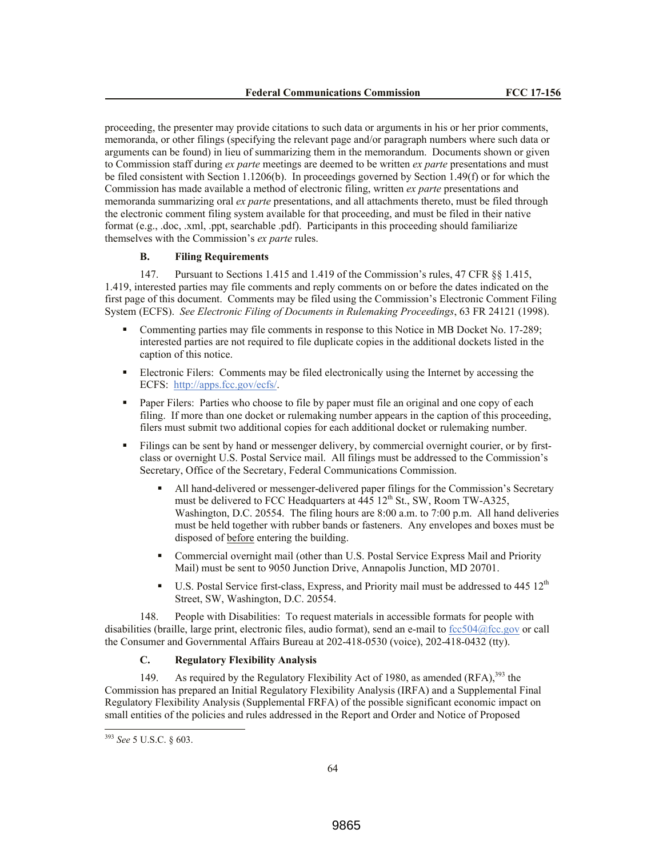proceeding, the presenter may provide citations to such data or arguments in his or her prior comments, memoranda, or other filings (specifying the relevant page and/or paragraph numbers where such data or arguments can be found) in lieu of summarizing them in the memorandum. Documents shown or given to Commission staff during *ex parte* meetings are deemed to be written *ex parte* presentations and must be filed consistent with Section 1.1206(b). In proceedings governed by Section 1.49(f) or for which the Commission has made available a method of electronic filing, written *ex parte* presentations and memoranda summarizing oral *ex parte* presentations, and all attachments thereto, must be filed through the electronic comment filing system available for that proceeding, and must be filed in their native format (e.g., .doc, .xml, .ppt, searchable .pdf). Participants in this proceeding should familiarize themselves with the Commission's *ex parte* rules.

## **B. Filing Requirements**

147. Pursuant to Sections 1.415 and 1.419 of the Commission's rules, 47 CFR §§ 1.415, 1.419, interested parties may file comments and reply comments on or before the dates indicated on the first page of this document. Comments may be filed using the Commission's Electronic Comment Filing System (ECFS). *See Electronic Filing of Documents in Rulemaking Proceedings*, 63 FR 24121 (1998).

- Commenting parties may file comments in response to this Notice in MB Docket No. 17-289; interested parties are not required to file duplicate copies in the additional dockets listed in the caption of this notice.
- Electronic Filers: Comments may be filed electronically using the Internet by accessing the ECFS: http://apps.fcc.gov/ecfs/.
- Paper Filers: Parties who choose to file by paper must file an original and one copy of each filing. If more than one docket or rulemaking number appears in the caption of this proceeding, filers must submit two additional copies for each additional docket or rulemaking number.
- Filings can be sent by hand or messenger delivery, by commercial overnight courier, or by firstclass or overnight U.S. Postal Service mail. All filings must be addressed to the Commission's Secretary, Office of the Secretary, Federal Communications Commission.
	- All hand-delivered or messenger-delivered paper filings for the Commission's Secretary must be delivered to FCC Headquarters at  $445 \, 12^{th}$  St., SW, Room TW-A325, Washington, D.C. 20554. The filing hours are 8:00 a.m. to 7:00 p.m. All hand deliveries must be held together with rubber bands or fasteners. Any envelopes and boxes must be disposed of before entering the building.
	- Commercial overnight mail (other than U.S. Postal Service Express Mail and Priority Mail) must be sent to 9050 Junction Drive, Annapolis Junction, MD 20701.
	- U.S. Postal Service first-class, Express, and Priority mail must be addressed to  $445 \frac{12^{th}}{125}$ Street, SW, Washington, D.C. 20554.

148. People with Disabilities: To request materials in accessible formats for people with disabilities (braille, large print, electronic files, audio format), send an e-mail to  $\frac{fcc504@fcc.gov}{c}$  or call the Consumer and Governmental Affairs Bureau at 202-418-0530 (voice), 202-418-0432 (tty).

# **C. Regulatory Flexibility Analysis**

149. As required by the Regulatory Flexibility Act of 1980, as amended  $(RFA)$ ,  $393$  the Commission has prepared an Initial Regulatory Flexibility Analysis (IRFA) and a Supplemental Final Regulatory Flexibility Analysis (Supplemental FRFA) of the possible significant economic impact on small entities of the policies and rules addressed in the Report and Order and Notice of Proposed

<sup>393</sup> *See* 5 U.S.C. § 603.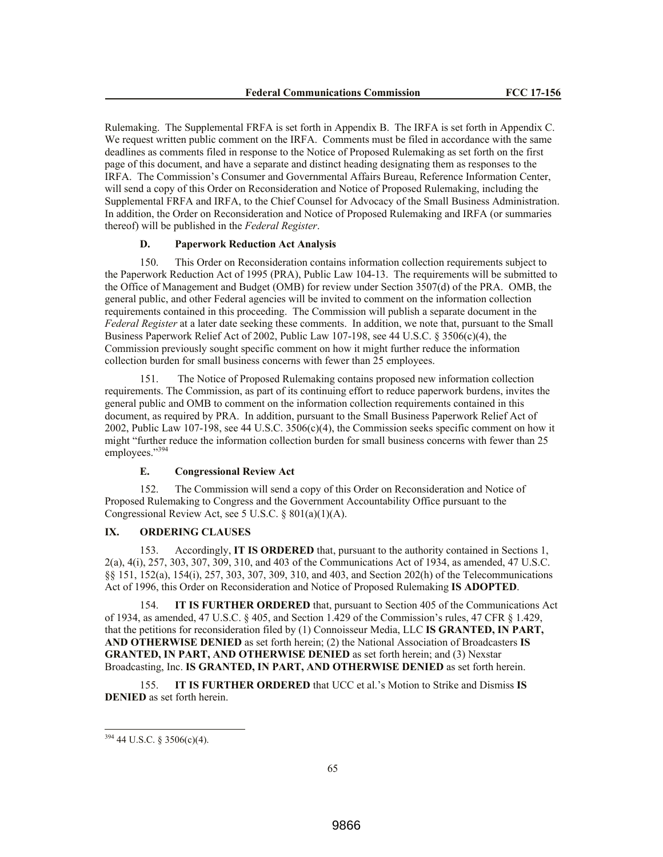Rulemaking. The Supplemental FRFA is set forth in Appendix B. The IRFA is set forth in Appendix C. We request written public comment on the IRFA. Comments must be filed in accordance with the same deadlines as comments filed in response to the Notice of Proposed Rulemaking as set forth on the first page of this document, and have a separate and distinct heading designating them as responses to the IRFA. The Commission's Consumer and Governmental Affairs Bureau, Reference Information Center, will send a copy of this Order on Reconsideration and Notice of Proposed Rulemaking, including the Supplemental FRFA and IRFA, to the Chief Counsel for Advocacy of the Small Business Administration. In addition, the Order on Reconsideration and Notice of Proposed Rulemaking and IRFA (or summaries thereof) will be published in the *Federal Register*.

# **D. Paperwork Reduction Act Analysis**

150. This Order on Reconsideration contains information collection requirements subject to the Paperwork Reduction Act of 1995 (PRA), Public Law 104-13. The requirements will be submitted to the Office of Management and Budget (OMB) for review under Section 3507(d) of the PRA. OMB, the general public, and other Federal agencies will be invited to comment on the information collection requirements contained in this proceeding. The Commission will publish a separate document in the *Federal Register* at a later date seeking these comments. In addition, we note that, pursuant to the Small Business Paperwork Relief Act of 2002, Public Law 107-198, see 44 U.S.C. § 3506(c)(4), the Commission previously sought specific comment on how it might further reduce the information collection burden for small business concerns with fewer than 25 employees.

151. The Notice of Proposed Rulemaking contains proposed new information collection requirements. The Commission, as part of its continuing effort to reduce paperwork burdens, invites the general public and OMB to comment on the information collection requirements contained in this document, as required by PRA. In addition, pursuant to the Small Business Paperwork Relief Act of 2002, Public Law 107-198, see 44 U.S.C.  $3506(c)(4)$ , the Commission seeks specific comment on how it might "further reduce the information collection burden for small business concerns with fewer than 25 employees."<sup>394</sup>

### **E. Congressional Review Act**

152. The Commission will send a copy of this Order on Reconsideration and Notice of Proposed Rulemaking to Congress and the Government Accountability Office pursuant to the Congressional Review Act, see 5 U.S.C. § 801(a)(1)(A).

## **IX. ORDERING CLAUSES**

153. Accordingly, **IT IS ORDERED** that, pursuant to the authority contained in Sections 1, 2(a), 4(i), 257, 303, 307, 309, 310, and 403 of the Communications Act of 1934, as amended, 47 U.S.C. §§ 151, 152(a), 154(i), 257, 303, 307, 309, 310, and 403, and Section 202(h) of the Telecommunications Act of 1996, this Order on Reconsideration and Notice of Proposed Rulemaking **IS ADOPTED**.

154. **IT IS FURTHER ORDERED** that, pursuant to Section 405 of the Communications Act of 1934, as amended, 47 U.S.C. § 405, and Section 1.429 of the Commission's rules, 47 CFR § 1.429, that the petitions for reconsideration filed by (1) Connoisseur Media, LLC **IS GRANTED, IN PART, AND OTHERWISE DENIED** as set forth herein; (2) the National Association of Broadcasters **IS GRANTED, IN PART, AND OTHERWISE DENIED** as set forth herein; and (3) Nexstar Broadcasting, Inc. **IS GRANTED, IN PART, AND OTHERWISE DENIED** as set forth herein.

155. **IT IS FURTHER ORDERED** that UCC et al.'s Motion to Strike and Dismiss **IS DENIED** as set forth herein.

 $394$  44 U.S.C. § 3506(c)(4).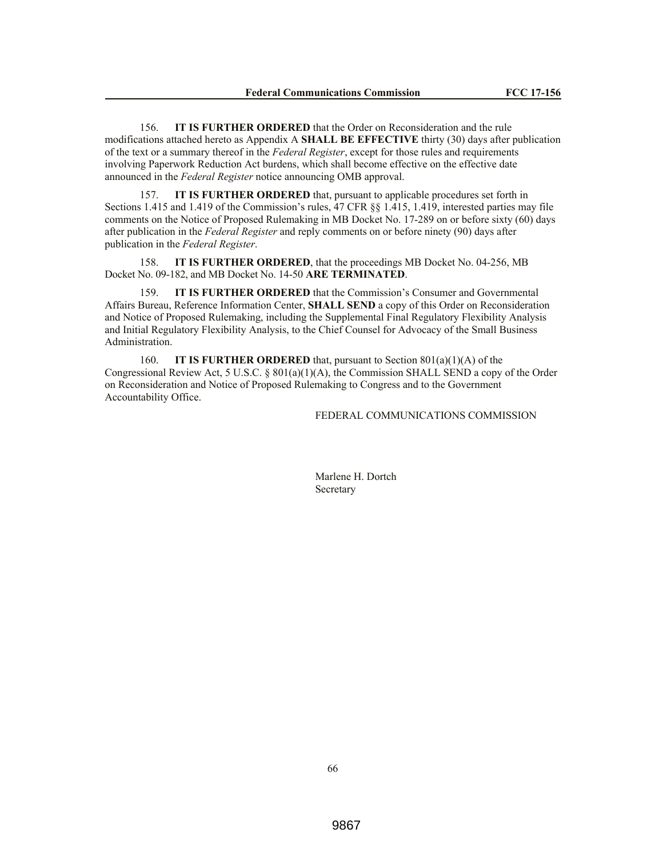156. **IT IS FURTHER ORDERED** that the Order on Reconsideration and the rule modifications attached hereto as Appendix A **SHALL BE EFFECTIVE** thirty (30) days after publication of the text or a summary thereof in the *Federal Register*, except for those rules and requirements involving Paperwork Reduction Act burdens, which shall become effective on the effective date announced in the *Federal Register* notice announcing OMB approval.

157. **IT IS FURTHER ORDERED** that, pursuant to applicable procedures set forth in Sections 1.415 and 1.419 of the Commission's rules, 47 CFR §§ 1.415, 1.419, interested parties may file comments on the Notice of Proposed Rulemaking in MB Docket No. 17-289 on or before sixty (60) days after publication in the *Federal Register* and reply comments on or before ninety (90) days after publication in the *Federal Register*.

158. **IT IS FURTHER ORDERED**, that the proceedings MB Docket No. 04-256, MB Docket No. 09-182, and MB Docket No. 14-50 **ARE TERMINATED**.

159. **IT IS FURTHER ORDERED** that the Commission's Consumer and Governmental Affairs Bureau, Reference Information Center, **SHALL SEND** a copy of this Order on Reconsideration and Notice of Proposed Rulemaking, including the Supplemental Final Regulatory Flexibility Analysis and Initial Regulatory Flexibility Analysis, to the Chief Counsel for Advocacy of the Small Business Administration.

160. **IT IS FURTHER ORDERED** that, pursuant to Section 801(a)(1)(A) of the Congressional Review Act, 5 U.S.C. § 801(a)(1)(A), the Commission SHALL SEND a copy of the Order on Reconsideration and Notice of Proposed Rulemaking to Congress and to the Government Accountability Office.

FEDERAL COMMUNICATIONS COMMISSION

Marlene H. Dortch Secretary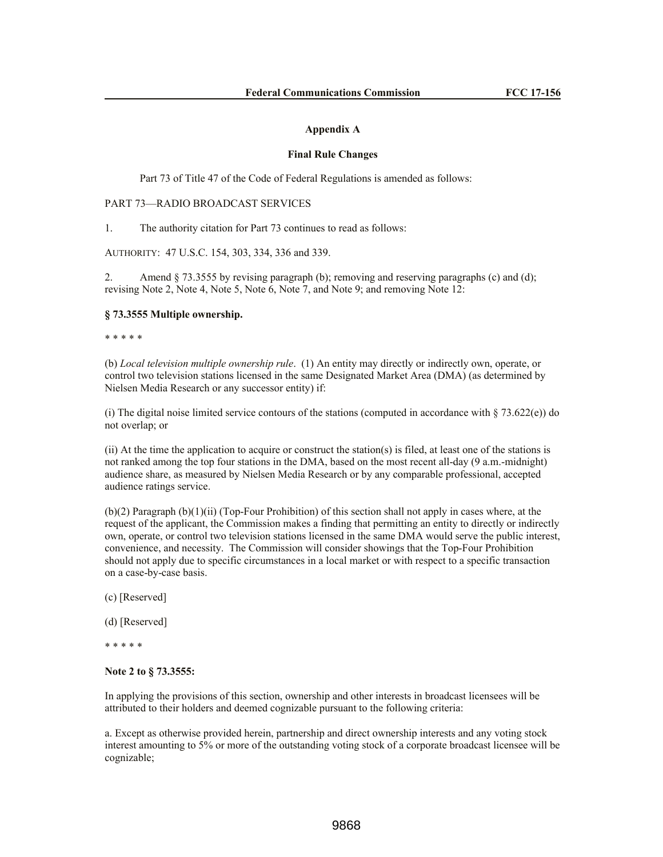#### **Appendix A**

#### **Final Rule Changes**

Part 73 of Title 47 of the Code of Federal Regulations is amended as follows:

## PART 73—RADIO BROADCAST SERVICES

1. The authority citation for Part 73 continues to read as follows:

AUTHORITY: 47 U.S.C. 154, 303, 334, 336 and 339.

2. Amend § 73.3555 by revising paragraph (b); removing and reserving paragraphs (c) and (d); revising Note 2, Note 4, Note 5, Note 6, Note 7, and Note 9; and removing Note 12:

## **§ 73.3555 Multiple ownership.**

\* \* \* \* \*

(b) *Local television multiple ownership rule*. (1) An entity may directly or indirectly own, operate, or control two television stations licensed in the same Designated Market Area (DMA) (as determined by Nielsen Media Research or any successor entity) if:

(i) The digital noise limited service contours of the stations (computed in accordance with  $\S 73.622(e)$ ) do not overlap; or

(ii) At the time the application to acquire or construct the station(s) is filed, at least one of the stations is not ranked among the top four stations in the DMA, based on the most recent all-day (9 a.m.-midnight) audience share, as measured by Nielsen Media Research or by any comparable professional, accepted audience ratings service.

 $(b)(2)$  Paragraph  $(b)(1)(ii)$  (Top-Four Prohibition) of this section shall not apply in cases where, at the request of the applicant, the Commission makes a finding that permitting an entity to directly or indirectly own, operate, or control two television stations licensed in the same DMA would serve the public interest, convenience, and necessity. The Commission will consider showings that the Top-Four Prohibition should not apply due to specific circumstances in a local market or with respect to a specific transaction on a case-by-case basis.

(c) [Reserved]

(d) [Reserved]

\* \* \* \* \*

## **Note 2 to § 73.3555:**

In applying the provisions of this section, ownership and other interests in broadcast licensees will be attributed to their holders and deemed cognizable pursuant to the following criteria:

a. Except as otherwise provided herein, partnership and direct ownership interests and any voting stock interest amounting to 5% or more of the outstanding voting stock of a corporate broadcast licensee will be cognizable;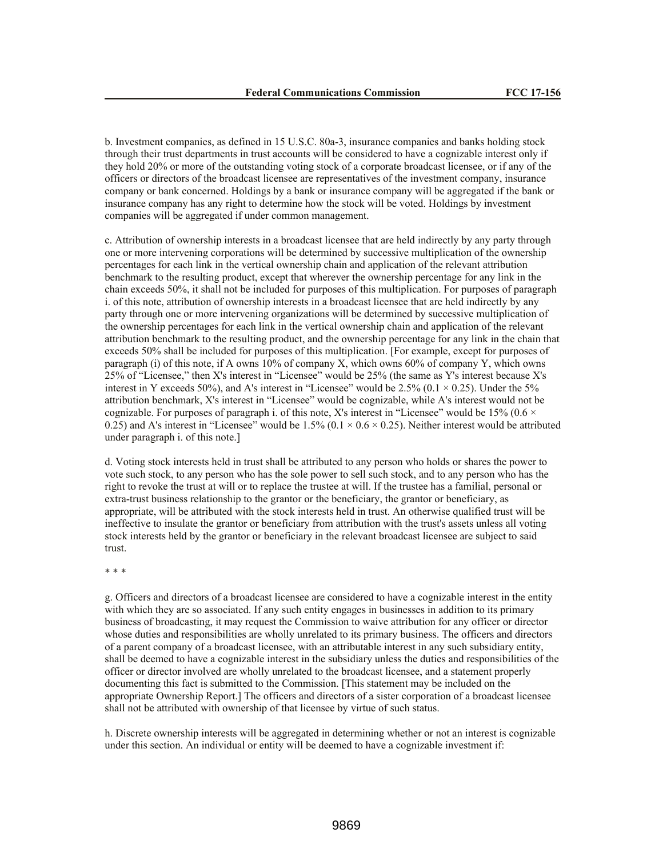b. Investment companies, as defined in 15 U.S.C. 80a-3, insurance companies and banks holding stock through their trust departments in trust accounts will be considered to have a cognizable interest only if they hold 20% or more of the outstanding voting stock of a corporate broadcast licensee, or if any of the officers or directors of the broadcast licensee are representatives of the investment company, insurance company or bank concerned. Holdings by a bank or insurance company will be aggregated if the bank or insurance company has any right to determine how the stock will be voted. Holdings by investment companies will be aggregated if under common management.

c. Attribution of ownership interests in a broadcast licensee that are held indirectly by any party through one or more intervening corporations will be determined by successive multiplication of the ownership percentages for each link in the vertical ownership chain and application of the relevant attribution benchmark to the resulting product, except that wherever the ownership percentage for any link in the chain exceeds 50%, it shall not be included for purposes of this multiplication. For purposes of paragraph i. of this note, attribution of ownership interests in a broadcast licensee that are held indirectly by any party through one or more intervening organizations will be determined by successive multiplication of the ownership percentages for each link in the vertical ownership chain and application of the relevant attribution benchmark to the resulting product, and the ownership percentage for any link in the chain that exceeds 50% shall be included for purposes of this multiplication. [For example, except for purposes of paragraph (i) of this note, if A owns 10% of company X, which owns 60% of company Y, which owns 25% of "Licensee," then X's interest in "Licensee" would be 25% (the same as Y's interest because X's interest in Y exceeds 50%), and A's interest in "Licensee" would be 2.5% ( $0.1 \times 0.25$ ). Under the 5% attribution benchmark, X's interest in "Licensee" would be cognizable, while A's interest would not be cognizable. For purposes of paragraph i. of this note, X's interest in "Licensee" would be 15% (0.6  $\times$ 0.25) and A's interest in "Licensee" would be  $1.5\%$  (0.1  $\times$  0.6  $\times$  0.25). Neither interest would be attributed under paragraph i. of this note.]

d. Voting stock interests held in trust shall be attributed to any person who holds or shares the power to vote such stock, to any person who has the sole power to sell such stock, and to any person who has the right to revoke the trust at will or to replace the trustee at will. If the trustee has a familial, personal or extra-trust business relationship to the grantor or the beneficiary, the grantor or beneficiary, as appropriate, will be attributed with the stock interests held in trust. An otherwise qualified trust will be ineffective to insulate the grantor or beneficiary from attribution with the trust's assets unless all voting stock interests held by the grantor or beneficiary in the relevant broadcast licensee are subject to said trust.

\* \* \*

g. Officers and directors of a broadcast licensee are considered to have a cognizable interest in the entity with which they are so associated. If any such entity engages in businesses in addition to its primary business of broadcasting, it may request the Commission to waive attribution for any officer or director whose duties and responsibilities are wholly unrelated to its primary business. The officers and directors of a parent company of a broadcast licensee, with an attributable interest in any such subsidiary entity, shall be deemed to have a cognizable interest in the subsidiary unless the duties and responsibilities of the officer or director involved are wholly unrelated to the broadcast licensee, and a statement properly documenting this fact is submitted to the Commission. [This statement may be included on the appropriate Ownership Report.] The officers and directors of a sister corporation of a broadcast licensee shall not be attributed with ownership of that licensee by virtue of such status.

h. Discrete ownership interests will be aggregated in determining whether or not an interest is cognizable under this section. An individual or entity will be deemed to have a cognizable investment if: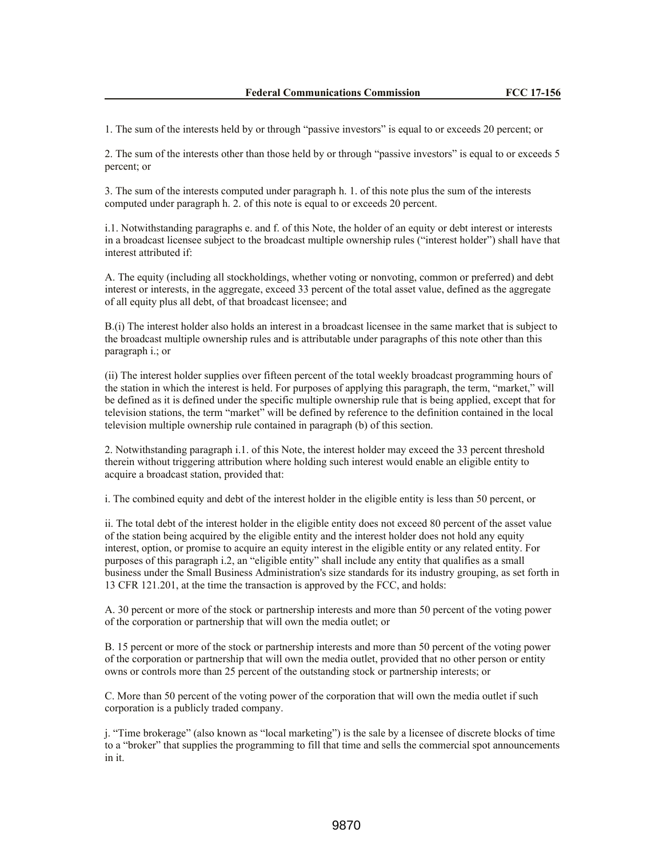1. The sum of the interests held by or through "passive investors" is equal to or exceeds 20 percent; or

2. The sum of the interests other than those held by or through "passive investors" is equal to or exceeds 5 percent; or

3. The sum of the interests computed under paragraph h. 1. of this note plus the sum of the interests computed under paragraph h. 2. of this note is equal to or exceeds 20 percent.

i.1. Notwithstanding paragraphs e. and f. of this Note, the holder of an equity or debt interest or interests in a broadcast licensee subject to the broadcast multiple ownership rules ("interest holder") shall have that interest attributed if:

A. The equity (including all stockholdings, whether voting or nonvoting, common or preferred) and debt interest or interests, in the aggregate, exceed 33 percent of the total asset value, defined as the aggregate of all equity plus all debt, of that broadcast licensee; and

B.(i) The interest holder also holds an interest in a broadcast licensee in the same market that is subject to the broadcast multiple ownership rules and is attributable under paragraphs of this note other than this paragraph i.; or

(ii) The interest holder supplies over fifteen percent of the total weekly broadcast programming hours of the station in which the interest is held. For purposes of applying this paragraph, the term, "market," will be defined as it is defined under the specific multiple ownership rule that is being applied, except that for television stations, the term "market" will be defined by reference to the definition contained in the local television multiple ownership rule contained in paragraph (b) of this section.

2. Notwithstanding paragraph i.1. of this Note, the interest holder may exceed the 33 percent threshold therein without triggering attribution where holding such interest would enable an eligible entity to acquire a broadcast station, provided that:

i. The combined equity and debt of the interest holder in the eligible entity is less than 50 percent, or

ii. The total debt of the interest holder in the eligible entity does not exceed 80 percent of the asset value of the station being acquired by the eligible entity and the interest holder does not hold any equity interest, option, or promise to acquire an equity interest in the eligible entity or any related entity. For purposes of this paragraph i.2, an "eligible entity" shall include any entity that qualifies as a small business under the Small Business Administration's size standards for its industry grouping, as set forth in 13 CFR 121.201, at the time the transaction is approved by the FCC, and holds:

A. 30 percent or more of the stock or partnership interests and more than 50 percent of the voting power of the corporation or partnership that will own the media outlet; or

B. 15 percent or more of the stock or partnership interests and more than 50 percent of the voting power of the corporation or partnership that will own the media outlet, provided that no other person or entity owns or controls more than 25 percent of the outstanding stock or partnership interests; or

C. More than 50 percent of the voting power of the corporation that will own the media outlet if such corporation is a publicly traded company.

j. "Time brokerage" (also known as "local marketing") is the sale by a licensee of discrete blocks of time to a "broker" that supplies the programming to fill that time and sells the commercial spot announcements in it.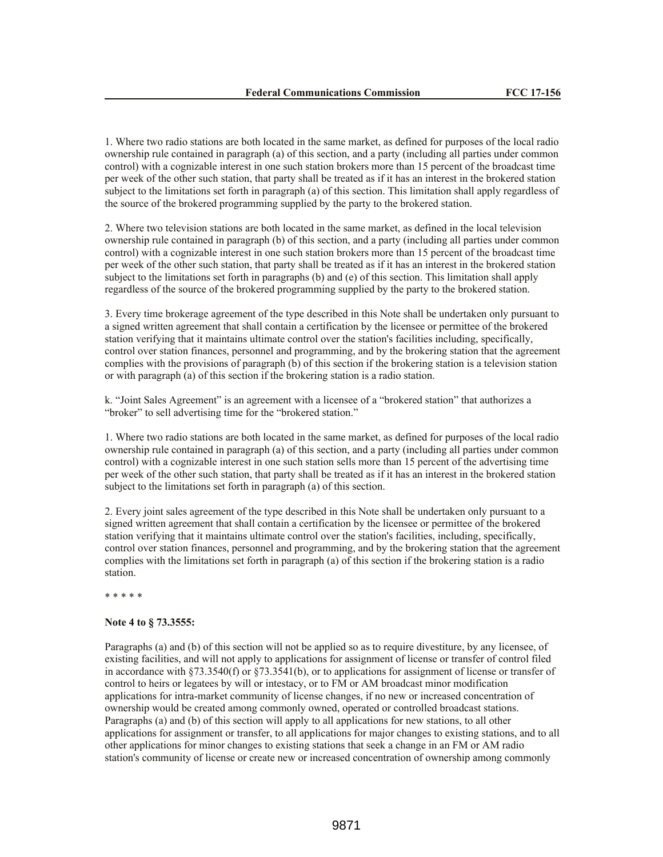1. Where two radio stations are both located in the same market, as defined for purposes of the local radio ownership rule contained in paragraph (a) of this section, and a party (including all parties under common control) with a cognizable interest in one such station brokers more than 15 percent of the broadcast time per week of the other such station, that party shall be treated as if it has an interest in the brokered station subject to the limitations set forth in paragraph (a) of this section. This limitation shall apply regardless of the source of the brokered programming supplied by the party to the brokered station.

2. Where two television stations are both located in the same market, as defined in the local television ownership rule contained in paragraph (b) of this section, and a party (including all parties under common control) with a cognizable interest in one such station brokers more than 15 percent of the broadcast time per week of the other such station, that party shall be treated as if it has an interest in the brokered station subject to the limitations set forth in paragraphs (b) and (e) of this section. This limitation shall apply regardless of the source of the brokered programming supplied by the party to the brokered station.

3. Every time brokerage agreement of the type described in this Note shall be undertaken only pursuant to a signed written agreement that shall contain a certification by the licensee or permittee of the brokered station verifying that it maintains ultimate control over the station's facilities including, specifically, control over station finances, personnel and programming, and by the brokering station that the agreement complies with the provisions of paragraph (b) of this section if the brokering station is a television station or with paragraph (a) of this section if the brokering station is a radio station.

k. "Joint Sales Agreement" is an agreement with a licensee of a "brokered station" that authorizes a "broker" to sell advertising time for the "brokered station."

1. Where two radio stations are both located in the same market, as defined for purposes of the local radio ownership rule contained in paragraph (a) of this section, and a party (including all parties under common control) with a cognizable interest in one such station sells more than 15 percent of the advertising time per week of the other such station, that party shall be treated as if it has an interest in the brokered station subject to the limitations set forth in paragraph (a) of this section.

2. Every joint sales agreement of the type described in this Note shall be undertaken only pursuant to a signed written agreement that shall contain a certification by the licensee or permittee of the brokered station verifying that it maintains ultimate control over the station's facilities, including, specifically, control over station finances, personnel and programming, and by the brokering station that the agreement complies with the limitations set forth in paragraph (a) of this section if the brokering station is a radio station.

\* \* \* \* \*

## **Note 4 to § 73.3555:**

Paragraphs (a) and (b) of this section will not be applied so as to require divestiture, by any licensee, of existing facilities, and will not apply to applications for assignment of license or transfer of control filed in accordance with §73.3540(f) or §73.3541(b), or to applications for assignment of license or transfer of control to heirs or legatees by will or intestacy, or to FM or AM broadcast minor modification applications for intra-market community of license changes, if no new or increased concentration of ownership would be created among commonly owned, operated or controlled broadcast stations. Paragraphs (a) and (b) of this section will apply to all applications for new stations, to all other applications for assignment or transfer, to all applications for major changes to existing stations, and to all other applications for minor changes to existing stations that seek a change in an FM or AM radio station's community of license or create new or increased concentration of ownership among commonly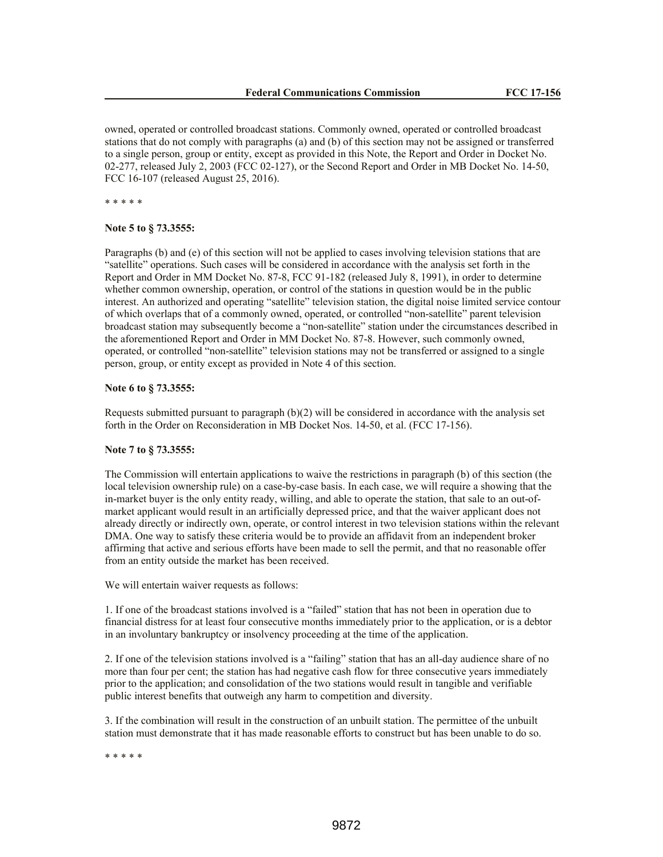owned, operated or controlled broadcast stations. Commonly owned, operated or controlled broadcast stations that do not comply with paragraphs (a) and (b) of this section may not be assigned or transferred to a single person, group or entity, except as provided in this Note, the Report and Order in Docket No. 02-277, released July 2, 2003 (FCC 02-127), or the Second Report and Order in MB Docket No. 14-50, FCC 16-107 (released August 25, 2016).

\* \* \* \* \*

**Note 5 to § 73.3555:**

Paragraphs (b) and (e) of this section will not be applied to cases involving television stations that are "satellite" operations. Such cases will be considered in accordance with the analysis set forth in the Report and Order in MM Docket No. 87-8, FCC 91-182 (released July 8, 1991), in order to determine whether common ownership, operation, or control of the stations in question would be in the public interest. An authorized and operating "satellite" television station, the digital noise limited service contour of which overlaps that of a commonly owned, operated, or controlled "non-satellite" parent television broadcast station may subsequently become a "non-satellite" station under the circumstances described in the aforementioned Report and Order in MM Docket No. 87-8. However, such commonly owned, operated, or controlled "non-satellite" television stations may not be transferred or assigned to a single person, group, or entity except as provided in Note 4 of this section.

#### **Note 6 to § 73.3555:**

Requests submitted pursuant to paragraph  $(b)(2)$  will be considered in accordance with the analysis set forth in the Order on Reconsideration in MB Docket Nos. 14-50, et al. (FCC 17-156).

#### **Note 7 to § 73.3555:**

The Commission will entertain applications to waive the restrictions in paragraph (b) of this section (the local television ownership rule) on a case-by-case basis. In each case, we will require a showing that the in-market buyer is the only entity ready, willing, and able to operate the station, that sale to an out-ofmarket applicant would result in an artificially depressed price, and that the waiver applicant does not already directly or indirectly own, operate, or control interest in two television stations within the relevant DMA. One way to satisfy these criteria would be to provide an affidavit from an independent broker affirming that active and serious efforts have been made to sell the permit, and that no reasonable offer from an entity outside the market has been received.

We will entertain waiver requests as follows:

1. If one of the broadcast stations involved is a "failed" station that has not been in operation due to financial distress for at least four consecutive months immediately prior to the application, or is a debtor in an involuntary bankruptcy or insolvency proceeding at the time of the application.

2. If one of the television stations involved is a "failing" station that has an all-day audience share of no more than four per cent; the station has had negative cash flow for three consecutive years immediately prior to the application; and consolidation of the two stations would result in tangible and verifiable public interest benefits that outweigh any harm to competition and diversity.

3. If the combination will result in the construction of an unbuilt station. The permittee of the unbuilt station must demonstrate that it has made reasonable efforts to construct but has been unable to do so.

\* \* \* \* \*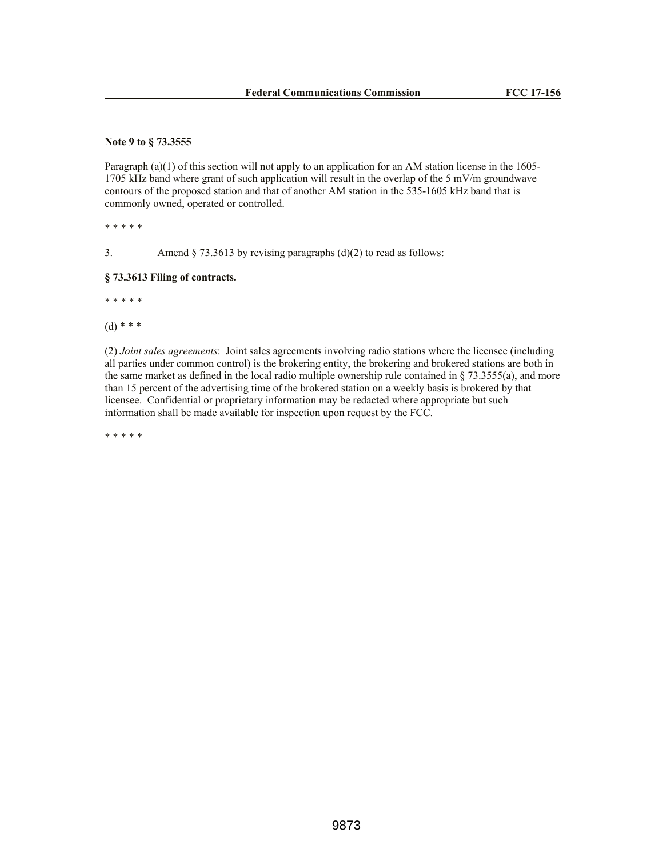## **Note 9 to § 73.3555**

Paragraph (a)(1) of this section will not apply to an application for an AM station license in the 1605-1705 kHz band where grant of such application will result in the overlap of the 5 mV/m groundwave contours of the proposed station and that of another AM station in the 535-1605 kHz band that is commonly owned, operated or controlled.

\* \* \* \* \*

3. Amend § 73.3613 by revising paragraphs (d)(2) to read as follows:

## **§ 73.3613 Filing of contracts.**

\* \* \* \* \*

 $(d)$  \* \* \*

(2) *Joint sales agreements*: Joint sales agreements involving radio stations where the licensee (including all parties under common control) is the brokering entity, the brokering and brokered stations are both in the same market as defined in the local radio multiple ownership rule contained in  $\S$  73.3555(a), and more than 15 percent of the advertising time of the brokered station on a weekly basis is brokered by that licensee. Confidential or proprietary information may be redacted where appropriate but such information shall be made available for inspection upon request by the FCC.

\* \* \* \* \*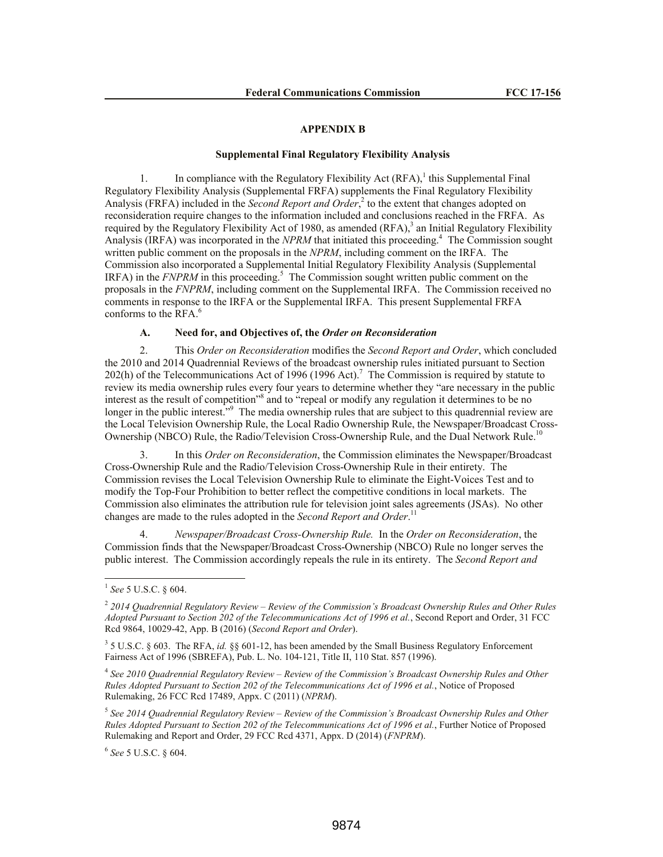#### **APPENDIX B**

### **Supplemental Final Regulatory Flexibility Analysis**

1. In compliance with the Regulatory Flexibility Act  $(RFA)$ ,<sup>1</sup> this Supplemental Final Regulatory Flexibility Analysis (Supplemental FRFA) supplements the Final Regulatory Flexibility Analysis (FRFA) included in the *Second Report and Order*<sup>2</sup> to the extent that changes adopted on reconsideration require changes to the information included and conclusions reached in the FRFA. As required by the Regulatory Flexibility Act of 1980, as amended  $(RFA)$ ,<sup>3</sup> an Initial Regulatory Flexibility Analysis (IRFA) was incorporated in the *NPRM* that initiated this proceeding.<sup>4</sup> The Commission sought written public comment on the proposals in the *NPRM*, including comment on the IRFA. The Commission also incorporated a Supplemental Initial Regulatory Flexibility Analysis (Supplemental  $IRFA$ ) in the  $FNPRM$  in this proceeding.<sup>5</sup> The Commission sought written public comment on the proposals in the *FNPRM*, including comment on the Supplemental IRFA. The Commission received no comments in response to the IRFA or the Supplemental IRFA. This present Supplemental FRFA conforms to the RFA.<sup>6</sup>

### **A. Need for, and Objectives of, the** *Order on Reconsideration*

2. This *Order on Reconsideration* modifies the *Second Report and Order*, which concluded the 2010 and 2014 Quadrennial Reviews of the broadcast ownership rules initiated pursuant to Section  $202(h)$  of the Telecommunications Act of 1996 (1996 Act).<sup>7</sup> The Commission is required by statute to review its media ownership rules every four years to determine whether they "are necessary in the public interest as the result of competition<sup>38</sup> and to "repeal or modify any regulation it determines to be no longer in the public interest."<sup>9</sup> The media ownership rules that are subject to this quadrennial review are the Local Television Ownership Rule, the Local Radio Ownership Rule, the Newspaper/Broadcast Cross-Ownership (NBCO) Rule, the Radio/Television Cross-Ownership Rule, and the Dual Network Rule.<sup>10</sup>

3. In this *Order on Reconsideration*, the Commission eliminates the Newspaper/Broadcast Cross-Ownership Rule and the Radio/Television Cross-Ownership Rule in their entirety. The Commission revises the Local Television Ownership Rule to eliminate the Eight-Voices Test and to modify the Top-Four Prohibition to better reflect the competitive conditions in local markets. The Commission also eliminates the attribution rule for television joint sales agreements (JSAs). No other changes are made to the rules adopted in the *Second Report and Order*. 11

4. *Newspaper/Broadcast Cross-Ownership Rule.* In the *Order on Reconsideration*, the Commission finds that the Newspaper/Broadcast Cross-Ownership (NBCO) Rule no longer serves the public interest. The Commission accordingly repeals the rule in its entirety. The *Second Report and*

6 *See* 5 U.S.C. § 604.

 1 *See* 5 U.S.C. § 604.

<sup>2</sup> *2014 Quadrennial Regulatory Review – Review of the Commission's Broadcast Ownership Rules and Other Rules Adopted Pursuant to Section 202 of the Telecommunications Act of 1996 et al.*, Second Report and Order, 31 FCC Rcd 9864, 10029-42, App. B (2016) (*Second Report and Order*).

<sup>3</sup> 5 U.S.C. § 603. The RFA, *id.* §§ 601-12, has been amended by the Small Business Regulatory Enforcement Fairness Act of 1996 (SBREFA), Pub. L. No. 104-121, Title II, 110 Stat. 857 (1996).

<sup>4</sup> *See 2010 Quadrennial Regulatory Review – Review of the Commission's Broadcast Ownership Rules and Other Rules Adopted Pursuant to Section 202 of the Telecommunications Act of 1996 et al.*, Notice of Proposed Rulemaking, 26 FCC Rcd 17489, Appx. C (2011) (*NPRM*).

<sup>5</sup> *See 2014 Quadrennial Regulatory Review – Review of the Commission's Broadcast Ownership Rules and Other Rules Adopted Pursuant to Section 202 of the Telecommunications Act of 1996 et al.*, Further Notice of Proposed Rulemaking and Report and Order, 29 FCC Rcd 4371, Appx. D (2014) (*FNPRM*).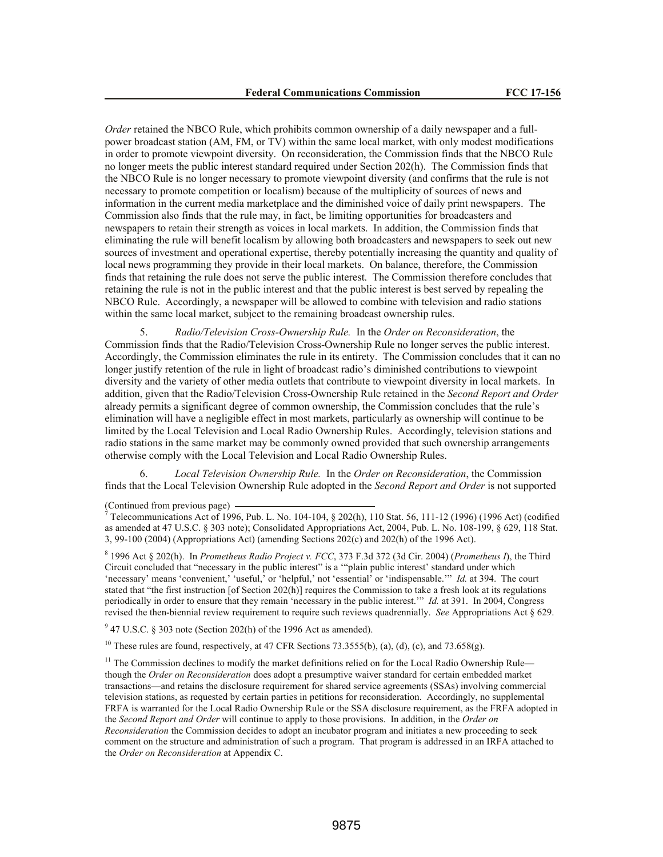*Order* retained the NBCO Rule, which prohibits common ownership of a daily newspaper and a fullpower broadcast station (AM, FM, or TV) within the same local market, with only modest modifications in order to promote viewpoint diversity. On reconsideration, the Commission finds that the NBCO Rule no longer meets the public interest standard required under Section 202(h). The Commission finds that the NBCO Rule is no longer necessary to promote viewpoint diversity (and confirms that the rule is not necessary to promote competition or localism) because of the multiplicity of sources of news and information in the current media marketplace and the diminished voice of daily print newspapers. The Commission also finds that the rule may, in fact, be limiting opportunities for broadcasters and newspapers to retain their strength as voices in local markets. In addition, the Commission finds that eliminating the rule will benefit localism by allowing both broadcasters and newspapers to seek out new sources of investment and operational expertise, thereby potentially increasing the quantity and quality of local news programming they provide in their local markets. On balance, therefore, the Commission finds that retaining the rule does not serve the public interest. The Commission therefore concludes that retaining the rule is not in the public interest and that the public interest is best served by repealing the NBCO Rule. Accordingly, a newspaper will be allowed to combine with television and radio stations within the same local market, subject to the remaining broadcast ownership rules.

5. *Radio/Television Cross-Ownership Rule.* In the *Order on Reconsideration*, the Commission finds that the Radio/Television Cross-Ownership Rule no longer serves the public interest. Accordingly, the Commission eliminates the rule in its entirety. The Commission concludes that it can no longer justify retention of the rule in light of broadcast radio's diminished contributions to viewpoint diversity and the variety of other media outlets that contribute to viewpoint diversity in local markets. In addition, given that the Radio/Television Cross-Ownership Rule retained in the *Second Report and Order* already permits a significant degree of common ownership, the Commission concludes that the rule's elimination will have a negligible effect in most markets, particularly as ownership will continue to be limited by the Local Television and Local Radio Ownership Rules. Accordingly, television stations and radio stations in the same market may be commonly owned provided that such ownership arrangements otherwise comply with the Local Television and Local Radio Ownership Rules.

6. *Local Television Ownership Rule.* In the *Order on Reconsideration*, the Commission finds that the Local Television Ownership Rule adopted in the *Second Report and Order* is not supported

(Continued from previous page)

8 1996 Act § 202(h). In *Prometheus Radio Project v. FCC*, 373 F.3d 372 (3d Cir. 2004) (*Prometheus I*), the Third Circuit concluded that "necessary in the public interest" is a '"plain public interest' standard under which 'necessary' means 'convenient,' 'useful,' or 'helpful,' not 'essential' or 'indispensable.'" *Id.* at 394. The court stated that "the first instruction [of Section 202(h)] requires the Commission to take a fresh look at its regulations periodically in order to ensure that they remain 'necessary in the public interest.'" *Id.* at 391. In 2004, Congress revised the then-biennial review requirement to require such reviews quadrennially. *See* Appropriations Act § 629.

 $9^9$  47 U.S.C. § 303 note (Section 202(h) of the 1996 Act as amended).

<sup>10</sup> These rules are found, respectively, at 47 CFR Sections 73.3555(b), (a), (d), (c), and 73.658(g).

 $11$  The Commission declines to modify the market definitions relied on for the Local Radio Ownership Rule though the *Order on Reconsideration* does adopt a presumptive waiver standard for certain embedded market transactions—and retains the disclosure requirement for shared service agreements (SSAs) involving commercial television stations, as requested by certain parties in petitions for reconsideration. Accordingly, no supplemental FRFA is warranted for the Local Radio Ownership Rule or the SSA disclosure requirement, as the FRFA adopted in the *Second Report and Order* will continue to apply to those provisions. In addition, in the *Order on Reconsideration* the Commission decides to adopt an incubator program and initiates a new proceeding to seek comment on the structure and administration of such a program. That program is addressed in an IRFA attached to the *Order on Reconsideration* at Appendix C.

<sup>7</sup> Telecommunications Act of 1996, Pub. L. No. 104-104, § 202(h), 110 Stat. 56, 111-12 (1996) (1996 Act) (codified as amended at 47 U.S.C. § 303 note); Consolidated Appropriations Act, 2004, Pub. L. No. 108-199, § 629, 118 Stat. 3, 99-100 (2004) (Appropriations Act) (amending Sections 202(c) and 202(h) of the 1996 Act).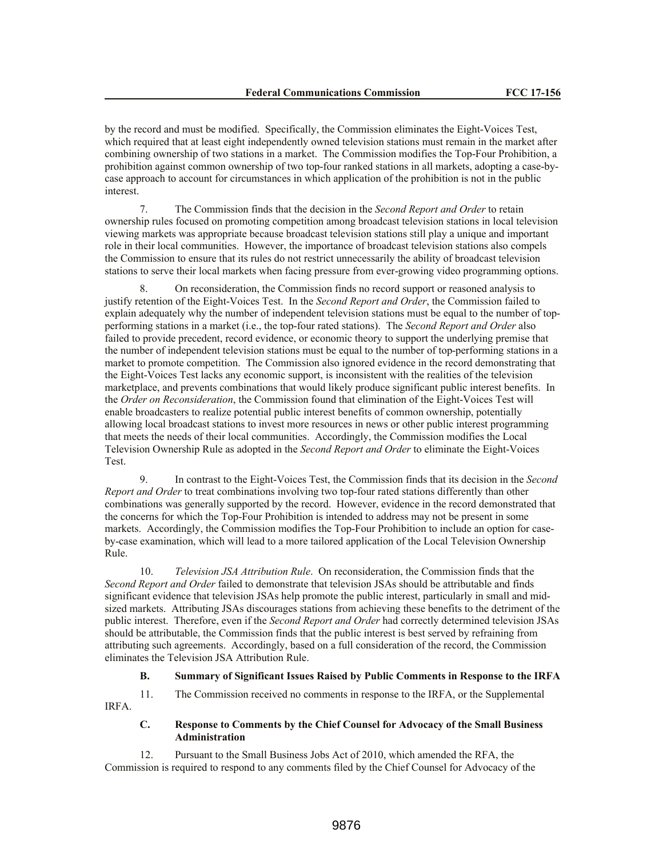by the record and must be modified. Specifically, the Commission eliminates the Eight-Voices Test, which required that at least eight independently owned television stations must remain in the market after combining ownership of two stations in a market. The Commission modifies the Top-Four Prohibition, a prohibition against common ownership of two top-four ranked stations in all markets, adopting a case-bycase approach to account for circumstances in which application of the prohibition is not in the public interest.

7. The Commission finds that the decision in the *Second Report and Order* to retain ownership rules focused on promoting competition among broadcast television stations in local television viewing markets was appropriate because broadcast television stations still play a unique and important role in their local communities. However, the importance of broadcast television stations also compels the Commission to ensure that its rules do not restrict unnecessarily the ability of broadcast television stations to serve their local markets when facing pressure from ever-growing video programming options.

8. On reconsideration, the Commission finds no record support or reasoned analysis to justify retention of the Eight-Voices Test. In the *Second Report and Order*, the Commission failed to explain adequately why the number of independent television stations must be equal to the number of topperforming stations in a market (i.e., the top-four rated stations). The *Second Report and Order* also failed to provide precedent, record evidence, or economic theory to support the underlying premise that the number of independent television stations must be equal to the number of top-performing stations in a market to promote competition. The Commission also ignored evidence in the record demonstrating that the Eight-Voices Test lacks any economic support, is inconsistent with the realities of the television marketplace, and prevents combinations that would likely produce significant public interest benefits. In the *Order on Reconsideration*, the Commission found that elimination of the Eight-Voices Test will enable broadcasters to realize potential public interest benefits of common ownership, potentially allowing local broadcast stations to invest more resources in news or other public interest programming that meets the needs of their local communities. Accordingly, the Commission modifies the Local Television Ownership Rule as adopted in the *Second Report and Order* to eliminate the Eight-Voices Test.

9. In contrast to the Eight-Voices Test, the Commission finds that its decision in the *Second Report and Order* to treat combinations involving two top-four rated stations differently than other combinations was generally supported by the record. However, evidence in the record demonstrated that the concerns for which the Top-Four Prohibition is intended to address may not be present in some markets. Accordingly, the Commission modifies the Top-Four Prohibition to include an option for caseby-case examination, which will lead to a more tailored application of the Local Television Ownership Rule.

10. *Television JSA Attribution Rule*. On reconsideration, the Commission finds that the *Second Report and Order* failed to demonstrate that television JSAs should be attributable and finds significant evidence that television JSAs help promote the public interest, particularly in small and midsized markets. Attributing JSAs discourages stations from achieving these benefits to the detriment of the public interest. Therefore, even if the *Second Report and Order* had correctly determined television JSAs should be attributable, the Commission finds that the public interest is best served by refraining from attributing such agreements. Accordingly, based on a full consideration of the record, the Commission eliminates the Television JSA Attribution Rule.

#### **B. Summary of Significant Issues Raised by Public Comments in Response to the IRFA**

11. The Commission received no comments in response to the IRFA, or the Supplemental IRFA.

# **C. Response to Comments by the Chief Counsel for Advocacy of the Small Business Administration**

12. Pursuant to the Small Business Jobs Act of 2010, which amended the RFA, the Commission is required to respond to any comments filed by the Chief Counsel for Advocacy of the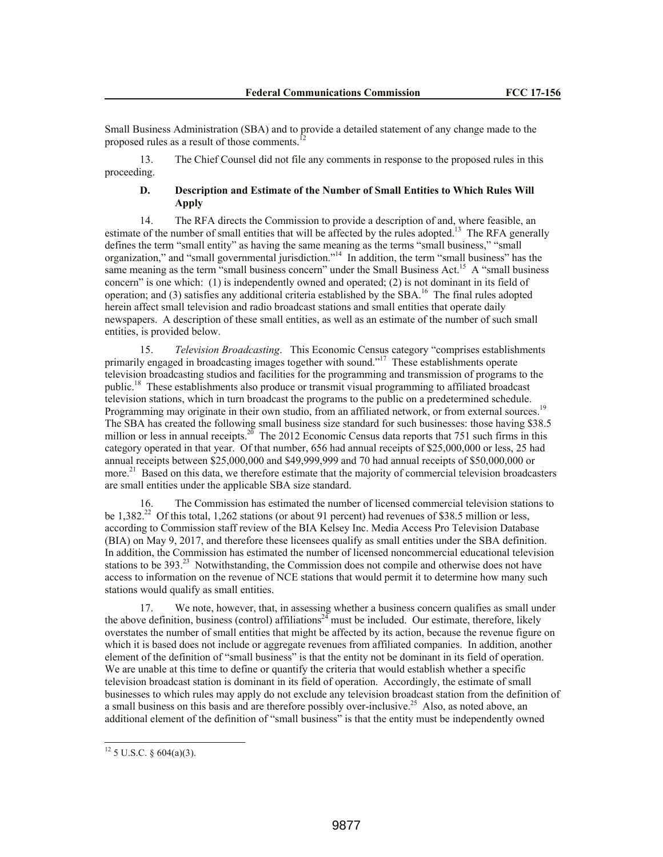Small Business Administration (SBA) and to provide a detailed statement of any change made to the proposed rules as a result of those comments.<sup>12</sup>

13. The Chief Counsel did not file any comments in response to the proposed rules in this proceeding.

# **D. Description and Estimate of the Number of Small Entities to Which Rules Will Apply**

14. The RFA directs the Commission to provide a description of and, where feasible, an estimate of the number of small entities that will be affected by the rules adopted.<sup>13</sup> The RFA generally defines the term "small entity" as having the same meaning as the terms "small business," "small organization," and "small governmental jurisdiction."<sup>14</sup> In addition, the term "small business" has the same meaning as the term "small business concern" under the Small Business Act.<sup>15</sup> A "small business concern" is one which: (1) is independently owned and operated; (2) is not dominant in its field of operation; and (3) satisfies any additional criteria established by the SBA.<sup>16</sup> The final rules adopted herein affect small television and radio broadcast stations and small entities that operate daily newspapers. A description of these small entities, as well as an estimate of the number of such small entities, is provided below.

15. *Television Broadcasting*. This Economic Census category "comprises establishments primarily engaged in broadcasting images together with sound."<sup>17</sup> These establishments operate television broadcasting studios and facilities for the programming and transmission of programs to the public.<sup>18</sup> These establishments also produce or transmit visual programming to affiliated broadcast television stations, which in turn broadcast the programs to the public on a predetermined schedule. Programming may originate in their own studio, from an affiliated network, or from external sources.<sup>19</sup> The SBA has created the following small business size standard for such businesses: those having \$38.5 million or less in annual receipts.<sup>20</sup> The 2012 Economic Census data reports that 751 such firms in this category operated in that year. Of that number, 656 had annual receipts of \$25,000,000 or less, 25 had annual receipts between \$25,000,000 and \$49,999,999 and 70 had annual receipts of \$50,000,000 or more.<sup>21</sup> Based on this data, we therefore estimate that the majority of commercial television broadcasters are small entities under the applicable SBA size standard.

16. The Commission has estimated the number of licensed commercial television stations to be  $1,382<sup>22</sup>$  Of this total,  $1,262$  stations (or about 91 percent) had revenues of \$38.5 million or less, according to Commission staff review of the BIA Kelsey Inc. Media Access Pro Television Database (BIA) on May 9, 2017, and therefore these licensees qualify as small entities under the SBA definition. In addition, the Commission has estimated the number of licensed noncommercial educational television stations to be 393.<sup>23</sup> Notwithstanding, the Commission does not compile and otherwise does not have access to information on the revenue of NCE stations that would permit it to determine how many such stations would qualify as small entities.

17. We note, however, that, in assessing whether a business concern qualifies as small under the above definition, business (control) affiliations<sup>24</sup> must be included. Our estimate, therefore, likely overstates the number of small entities that might be affected by its action, because the revenue figure on which it is based does not include or aggregate revenues from affiliated companies. In addition, another element of the definition of "small business" is that the entity not be dominant in its field of operation. We are unable at this time to define or quantify the criteria that would establish whether a specific television broadcast station is dominant in its field of operation. Accordingly, the estimate of small businesses to which rules may apply do not exclude any television broadcast station from the definition of a small business on this basis and are therefore possibly over-inclusive.<sup>25</sup> Also, as noted above, an additional element of the definition of "small business" is that the entity must be independently owned

 $12$  5 U.S.C. § 604(a)(3).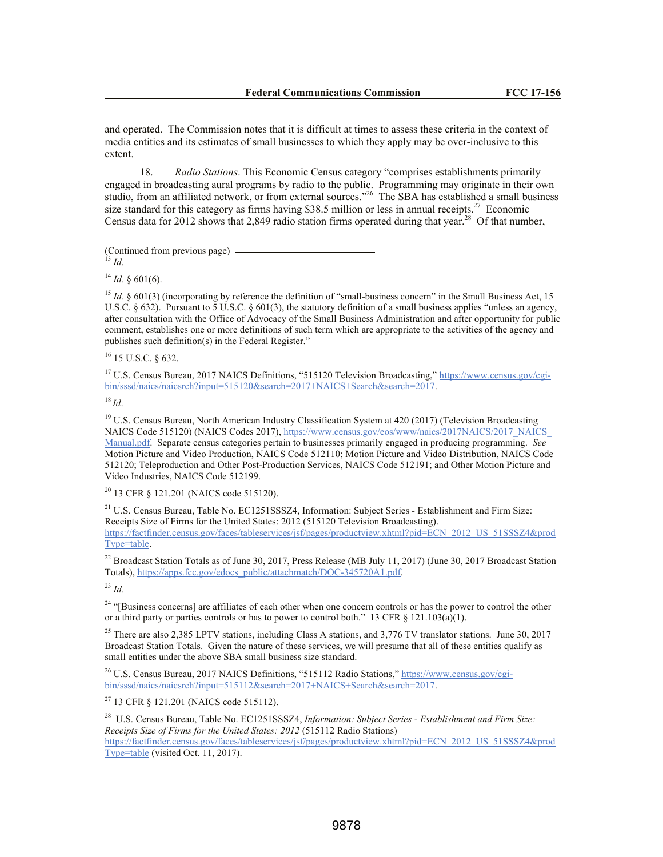and operated. The Commission notes that it is difficult at times to assess these criteria in the context of media entities and its estimates of small businesses to which they apply may be over-inclusive to this extent.

18. *Radio Stations*. This Economic Census category "comprises establishments primarily engaged in broadcasting aural programs by radio to the public. Programming may originate in their own studio, from an affiliated network, or from external sources."<sup>26</sup> The SBA has established a small business size standard for this category as firms having \$38.5 million or less in annual receipts.<sup>27</sup> Economic Census data for 2012 shows that 2,849 radio station firms operated during that year.<sup>28</sup> Of that number,

(Continued from previous page)

 $^{13}$  *Id.* 

 $^{14}$  *Id.* § 601(6).

<sup>15</sup> *Id.*  $\S$  601(3) (incorporating by reference the definition of "small-business concern" in the Small Business Act, 15 U.S.C. § 632). Pursuant to  $\overline{5}$  U.S.C. § 601(3), the statutory definition of a small business applies "unless an agency, after consultation with the Office of Advocacy of the Small Business Administration and after opportunity for public comment, establishes one or more definitions of such term which are appropriate to the activities of the agency and publishes such definition(s) in the Federal Register."

<sup>16</sup> 15 U.S.C. § 632.

<sup>17</sup> U.S. Census Bureau, 2017 NAICS Definitions, "515120 Television Broadcasting," https://www.census.gov/cgibin/sssd/naics/naicsrch?input=515120&search=2017+NAICS+Search&search=2017.

<sup>18</sup> *Id*.

<sup>19</sup> U.S. Census Bureau, North American Industry Classification System at 420 (2017) (Television Broadcasting NAICS Code 515120) (NAICS Codes 2017), https://www.census.gov/eos/www/naics/2017NAICS/2017\_NAICS Manual.pdf. Separate census categories pertain to businesses primarily engaged in producing programming. *See*  Motion Picture and Video Production, NAICS Code 512110; Motion Picture and Video Distribution, NAICS Code 512120; Teleproduction and Other Post-Production Services, NAICS Code 512191; and Other Motion Picture and Video Industries, NAICS Code 512199.

<sup>20</sup> 13 CFR § 121.201 (NAICS code 515120).

<sup>21</sup> U.S. Census Bureau, Table No. EC1251SSSZ4, Information: Subject Series - Establishment and Firm Size: Receipts Size of Firms for the United States: 2012 (515120 Television Broadcasting). https://factfinder.census.gov/faces/tableservices/jsf/pages/productview.xhtml?pid=ECN\_2012\_US\_51SSSZ4&prod Type=table.

 $^{22}$  Broadcast Station Totals as of June 30, 2017, Press Release (MB July 11, 2017) (June 30, 2017 Broadcast Station Totals), https://apps.fcc.gov/edocs\_public/attachmatch/DOC-345720A1.pdf.

<sup>23</sup> *Id.*

<sup>24</sup> "[Business concerns] are affiliates of each other when one concern controls or has the power to control the other or a third party or parties controls or has to power to control both." 13 CFR  $\S$  121.103(a)(1).

<sup>25</sup> There are also 2,385 LPTV stations, including Class A stations, and 3,776 TV translator stations. June 30, 2017 Broadcast Station Totals. Given the nature of these services, we will presume that all of these entities qualify as small entities under the above SBA small business size standard.

<sup>26</sup> U.S. Census Bureau, 2017 NAICS Definitions, "515112 Radio Stations," https://www.census.gov/cgibin/sssd/naics/naicsrch?input=515112&search=2017+NAICS+Search&search=2017.

<sup>27</sup> 13 CFR § 121.201 (NAICS code 515112).

28 U.S. Census Bureau, Table No. EC1251SSSZ4, *Information: Subject Series - Establishment and Firm Size: Receipts Size of Firms for the United States: 2012* (515112 Radio Stations) https://factfinder.census.gov/faces/tableservices/jsf/pages/productview.xhtml?pid=ECN\_2012\_US\_51SSSZ4&prod Type=table (visited Oct. 11, 2017).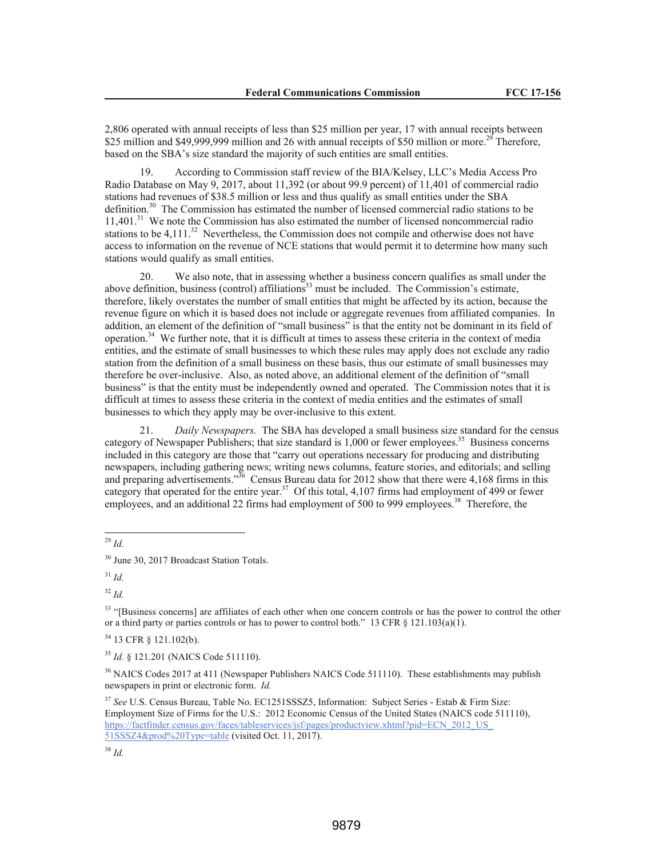2,806 operated with annual receipts of less than \$25 million per year, 17 with annual receipts between \$25 million and \$49,999,999 million and 26 with annual receipts of \$50 million or more.<sup>29</sup> Therefore, based on the SBA's size standard the majority of such entities are small entities.

19. According to Commission staff review of the BIA/Kelsey, LLC's Media Access Pro Radio Database on May 9, 2017, about 11,392 (or about 99.9 percent) of 11,401 of commercial radio stations had revenues of \$38.5 million or less and thus qualify as small entities under the SBA definition.<sup>30</sup> The Commission has estimated the number of licensed commercial radio stations to be 11,401. 31 We note the Commission has also estimated the number of licensed noncommercial radio stations to be  $4,111^{32}$  Nevertheless, the Commission does not compile and otherwise does not have access to information on the revenue of NCE stations that would permit it to determine how many such stations would qualify as small entities.

20. We also note, that in assessing whether a business concern qualifies as small under the above definition, business (control) affiliations<sup>33</sup> must be included. The Commission's estimate, therefore, likely overstates the number of small entities that might be affected by its action, because the revenue figure on which it is based does not include or aggregate revenues from affiliated companies. In addition, an element of the definition of "small business" is that the entity not be dominant in its field of operation.<sup>34</sup> We further note, that it is difficult at times to assess these criteria in the context of media entities, and the estimate of small businesses to which these rules may apply does not exclude any radio station from the definition of a small business on these basis, thus our estimate of small businesses may therefore be over-inclusive. Also, as noted above, an additional element of the definition of "small business" is that the entity must be independently owned and operated. The Commission notes that it is difficult at times to assess these criteria in the context of media entities and the estimates of small businesses to which they apply may be over-inclusive to this extent.

21. *Daily Newspapers.* The SBA has developed a small business size standard for the census category of Newspaper Publishers; that size standard is  $1,000$  or fewer employees.<sup>35</sup> Business concerns included in this category are those that "carry out operations necessary for producing and distributing newspapers, including gathering news; writing news columns, feature stories, and editorials; and selling and preparing advertisements."<sup>36</sup> Census Bureau data for 2012 show that there were 4,168 firms in this category that operated for the entire year.<sup>37</sup> Of this total, 4,107 firms had employment of 499 or fewer employees, and an additional 22 firms had employment of 500 to 999 employees.<sup>38</sup> Therefore, the

l <sup>29</sup> *Id.*

<sup>32</sup> *Id.*

<sup>33</sup> "[Business concerns] are affiliates of each other when one concern controls or has the power to control the other or a third party or parties controls or has to power to control both." 13 CFR  $\S$  121.103(a)(1).

<sup>34</sup> 13 CFR § 121.102(b).

<sup>35</sup> *Id.* § 121.201 (NAICS Code 511110).

<sup>36</sup> NAICS Codes 2017 at 411 (Newspaper Publishers NAICS Code 511110). These establishments may publish newspapers in print or electronic form. *Id.*

<sup>37</sup> *See* U.S. Census Bureau, Table No. EC1251SSSZ5, Information: Subject Series - Estab & Firm Size: Employment Size of Firms for the U.S.: 2012 Economic Census of the United States (NAICS code 511110), https://factfinder.census.gov/faces/tableservices/jsf/pages/productview.xhtml?pid=ECN\_2012\_US\_ 51SSSZ4&prod%20Type=table (visited Oct. 11, 2017).

<sup>38</sup> *Id.*

<sup>30</sup> June 30, 2017 Broadcast Station Totals.

<sup>31</sup> *Id.*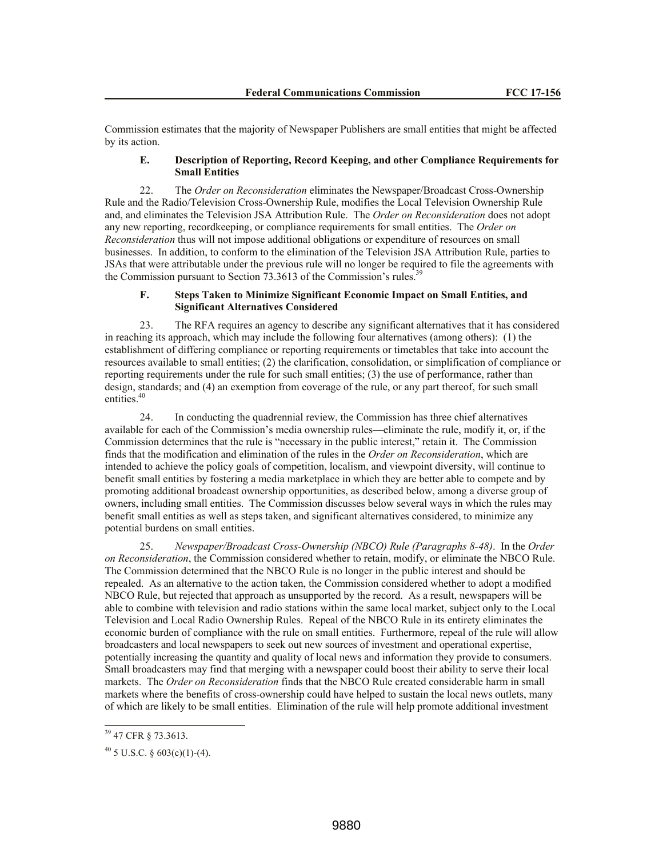Commission estimates that the majority of Newspaper Publishers are small entities that might be affected by its action.

### **E. Description of Reporting, Record Keeping, and other Compliance Requirements for Small Entities**

22. The *Order on Reconsideration* eliminates the Newspaper/Broadcast Cross-Ownership Rule and the Radio/Television Cross-Ownership Rule, modifies the Local Television Ownership Rule and, and eliminates the Television JSA Attribution Rule. The *Order on Reconsideration* does not adopt any new reporting, recordkeeping, or compliance requirements for small entities. The *Order on Reconsideration* thus will not impose additional obligations or expenditure of resources on small businesses. In addition, to conform to the elimination of the Television JSA Attribution Rule, parties to JSAs that were attributable under the previous rule will no longer be required to file the agreements with the Commission pursuant to Section  $73.3613$  of the Commission's rules.<sup>39</sup>

### **F. Steps Taken to Minimize Significant Economic Impact on Small Entities, and Significant Alternatives Considered**

23. The RFA requires an agency to describe any significant alternatives that it has considered in reaching its approach, which may include the following four alternatives (among others): (1) the establishment of differing compliance or reporting requirements or timetables that take into account the resources available to small entities; (2) the clarification, consolidation, or simplification of compliance or reporting requirements under the rule for such small entities; (3) the use of performance, rather than design, standards; and (4) an exemption from coverage of the rule, or any part thereof, for such small entities.<sup>40</sup>

24. In conducting the quadrennial review, the Commission has three chief alternatives available for each of the Commission's media ownership rules—eliminate the rule, modify it, or, if the Commission determines that the rule is "necessary in the public interest," retain it. The Commission finds that the modification and elimination of the rules in the *Order on Reconsideration*, which are intended to achieve the policy goals of competition, localism, and viewpoint diversity, will continue to benefit small entities by fostering a media marketplace in which they are better able to compete and by promoting additional broadcast ownership opportunities, as described below, among a diverse group of owners, including small entities. The Commission discusses below several ways in which the rules may benefit small entities as well as steps taken, and significant alternatives considered, to minimize any potential burdens on small entities.

25. *Newspaper/Broadcast Cross-Ownership (NBCO) Rule (Paragraphs 8-48)*. In the *Order on Reconsideration*, the Commission considered whether to retain, modify, or eliminate the NBCO Rule. The Commission determined that the NBCO Rule is no longer in the public interest and should be repealed. As an alternative to the action taken, the Commission considered whether to adopt a modified NBCO Rule, but rejected that approach as unsupported by the record. As a result, newspapers will be able to combine with television and radio stations within the same local market, subject only to the Local Television and Local Radio Ownership Rules. Repeal of the NBCO Rule in its entirety eliminates the economic burden of compliance with the rule on small entities. Furthermore, repeal of the rule will allow broadcasters and local newspapers to seek out new sources of investment and operational expertise, potentially increasing the quantity and quality of local news and information they provide to consumers. Small broadcasters may find that merging with a newspaper could boost their ability to serve their local markets. The *Order on Reconsideration* finds that the NBCO Rule created considerable harm in small markets where the benefits of cross-ownership could have helped to sustain the local news outlets, many of which are likely to be small entities. Elimination of the rule will help promote additional investment

<sup>&</sup>lt;sup>39</sup> 47 CFR § 73.3613.

 $40\,$  5 U.S.C. § 603(c)(1)-(4).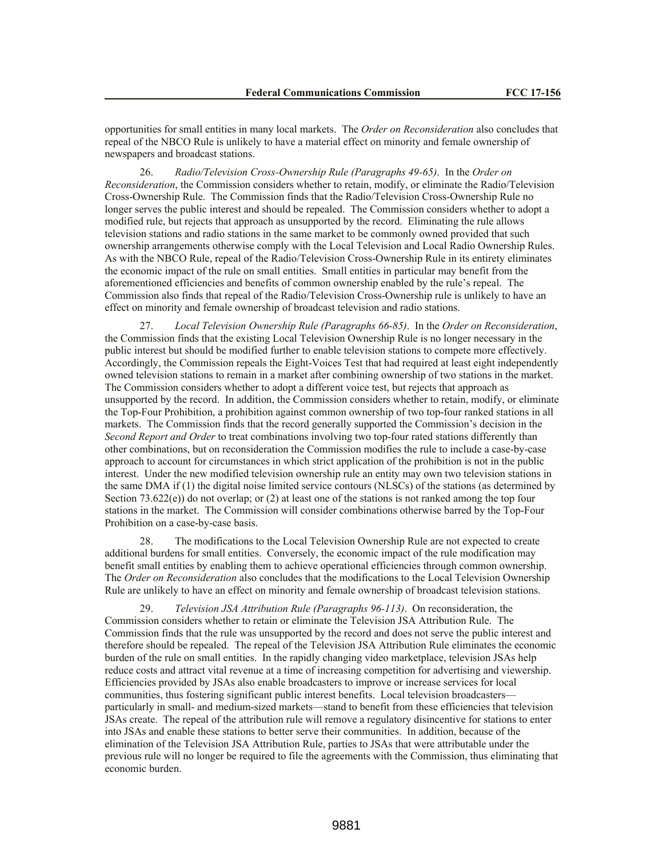opportunities for small entities in many local markets. The *Order on Reconsideration* also concludes that repeal of the NBCO Rule is unlikely to have a material effect on minority and female ownership of newspapers and broadcast stations.

26. *Radio/Television Cross-Ownership Rule (Paragraphs 49-65)*. In the *Order on Reconsideration*, the Commission considers whether to retain, modify, or eliminate the Radio/Television Cross-Ownership Rule.The Commission finds that the Radio/Television Cross-Ownership Rule no longer serves the public interest and should be repealed. The Commission considers whether to adopt a modified rule, but rejects that approach as unsupported by the record. Eliminating the rule allows television stations and radio stations in the same market to be commonly owned provided that such ownership arrangements otherwise comply with the Local Television and Local Radio Ownership Rules. As with the NBCO Rule, repeal of the Radio/Television Cross-Ownership Rule in its entirety eliminates the economic impact of the rule on small entities. Small entities in particular may benefit from the aforementioned efficiencies and benefits of common ownership enabled by the rule's repeal. The Commission also finds that repeal of the Radio/Television Cross-Ownership rule is unlikely to have an effect on minority and female ownership of broadcast television and radio stations.

27. *Local Television Ownership Rule (Paragraphs 66-85)*. In the *Order on Reconsideration*, the Commission finds that the existing Local Television Ownership Rule is no longer necessary in the public interest but should be modified further to enable television stations to compete more effectively. Accordingly, the Commission repeals the Eight-Voices Test that had required at least eight independently owned television stations to remain in a market after combining ownership of two stations in the market. The Commission considers whether to adopt a different voice test, but rejects that approach as unsupported by the record. In addition, the Commission considers whether to retain, modify, or eliminate the Top-Four Prohibition, a prohibition against common ownership of two top-four ranked stations in all markets. The Commission finds that the record generally supported the Commission's decision in the *Second Report and Order* to treat combinations involving two top-four rated stations differently than other combinations, but on reconsideration the Commission modifies the rule to include a case-by-case approach to account for circumstances in which strict application of the prohibition is not in the public interest. Under the new modified television ownership rule an entity may own two television stations in the same DMA if (1) the digital noise limited service contours (NLSCs) of the stations (as determined by Section 73.622(e)) do not overlap; or (2) at least one of the stations is not ranked among the top four stations in the market. The Commission will consider combinations otherwise barred by the Top-Four Prohibition on a case-by-case basis.

28. The modifications to the Local Television Ownership Rule are not expected to create additional burdens for small entities. Conversely, the economic impact of the rule modification may benefit small entities by enabling them to achieve operational efficiencies through common ownership. The *Order on Reconsideration* also concludes that the modifications to the Local Television Ownership Rule are unlikely to have an effect on minority and female ownership of broadcast television stations.

29. *Television JSA Attribution Rule (Paragraphs 96-113)*. On reconsideration, the Commission considers whether to retain or eliminate the Television JSA Attribution Rule. The Commission finds that the rule was unsupported by the record and does not serve the public interest and therefore should be repealed. The repeal of the Television JSA Attribution Rule eliminates the economic burden of the rule on small entities. In the rapidly changing video marketplace, television JSAs help reduce costs and attract vital revenue at a time of increasing competition for advertising and viewership. Efficiencies provided by JSAs also enable broadcasters to improve or increase services for local communities, thus fostering significant public interest benefits. Local television broadcasters particularly in small- and medium-sized markets—stand to benefit from these efficiencies that television JSAs create. The repeal of the attribution rule will remove a regulatory disincentive for stations to enter into JSAs and enable these stations to better serve their communities. In addition, because of the elimination of the Television JSA Attribution Rule, parties to JSAs that were attributable under the previous rule will no longer be required to file the agreements with the Commission, thus eliminating that economic burden.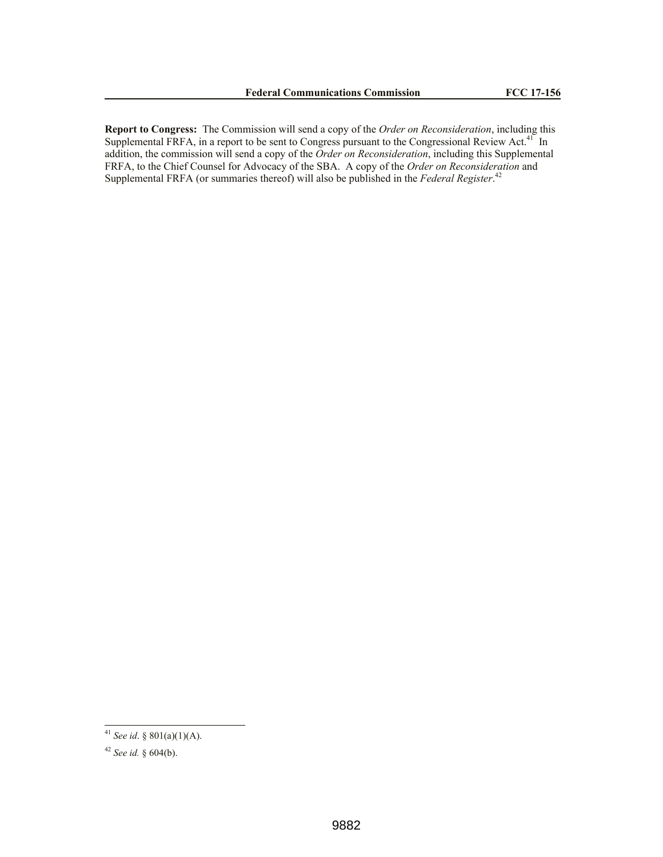**Report to Congress:** The Commission will send a copy of the *Order on Reconsideration*, including this Supplemental FRFA, in a report to be sent to Congress pursuant to the Congressional Review Act. $41$  In addition, the commission will send a copy of the *Order on Reconsideration*, including this Supplemental FRFA, to the Chief Counsel for Advocacy of the SBA. A copy of the *Order on Reconsideration* and Supplemental FRFA (or summaries thereof) will also be published in the *Federal Register*. 42

<sup>41</sup> *See id*. § 801(a)(1)(A).

<sup>42</sup> *See id.* § 604(b).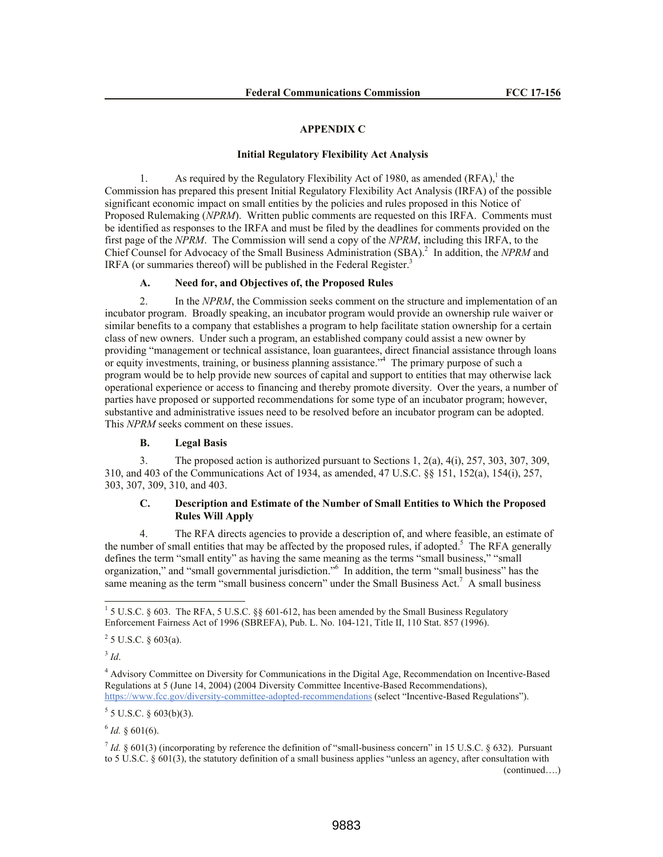#### **APPENDIX C**

### **Initial Regulatory Flexibility Act Analysis**

1. As required by the Regulatory Flexibility Act of 1980, as amended  $(RFA)$ ,<sup>1</sup> the Commission has prepared this present Initial Regulatory Flexibility Act Analysis (IRFA) of the possible significant economic impact on small entities by the policies and rules proposed in this Notice of Proposed Rulemaking (*NPRM*). Written public comments are requested on this IRFA. Comments must be identified as responses to the IRFA and must be filed by the deadlines for comments provided on the first page of the *NPRM*. The Commission will send a copy of the *NPRM*, including this IRFA, to the Chief Counsel for Advocacy of the Small Business Administration (SBA).<sup>2</sup> In addition, the *NPRM* and IRFA (or summaries thereof) will be published in the Federal Register.<sup>3</sup>

#### **A. Need for, and Objectives of, the Proposed Rules**

2. In the *NPRM*, the Commission seeks comment on the structure and implementation of an incubator program. Broadly speaking, an incubator program would provide an ownership rule waiver or similar benefits to a company that establishes a program to help facilitate station ownership for a certain class of new owners. Under such a program, an established company could assist a new owner by providing "management or technical assistance, loan guarantees, direct financial assistance through loans or equity investments, training, or business planning assistance."<sup>4</sup> The primary purpose of such a program would be to help provide new sources of capital and support to entities that may otherwise lack operational experience or access to financing and thereby promote diversity. Over the years, a number of parties have proposed or supported recommendations for some type of an incubator program; however, substantive and administrative issues need to be resolved before an incubator program can be adopted. This *NPRM* seeks comment on these issues.

#### **B. Legal Basis**

3. The proposed action is authorized pursuant to Sections 1, 2(a), 4(i), 257, 303, 307, 309, 310, and 403 of the Communications Act of 1934, as amended, 47 U.S.C. §§ 151, 152(a), 154(i), 257, 303, 307, 309, 310, and 403.

### **C. Description and Estimate of the Number of Small Entities to Which the Proposed Rules Will Apply**

4. The RFA directs agencies to provide a description of, and where feasible, an estimate of the number of small entities that may be affected by the proposed rules, if adopted.<sup>5</sup> The RFA generally defines the term "small entity" as having the same meaning as the terms "small business," "small organization," and "small governmental jurisdiction."<sup>6</sup> In addition, the term "small business" has the same meaning as the term "small business concern" under the Small Business Act.<sup>7</sup> A small business

 $5$  5 U.S.C. § 603(b)(3).

 $6$  *Id.* § 601(6).

<sup>&</sup>lt;sup>1</sup> 5 U.S.C. § 603. The RFA, 5 U.S.C. §§ 601-612, has been amended by the Small Business Regulatory Enforcement Fairness Act of 1996 (SBREFA), Pub. L. No. 104-121, Title II, 110 Stat. 857 (1996).

 $2^2$  5 U.S.C. § 603(a).

<sup>3</sup> *Id*.

<sup>4</sup> Advisory Committee on Diversity for Communications in the Digital Age, Recommendation on Incentive-Based Regulations at 5 (June 14, 2004) (2004 Diversity Committee Incentive-Based Recommendations), https://www.fcc.gov/diversity-committee-adopted-recommendations (select "Incentive-Based Regulations").

 $^7$  *Id.* § 601(3) (incorporating by reference the definition of "small-business concern" in 15 U.S.C. § 632). Pursuant to 5 U.S.C. § 601(3), the statutory definition of a small business applies "unless an agency, after consultation with (continued….)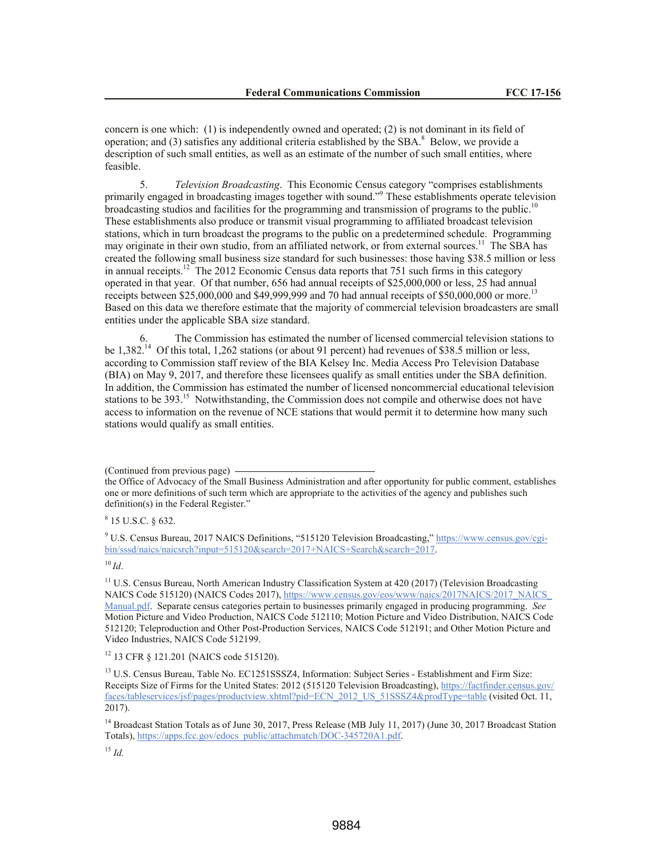concern is one which: (1) is independently owned and operated; (2) is not dominant in its field of operation; and (3) satisfies any additional criteria established by the SBA. $^8$  Below, we provide a description of such small entities, as well as an estimate of the number of such small entities, where feasible.

5. *Television Broadcasting*. This Economic Census category "comprises establishments primarily engaged in broadcasting images together with sound."<sup>9</sup> These establishments operate television broadcasting studios and facilities for the programming and transmission of programs to the public.<sup>10</sup> These establishments also produce or transmit visual programming to affiliated broadcast television stations, which in turn broadcast the programs to the public on a predetermined schedule. Programming may originate in their own studio, from an affiliated network, or from external sources.<sup>11</sup> The SBA has created the following small business size standard for such businesses: those having \$38.5 million or less in annual receipts.<sup>12</sup> The 2012 Economic Census data reports that 751 such firms in this category operated in that year. Of that number, 656 had annual receipts of \$25,000,000 or less, 25 had annual receipts between \$25,000,000 and \$49,999,999 and 70 had annual receipts of \$50,000,000 or more.<sup>13</sup> Based on this data we therefore estimate that the majority of commercial television broadcasters are small entities under the applicable SBA size standard.

The Commission has estimated the number of licensed commercial television stations to be 1,382.<sup>14</sup> Of this total, 1,262 stations (or about 91 percent) had revenues of \$38.5 million or less, according to Commission staff review of the BIA Kelsey Inc. Media Access Pro Television Database (BIA) on May 9, 2017, and therefore these licensees qualify as small entities under the SBA definition. In addition, the Commission has estimated the number of licensed noncommercial educational television stations to be 393.<sup>15</sup> Notwithstanding, the Commission does not compile and otherwise does not have access to information on the revenue of NCE stations that would permit it to determine how many such stations would qualify as small entities.

(Continued from previous page)

<sup>10</sup> *Id*.

<sup>12</sup> 13 CFR § 121.201 (NAICS code 515120).

<sup>15</sup> *Id.*

the Office of Advocacy of the Small Business Administration and after opportunity for public comment, establishes one or more definitions of such term which are appropriate to the activities of the agency and publishes such definition(s) in the Federal Register."

 $8$  15 U.S.C. § 632.

<sup>9</sup> U.S. Census Bureau, 2017 NAICS Definitions, "515120 Television Broadcasting," https://www.census.gov/cgibin/sssd/naics/naicsrch?input=515120&search=2017+NAICS+Search&search=2017.

<sup>&</sup>lt;sup>11</sup> U.S. Census Bureau, North American Industry Classification System at 420 (2017) (Television Broadcasting NAICS Code 515120) (NAICS Codes 2017), https://www.census.gov/eos/www/naics/2017NAICS/2017\_NAICS Manual.pdf. Separate census categories pertain to businesses primarily engaged in producing programming. *See*  Motion Picture and Video Production, NAICS Code 512110; Motion Picture and Video Distribution, NAICS Code 512120; Teleproduction and Other Post-Production Services, NAICS Code 512191; and Other Motion Picture and Video Industries, NAICS Code 512199.

<sup>&</sup>lt;sup>13</sup> U.S. Census Bureau, Table No. EC1251SSSZ4, Information: Subject Series - Establishment and Firm Size: Receipts Size of Firms for the United States: 2012 (515120 Television Broadcasting), https://factfinder.census.gov/ faces/tableservices/jsf/pages/productview.xhtml?pid=ECN\_2012\_US\_51SSSZ4&prodType=table (visited Oct. 11, 2017).

<sup>&</sup>lt;sup>14</sup> Broadcast Station Totals as of June 30, 2017, Press Release (MB July 11, 2017) (June 30, 2017 Broadcast Station Totals), https://apps.fcc.gov/edocs\_public/attachmatch/DOC-345720A1.pdf.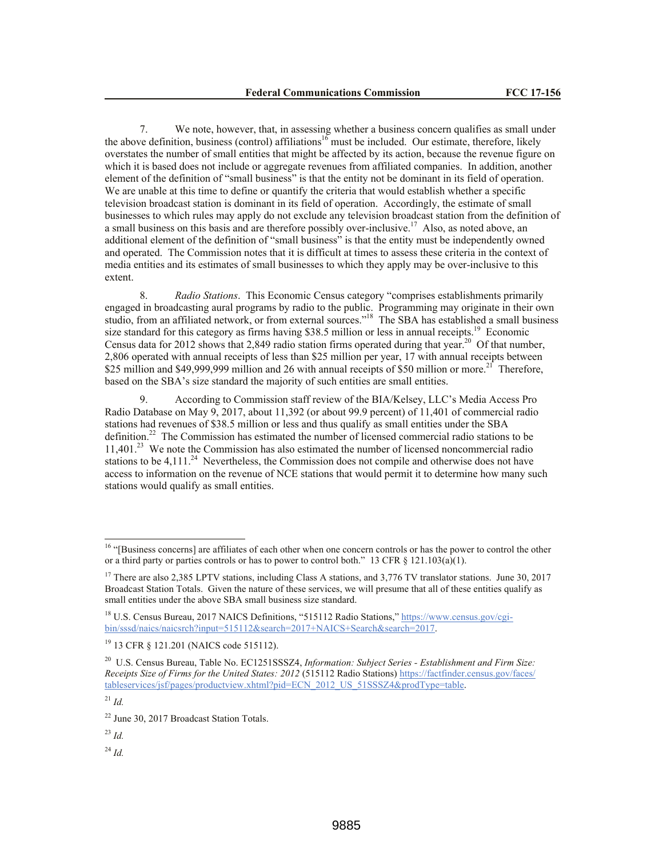7. We note, however, that, in assessing whether a business concern qualifies as small under the above definition, business (control) affiliations<sup>16</sup> must be included. Our estimate, therefore, likely overstates the number of small entities that might be affected by its action, because the revenue figure on which it is based does not include or aggregate revenues from affiliated companies. In addition, another element of the definition of "small business" is that the entity not be dominant in its field of operation. We are unable at this time to define or quantify the criteria that would establish whether a specific television broadcast station is dominant in its field of operation. Accordingly, the estimate of small businesses to which rules may apply do not exclude any television broadcast station from the definition of a small business on this basis and are therefore possibly over-inclusive.<sup>17</sup> Also, as noted above, an additional element of the definition of "small business" is that the entity must be independently owned and operated. The Commission notes that it is difficult at times to assess these criteria in the context of media entities and its estimates of small businesses to which they apply may be over-inclusive to this extent.

8. *Radio Stations*. This Economic Census category "comprises establishments primarily engaged in broadcasting aural programs by radio to the public. Programming may originate in their own studio, from an affiliated network, or from external sources."<sup>18</sup> The SBA has established a small business size standard for this category as firms having \$38.5 million or less in annual receipts.<sup>19</sup> Economic Census data for 2012 shows that 2,849 radio station firms operated during that year.<sup>20</sup> Of that number, 2,806 operated with annual receipts of less than \$25 million per year, 17 with annual receipts between \$25 million and \$49,999,999 million and 26 with annual receipts of \$50 million or more.<sup>21</sup> Therefore, based on the SBA's size standard the majority of such entities are small entities.

9. According to Commission staff review of the BIA/Kelsey, LLC's Media Access Pro Radio Database on May 9, 2017, about 11,392 (or about 99.9 percent) of 11,401 of commercial radio stations had revenues of \$38.5 million or less and thus qualify as small entities under the SBA definition.<sup>22</sup> The Commission has estimated the number of licensed commercial radio stations to be 11,401. 23 We note the Commission has also estimated the number of licensed noncommercial radio stations to be  $4,111.^{24}$  Nevertheless, the Commission does not compile and otherwise does not have access to information on the revenue of NCE stations that would permit it to determine how many such stations would qualify as small entities.

 $\overline{a}$ 

<sup>23</sup> *Id.*

<sup>24</sup> *Id.*

<sup>&</sup>lt;sup>16</sup> "[Business concerns] are affiliates of each other when one concern controls or has the power to control the other or a third party or parties controls or has to power to control both." 13 CFR  $\S$  121.103(a)(1).

<sup>&</sup>lt;sup>17</sup> There are also 2,385 LPTV stations, including Class A stations, and 3,776 TV translator stations. June 30, 2017 Broadcast Station Totals. Given the nature of these services, we will presume that all of these entities qualify as small entities under the above SBA small business size standard.

<sup>&</sup>lt;sup>18</sup> U.S. Census Bureau, 2017 NAICS Definitions, "515112 Radio Stations," https://www.census.gov/cgibin/sssd/naics/naicsrch?input=515112&search=2017+NAICS+Search&search=2017.

<sup>19</sup> 13 CFR § 121.201 (NAICS code 515112).

<sup>20</sup> U.S. Census Bureau, Table No. EC1251SSSZ4, *Information: Subject Series - Establishment and Firm Size: Receipts Size of Firms for the United States: 2012* (515112 Radio Stations) https://factfinder.census.gov/faces/ tableservices/jsf/pages/productview.xhtml?pid=ECN\_2012\_US\_51SSSZ4&prodType=table.

<sup>21</sup> *Id.*

<sup>&</sup>lt;sup>22</sup> June 30, 2017 Broadcast Station Totals.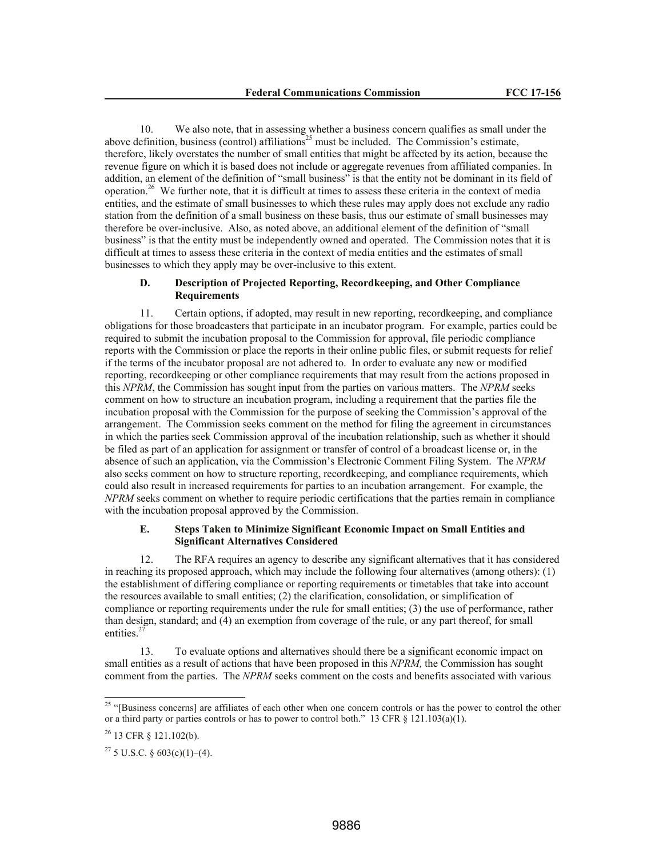10. We also note, that in assessing whether a business concern qualifies as small under the above definition, business (control) affiliations<sup>25</sup> must be included. The Commission's estimate, therefore, likely overstates the number of small entities that might be affected by its action, because the revenue figure on which it is based does not include or aggregate revenues from affiliated companies. In addition, an element of the definition of "small business" is that the entity not be dominant in its field of operation.<sup>26</sup> We further note, that it is difficult at times to assess these criteria in the context of media entities, and the estimate of small businesses to which these rules may apply does not exclude any radio station from the definition of a small business on these basis, thus our estimate of small businesses may therefore be over-inclusive. Also, as noted above, an additional element of the definition of "small business" is that the entity must be independently owned and operated. The Commission notes that it is difficult at times to assess these criteria in the context of media entities and the estimates of small businesses to which they apply may be over-inclusive to this extent.

# **D. Description of Projected Reporting, Recordkeeping, and Other Compliance Requirements**

11. Certain options, if adopted, may result in new reporting, recordkeeping, and compliance obligations for those broadcasters that participate in an incubator program. For example, parties could be required to submit the incubation proposal to the Commission for approval, file periodic compliance reports with the Commission or place the reports in their online public files, or submit requests for relief if the terms of the incubator proposal are not adhered to. In order to evaluate any new or modified reporting, recordkeeping or other compliance requirements that may result from the actions proposed in this *NPRM*, the Commission has sought input from the parties on various matters. The *NPRM* seeks comment on how to structure an incubation program, including a requirement that the parties file the incubation proposal with the Commission for the purpose of seeking the Commission's approval of the arrangement. The Commission seeks comment on the method for filing the agreement in circumstances in which the parties seek Commission approval of the incubation relationship, such as whether it should be filed as part of an application for assignment or transfer of control of a broadcast license or, in the absence of such an application, via the Commission's Electronic Comment Filing System. The *NPRM* also seeks comment on how to structure reporting, recordkeeping, and compliance requirements, which could also result in increased requirements for parties to an incubation arrangement. For example, the *NPRM* seeks comment on whether to require periodic certifications that the parties remain in compliance with the incubation proposal approved by the Commission.

### **E. Steps Taken to Minimize Significant Economic Impact on Small Entities and Significant Alternatives Considered**

12. The RFA requires an agency to describe any significant alternatives that it has considered in reaching its proposed approach, which may include the following four alternatives (among others): (1) the establishment of differing compliance or reporting requirements or timetables that take into account the resources available to small entities; (2) the clarification, consolidation, or simplification of compliance or reporting requirements under the rule for small entities; (3) the use of performance, rather than design, standard; and (4) an exemption from coverage of the rule, or any part thereof, for small entities.<sup>27</sup>

13. To evaluate options and alternatives should there be a significant economic impact on small entities as a result of actions that have been proposed in this *NPRM,* the Commission has sought comment from the parties. The *NPRM* seeks comment on the costs and benefits associated with various

 $\overline{a}$ 

 $25$  "[Business concerns] are affiliates of each other when one concern controls or has the power to control the other or a third party or parties controls or has to power to control both." 13 CFR  $\S$  121.103(a)(1).

<sup>26</sup> 13 CFR § 121.102(b).

 $27\,$  5 U.S.C. § 603(c)(1)–(4).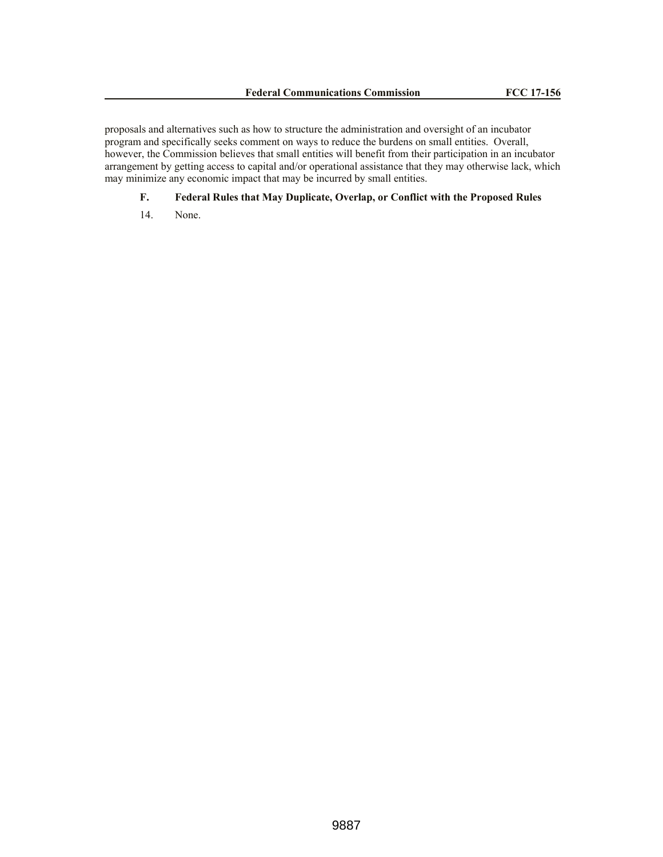proposals and alternatives such as how to structure the administration and oversight of an incubator program and specifically seeks comment on ways to reduce the burdens on small entities. Overall, however, the Commission believes that small entities will benefit from their participation in an incubator arrangement by getting access to capital and/or operational assistance that they may otherwise lack, which may minimize any economic impact that may be incurred by small entities.

# **F. Federal Rules that May Duplicate, Overlap, or Conflict with the Proposed Rules**

14. None.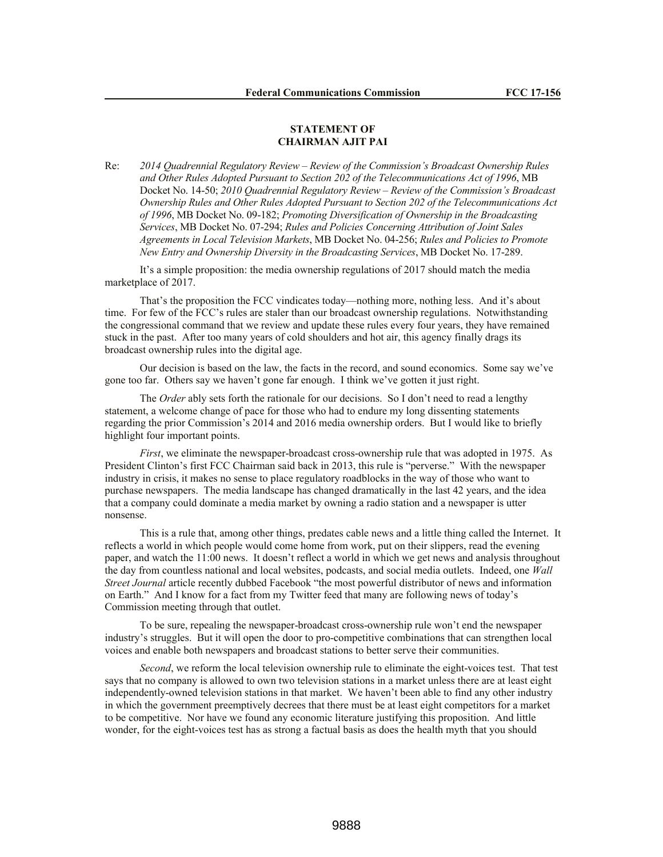# **STATEMENT OF CHAIRMAN AJIT PAI**

Re: *2014 Quadrennial Regulatory Review – Review of the Commission's Broadcast Ownership Rules and Other Rules Adopted Pursuant to Section 202 of the Telecommunications Act of 1996*, MB Docket No. 14-50; *2010 Quadrennial Regulatory Review – Review of the Commission's Broadcast Ownership Rules and Other Rules Adopted Pursuant to Section 202 of the Telecommunications Act of 1996*, MB Docket No. 09-182; *Promoting Diversification of Ownership in the Broadcasting Services*, MB Docket No. 07-294; *Rules and Policies Concerning Attribution of Joint Sales Agreements in Local Television Markets*, MB Docket No. 04-256; *Rules and Policies to Promote New Entry and Ownership Diversity in the Broadcasting Services*, MB Docket No. 17-289.

It's a simple proposition: the media ownership regulations of 2017 should match the media marketplace of 2017.

That's the proposition the FCC vindicates today—nothing more, nothing less. And it's about time. For few of the FCC's rules are staler than our broadcast ownership regulations. Notwithstanding the congressional command that we review and update these rules every four years, they have remained stuck in the past. After too many years of cold shoulders and hot air, this agency finally drags its broadcast ownership rules into the digital age.

Our decision is based on the law, the facts in the record, and sound economics. Some say we've gone too far. Others say we haven't gone far enough. I think we've gotten it just right.

The *Order* ably sets forth the rationale for our decisions. So I don't need to read a lengthy statement, a welcome change of pace for those who had to endure my long dissenting statements regarding the prior Commission's 2014 and 2016 media ownership orders. But I would like to briefly highlight four important points.

*First*, we eliminate the newspaper-broadcast cross-ownership rule that was adopted in 1975. As President Clinton's first FCC Chairman said back in 2013, this rule is "perverse." With the newspaper industry in crisis, it makes no sense to place regulatory roadblocks in the way of those who want to purchase newspapers. The media landscape has changed dramatically in the last 42 years, and the idea that a company could dominate a media market by owning a radio station and a newspaper is utter nonsense.

This is a rule that, among other things, predates cable news and a little thing called the Internet. It reflects a world in which people would come home from work, put on their slippers, read the evening paper, and watch the 11:00 news. It doesn't reflect a world in which we get news and analysis throughout the day from countless national and local websites, podcasts, and social media outlets. Indeed, one *Wall Street Journal* article recently dubbed Facebook "the most powerful distributor of news and information on Earth." And I know for a fact from my Twitter feed that many are following news of today's Commission meeting through that outlet.

To be sure, repealing the newspaper-broadcast cross-ownership rule won't end the newspaper industry's struggles. But it will open the door to pro-competitive combinations that can strengthen local voices and enable both newspapers and broadcast stations to better serve their communities.

*Second*, we reform the local television ownership rule to eliminate the eight-voices test. That test says that no company is allowed to own two television stations in a market unless there are at least eight independently-owned television stations in that market. We haven't been able to find any other industry in which the government preemptively decrees that there must be at least eight competitors for a market to be competitive. Nor have we found any economic literature justifying this proposition. And little wonder, for the eight-voices test has as strong a factual basis as does the health myth that you should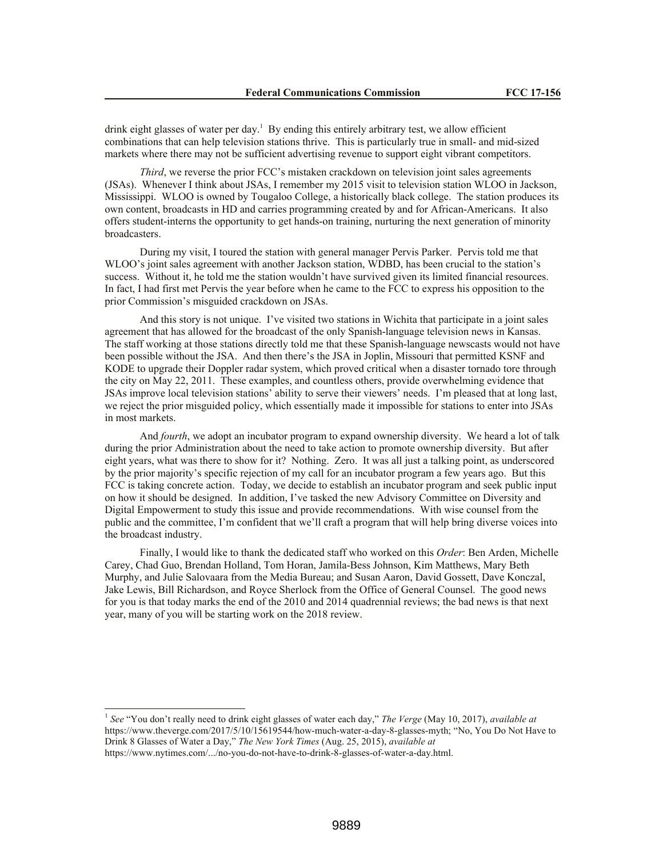drink eight glasses of water per day.<sup>1</sup> By ending this entirely arbitrary test, we allow efficient combinations that can help television stations thrive. This is particularly true in small- and mid-sized markets where there may not be sufficient advertising revenue to support eight vibrant competitors.

*Third*, we reverse the prior FCC's mistaken crackdown on television joint sales agreements (JSAs). Whenever I think about JSAs, I remember my 2015 visit to television station WLOO in Jackson, Mississippi. WLOO is owned by Tougaloo College, a historically black college. The station produces its own content, broadcasts in HD and carries programming created by and for African-Americans. It also offers student-interns the opportunity to get hands-on training, nurturing the next generation of minority broadcasters.

During my visit, I toured the station with general manager Pervis Parker. Pervis told me that WLOO's joint sales agreement with another Jackson station, WDBD, has been crucial to the station's success. Without it, he told me the station wouldn't have survived given its limited financial resources. In fact, I had first met Pervis the year before when he came to the FCC to express his opposition to the prior Commission's misguided crackdown on JSAs.

And this story is not unique. I've visited two stations in Wichita that participate in a joint sales agreement that has allowed for the broadcast of the only Spanish-language television news in Kansas. The staff working at those stations directly told me that these Spanish-language newscasts would not have been possible without the JSA. And then there's the JSA in Joplin, Missouri that permitted KSNF and KODE to upgrade their Doppler radar system, which proved critical when a disaster tornado tore through the city on May 22, 2011. These examples, and countless others, provide overwhelming evidence that JSAs improve local television stations' ability to serve their viewers' needs. I'm pleased that at long last, we reject the prior misguided policy, which essentially made it impossible for stations to enter into JSAs in most markets.

And *fourth*, we adopt an incubator program to expand ownership diversity. We heard a lot of talk during the prior Administration about the need to take action to promote ownership diversity. But after eight years, what was there to show for it? Nothing. Zero. It was all just a talking point, as underscored by the prior majority's specific rejection of my call for an incubator program a few years ago. But this FCC is taking concrete action. Today, we decide to establish an incubator program and seek public input on how it should be designed. In addition, I've tasked the new Advisory Committee on Diversity and Digital Empowerment to study this issue and provide recommendations. With wise counsel from the public and the committee, I'm confident that we'll craft a program that will help bring diverse voices into the broadcast industry.

Finally, I would like to thank the dedicated staff who worked on this *Order*: Ben Arden, Michelle Carey, Chad Guo, Brendan Holland, Tom Horan, Jamila-Bess Johnson, Kim Matthews, Mary Beth Murphy, and Julie Salovaara from the Media Bureau; and Susan Aaron, David Gossett, Dave Konczal, Jake Lewis, Bill Richardson, and Royce Sherlock from the Office of General Counsel. The good news for you is that today marks the end of the 2010 and 2014 quadrennial reviews; the bad news is that next year, many of you will be starting work on the 2018 review.

<sup>&</sup>lt;sup>1</sup> See "You don't really need to drink eight glasses of water each day," The Verge (May 10, 2017), *available at* https://www.theverge.com/2017/5/10/15619544/how-much-water-a-day-8-glasses-myth; "No, You Do Not Have to Drink 8 Glasses of Water a Day," *The New York Times* (Aug. 25, 2015), *available at*  https://www.nytimes.com/.../no-you-do-not-have-to-drink-8-glasses-of-water-a-day.html.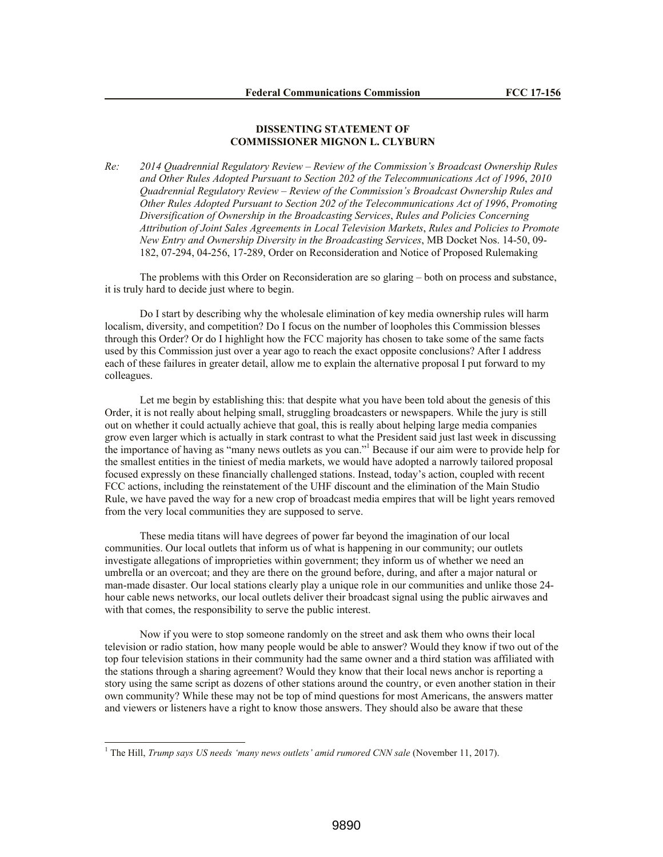# **DISSENTING STATEMENT OF COMMISSIONER MIGNON L. CLYBURN**

*Re: 2014 Quadrennial Regulatory Review – Review of the Commission's Broadcast Ownership Rules and Other Rules Adopted Pursuant to Section 202 of the Telecommunications Act of 1996*, *2010 Quadrennial Regulatory Review – Review of the Commission's Broadcast Ownership Rules and Other Rules Adopted Pursuant to Section 202 of the Telecommunications Act of 1996*, *Promoting Diversification of Ownership in the Broadcasting Services*, *Rules and Policies Concerning Attribution of Joint Sales Agreements in Local Television Markets*, *Rules and Policies to Promote New Entry and Ownership Diversity in the Broadcasting Services*, MB Docket Nos. 14-50, 09- 182, 07-294, 04-256, 17-289, Order on Reconsideration and Notice of Proposed Rulemaking

The problems with this Order on Reconsideration are so glaring – both on process and substance, it is truly hard to decide just where to begin.

Do I start by describing why the wholesale elimination of key media ownership rules will harm localism, diversity, and competition? Do I focus on the number of loopholes this Commission blesses through this Order? Or do I highlight how the FCC majority has chosen to take some of the same facts used by this Commission just over a year ago to reach the exact opposite conclusions? After I address each of these failures in greater detail, allow me to explain the alternative proposal I put forward to my colleagues.

Let me begin by establishing this: that despite what you have been told about the genesis of this Order, it is not really about helping small, struggling broadcasters or newspapers. While the jury is still out on whether it could actually achieve that goal, this is really about helping large media companies grow even larger which is actually in stark contrast to what the President said just last week in discussing the importance of having as "many news outlets as you can."<sup>1</sup> Because if our aim were to provide help for the smallest entities in the tiniest of media markets, we would have adopted a narrowly tailored proposal focused expressly on these financially challenged stations. Instead, today's action, coupled with recent FCC actions, including the reinstatement of the UHF discount and the elimination of the Main Studio Rule, we have paved the way for a new crop of broadcast media empires that will be light years removed from the very local communities they are supposed to serve.

These media titans will have degrees of power far beyond the imagination of our local communities. Our local outlets that inform us of what is happening in our community; our outlets investigate allegations of improprieties within government; they inform us of whether we need an umbrella or an overcoat; and they are there on the ground before, during, and after a major natural or man-made disaster. Our local stations clearly play a unique role in our communities and unlike those 24 hour cable news networks, our local outlets deliver their broadcast signal using the public airwaves and with that comes, the responsibility to serve the public interest.

Now if you were to stop someone randomly on the street and ask them who owns their local television or radio station, how many people would be able to answer? Would they know if two out of the top four television stations in their community had the same owner and a third station was affiliated with the stations through a sharing agreement? Would they know that their local news anchor is reporting a story using the same script as dozens of other stations around the country, or even another station in their own community? While these may not be top of mind questions for most Americans, the answers matter and viewers or listeners have a right to know those answers. They should also be aware that these

<sup>&</sup>lt;sup>1</sup> The Hill, *Trump says US needs 'many news outlets' amid rumored CNN sale* (November 11, 2017).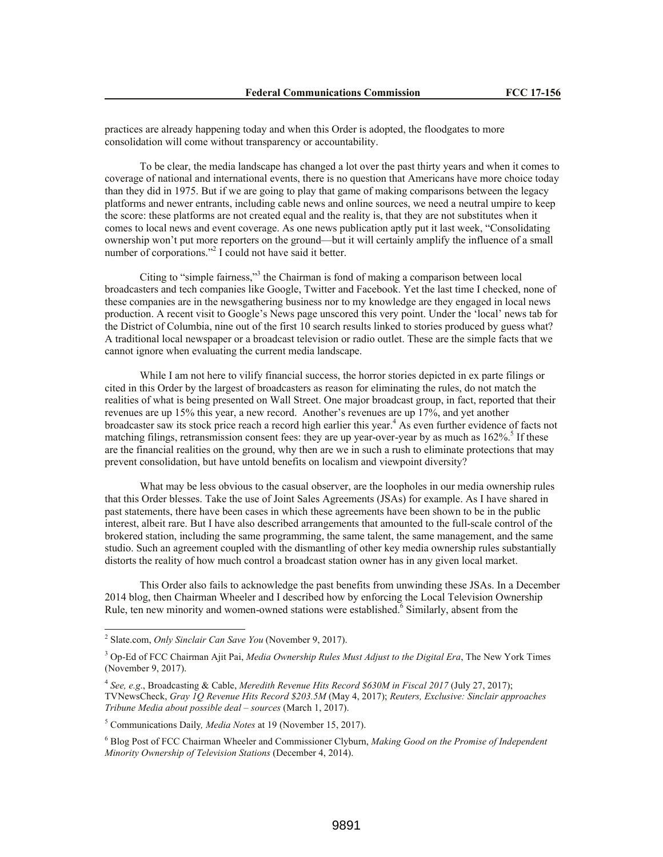practices are already happening today and when this Order is adopted, the floodgates to more consolidation will come without transparency or accountability.

To be clear, the media landscape has changed a lot over the past thirty years and when it comes to coverage of national and international events, there is no question that Americans have more choice today than they did in 1975. But if we are going to play that game of making comparisons between the legacy platforms and newer entrants, including cable news and online sources, we need a neutral umpire to keep the score: these platforms are not created equal and the reality is, that they are not substitutes when it comes to local news and event coverage. As one news publication aptly put it last week, "Consolidating ownership won't put more reporters on the ground—but it will certainly amplify the influence of a small number of corporations."<sup>2</sup> I could not have said it better.

Citing to "simple fairness,"<sup>3</sup> the Chairman is fond of making a comparison between local broadcasters and tech companies like Google, Twitter and Facebook. Yet the last time I checked, none of these companies are in the newsgathering business nor to my knowledge are they engaged in local news production. A recent visit to Google's News page unscored this very point. Under the 'local' news tab for the District of Columbia, nine out of the first 10 search results linked to stories produced by guess what? A traditional local newspaper or a broadcast television or radio outlet. These are the simple facts that we cannot ignore when evaluating the current media landscape.

While I am not here to vilify financial success, the horror stories depicted in ex parte filings or cited in this Order by the largest of broadcasters as reason for eliminating the rules, do not match the realities of what is being presented on Wall Street. One major broadcast group, in fact, reported that their revenues are up 15% this year, a new record. Another's revenues are up 17%, and yet another broadcaster saw its stock price reach a record high earlier this year.<sup>4</sup> As even further evidence of facts not matching filings, retransmission consent fees: they are up year-over-year by as much as 162%.<sup>5</sup> If these are the financial realities on the ground, why then are we in such a rush to eliminate protections that may prevent consolidation, but have untold benefits on localism and viewpoint diversity?

What may be less obvious to the casual observer, are the loopholes in our media ownership rules that this Order blesses. Take the use of Joint Sales Agreements (JSAs) for example. As I have shared in past statements, there have been cases in which these agreements have been shown to be in the public interest, albeit rare. But I have also described arrangements that amounted to the full-scale control of the brokered station, including the same programming, the same talent, the same management, and the same studio. Such an agreement coupled with the dismantling of other key media ownership rules substantially distorts the reality of how much control a broadcast station owner has in any given local market.

This Order also fails to acknowledge the past benefits from unwinding these JSAs. In a December 2014 blog, then Chairman Wheeler and I described how by enforcing the Local Television Ownership Rule, ten new minority and women-owned stations were established.<sup>6</sup> Similarly, absent from the

 $\overline{a}$ 

<sup>2</sup> Slate.com, *Only Sinclair Can Save You* (November 9, 2017).

<sup>3</sup> Op-Ed of FCC Chairman Ajit Pai, *Media Ownership Rules Must Adjust to the Digital Era*, The New York Times (November 9, 2017).

<sup>4</sup> *See, e.g*., Broadcasting & Cable, *Meredith Revenue Hits Record \$630M in Fiscal 2017* (July 27, 2017); TVNewsCheck, *Gray 1Q Revenue Hits Record \$203.5M* (May 4, 2017); *Reuters, Exclusive: Sinclair approaches Tribune Media about possible deal – sources* (March 1, 2017).

<sup>5</sup> Communications Daily*, Media Notes* at 19 (November 15, 2017).

<sup>6</sup> Blog Post of FCC Chairman Wheeler and Commissioner Clyburn, *Making Good on the Promise of Independent Minority Ownership of Television Stations* (December 4, 2014).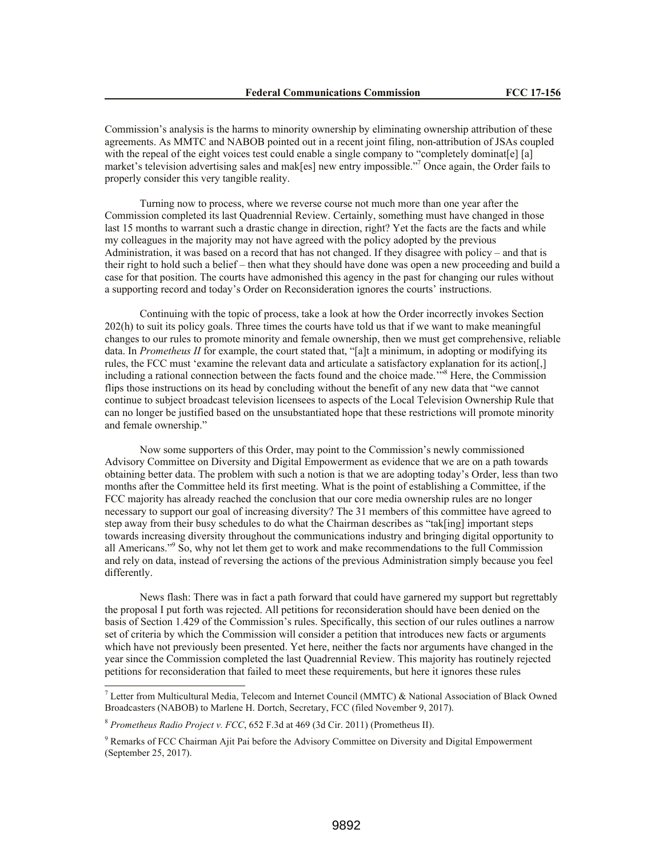Commission's analysis is the harms to minority ownership by eliminating ownership attribution of these agreements. As MMTC and NABOB pointed out in a recent joint filing, non-attribution of JSAs coupled with the repeal of the eight voices test could enable a single company to "completely dominat[e] [a] market's television advertising sales and mak[es] new entry impossible."<sup>7</sup> Once again, the Order fails to properly consider this very tangible reality.

Turning now to process, where we reverse course not much more than one year after the Commission completed its last Quadrennial Review. Certainly, something must have changed in those last 15 months to warrant such a drastic change in direction, right? Yet the facts are the facts and while my colleagues in the majority may not have agreed with the policy adopted by the previous Administration, it was based on a record that has not changed. If they disagree with policy – and that is their right to hold such a belief – then what they should have done was open a new proceeding and build a case for that position. The courts have admonished this agency in the past for changing our rules without a supporting record and today's Order on Reconsideration ignores the courts' instructions.

Continuing with the topic of process, take a look at how the Order incorrectly invokes Section 202(h) to suit its policy goals. Three times the courts have told us that if we want to make meaningful changes to our rules to promote minority and female ownership, then we must get comprehensive, reliable data. In *Prometheus II* for example, the court stated that, "[a]t a minimum, in adopting or modifying its rules, the FCC must 'examine the relevant data and articulate a satisfactory explanation for its action[,] including a rational connection between the facts found and the choice made.<sup>358</sup> Here, the Commission flips those instructions on its head by concluding without the benefit of any new data that "we cannot continue to subject broadcast television licensees to aspects of the Local Television Ownership Rule that can no longer be justified based on the unsubstantiated hope that these restrictions will promote minority and female ownership."

Now some supporters of this Order, may point to the Commission's newly commissioned Advisory Committee on Diversity and Digital Empowerment as evidence that we are on a path towards obtaining better data. The problem with such a notion is that we are adopting today's Order, less than two months after the Committee held its first meeting. What is the point of establishing a Committee, if the FCC majority has already reached the conclusion that our core media ownership rules are no longer necessary to support our goal of increasing diversity? The 31 members of this committee have agreed to step away from their busy schedules to do what the Chairman describes as "tak[ing] important steps towards increasing diversity throughout the communications industry and bringing digital opportunity to all Americans."<sup>9</sup> So, why not let them get to work and make recommendations to the full Commission and rely on data, instead of reversing the actions of the previous Administration simply because you feel differently.

News flash: There was in fact a path forward that could have garnered my support but regrettably the proposal I put forth was rejected. All petitions for reconsideration should have been denied on the basis of Section 1.429 of the Commission's rules. Specifically, this section of our rules outlines a narrow set of criteria by which the Commission will consider a petition that introduces new facts or arguments which have not previously been presented. Yet here, neither the facts nor arguments have changed in the year since the Commission completed the last Quadrennial Review. This majority has routinely rejected petitions for reconsideration that failed to meet these requirements, but here it ignores these rules

<sup>7</sup> Letter from Multicultural Media, Telecom and Internet Council (MMTC) & National Association of Black Owned Broadcasters (NABOB) to Marlene H. Dortch, Secretary, FCC (filed November 9, 2017).

<sup>8</sup> *Prometheus Radio Project v. FCC*, 652 F.3d at 469 (3d Cir. 2011) (Prometheus II).

<sup>9</sup> Remarks of FCC Chairman Ajit Pai before the Advisory Committee on Diversity and Digital Empowerment (September 25, 2017).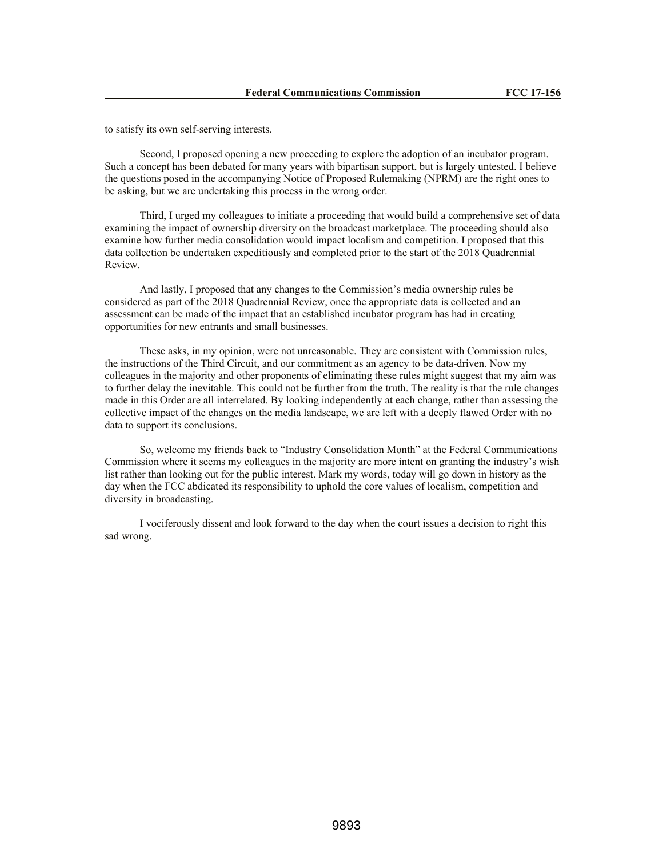to satisfy its own self-serving interests.

Second, I proposed opening a new proceeding to explore the adoption of an incubator program. Such a concept has been debated for many years with bipartisan support, but is largely untested. I believe the questions posed in the accompanying Notice of Proposed Rulemaking (NPRM) are the right ones to be asking, but we are undertaking this process in the wrong order.

Third, I urged my colleagues to initiate a proceeding that would build a comprehensive set of data examining the impact of ownership diversity on the broadcast marketplace. The proceeding should also examine how further media consolidation would impact localism and competition. I proposed that this data collection be undertaken expeditiously and completed prior to the start of the 2018 Quadrennial Review.

And lastly, I proposed that any changes to the Commission's media ownership rules be considered as part of the 2018 Quadrennial Review, once the appropriate data is collected and an assessment can be made of the impact that an established incubator program has had in creating opportunities for new entrants and small businesses.

These asks, in my opinion, were not unreasonable. They are consistent with Commission rules, the instructions of the Third Circuit, and our commitment as an agency to be data-driven. Now my colleagues in the majority and other proponents of eliminating these rules might suggest that my aim was to further delay the inevitable. This could not be further from the truth. The reality is that the rule changes made in this Order are all interrelated. By looking independently at each change, rather than assessing the collective impact of the changes on the media landscape, we are left with a deeply flawed Order with no data to support its conclusions.

So, welcome my friends back to "Industry Consolidation Month" at the Federal Communications Commission where it seems my colleagues in the majority are more intent on granting the industry's wish list rather than looking out for the public interest. Mark my words, today will go down in history as the day when the FCC abdicated its responsibility to uphold the core values of localism, competition and diversity in broadcasting.

I vociferously dissent and look forward to the day when the court issues a decision to right this sad wrong.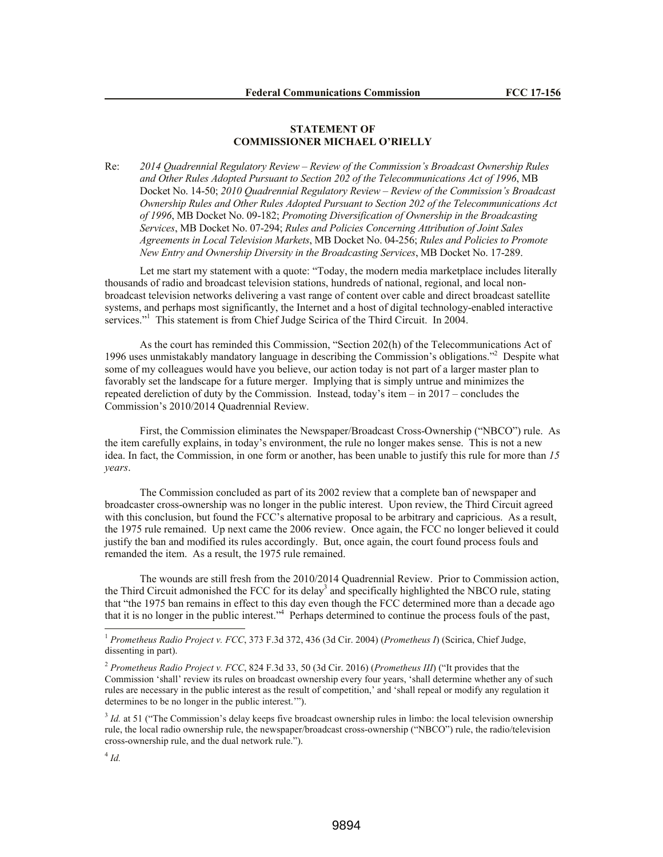# **STATEMENT OF COMMISSIONER MICHAEL O'RIELLY**

Re: *2014 Quadrennial Regulatory Review – Review of the Commission's Broadcast Ownership Rules and Other Rules Adopted Pursuant to Section 202 of the Telecommunications Act of 1996*, MB Docket No. 14-50; *2010 Quadrennial Regulatory Review – Review of the Commission's Broadcast Ownership Rules and Other Rules Adopted Pursuant to Section 202 of the Telecommunications Act of 1996*, MB Docket No. 09-182; *Promoting Diversification of Ownership in the Broadcasting Services*, MB Docket No. 07-294; *Rules and Policies Concerning Attribution of Joint Sales Agreements in Local Television Markets*, MB Docket No. 04-256; *Rules and Policies to Promote New Entry and Ownership Diversity in the Broadcasting Services*, MB Docket No. 17-289.

Let me start my statement with a quote: "Today, the modern media marketplace includes literally thousands of radio and broadcast television stations, hundreds of national, regional, and local nonbroadcast television networks delivering a vast range of content over cable and direct broadcast satellite systems, and perhaps most significantly, the Internet and a host of digital technology-enabled interactive services."<sup>1</sup> This statement is from Chief Judge Scirica of the Third Circuit. In 2004.

As the court has reminded this Commission, "Section 202(h) of the Telecommunications Act of 1996 uses unmistakably mandatory language in describing the Commission's obligations."<sup>2</sup> Despite what some of my colleagues would have you believe, our action today is not part of a larger master plan to favorably set the landscape for a future merger. Implying that is simply untrue and minimizes the repeated dereliction of duty by the Commission. Instead, today's item – in 2017 – concludes the Commission's 2010/2014 Quadrennial Review.

First, the Commission eliminates the Newspaper/Broadcast Cross-Ownership ("NBCO") rule. As the item carefully explains, in today's environment, the rule no longer makes sense. This is not a new idea. In fact, the Commission, in one form or another, has been unable to justify this rule for more than *15 years*.

The Commission concluded as part of its 2002 review that a complete ban of newspaper and broadcaster cross-ownership was no longer in the public interest. Upon review, the Third Circuit agreed with this conclusion, but found the FCC's alternative proposal to be arbitrary and capricious. As a result, the 1975 rule remained. Up next came the 2006 review. Once again, the FCC no longer believed it could justify the ban and modified its rules accordingly. But, once again, the court found process fouls and remanded the item. As a result, the 1975 rule remained.

The wounds are still fresh from the 2010/2014 Quadrennial Review. Prior to Commission action, the Third Circuit admonished the FCC for its delay<sup>3</sup> and specifically highlighted the NBCO rule, stating that "the 1975 ban remains in effect to this day even though the FCC determined more than a decade ago that it is no longer in the public interest."<sup>4</sup> Perhaps determined to continue the process fouls of the past,

 $\overline{a}$ 

<sup>1</sup> *Prometheus Radio Project v. FCC*, 373 F.3d 372, 436 (3d Cir. 2004) (*Prometheus I*) (Scirica, Chief Judge, dissenting in part).

<sup>2</sup> *Prometheus Radio Project v. FCC*, 824 F.3d 33, 50 (3d Cir. 2016) (*Prometheus III*) ("It provides that the Commission 'shall' review its rules on broadcast ownership every four years, 'shall determine whether any of such rules are necessary in the public interest as the result of competition,' and 'shall repeal or modify any regulation it determines to be no longer in the public interest.'").

<sup>&</sup>lt;sup>3</sup> *Id.* at 51 ("The Commission's delay keeps five broadcast ownership rules in limbo: the local television ownership rule, the local radio ownership rule, the newspaper/broadcast cross-ownership ("NBCO") rule, the radio/television cross-ownership rule, and the dual network rule.").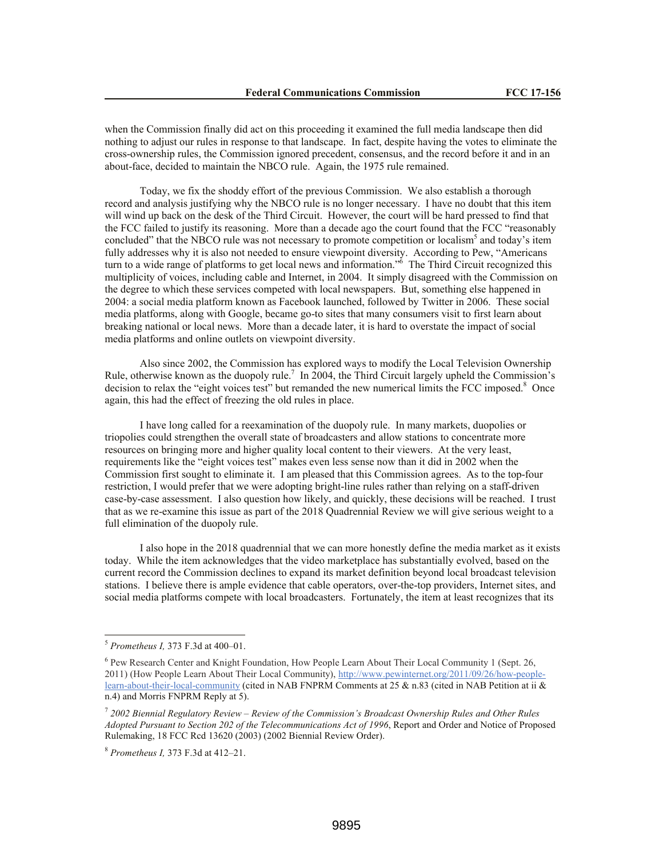when the Commission finally did act on this proceeding it examined the full media landscape then did nothing to adjust our rules in response to that landscape. In fact, despite having the votes to eliminate the cross-ownership rules, the Commission ignored precedent, consensus, and the record before it and in an about-face, decided to maintain the NBCO rule. Again, the 1975 rule remained.

Today, we fix the shoddy effort of the previous Commission. We also establish a thorough record and analysis justifying why the NBCO rule is no longer necessary. I have no doubt that this item will wind up back on the desk of the Third Circuit. However, the court will be hard pressed to find that the FCC failed to justify its reasoning. More than a decade ago the court found that the FCC "reasonably concluded" that the NBCO rule was not necessary to promote competition or localism<sup>5</sup> and today's item fully addresses why it is also not needed to ensure viewpoint diversity. According to Pew, "Americans turn to a wide range of platforms to get local news and information." $\delta$  The Third Circuit recognized this multiplicity of voices, including cable and Internet, in 2004. It simply disagreed with the Commission on the degree to which these services competed with local newspapers. But, something else happened in 2004: a social media platform known as Facebook launched, followed by Twitter in 2006. These social media platforms, along with Google, became go-to sites that many consumers visit to first learn about breaking national or local news. More than a decade later, it is hard to overstate the impact of social media platforms and online outlets on viewpoint diversity.

Also since 2002, the Commission has explored ways to modify the Local Television Ownership Rule, otherwise known as the duopoly rule.<sup>7</sup> In 2004, the Third Circuit largely upheld the Commission's decision to relax the "eight voices test" but remanded the new numerical limits the FCC imposed.<sup>8</sup> Once again, this had the effect of freezing the old rules in place.

I have long called for a reexamination of the duopoly rule. In many markets, duopolies or triopolies could strengthen the overall state of broadcasters and allow stations to concentrate more resources on bringing more and higher quality local content to their viewers. At the very least, requirements like the "eight voices test" makes even less sense now than it did in 2002 when the Commission first sought to eliminate it. I am pleased that this Commission agrees. As to the top-four restriction, I would prefer that we were adopting bright-line rules rather than relying on a staff-driven case-by-case assessment. I also question how likely, and quickly, these decisions will be reached. I trust that as we re-examine this issue as part of the 2018 Quadrennial Review we will give serious weight to a full elimination of the duopoly rule.

I also hope in the 2018 quadrennial that we can more honestly define the media market as it exists today. While the item acknowledges that the video marketplace has substantially evolved, based on the current record the Commission declines to expand its market definition beyond local broadcast television stations. I believe there is ample evidence that cable operators, over-the-top providers, Internet sites, and social media platforms compete with local broadcasters. Fortunately, the item at least recognizes that its

<sup>5</sup> *Prometheus I,* 373 F.3d at 400–01.

<sup>6</sup> Pew Research Center and Knight Foundation, How People Learn About Their Local Community 1 (Sept. 26, 2011) (How People Learn About Their Local Community), http://www.pewinternet.org/2011/09/26/how-peoplelearn-about-their-local-community (cited in NAB FNPRM Comments at 25 & n.83 (cited in NAB Petition at ii & n.4) and Morris FNPRM Reply at 5).

<sup>7</sup> *2002 Biennial Regulatory Review – Review of the Commission's Broadcast Ownership Rules and Other Rules Adopted Pursuant to Section 202 of the Telecommunications Act of 1996*, Report and Order and Notice of Proposed Rulemaking, 18 FCC Rcd 13620 (2003) (2002 Biennial Review Order).

<sup>8</sup> *Prometheus I,* 373 F.3d at 412–21.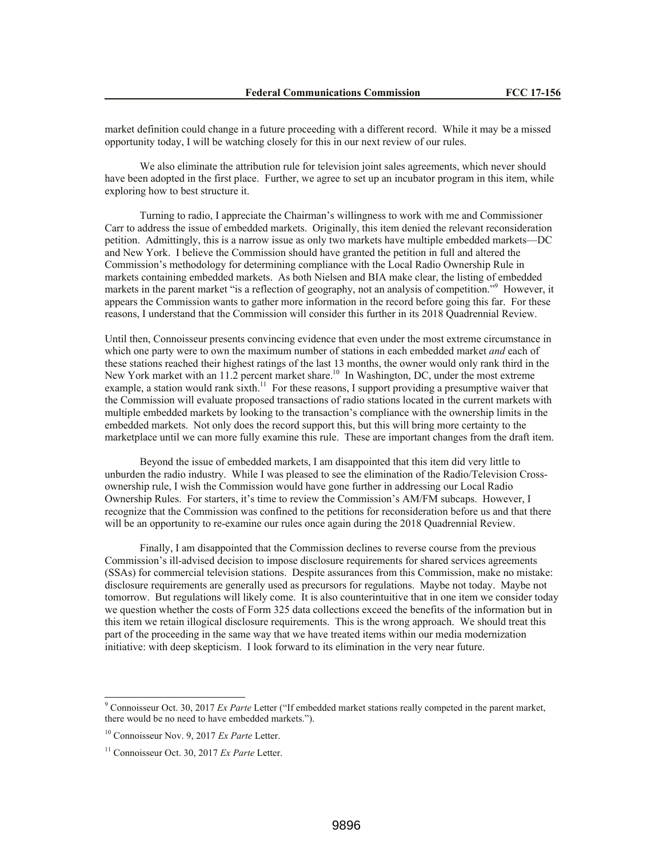market definition could change in a future proceeding with a different record. While it may be a missed opportunity today, I will be watching closely for this in our next review of our rules.

We also eliminate the attribution rule for television joint sales agreements, which never should have been adopted in the first place. Further, we agree to set up an incubator program in this item, while exploring how to best structure it.

Turning to radio, I appreciate the Chairman's willingness to work with me and Commissioner Carr to address the issue of embedded markets. Originally, this item denied the relevant reconsideration petition. Admittingly, this is a narrow issue as only two markets have multiple embedded markets—DC and New York. I believe the Commission should have granted the petition in full and altered the Commission's methodology for determining compliance with the Local Radio Ownership Rule in markets containing embedded markets. As both Nielsen and BIA make clear, the listing of embedded markets in the parent market "is a reflection of geography, not an analysis of competition."<sup>9</sup> However, it appears the Commission wants to gather more information in the record before going this far. For these reasons, I understand that the Commission will consider this further in its 2018 Quadrennial Review.

Until then, Connoisseur presents convincing evidence that even under the most extreme circumstance in which one party were to own the maximum number of stations in each embedded market *and* each of these stations reached their highest ratings of the last 13 months, the owner would only rank third in the New York market with an 11.2 percent market share.<sup>10</sup> In Washington, DC, under the most extreme example, a station would rank sixth.<sup>11</sup> For these reasons, I support providing a presumptive waiver that the Commission will evaluate proposed transactions of radio stations located in the current markets with multiple embedded markets by looking to the transaction's compliance with the ownership limits in the embedded markets. Not only does the record support this, but this will bring more certainty to the marketplace until we can more fully examine this rule. These are important changes from the draft item.

Beyond the issue of embedded markets, I am disappointed that this item did very little to unburden the radio industry. While I was pleased to see the elimination of the Radio/Television Crossownership rule, I wish the Commission would have gone further in addressing our Local Radio Ownership Rules. For starters, it's time to review the Commission's AM/FM subcaps. However, I recognize that the Commission was confined to the petitions for reconsideration before us and that there will be an opportunity to re-examine our rules once again during the 2018 Quadrennial Review.

Finally, I am disappointed that the Commission declines to reverse course from the previous Commission's ill-advised decision to impose disclosure requirements for shared services agreements (SSAs) for commercial television stations. Despite assurances from this Commission, make no mistake: disclosure requirements are generally used as precursors for regulations. Maybe not today. Maybe not tomorrow. But regulations will likely come. It is also counterintuitive that in one item we consider today we question whether the costs of Form 325 data collections exceed the benefits of the information but in this item we retain illogical disclosure requirements. This is the wrong approach. We should treat this part of the proceeding in the same way that we have treated items within our media modernization initiative: with deep skepticism. I look forward to its elimination in the very near future.

 $\overline{a}$ 

<sup>9</sup> Connoisseur Oct. 30, 2017 *Ex Parte* Letter ("If embedded market stations really competed in the parent market, there would be no need to have embedded markets.").

<sup>10</sup> Connoisseur Nov. 9, 2017 *Ex Parte* Letter.

<sup>11</sup> Connoisseur Oct. 30, 2017 *Ex Parte* Letter.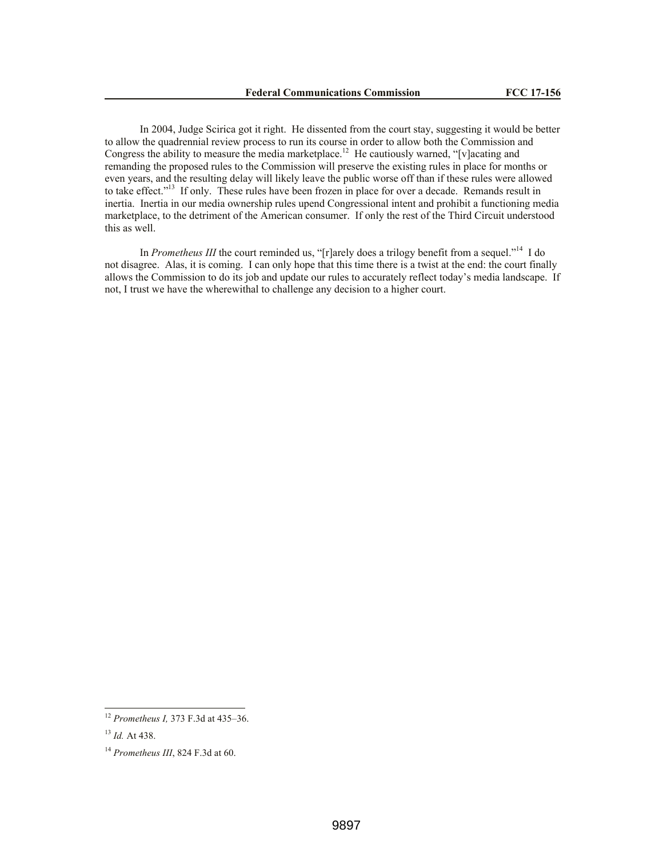In 2004, Judge Scirica got it right. He dissented from the court stay, suggesting it would be better to allow the quadrennial review process to run its course in order to allow both the Commission and Congress the ability to measure the media marketplace.<sup>12</sup> He cautiously warned, "[v]acating and remanding the proposed rules to the Commission will preserve the existing rules in place for months or even years, and the resulting delay will likely leave the public worse off than if these rules were allowed to take effect."<sup>13</sup> If only. These rules have been frozen in place for over a decade. Remands result in inertia. Inertia in our media ownership rules upend Congressional intent and prohibit a functioning media marketplace, to the detriment of the American consumer. If only the rest of the Third Circuit understood this as well.

In *Prometheus III* the court reminded us, "[r]arely does a trilogy benefit from a sequel."<sup>14</sup> I do not disagree. Alas, it is coming. I can only hope that this time there is a twist at the end: the court finally allows the Commission to do its job and update our rules to accurately reflect today's media landscape. If not, I trust we have the wherewithal to challenge any decision to a higher court.

<sup>12</sup> *Prometheus I,* 373 F.3d at 435–36.

<sup>13</sup> *Id.* At 438.

<sup>14</sup> *Prometheus III*, 824 F.3d at 60.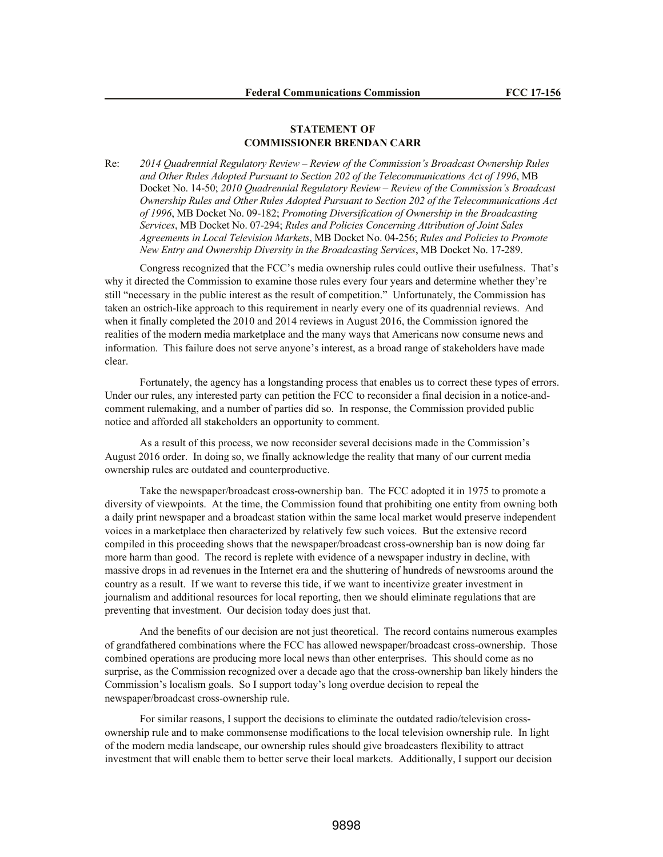# **STATEMENT OF COMMISSIONER BRENDAN CARR**

Re: *2014 Quadrennial Regulatory Review – Review of the Commission's Broadcast Ownership Rules and Other Rules Adopted Pursuant to Section 202 of the Telecommunications Act of 1996*, MB Docket No. 14-50; *2010 Quadrennial Regulatory Review – Review of the Commission's Broadcast Ownership Rules and Other Rules Adopted Pursuant to Section 202 of the Telecommunications Act of 1996*, MB Docket No. 09-182; *Promoting Diversification of Ownership in the Broadcasting Services*, MB Docket No. 07-294; *Rules and Policies Concerning Attribution of Joint Sales Agreements in Local Television Markets*, MB Docket No. 04-256; *Rules and Policies to Promote New Entry and Ownership Diversity in the Broadcasting Services*, MB Docket No. 17-289.

Congress recognized that the FCC's media ownership rules could outlive their usefulness. That's why it directed the Commission to examine those rules every four years and determine whether they're still "necessary in the public interest as the result of competition." Unfortunately, the Commission has taken an ostrich-like approach to this requirement in nearly every one of its quadrennial reviews. And when it finally completed the 2010 and 2014 reviews in August 2016, the Commission ignored the realities of the modern media marketplace and the many ways that Americans now consume news and information. This failure does not serve anyone's interest, as a broad range of stakeholders have made clear.

Fortunately, the agency has a longstanding process that enables us to correct these types of errors. Under our rules, any interested party can petition the FCC to reconsider a final decision in a notice-andcomment rulemaking, and a number of parties did so. In response, the Commission provided public notice and afforded all stakeholders an opportunity to comment.

As a result of this process, we now reconsider several decisions made in the Commission's August 2016 order. In doing so, we finally acknowledge the reality that many of our current media ownership rules are outdated and counterproductive.

Take the newspaper/broadcast cross-ownership ban. The FCC adopted it in 1975 to promote a diversity of viewpoints. At the time, the Commission found that prohibiting one entity from owning both a daily print newspaper and a broadcast station within the same local market would preserve independent voices in a marketplace then characterized by relatively few such voices. But the extensive record compiled in this proceeding shows that the newspaper/broadcast cross-ownership ban is now doing far more harm than good. The record is replete with evidence of a newspaper industry in decline, with massive drops in ad revenues in the Internet era and the shuttering of hundreds of newsrooms around the country as a result. If we want to reverse this tide, if we want to incentivize greater investment in journalism and additional resources for local reporting, then we should eliminate regulations that are preventing that investment. Our decision today does just that.

And the benefits of our decision are not just theoretical. The record contains numerous examples of grandfathered combinations where the FCC has allowed newspaper/broadcast cross-ownership. Those combined operations are producing more local news than other enterprises. This should come as no surprise, as the Commission recognized over a decade ago that the cross-ownership ban likely hinders the Commission's localism goals. So I support today's long overdue decision to repeal the newspaper/broadcast cross-ownership rule.

For similar reasons, I support the decisions to eliminate the outdated radio/television crossownership rule and to make commonsense modifications to the local television ownership rule. In light of the modern media landscape, our ownership rules should give broadcasters flexibility to attract investment that will enable them to better serve their local markets. Additionally, I support our decision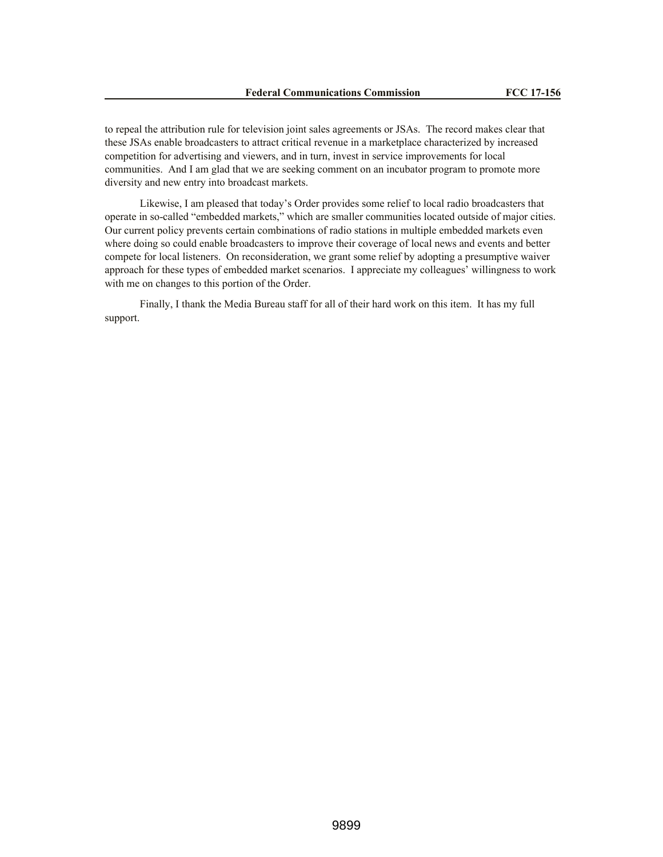to repeal the attribution rule for television joint sales agreements or JSAs. The record makes clear that these JSAs enable broadcasters to attract critical revenue in a marketplace characterized by increased competition for advertising and viewers, and in turn, invest in service improvements for local communities. And I am glad that we are seeking comment on an incubator program to promote more diversity and new entry into broadcast markets.

Likewise, I am pleased that today's Order provides some relief to local radio broadcasters that operate in so-called "embedded markets," which are smaller communities located outside of major cities. Our current policy prevents certain combinations of radio stations in multiple embedded markets even where doing so could enable broadcasters to improve their coverage of local news and events and better compete for local listeners. On reconsideration, we grant some relief by adopting a presumptive waiver approach for these types of embedded market scenarios. I appreciate my colleagues' willingness to work with me on changes to this portion of the Order.

Finally, I thank the Media Bureau staff for all of their hard work on this item. It has my full support.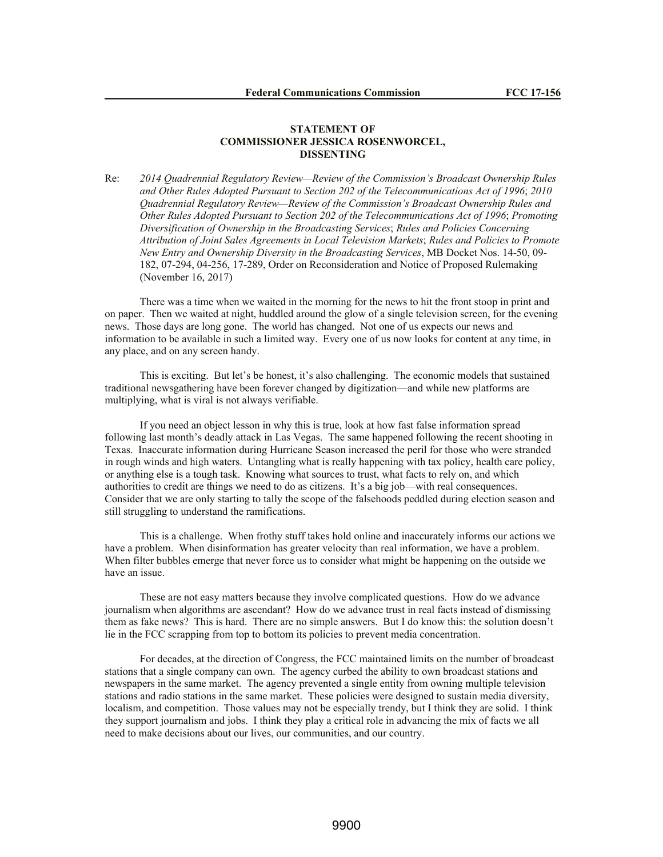#### **STATEMENT OF COMMISSIONER JESSICA ROSENWORCEL, DISSENTING**

Re: *2014 Quadrennial Regulatory Review—Review of the Commission's Broadcast Ownership Rules and Other Rules Adopted Pursuant to Section 202 of the Telecommunications Act of 1996*; *2010 Quadrennial Regulatory Review—Review of the Commission's Broadcast Ownership Rules and Other Rules Adopted Pursuant to Section 202 of the Telecommunications Act of 1996*; *Promoting Diversification of Ownership in the Broadcasting Services*; *Rules and Policies Concerning Attribution of Joint Sales Agreements in Local Television Markets*; *Rules and Policies to Promote New Entry and Ownership Diversity in the Broadcasting Services*, MB Docket Nos. 14-50, 09- 182, 07-294, 04-256, 17-289, Order on Reconsideration and Notice of Proposed Rulemaking (November 16, 2017)

There was a time when we waited in the morning for the news to hit the front stoop in print and on paper. Then we waited at night, huddled around the glow of a single television screen, for the evening news. Those days are long gone. The world has changed. Not one of us expects our news and information to be available in such a limited way. Every one of us now looks for content at any time, in any place, and on any screen handy.

This is exciting. But let's be honest, it's also challenging. The economic models that sustained traditional newsgathering have been forever changed by digitization—and while new platforms are multiplying, what is viral is not always verifiable.

If you need an object lesson in why this is true, look at how fast false information spread following last month's deadly attack in Las Vegas. The same happened following the recent shooting in Texas. Inaccurate information during Hurricane Season increased the peril for those who were stranded in rough winds and high waters. Untangling what is really happening with tax policy, health care policy, or anything else is a tough task. Knowing what sources to trust, what facts to rely on, and which authorities to credit are things we need to do as citizens. It's a big job—with real consequences. Consider that we are only starting to tally the scope of the falsehoods peddled during election season and still struggling to understand the ramifications.

This is a challenge. When frothy stuff takes hold online and inaccurately informs our actions we have a problem. When disinformation has greater velocity than real information, we have a problem. When filter bubbles emerge that never force us to consider what might be happening on the outside we have an issue.

These are not easy matters because they involve complicated questions. How do we advance journalism when algorithms are ascendant? How do we advance trust in real facts instead of dismissing them as fake news? This is hard. There are no simple answers. But I do know this: the solution doesn't lie in the FCC scrapping from top to bottom its policies to prevent media concentration.

For decades, at the direction of Congress, the FCC maintained limits on the number of broadcast stations that a single company can own. The agency curbed the ability to own broadcast stations and newspapers in the same market. The agency prevented a single entity from owning multiple television stations and radio stations in the same market. These policies were designed to sustain media diversity, localism, and competition. Those values may not be especially trendy, but I think they are solid. I think they support journalism and jobs. I think they play a critical role in advancing the mix of facts we all need to make decisions about our lives, our communities, and our country.